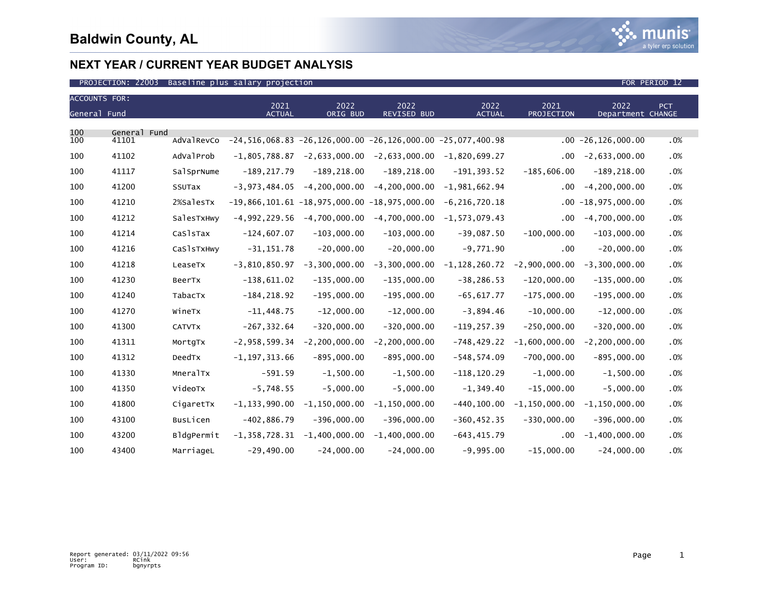

| <b>ACCOUNTS FOR:</b> |              |               | 2021              | 2022                                           | 2022                                                                  | 2022              | 2021              | 2022                    | <b>PCT</b> |
|----------------------|--------------|---------------|-------------------|------------------------------------------------|-----------------------------------------------------------------------|-------------------|-------------------|-------------------------|------------|
| General Fund         |              |               | <b>ACTUAL</b>     | ORIG BUD                                       | <b>REVISED BUD</b>                                                    | <b>ACTUAL</b>     | <b>PROJECTION</b> | Department CHANGE       |            |
| 100                  | General Fund |               |                   |                                                |                                                                       |                   |                   |                         |            |
| 100                  | 41101        | AdValRevCo    |                   |                                                | $-24, 516, 068.83 -26, 126, 000.00 -26, 126, 000.00 -25, 077, 400.98$ |                   |                   | $.00 - 26, 126, 000.00$ | .0%        |
| 100                  | 41102        | AdValProb     | $-1,805,788.87$   |                                                | $-2,633,000.00 -2,633,000.00$                                         | $-1,820,699.27$   | $.00 \,$          | $-2,633,000.00$         | .0%        |
| 100                  | 41117        | SalSprNume    | $-189, 217.79$    | $-189, 218.00$                                 | $-189, 218.00$                                                        | $-191, 393.52$    | $-185,606.00$     | $-189, 218.00$          | .0%        |
| 100                  | 41200        | SSUTax        | $-3, 973, 484.05$ | $-4, 200, 000.00$                              | $-4, 200, 000.00$                                                     | $-1,981,662.94$   | .00               | $-4, 200, 000.00$       | .0%        |
| 100                  | 41210        | 2%SalesTx     |                   | $-19,866,101.61 -18,975,000.00 -18,975,000.00$ |                                                                       | $-6, 216, 720.18$ |                   | $.00 - 18,975,000.00$   | .0%        |
| 100                  | 41212        | SalesTxHwy    | $-4,992,229.56$   | $-4,700,000.00$                                | $-4,700,000.00$                                                       | $-1, 573, 079.43$ | .00               | $-4,700,000.00$         | .0%        |
| 100                  | 41214        | CaSlsTax      | $-124,607.07$     | $-103,000.00$                                  | $-103,000.00$                                                         | $-39,087.50$      | $-100,000.00$     | $-103,000.00$           | .0%        |
| 100                  | 41216        | CaSlsTxHwy    | $-31, 151.78$     | $-20,000.00$                                   | $-20,000.00$                                                          | $-9,771.90$       | .00               | $-20,000.00$            | .0%        |
| 100                  | 41218        | LeaseTx       | $-3,810,850.97$   | $-3,300,000.00$                                | $-3,300,000.00$                                                       | $-1, 128, 260.72$ | $-2,900,000.00$   | $-3,300,000.00$         | .0%        |
| 100                  | 41230        | BeerTx        | $-138,611.02$     | $-135,000.00$                                  | $-135,000.00$                                                         | $-38, 286.53$     | $-120,000.00$     | $-135,000.00$           | .0%        |
| 100                  | 41240        | TabacTx       | $-184, 218.92$    | $-195,000.00$                                  | $-195,000.00$                                                         | $-65,617.77$      | $-175,000.00$     | $-195,000.00$           | .0%        |
| 100                  | 41270        | WineTx        | $-11,448.75$      | $-12,000.00$                                   | $-12,000.00$                                                          | $-3,894.46$       | $-10,000.00$      | $-12,000.00$            | .0%        |
| 100                  | 41300        | <b>CATVTX</b> | $-267, 332.64$    | $-320,000.00$                                  | $-320,000.00$                                                         | $-119, 257.39$    | $-250,000.00$     | $-320,000.00$           | .0%        |
| 100                  | 41311        | MortgTx       | $-2,958,599.34$   | $-2, 200, 000.00$                              | $-2, 200, 000.00$                                                     | $-748, 429.22$    | $-1,600,000.00$   | $-2, 200, 000.00$       | .0%        |
| 100                  | 41312        | DeedTx        | $-1, 197, 313.66$ | $-895,000.00$                                  | $-895,000.00$                                                         | $-548, 574.09$    | $-700,000.00$     | $-895,000.00$           | .0%        |
| 100                  | 41330        | MneralTx      | $-591.59$         | $-1,500.00$                                    | $-1,500.00$                                                           | $-118, 120.29$    | $-1,000.00$       | $-1,500.00$             | .0%        |
| 100                  | 41350        | VideoTx       | $-5,748.55$       | $-5,000.00$                                    | $-5,000.00$                                                           | $-1, 349.40$      | $-15,000.00$      | $-5,000.00$             | .0%        |
| 100                  | 41800        | CigaretTx     | $-1, 133, 990.00$ | $-1, 150, 000.00$                              | $-1, 150, 000.00$                                                     | $-440, 100.00$    | $-1, 150, 000.00$ | $-1, 150, 000.00$       | .0%        |
| 100                  | 43100        | BusLicen      | $-402,886.79$     | $-396,000.00$                                  | $-396,000.00$                                                         | $-360, 452.35$    | $-330,000.00$     | $-396,000.00$           | .0%        |
| 100                  | 43200        | BldgPermit    | $-1, 358, 728.31$ | $-1,400,000.00$                                | $-1,400,000.00$                                                       | $-643, 415.79$    | $.00 \,$          | $-1,400,000.00$         | .0%        |
| 100                  | 43400        | MarriageL     | $-29,490.00$      | $-24,000.00$                                   | $-24,000.00$                                                          | $-9,995.00$       | $-15,000.00$      | $-24,000.00$            | .0%        |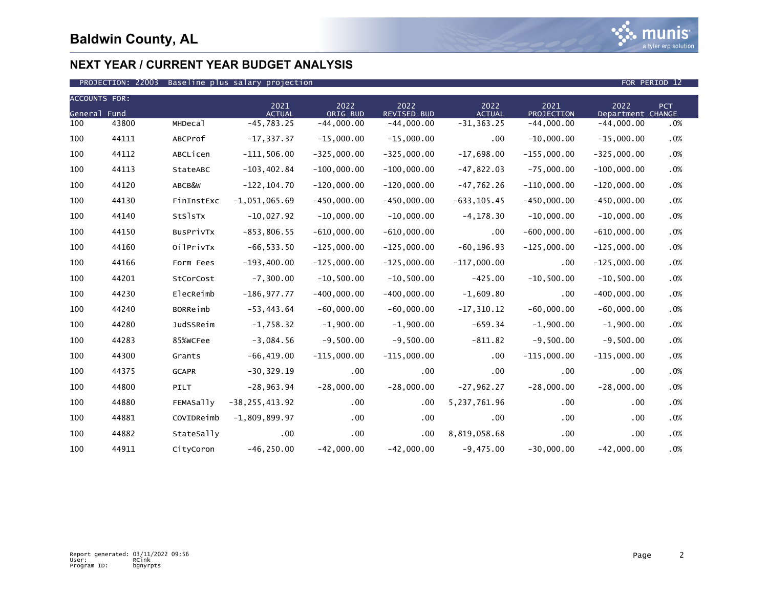

| <b>ACCOUNTS FOR:</b> |       |                  |                       |                  |                            |                       |                    |                           |            |
|----------------------|-------|------------------|-----------------------|------------------|----------------------------|-----------------------|--------------------|---------------------------|------------|
| General Fund         |       |                  | 2021<br><b>ACTUAL</b> | 2022<br>ORIG BUD | 2022<br><b>REVISED BUD</b> | 2022<br><b>ACTUAL</b> | 2021<br>PROJECTION | 2022<br>Department CHANGE | <b>PCT</b> |
| 100                  | 43800 | MHDecal          | $-45,783.25$          | $-44,000.00$     | $-44,000.00$               | $-31, 363.25$         | $-44,000.00$       | $-44,000.00$              | .0%        |
| 100                  | 44111 | ABCProf          | $-17, 337.37$         | $-15,000.00$     | $-15,000.00$               | $.00 \,$              | $-10,000.00$       | $-15,000.00$              | .0%        |
| 100                  | 44112 | ABCLicen         | $-111,506.00$         | $-325,000.00$    | $-325,000.00$              | $-17,698.00$          | $-155,000.00$      | $-325,000.00$             | .0%        |
| 100                  | 44113 | StateABC         | $-103, 402.84$        | $-100,000.00$    | $-100,000.00$              | $-47,822.03$          | $-75,000.00$       | $-100,000.00$             | .0%        |
| 100                  | 44120 | ABCB&W           | $-122, 104.70$        | $-120,000.00$    | $-120,000.00$              | $-47,762.26$          | $-110,000.00$      | $-120,000.00$             | .0%        |
| 100                  | 44130 | FinInstExc       | $-1,051,065.69$       | $-450,000.00$    | $-450,000.00$              | $-633, 105.45$        | $-450,000.00$      | $-450,000.00$             | .0%        |
| 100                  | 44140 | StSlsTx          | $-10,027.92$          | $-10,000.00$     | $-10,000.00$               | $-4, 178.30$          | $-10,000.00$       | $-10,000.00$              | .0%        |
| 100                  | 44150 | BusPrivTx        | $-853, 806.55$        | $-610,000.00$    | $-610,000.00$              | $.00 \,$              | $-600,000.00$      | $-610,000.00$             | .0%        |
| 100                  | 44160 | OilPrivTx        | $-66, 533.50$         | $-125,000.00$    | $-125,000.00$              | $-60, 196.93$         | $-125,000.00$      | $-125,000.00$             | .0%        |
| 100                  | 44166 | Form Fees        | $-193,400.00$         | $-125,000.00$    | $-125,000.00$              | $-117,000.00$         | .00                | $-125,000.00$             | .0%        |
| 100                  | 44201 | StCorCost        | $-7, 300.00$          | $-10,500.00$     | $-10,500.00$               | $-425.00$             | $-10,500.00$       | $-10,500.00$              | .0%        |
| 100                  | 44230 | ElecReimb        | $-186, 977.77$        | $-400,000.00$    | $-400,000.00$              | $-1,609.80$           | .00                | $-400,000.00$             | .0%        |
| 100                  | 44240 | <b>BORReimb</b>  | $-53, 443.64$         | $-60,000.00$     | $-60,000.00$               | $-17, 310.12$         | $-60,000.00$       | $-60,000.00$              | .0%        |
| 100                  | 44280 | JudSSReim        | $-1,758.32$           | $-1,900.00$      | $-1,900.00$                | $-659.34$             | $-1,900.00$        | $-1,900.00$               | .0%        |
| 100                  | 44283 | 85%WCFee         | $-3,084.56$           | $-9,500.00$      | $-9,500.00$                | $-811.82$             | $-9,500.00$        | $-9,500.00$               | .0%        |
| 100                  | 44300 | Grants           | $-66, 419.00$         | $-115,000.00$    | $-115,000.00$              | $.00 \,$              | $-115,000.00$      | $-115,000.00$             | .0%        |
| 100                  | 44375 | <b>GCAPR</b>     | $-30, 329.19$         | .00              | .00                        | .00.                  | .00                | .00                       | .0%        |
| 100                  | 44800 | PILT             | $-28, 963.94$         | $-28,000.00$     | $-28,000.00$               | $-27,962.27$          | $-28,000.00$       | $-28,000.00$              | .0%        |
| 100                  | 44880 | <b>FEMASally</b> | $-38, 255, 413.92$    | $.00 \,$         | .00                        | 5,237,761.96          | .00.               | .00                       | .0%        |
| 100                  | 44881 | COVIDReimb       | $-1,809,899.97$       | $.00 \,$         | .00                        | $.00 \,$              | .00                | .00                       | .0%        |
| 100                  | 44882 | StateSally       | .00                   | $.00 \,$         | .00                        | 8,819,058.68          | .00                | .00                       | .0%        |
| 100                  | 44911 | CityCoron        | $-46, 250.00$         | $-42,000.00$     | $-42,000.00$               | $-9,475.00$           | $-30,000.00$       | $-42,000.00$              | .0%        |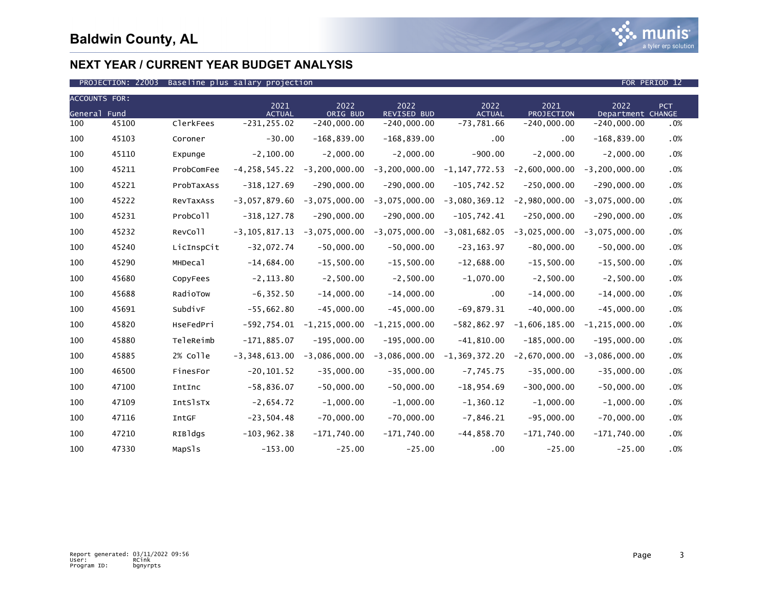

| <b>ACCOUNTS FOR:</b> |       |            |                       |                   |                            |                       |                    |                           |            |
|----------------------|-------|------------|-----------------------|-------------------|----------------------------|-----------------------|--------------------|---------------------------|------------|
| General Fund         |       |            | 2021<br><b>ACTUAL</b> | 2022<br>ORIG BUD  | 2022<br><b>REVISED BUD</b> | 2022<br><b>ACTUAL</b> | 2021<br>PROJECTION | 2022<br>Department CHANGE | <b>PCT</b> |
| 100                  | 45100 | ClerkFees  | $-231, 255.02$        | $-240,000.00$     | $-240,000.00$              | $-73,781.66$          | $-240,000.00$      | $-240,000.00$             | .0%        |
| 100                  | 45103 | Coroner    | $-30.00$              | $-168, 839.00$    | $-168, 839.00$             | .00                   | .00                | $-168, 839.00$            | .0%        |
| 100                  | 45110 | Expunge    | $-2, 100.00$          | $-2,000.00$       | $-2,000.00$                | $-900.00$             | $-2,000.00$        | $-2,000.00$               | .0%        |
| 100                  | 45211 | ProbComFee | $-4, 258, 545.22$     | $-3, 200, 000.00$ | $-3, 200, 000.00$          | $-1, 147, 772.53$     | $-2,600,000.00$    | $-3, 200, 000.00$         | .0%        |
| 100                  | 45221 | ProbTaxAss | $-318, 127.69$        | $-290,000.00$     | $-290,000.00$              | $-105,742.52$         | $-250,000.00$      | $-290,000.00$             | .0%        |
| 100                  | 45222 | RevTaxAss  | $-3,057,879.60$       | $-3,075,000.00$   | $-3,075,000.00$            | $-3,080,369.12$       | $-2,980,000.00$    | $-3,075,000.00$           | .0%        |
| 100                  | 45231 | ProbColl   | $-318, 127.78$        | $-290,000.00$     | $-290,000.00$              | $-105,742.41$         | $-250,000.00$      | $-290,000.00$             | .0%        |
| 100                  | 45232 | RevColl    | $-3, 105, 817.13$     | $-3,075,000.00$   | $-3,075,000.00$            | $-3,081,682.05$       | $-3,025,000.00$    | $-3,075,000.00$           | .0%        |
| 100                  | 45240 | LicInspCit | $-32,072.74$          | $-50,000.00$      | $-50,000.00$               | $-23, 163.97$         | $-80,000.00$       | $-50,000.00$              | .0%        |
| 100                  | 45290 | MHDecal    | $-14,684.00$          | $-15,500.00$      | $-15,500.00$               | $-12,688.00$          | $-15,500.00$       | $-15,500.00$              | .0%        |
| 100                  | 45680 | CopyFees   | $-2, 113.80$          | $-2,500.00$       | $-2,500.00$                | $-1,070.00$           | $-2,500.00$        | $-2,500.00$               | .0%        |
| 100                  | 45688 | RadioTow   | $-6, 352.50$          | $-14,000.00$      | $-14,000.00$               | .00                   | $-14,000.00$       | $-14,000.00$              | .0%        |
| 100                  | 45691 | SubdivF    | $-55,662.80$          | $-45,000.00$      | $-45,000.00$               | $-69.879.31$          | $-40,000.00$       | $-45,000.00$              | .0%        |
| 100                  | 45820 | HseFedPri  | $-592,754.01$         | $-1, 215, 000.00$ | $-1, 215, 000.00$          | $-582, 862.97$        | $-1,606,185.00$    | $-1, 215, 000.00$         | .0%        |
| 100                  | 45880 | TeleReimb  | $-171,885.07$         | $-195,000.00$     | $-195,000.00$              | $-41,810.00$          | $-185,000.00$      | $-195,000.00$             | .0%        |
| 100                  | 45885 | 2% colle   | $-3,348,613.00$       | $-3,086,000.00$   | $-3,086,000.00$            | $-1, 369, 372.20$     | $-2,670,000.00$    | $-3,086,000.00$           | .0%        |
| 100                  | 46500 | FinesFor   | $-20, 101.52$         | $-35,000.00$      | $-35,000.00$               | $-7,745.75$           | $-35,000.00$       | $-35,000.00$              | .0%        |
| 100                  | 47100 | IntInc     | $-58,836.07$          | $-50,000.00$      | $-50,000.00$               | $-18, 954.69$         | $-300,000.00$      | $-50,000.00$              | .0%        |
| 100                  | 47109 | IntSlsTx   | $-2,654.72$           | $-1,000.00$       | $-1,000.00$                | $-1, 360.12$          | $-1,000.00$        | $-1,000.00$               | .0%        |
| 100                  | 47116 | IntGF      | $-23,504.48$          | $-70,000.00$      | $-70,000.00$               | $-7,846.21$           | $-95,000.00$       | $-70,000.00$              | .0%        |
| 100                  | 47210 | RIBldgs    | $-103, 962.38$        | $-171,740.00$     | $-171,740.00$              | $-44,858.70$          | $-171,740.00$      | $-171,740.00$             | .0%        |
| 100                  | 47330 | MapSls     | $-153.00$             | $-25.00$          | $-25.00$                   | .00                   | $-25.00$           | $-25.00$                  | .0%        |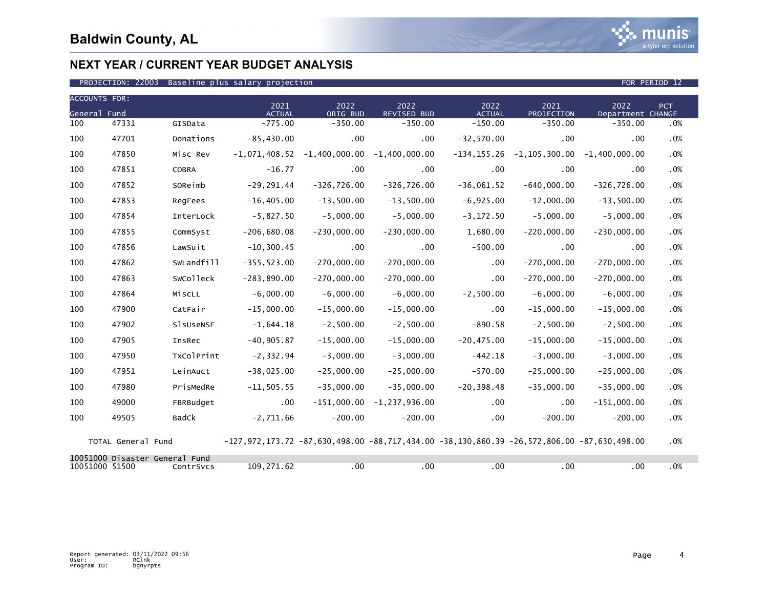

#### PROJECTION: 22003 Baseline plus salary projection FOR PERIOD 12 Ann and the extension of the PERIOD 12 FOR PERIOD 12

| <b>ACCOUNTS FOR:</b> |                                |                  | 2021                                                                                                   | 2022            | 2022              | 2022           | 2021              | 2022              | PCT |
|----------------------|--------------------------------|------------------|--------------------------------------------------------------------------------------------------------|-----------------|-------------------|----------------|-------------------|-------------------|-----|
| General Fund         |                                |                  | <b>ACTUAL</b>                                                                                          | ORIG BUD        | REVISED BUD       | <b>ACTUAL</b>  | <b>PROJECTION</b> | Department CHANGE |     |
| 100                  | 47331                          | GISData          | $-775.00$                                                                                              | $-350.00$       | $-350.00$         | $-150.00$      | $-350.00$         | $-350.00$         | .0% |
| 100                  | 47701                          | Donations        | $-85, 430.00$                                                                                          | .00             | $.00 \,$          | $-32,570.00$   | .00               | .00               | .0% |
| 100                  | 47850                          | Misc Rev         | $-1,071,408.52$                                                                                        | $-1,400,000.00$ | $-1,400,000.00$   | $-134, 155.26$ | $-1, 105, 300.00$ | $-1,400,000.00$   | .0% |
| 100                  | 47851                          | COBRA            | $-16.77$                                                                                               | $.00 \,$        | $.00 \,$          | $.00 \,$       | .00               | .00               | .0% |
| 100                  | 47852                          | SOReimb          | $-29, 291.44$                                                                                          | $-326, 726.00$  | $-326,726.00$     | $-36,061.52$   | $-640,000.00$     | $-326,726.00$     | .0% |
| 100                  | 47853                          | RegFees          | $-16, 405.00$                                                                                          | $-13,500.00$    | $-13,500.00$      | $-6,925.00$    | $-12,000.00$      | $-13,500.00$      | .0% |
| 100                  | 47854                          | InterLock        | $-5,827.50$                                                                                            | $-5,000.00$     | $-5,000.00$       | $-3, 172.50$   | $-5,000.00$       | $-5,000.00$       | .0% |
| 100                  | 47855                          | CommSyst         | $-206,680.08$                                                                                          | $-230,000.00$   | $-230,000.00$     | 1,680.00       | $-220,000.00$     | $-230,000.00$     | .0% |
| 100                  | 47856                          | LawSuit          | $-10, 300.45$                                                                                          | $.00 \,$        | .00               | $-500.00$      | .00               | .00               | .0% |
| 100                  | 47862                          | SWLandfill       | $-355, 523.00$                                                                                         | $-270,000.00$   | $-270,000.00$     | $.00 \,$       | $-270,000.00$     | $-270,000.00$     | .0% |
| 100                  | 47863                          | <b>SWColleck</b> | $-283, 890.00$                                                                                         | $-270,000.00$   | $-270,000.00$     | $.00 \times$   | $-270,000.00$     | $-270,000.00$     | .0% |
| 100                  | 47864                          | MiscLL           | $-6,000.00$                                                                                            | $-6,000.00$     | $-6,000.00$       | $-2,500.00$    | $-6,000.00$       | $-6,000.00$       | .0% |
| 100                  | 47900                          | CatFair          | $-15,000.00$                                                                                           | $-15,000.00$    | $-15,000.00$      | .00            | $-15,000.00$      | $-15,000.00$      | .0% |
| 100                  | 47902                          | SlsUseNSF        | $-1,644.18$                                                                                            | $-2,500.00$     | $-2,500.00$       | $-890.58$      | $-2,500.00$       | $-2,500.00$       | .0% |
| 100                  | 47905                          | <b>InsRec</b>    | $-40, 905.87$                                                                                          | $-15,000.00$    | $-15,000.00$      | $-20, 475.00$  | $-15,000.00$      | $-15,000.00$      | .0% |
| 100                  | 47950                          | TxColPrint       | $-2, 332.94$                                                                                           | $-3,000.00$     | $-3,000.00$       | $-442.18$      | $-3,000.00$       | $-3,000.00$       | .0% |
| 100                  | 47951                          | LeinAuct         | $-38,025.00$                                                                                           | $-25,000.00$    | $-25,000.00$      | $-570.00$      | $-25,000.00$      | $-25,000.00$      | .0% |
| 100                  | 47980                          | PrisMedRe        | $-11, 505.55$                                                                                          | $-35,000.00$    | $-35,000.00$      | $-20, 398.48$  | $-35,000.00$      | $-35,000.00$      | .0% |
| 100                  | 49000                          | FBRBudget        | $.00 \,$                                                                                               | $-151,000.00$   | $-1, 237, 936.00$ | $.00 \,$       | .00               | $-151,000.00$     | .0% |
| 100                  | 49505                          | BadCk            | $-2,711.66$                                                                                            | $-200.00$       | $-200.00$         | .00            | $-200.00$         | $-200.00$         | .0% |
|                      | TOTAL General Fund             |                  | $-127,972,173.72$ $-87,630,498.00$ $-88,717,434.00$ $-38,130,860.39$ $-26,572,806.00$ $-87,630,498.00$ |                 |                   |                |                   |                   | .0% |
| 10051000 51500       | 10051000 Disaster General Fund | ContrSvcs        | 109,271.62                                                                                             | .00             | $.00 \,$          | .00            | .00               | .00               | .0% |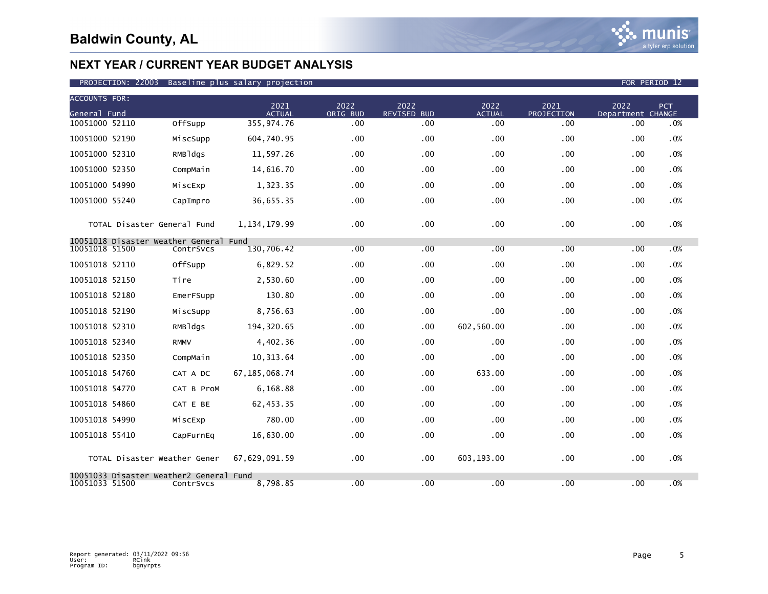| <b>ACCOUNTS FOR:</b>                                 |             | 2021             |                  |                            |                       |                    |                           |            |
|------------------------------------------------------|-------------|------------------|------------------|----------------------------|-----------------------|--------------------|---------------------------|------------|
| General Fund                                         |             | <b>ACTUAL</b>    | 2022<br>ORIG BUD | 2022<br><b>REVISED BUD</b> | 2022<br><b>ACTUAL</b> | 2021<br>PROJECTION | 2022<br>Department CHANGE | <b>PCT</b> |
| 10051000 52110                                       | OffSupp     | 355,974.76       | .00              | .00                        | .00                   | .00                | .00                       | .0%        |
| 10051000 52190                                       | MiscSupp    | 604,740.95       | .00              | .00                        | .00                   | .00                | .00                       | .0%        |
| 10051000 52310                                       | RMBldgs     | 11,597.26        | .00              | .00                        | .00                   | .00                | .00                       | .0%        |
| 10051000 52350                                       | CompMain    | 14,616.70        | .00              | .00                        | .00                   | .00                | .00                       | .0%        |
| 10051000 54990                                       | MiscExp     | 1,323.35         | .00              | .00                        | .00                   | .00                | .00                       | .0%        |
| 10051000 55240                                       | CapImpro    | 36,655.35        | .00              | .00                        | .00                   | .00                | .00                       | .0%        |
| TOTAL Disaster General Fund                          |             | 1, 134, 179.99   | $.00 \,$         | .00                        | .00                   | .00                | .00                       | .0%        |
| 10051018 Disaster Weather General                    |             | Fund             |                  |                            |                       |                    |                           |            |
| 10051018 51500                                       | ContrSvcs   | 130,706.42       | .00              | .00                        | .00                   | .00                | .00                       | .0%        |
| 10051018 52110                                       | OffSupp     | 6,829.52         | .00              | .00                        | .00                   | .00                | .00                       | .0%        |
| 10051018 52150                                       | Tire        | 2,530.60         | .00              | .00                        | .00                   | .00                | .00                       | .0%        |
| 10051018 52180                                       | EmerFSupp   | 130.80           | .00              | .00                        | .00                   | .00                | .00                       | .0%        |
| 10051018 52190                                       | MiscSupp    | 8,756.63         | .00              | .00                        | .00                   | .00                | .00                       | .0%        |
| 10051018 52310                                       | RMBldgs     | 194, 320.65      | .00              | .00                        | 602,560.00            | .00                | .00                       | .0%        |
| 10051018 52340                                       | <b>RMMV</b> | 4,402.36         | .00              | .00                        | .00                   | .00                | .00                       | .0%        |
| 10051018 52350                                       | CompMain    | 10,313.64        | .00              | .00                        | .00                   | .00                | .00                       | .0%        |
| 10051018 54760                                       | CAT A DC    | 67, 185, 068. 74 | .00              | .00                        | 633.00                | .00                | .00                       | .0%        |
| 10051018 54770                                       | CAT B ProM  | 6,168.88         | .00              | .00                        | .00                   | .00                | .00                       | .0%        |
| 10051018 54860                                       | CAT E BE    | 62,453.35        | .00              | .00                        | .00                   | .00                | .00                       | .0%        |
| 10051018 54990                                       | MiscExp     | 780.00           | .00              | .00                        | .00                   | .00                | .00                       | .0%        |
| 10051018 55410                                       | CapFurnEq   | 16,630.00        | .00              | .00                        | .00                   | .00                | .00                       | .0%        |
| TOTAL Disaster Weather Gener                         |             | 67,629,091.59    | .00              | .00                        | 603,193.00            | .00                | .00                       | .0%        |
| 10051033 Disaster Weather2 General<br>10051033 51500 | ContrSvcs   | Fund<br>8,798.85 | .00              | .00                        | .00                   | .00                | .00                       | .0%        |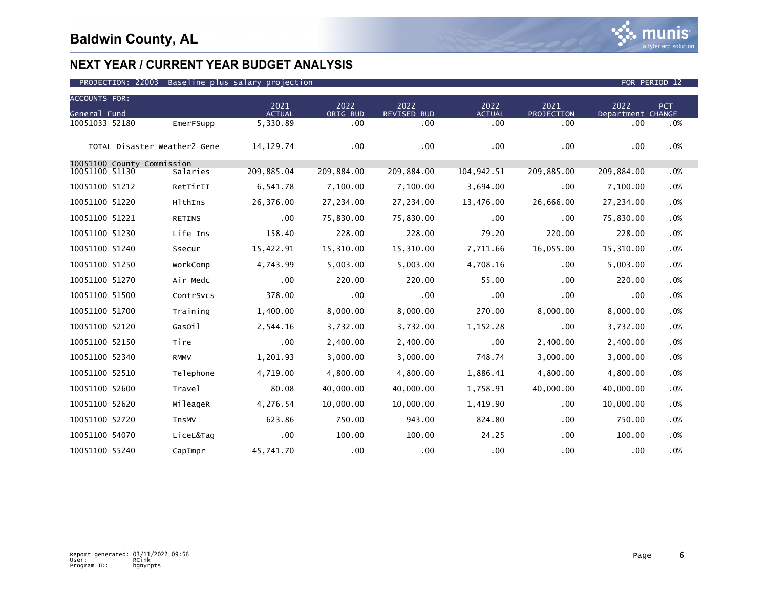

| <b>ACCOUNTS FOR:</b>         |               |                       |                  |                     |                       |                    |                           |            |
|------------------------------|---------------|-----------------------|------------------|---------------------|-----------------------|--------------------|---------------------------|------------|
| General Fund                 |               | 2021<br><b>ACTUAL</b> | 2022<br>ORIG BUD | 2022<br>REVISED BUD | 2022<br><b>ACTUAL</b> | 2021<br>PROJECTION | 2022<br>Department CHANGE | <b>PCT</b> |
| 10051033 52180               | EmerFSupp     | 5,330.89              | .00              | .00                 | .00                   | .00                | .00                       | .0%        |
| TOTAL Disaster Weather2 Gene |               | 14, 129. 74           | .00              | .00                 | .00                   | .00                | .00                       | .0%        |
| 10051100 County Commission   |               |                       |                  |                     |                       |                    |                           |            |
| 10051100 51130               | Salaries      | 209,885.04            | 209,884.00       | 209,884.00          | 104,942.51            | 209,885.00         | 209,884.00                | .0%        |
| 10051100 51212               | RetTirII      | 6,541.78              | 7,100.00         | 7,100.00            | 3,694.00              | .00                | 7,100.00                  | .0%        |
| 10051100 51220               | HlthIns       | 26,376.00             | 27,234.00        | 27,234.00           | 13,476.00             | 26,666.00          | 27,234.00                 | .0%        |
| 10051100 51221               | <b>RETINS</b> | $.00 \,$              | 75,830.00        | 75,830.00           | .00                   | .00                | 75,830.00                 | .0%        |
| 10051100 51230               | Life Ins      | 158.40                | 228.00           | 228.00              | 79.20                 | 220.00             | 228.00                    | .0%        |
| 10051100 51240               | Ssecur        | 15,422.91             | 15,310.00        | 15,310.00           | 7,711.66              | 16,055.00          | 15,310.00                 | .0%        |
| 10051100 51250               | WorkComp      | 4,743.99              | 5,003.00         | 5,003.00            | 4,708.16              | .00                | 5,003.00                  | .0%        |
| 10051100 51270               | Air Medc      | .00                   | 220.00           | 220.00              | 55.00                 | .00                | 220.00                    | .0%        |
| 10051100 51500               | ContrSvcs     | 378.00                | .00              | .00                 | .00                   | .00                | .00                       | .0%        |
| 10051100 51700               | Training      | 1,400.00              | 8,000.00         | 8,000.00            | 270.00                | 8,000.00           | 8,000.00                  | .0%        |
| 10051100 52120               | GasOil        | 2,544.16              | 3,732.00         | 3,732.00            | 1,152.28              | .00                | 3,732.00                  | .0%        |
| 10051100 52150               | Tire          | .00                   | 2,400.00         | 2,400.00            | .00                   | 2,400.00           | 2,400.00                  | .0%        |
| 10051100 52340               | <b>RMMV</b>   | 1,201.93              | 3,000.00         | 3,000.00            | 748.74                | 3,000.00           | 3,000.00                  | .0%        |
| 10051100 52510               | Telephone     | 4,719.00              | 4,800.00         | 4,800.00            | 1,886.41              | 4,800.00           | 4,800.00                  | .0%        |
| 10051100 52600               | Trave1        | 80.08                 | 40,000.00        | 40,000.00           | 1,758.91              | 40,000.00          | 40,000.00                 | .0%        |
| 10051100 52620               | MileageR      | 4,276.54              | 10,000.00        | 10,000.00           | 1,419.90              | .00                | 10,000.00                 | .0%        |
| 10051100 52720               | InsMV         | 623.86                | 750.00           | 943.00              | 824.80                | .00                | 750.00                    | .0%        |
| 10051100 54070               | LiceL&Tag     | .00                   | 100.00           | 100.00              | 24.25                 | .00                | 100.00                    | .0%        |
| 10051100 55240               | CapImpr       | 45.741.70             | .00              | $.00 \,$            | .00                   | .00                | .00                       | .0%        |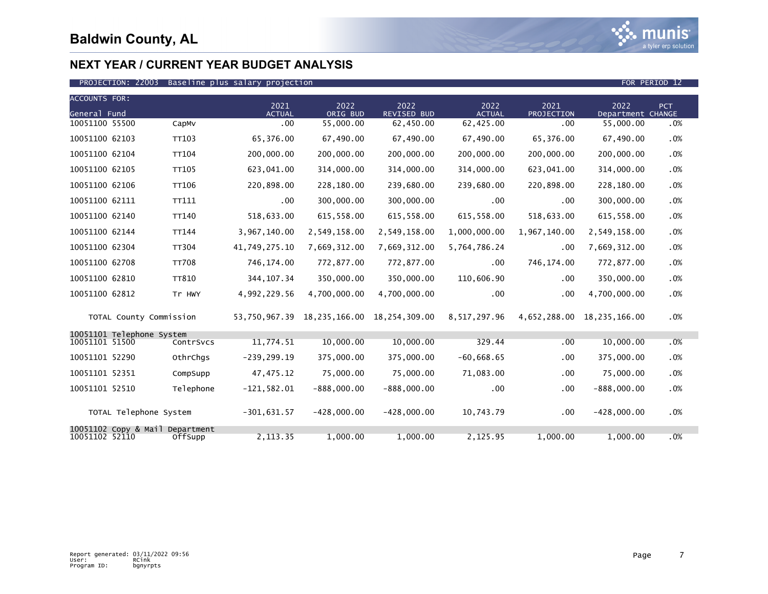

| <b>ACCOUNTS FOR:</b> |                                 |              |                       |                  |                                 |                       |                    |                            |        |
|----------------------|---------------------------------|--------------|-----------------------|------------------|---------------------------------|-----------------------|--------------------|----------------------------|--------|
| General Fund         |                                 |              | 2021<br><b>ACTUAL</b> | 2022<br>ORIG BUD | 2022<br><b>REVISED BUD</b>      | 2022<br><b>ACTUAL</b> | 2021<br>PROJECTION | 2022<br>Department CHANGE  | PCT    |
| 10051100 55500       |                                 | CapMv        | .00                   | 55,000.00        | 62,450.00                       | 62,425.00             | .00                | 55,000.00                  | .0%    |
| 10051100 62103       |                                 | TT103        | 65,376.00             | 67,490.00        | 67,490.00                       | 67,490.00             | 65,376.00          | 67,490.00                  | .0%    |
| 10051100 62104       |                                 | <b>TT104</b> | 200,000.00            | 200,000,00       | 200,000.00                      | 200,000.00            | 200,000,00         | 200,000.00                 | .0%    |
| 10051100 62105       |                                 | TT105        | 623,041.00            | 314,000.00       | 314,000.00                      | 314,000.00            | 623,041.00         | 314,000.00                 | .0%    |
| 10051100 62106       |                                 | TT106        | 220,898.00            | 228,180.00       | 239,680.00                      | 239,680.00            | 220,898.00         | 228,180.00                 | .0%    |
| 10051100 62111       |                                 | TT111        | .00                   | 300,000.00       | 300,000.00                      | $.00 \times$          | .00                | 300,000.00                 | .0%    |
| 10051100 62140       |                                 | TT140        | 518,633.00            | 615,558.00       | 615,558.00                      | 615,558.00            | 518,633.00         | 615,558.00                 | $.0\%$ |
| 10051100 62144       |                                 | TT144        | 3,967,140.00          | 2,549,158.00     | 2,549,158.00                    | 1,000,000.00          | 1,967,140.00       | 2,549,158.00               | .0%    |
| 10051100 62304       |                                 | <b>TT304</b> | 41,749,275.10         | 7,669,312.00     | 7,669,312.00                    | 5,764,786.24          | .00                | 7,669,312.00               | .0%    |
| 10051100 62708       |                                 | <b>TT708</b> | 746,174.00            | 772,877.00       | 772,877.00                      | $.00 \,$              | 746,174.00         | 772,877.00                 | .0%    |
| 10051100 62810       |                                 | <b>TT810</b> | 344, 107.34           | 350,000.00       | 350,000.00                      | 110,606.90            | .00                | 350,000.00                 | .0%    |
| 10051100 62812       |                                 | Tr HWY       | 4,992,229.56          | 4,700,000.00     | 4,700,000.00                    | $.00 \,$              | .00                | 4,700,000.00               | .0%    |
|                      | TOTAL County Commission         |              | 53,750,967.39         |                  | 18, 235, 166.00 18, 254, 309.00 | 8,517,297.96          |                    | 4,652,288.00 18,235,166.00 | $.0\%$ |
|                      | 10051101 Telephone System       |              |                       |                  |                                 |                       |                    |                            |        |
| 10051101 51500       |                                 | ContrSvcs    | 11,774.51             | 10,000.00        | 10,000.00                       | 329.44                | .00.               | 10,000.00                  | .0%    |
| 10051101 52290       |                                 | OthrChqs     | $-239, 299.19$        | 375,000.00       | 375,000.00                      | $-60,668.65$          | .00.               | 375,000.00                 | $.0\%$ |
| 10051101 52351       |                                 | CompSupp     | 47, 475. 12           | 75,000.00        | 75,000.00                       | 71,083.00             | .00                | 75,000.00                  | .0%    |
| 10051101 52510       |                                 | Telephone    | $-121,582.01$         | $-888,000.00$    | $-888,000.00$                   | .00.                  | .00                | $-888,000.00$              | .0%    |
|                      | TOTAL Telephone System          |              | $-301,631.57$         | $-428,000.00$    | $-428,000.00$                   | 10,743.79             | .00                | $-428,000.00$              | $.0\%$ |
| 10051102 52110       | 10051102 Copy & Mail Department | OffSupp      | 2,113.35              | 1.000.00         | 1,000.00                        | 2,125.95              | 1,000.00           | 1,000.00                   | .0%    |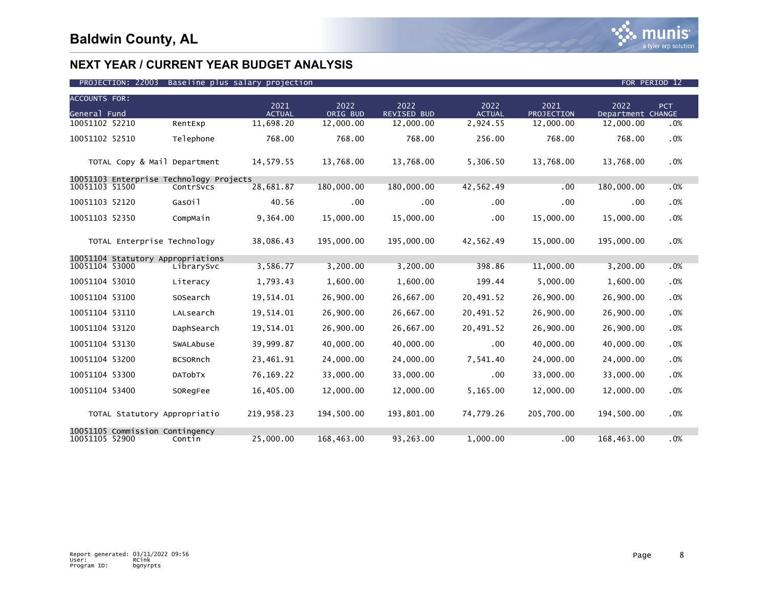

| <b>ACCOUNTS FOR:</b>                                      |                 |                       |                  |                            |                       |                    |                           |      |
|-----------------------------------------------------------|-----------------|-----------------------|------------------|----------------------------|-----------------------|--------------------|---------------------------|------|
| General Fund                                              |                 | 2021<br><b>ACTUAL</b> | 2022<br>ORIG BUD | 2022<br><b>REVISED BUD</b> | 2022<br><b>ACTUAL</b> | 2021<br>PROJECTION | 2022<br>Department CHANGE | PCT. |
| 10051102 52210                                            | RentExp         | 11,698.20             | 12,000.00        | 12,000.00                  | 2,924.55              | 12,000.00          | 12,000.00                 | .0%  |
| 10051102 52510                                            | Telephone       | 768.00                | 768.00           | 768.00                     | 256.00                | 768.00             | 768.00                    | .0%  |
| TOTAL Copy & Mail Department                              |                 | 14,579.55             | 13,768.00        | 13,768.00                  | 5,306.50              | 13,768.00          | 13,768.00                 | .0%  |
| 10051103 Enterprise Technology Projects<br>10051103 51500 | ContrSvcs       | 28,681.87             | 180,000.00       | 180,000.00                 | 42,562.49             | .00                | 180,000.00                | .0%  |
|                                                           |                 |                       |                  |                            |                       |                    |                           |      |
| 10051103 52120                                            | GasOil          | 40.56                 | $.00 \,$         | .00                        | $.00 \,$              | .00                | $.00 \,$                  | .0%  |
| 10051103 52350                                            | CompMain        | 9,364.00              | 15,000.00        | 15,000.00                  | $.00 \,$              | 15,000.00          | 15,000.00                 | .0%  |
| TOTAL Enterprise Technology                               |                 | 38.086.43             | 195,000.00       | 195,000,00                 | 42.562.49             | 15,000.00          | 195,000,00                | .0%  |
| 10051104 Statutory Appropriations                         |                 |                       |                  |                            |                       |                    |                           |      |
| 10051104 53000                                            | LibrarySvc      | 3,586.77              | 3,200.00         | 3,200.00                   | 398.86                | 11,000.00          | 3,200.00                  | .0%  |
| 10051104 53010                                            | Literacy        | 1,793.43              | 1,600.00         | 1,600.00                   | 199.44                | 5,000.00           | 1,600.00                  | .0%  |
| 10051104 53100                                            | SOSearch        | 19,514.01             | 26,900.00        | 26,667.00                  | 20,491.52             | 26,900.00          | 26,900.00                 | .0%  |
| 10051104 53110                                            | LALsearch       | 19,514.01             | 26,900.00        | 26,667.00                  | 20,491.52             | 26,900.00          | 26,900.00                 | .0%  |
| 10051104 53120                                            | DaphSearch      | 19,514.01             | 26,900.00        | 26,667.00                  | 20,491.52             | 26,900.00          | 26,900.00                 | .0%  |
| 10051104 53130                                            | SWALAbuse       | 39,999.87             | 40,000.00        | 40,000.00                  | $.00 \,$              | 40,000.00          | 40,000.00                 | .0%  |
| 10051104 53200                                            | <b>BCSORnch</b> | 23,461.91             | 24,000.00        | 24,000.00                  | 7,541.40              | 24,000.00          | 24,000.00                 | .0%  |
| 10051104 53300                                            | <b>DATObTX</b>  | 76,169.22             | 33,000.00        | 33,000.00                  | .00                   | 33,000.00          | 33,000.00                 | .0%  |
| 10051104 53400                                            | SORegFee        | 16,405.00             | 12,000.00        | 12,000.00                  | 5,165.00              | 12,000.00          | 12,000.00                 | .0%  |
| TOTAL Statutory Appropriatio                              |                 | 219,958.23            | 194,500.00       | 193,801.00                 | 74,779.26             | 205,700.00         | 194,500.00                | .0%  |
| 10051105 Commission Contingency<br>10051105 52900         | Contin          | 25,000.00             | 168,463.00       | 93,263.00                  | 1,000.00              | .00                | 168,463.00                | .0%  |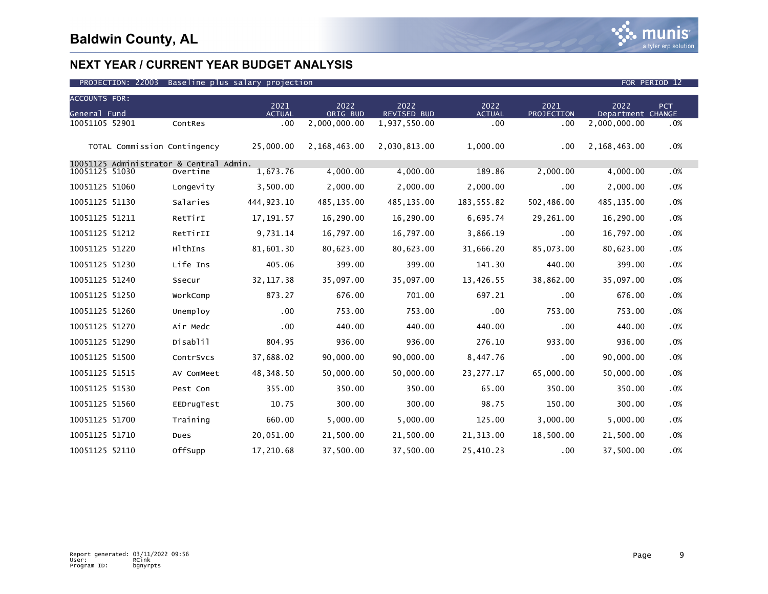

| <b>ACCOUNTS FOR:</b> |                              |                                         |                       |                  |                     |                       |                    |                           |     |
|----------------------|------------------------------|-----------------------------------------|-----------------------|------------------|---------------------|-----------------------|--------------------|---------------------------|-----|
| General Fund         |                              |                                         | 2021<br><b>ACTUAL</b> | 2022<br>ORIG BUD | 2022<br>REVISED BUD | 2022<br><b>ACTUAL</b> | 2021<br>PROJECTION | 2022<br>Department CHANGE | PCT |
| 10051105 52901       |                              | ContRes                                 | .00                   | 2,000,000.00     | 1,937,550.00        | .00                   | .00                | 2,000,000.00              | .0% |
|                      | TOTAL Commission Contingency |                                         | 25,000.00             | 2,168,463.00     | 2,030,813.00        | 1,000.00              | .00                | 2,168,463.00              | .0% |
|                      |                              | 10051125 Administrator & Central Admin. |                       |                  |                     |                       |                    |                           |     |
| 10051125 51030       |                              | Overtime                                | 1,673.76              | 4,000.00         | 4,000.00            | 189.86                | 2,000.00           | 4,000.00                  | .0% |
| 10051125 51060       |                              | Longevity                               | 3,500.00              | 2,000.00         | 2,000.00            | 2,000.00              | .00                | 2,000.00                  | .0% |
| 10051125 51130       |                              | Salaries                                | 444, 923. 10          | 485,135.00       | 485,135.00          | 183,555.82            | 502,486.00         | 485,135.00                | .0% |
| 10051125 51211       |                              | RetTirI                                 | 17, 191.57            | 16,290.00        | 16,290.00           | 6,695.74              | 29,261.00          | 16,290.00                 | .0% |
| 10051125 51212       |                              | RetTirII                                | 9,731.14              | 16,797.00        | 16,797.00           | 3,866.19              | .00                | 16,797.00                 | .0% |
| 10051125 51220       |                              | HlthIns                                 | 81,601.30             | 80,623.00        | 80,623.00           | 31,666.20             | 85,073.00          | 80,623.00                 | .0% |
| 10051125 51230       |                              | Life Ins                                | 405.06                | 399.00           | 399.00              | 141.30                | 440.00             | 399.00                    | .0% |
| 10051125 51240       |                              | Ssecur                                  | 32, 117.38            | 35,097.00        | 35,097.00           | 13,426.55             | 38,862.00          | 35,097.00                 | .0% |
| 10051125 51250       |                              | WorkComp                                | 873.27                | 676.00           | 701.00              | 697.21                | .00                | 676.00                    | .0% |
| 10051125 51260       |                              | Unemploy                                | .00                   | 753.00           | 753.00              | .00                   | 753.00             | 753.00                    | .0% |
| 10051125 51270       |                              | Air Medc                                | .00                   | 440.00           | 440.00              | 440.00                | .00                | 440.00                    | .0% |
| 10051125 51290       |                              | Disablil                                | 804.95                | 936.00           | 936.00              | 276.10                | 933.00             | 936.00                    | .0% |
| 10051125 51500       |                              | ContrSvcs                               | 37,688.02             | 90,000.00        | 90,000.00           | 8,447.76              | .00                | 90,000.00                 | .0% |
| 10051125 51515       |                              | AV ComMeet                              | 48,348.50             | 50,000.00        | 50,000.00           | 23, 277. 17           | 65,000.00          | 50,000.00                 | .0% |
| 10051125 51530       |                              | Pest Con                                | 355.00                | 350.00           | 350.00              | 65.00                 | 350.00             | 350.00                    | .0% |
| 10051125 51560       |                              | EEDrugTest                              | 10.75                 | 300.00           | 300.00              | 98.75                 | 150.00             | 300.00                    | .0% |
| 10051125 51700       |                              | Training                                | 660.00                | 5,000.00         | 5,000.00            | 125.00                | 3,000.00           | 5,000.00                  | .0% |
| 10051125 51710       |                              | Dues                                    | 20,051.00             | 21,500.00        | 21,500.00           | 21, 313.00            | 18,500.00          | 21,500.00                 | .0% |
| 10051125 52110       |                              | OffSupp                                 | 17,210.68             | 37,500.00        | 37,500.00           | 25,410.23             | .00                | 37,500.00                 | .0% |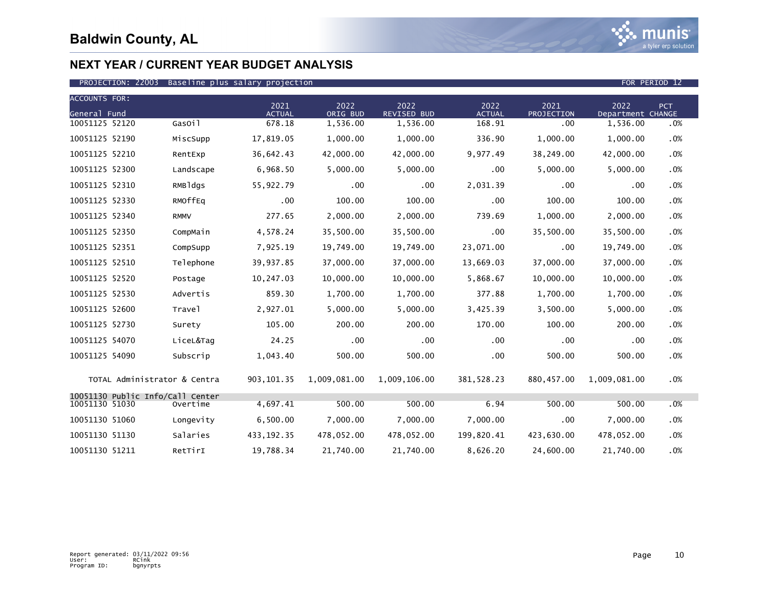

### PROJECTION: 22003 Baseline plus salary projection FOR PERIOD 12

| <b>ACCOUNTS FOR:</b> |                                  |             |                       |                  |                            |                       |                    |                           |        |
|----------------------|----------------------------------|-------------|-----------------------|------------------|----------------------------|-----------------------|--------------------|---------------------------|--------|
| General Fund         |                                  |             | 2021<br><b>ACTUAL</b> | 2022<br>ORIG BUD | 2022<br><b>REVISED BUD</b> | 2022<br><b>ACTUAL</b> | 2021<br>PROJECTION | 2022<br>Department CHANGE | PCT    |
| 10051125 52120       |                                  | GasOil      | 678.18                | 1,536.00         | 1,536.00                   | 168.91                | .00.               | 1,536.00                  | .0%    |
| 10051125 52190       |                                  | MiscSupp    | 17,819.05             | 1,000.00         | 1,000.00                   | 336.90                | 1,000.00           | 1,000.00                  | $.0\%$ |
| 10051125 52210       |                                  | RentExp     | 36,642.43             | 42,000.00        | 42,000.00                  | 9,977.49              | 38,249.00          | 42,000.00                 | .0%    |
| 10051125 52300       |                                  | Landscape   | 6,968.50              | 5,000.00         | 5,000.00                   | .00                   | 5,000.00           | 5,000.00                  | .0%    |
| 10051125 52310       |                                  | RMBldgs     | 55,922.79             | $.00 \,$         | $.00 \,$                   | 2,031.39              | .00                | .00                       | $.0\%$ |
| 10051125 52330       |                                  | RMOffEq     | .00                   | 100.00           | 100.00                     | .00                   | 100.00             | 100.00                    | .0%    |
| 10051125 52340       |                                  | <b>RMMV</b> | 277.65                | 2,000.00         | 2,000.00                   | 739.69                | 1,000.00           | 2,000.00                  | .0%    |
| 10051125 52350       |                                  | CompMain    | 4,578.24              | 35,500.00        | 35,500.00                  | $.00 \times$          | 35,500.00          | 35,500.00                 | .0%    |
| 10051125 52351       |                                  | CompSupp    | 7,925.19              | 19,749.00        | 19,749.00                  | 23,071.00             | .00                | 19,749.00                 | .0%    |
| 10051125 52510       |                                  | Telephone   | 39,937.85             | 37,000.00        | 37,000.00                  | 13,669.03             | 37,000.00          | 37,000.00                 | .0%    |
| 10051125 52520       |                                  | Postage     | 10,247.03             | 10,000.00        | 10,000.00                  | 5,868.67              | 10,000.00          | 10,000.00                 | .0%    |
| 10051125 52530       |                                  | Advertis    | 859.30                | 1,700.00         | 1,700.00                   | 377.88                | 1,700.00           | 1,700.00                  | .0%    |
| 10051125 52600       |                                  | Travel      | 2,927.01              | 5,000.00         | 5,000.00                   | 3,425.39              | 3,500.00           | 5,000.00                  | .0%    |
| 10051125 52730       |                                  | Surety      | 105.00                | 200.00           | 200.00                     | 170.00                | 100.00             | 200.00                    | .0%    |
| 10051125 54070       |                                  | LiceL&Tag   | 24.25                 | .00              | .00                        | $.00 \,$              | .00                | .00                       | .0%    |
| 10051125 54090       |                                  | Subscrip    | 1,043.40              | 500.00           | 500.00                     | .00                   | 500.00             | 500.00                    | .0%    |
|                      | TOTAL Administrator & Centra     |             | 903, 101.35           | 1,009,081.00     | 1,009,106.00               | 381, 528.23           | 880,457.00         | 1,009,081.00              | $.0\%$ |
| 10051130 51030       | 10051130 Public Info/Call Center | Overtime    | 4,697.41              | 500.00           | 500.00                     | 6.94                  | 500.00             | 500.00                    | .0%    |
| 10051130 51060       |                                  | Longevity   | 6,500.00              | 7,000.00         | 7,000.00                   | 7,000.00              | .00                | 7,000.00                  | .0%    |
| 10051130 51130       |                                  | Salaries    | 433, 192. 35          | 478,052.00       | 478,052.00                 | 199,820.41            | 423,630.00         | 478,052.00                | $.0\%$ |
| 10051130 51211       |                                  | RetTirI     | 19,788.34             | 21,740.00        | 21,740.00                  | 8,626.20              | 24,600.00          | 21,740.00                 | .0%    |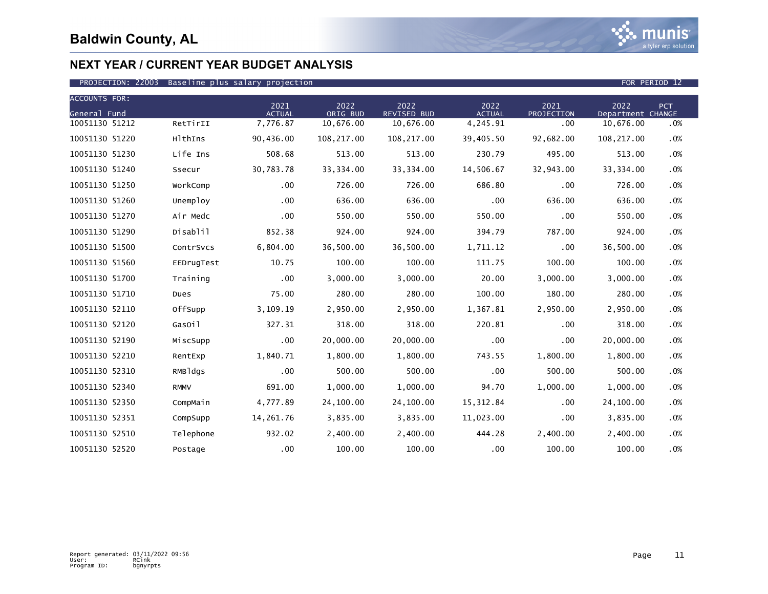

| <b>ACCOUNTS FOR:</b> |             |                       |                  |                            |                       |                    |                           |            |
|----------------------|-------------|-----------------------|------------------|----------------------------|-----------------------|--------------------|---------------------------|------------|
| General Fund         |             | 2021<br><b>ACTUAL</b> | 2022<br>ORIG BUD | 2022<br><b>REVISED BUD</b> | 2022<br><b>ACTUAL</b> | 2021<br>PROJECTION | 2022<br>Department CHANGE | <b>PCT</b> |
| 10051130 51212       | RetTirII    | 7,776.87              | 10,676.00        | 10,676.00                  | 4,245.91              | .00                | 10,676.00                 | .0%        |
| 10051130 51220       | HlthIns     | 90,436.00             | 108,217.00       | 108,217.00                 | 39,405.50             | 92,682.00          | 108,217.00                | .0%        |
| 10051130 51230       | Life Ins    | 508.68                | 513.00           | 513.00                     | 230.79                | 495.00             | 513.00                    | .0%        |
| 10051130 51240       | Ssecur      | 30,783.78             | 33, 334.00       | 33, 334.00                 | 14,506.67             | 32,943.00          | 33, 334.00                | .0%        |
| 10051130 51250       | WorkComp    | .00                   | 726.00           | 726.00                     | 686.80                | .00                | 726.00                    | .0%        |
| 10051130 51260       | Unemploy    | .00                   | 636.00           | 636.00                     | .00                   | 636.00             | 636.00                    | .0%        |
| 10051130 51270       | Air Medc    | .00                   | 550.00           | 550.00                     | 550.00                | .00                | 550.00                    | .0%        |
| 10051130 51290       | Disablil    | 852.38                | 924.00           | 924.00                     | 394.79                | 787.00             | 924.00                    | .0%        |
| 10051130 51500       | ContrSvcs   | 6,804.00              | 36,500.00        | 36,500.00                  | 1,711.12              | .00                | 36,500.00                 | .0%        |
| 10051130 51560       | EEDrugTest  | 10.75                 | 100.00           | 100.00                     | 111.75                | 100.00             | 100.00                    | .0%        |
| 10051130 51700       | Training    | $.00 \,$              | 3,000.00         | 3,000.00                   | 20.00                 | 3,000.00           | 3,000.00                  | .0%        |
| 10051130 51710       | Dues        | 75.00                 | 280.00           | 280.00                     | 100.00                | 180.00             | 280.00                    | .0%        |
| 10051130 52110       | OffSupp     | 3,109.19              | 2,950.00         | 2,950.00                   | 1,367.81              | 2,950.00           | 2.950.00                  | .0%        |
| 10051130 52120       | GasOil      | 327.31                | 318.00           | 318.00                     | 220.81                | .00                | 318.00                    | .0%        |
| 10051130 52190       | MiscSupp    | .00                   | 20,000.00        | 20,000.00                  | .00                   | .00                | 20,000.00                 | .0%        |
| 10051130 52210       | RentExp     | 1,840.71              | 1,800.00         | 1,800.00                   | 743.55                | 1,800.00           | 1,800.00                  | .0%        |
| 10051130 52310       | RMBldgs     | .00                   | 500.00           | 500.00                     | .00                   | 500.00             | 500.00                    | .0%        |
| 10051130 52340       | <b>RMMV</b> | 691.00                | 1.000.00         | 1.000.00                   | 94.70                 | 1,000.00           | 1.000.00                  | .0%        |
| 10051130 52350       | CompMain    | 4,777.89              | 24,100.00        | 24,100.00                  | 15,312.84             | .00                | 24,100.00                 | .0%        |
| 10051130 52351       | CompSupp    | 14,261.76             | 3,835.00         | 3,835.00                   | 11,023.00             | .00                | 3,835.00                  | .0%        |
| 10051130 52510       | Telephone   | 932.02                | 2,400.00         | 2,400.00                   | 444.28                | 2,400.00           | 2,400.00                  | .0%        |
| 10051130 52520       | Postage     | $.00 \,$              | 100.00           | 100.00                     | .00                   | 100.00             | 100.00                    | .0%        |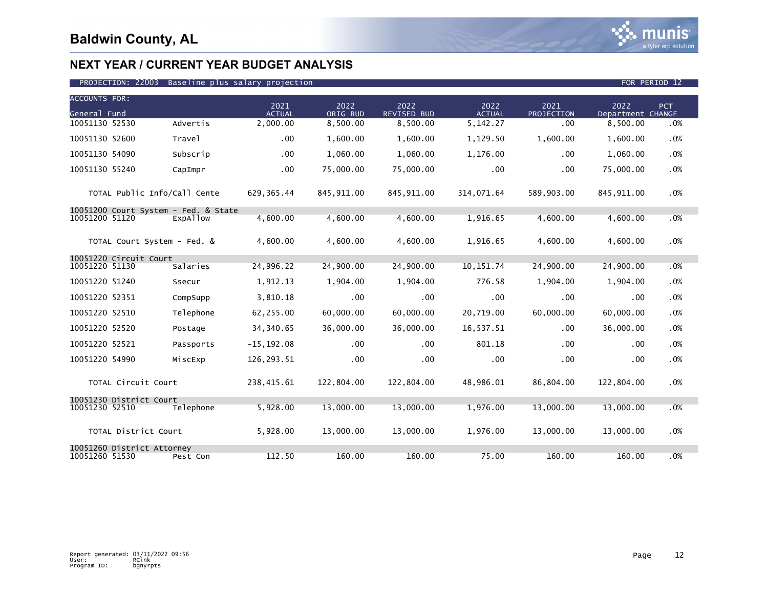

| <b>ACCOUNTS FOR:</b> |                              |                                                  |                       |                  |                            |                       |                           |                           |            |
|----------------------|------------------------------|--------------------------------------------------|-----------------------|------------------|----------------------------|-----------------------|---------------------------|---------------------------|------------|
| General Fund         |                              |                                                  | 2021<br><b>ACTUAL</b> | 2022<br>ORIG BUD | 2022<br><b>REVISED BUD</b> | 2022<br><b>ACTUAL</b> | 2021<br><b>PROJECTION</b> | 2022<br>Department CHANGE | <b>PCT</b> |
| 10051130 52530       |                              | Advertis                                         | 2,000.00              | 8,500.00         | 8,500.00                   | 5,142.27              | .00                       | 8,500.00                  | .0%        |
| 10051130 52600       |                              | Travel                                           | $.00 \,$              | 1,600.00         | 1,600.00                   | 1,129.50              | 1,600.00                  | 1,600.00                  | .0%        |
| 10051130 54090       |                              | Subscrip                                         | .00                   | 1,060.00         | 1,060.00                   | 1,176.00              | .00                       | 1,060.00                  | .0%        |
| 10051130 55240       |                              | CapImpr                                          | .00                   | 75,000.00        | 75,000.00                  | .00                   | .00                       | 75,000.00                 | .0%        |
|                      | TOTAL Public Info/Call Cente |                                                  | 629, 365.44           | 845,911.00       | 845,911.00                 | 314,071.64            | 589,903.00                | 845, 911.00               | .0%        |
| 10051200 51120       |                              | 10051200 Court System - Fed. & State<br>ExpAllow | 4,600.00              | 4.600.00         | 4.600.00                   | 1,916.65              | 4,600.00                  | 4.600.00                  | .0%        |
|                      | TOTAL Court System - Fed. &  |                                                  | 4.600.00              | 4,600.00         | 4,600.00                   | 1,916.65              | 4,600.00                  | 4,600.00                  | .0%        |
| 10051220 51130       | 10051220 Circuit Court       | Salaries                                         | 24,996.22             | 24,900.00        | 24,900.00                  | 10, 151, 74           | 24,900.00                 | 24,900.00                 | .0%        |
| 10051220 51240       |                              | Ssecur                                           | 1,912.13              | 1,904.00         | 1,904.00                   | 776.58                | 1,904.00                  | 1,904.00                  | .0%        |
| 10051220 52351       |                              | CompSupp                                         | 3,810.18              | .00              | $.00 \,$                   | .00                   | .00                       | .00                       | .0%        |
| 10051220 52510       |                              | Telephone                                        | 62,255.00             | 60,000.00        | 60.000.00                  | 20,719.00             | 60.000.00                 | 60,000.00                 | .0%        |
| 10051220 52520       |                              | Postage                                          | 34, 340.65            | 36,000.00        | 36,000.00                  | 16,537.51             | .00                       | 36,000.00                 | .0%        |
| 10051220 52521       |                              | Passports                                        | $-15, 192.08$         | .00 <sub>1</sub> | .00                        | 801.18                | .00                       | .00                       | .0%        |
| 10051220 54990       |                              | MiscExp                                          | 126,293.51            | .00              | $.00 \,$                   | .00                   | .00                       | .00                       | .0%        |
|                      | TOTAL Circuit Court          |                                                  | 238,415.61            | 122,804.00       | 122,804.00                 | 48,986.01             | 86,804.00                 | 122,804.00                | .0%        |
| 10051230 52510       | 10051230 District Court      | Telephone                                        | 5,928.00              | 13,000.00        | 13,000.00                  | 1,976.00              | 13,000.00                 | 13,000.00                 | .0%        |
|                      | TOTAL District Court         |                                                  | 5,928.00              | 13,000.00        | 13,000.00                  | 1,976.00              | 13,000.00                 | 13,000.00                 | .0%        |
| 10051260 51530       | 10051260 District Attorney   | Pest Con                                         | 112.50                | 160.00           | 160.00                     | 75.00                 | 160.00                    | 160.00                    | .0%        |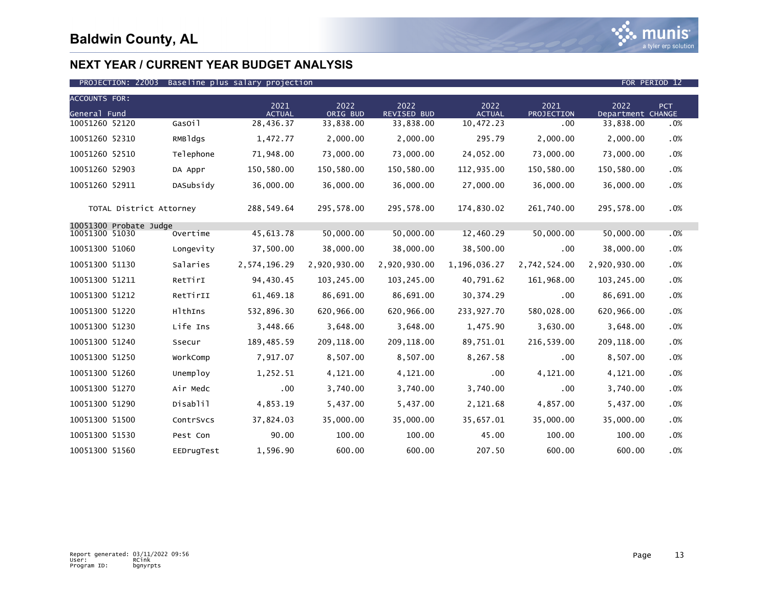

| <b>ACCOUNTS FOR:</b> |                         |            |                       |                  |                            |                       |                    |                           |            |
|----------------------|-------------------------|------------|-----------------------|------------------|----------------------------|-----------------------|--------------------|---------------------------|------------|
| General Fund         |                         |            | 2021<br><b>ACTUAL</b> | 2022<br>ORIG BUD | 2022<br><b>REVISED BUD</b> | 2022<br><b>ACTUAL</b> | 2021<br>PROJECTION | 2022<br>Department CHANGE | <b>PCT</b> |
| 10051260 52120       |                         | GasOil     | 28,436.37             | 33,838.00        | 33,838.00                  | 10,472.23             | .00                | 33,838.00                 | .0%        |
| 10051260 52310       |                         | RMBldgs    | 1,472.77              | 2,000.00         | 2,000.00                   | 295.79                | 2,000.00           | 2,000.00                  | .0%        |
| 10051260 52510       |                         | Telephone  | 71,948.00             | 73,000.00        | 73,000.00                  | 24,052.00             | 73,000.00          | 73,000.00                 | .0%        |
| 10051260 52903       |                         | DA Appr    | 150,580.00            | 150,580.00       | 150,580.00                 | 112,935.00            | 150,580.00         | 150,580.00                | .0%        |
| 10051260 52911       |                         | DASubsidy  | 36,000.00             | 36,000.00        | 36,000.00                  | 27,000.00             | 36,000.00          | 36,000.00                 | .0%        |
|                      | TOTAL District Attorney |            | 288,549.64            | 295,578.00       | 295,578.00                 | 174,830.02            | 261,740.00         | 295,578.00                | .0%        |
|                      | 10051300 Probate Judge  |            |                       |                  |                            |                       |                    |                           |            |
| 10051300 51030       |                         | Overtime   | 45,613.78             | 50,000.00        | 50,000.00                  | 12,460.29             | 50,000.00          | 50,000.00                 | .0%        |
| 10051300 51060       |                         | Longevity  | 37,500.00             | 38,000.00        | 38,000.00                  | 38,500.00             | .00                | 38,000.00                 | .0%        |
| 10051300 51130       |                         | Salaries   | 2,574,196.29          | 2,920,930.00     | 2,920,930.00               | 1,196,036.27          | 2,742,524.00       | 2,920,930.00              | .0%        |
| 10051300 51211       |                         | RetTirI    | 94,430.45             | 103,245.00       | 103,245.00                 | 40,791.62             | 161,968.00         | 103,245.00                | .0%        |
| 10051300 51212       |                         | RetTirII   | 61,469.18             | 86,691.00        | 86,691.00                  | 30, 374.29            | .00                | 86,691.00                 | .0%        |
| 10051300 51220       |                         | HlthIns    | 532,896.30            | 620,966.00       | 620,966.00                 | 233,927.70            | 580,028.00         | 620,966.00                | .0%        |
| 10051300 51230       |                         | Life Ins   | 3,448.66              | 3,648.00         | 3,648.00                   | 1,475.90              | 3,630.00           | 3,648.00                  | .0%        |
| 10051300 51240       |                         | Ssecur     | 189,485.59            | 209,118.00       | 209,118.00                 | 89,751.01             | 216,539.00         | 209,118.00                | .0%        |
| 10051300 51250       |                         | WorkComp   | 7,917.07              | 8,507.00         | 8,507.00                   | 8,267.58              | .00                | 8,507.00                  | .0%        |
| 10051300 51260       |                         | Unemploy   | 1,252.51              | 4,121.00         | 4,121.00                   | .00                   | 4,121.00           | 4,121.00                  | .0%        |
| 10051300 51270       |                         | Air Medc   | .00                   | 3,740.00         | 3,740.00                   | 3,740.00              | .00                | 3,740.00                  | .0%        |
| 10051300 51290       |                         | Disablil   | 4,853.19              | 5,437.00         | 5,437.00                   | 2,121.68              | 4,857.00           | 5,437.00                  | .0%        |
| 10051300 51500       |                         | ContrSvcs  | 37,824.03             | 35,000.00        | 35,000.00                  | 35,657.01             | 35,000.00          | 35,000.00                 | .0%        |
| 10051300 51530       |                         | Pest Con   | 90.00                 | 100.00           | 100.00                     | 45.00                 | 100.00             | 100.00                    | .0%        |
| 10051300 51560       |                         | EEDrugTest | 1,596.90              | 600.00           | 600.00                     | 207.50                | 600.00             | 600.00                    | .0%        |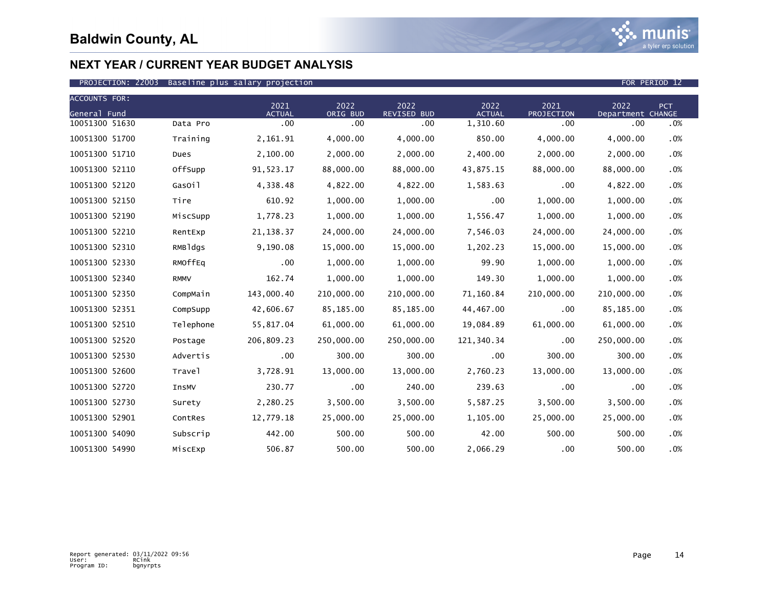

### PROJECTION: 22003 Baseline plus salary projection FOR PERIOD 12

| <b>ACCOUNTS FOR:</b> |             | 2021          | 2022       | 2022        | 2022          | 2021       | 2022              | <b>PCT</b> |
|----------------------|-------------|---------------|------------|-------------|---------------|------------|-------------------|------------|
| General Fund         |             | <b>ACTUAL</b> | ORIG BUD   | REVISED BUD | <b>ACTUAL</b> | PROJECTION | Department CHANGE |            |
| 10051300 51630       | Data Pro    | $.00 \,$      | .00        | .00         | 1,310.60      | .00        | .00               | .0%        |
| 10051300 51700       | Training    | 2,161.91      | 4,000.00   | 4,000.00    | 850.00        | 4,000.00   | 4,000.00          | .0%        |
| 10051300 51710       | Dues        | 2,100.00      | 2,000.00   | 2,000.00    | 2,400.00      | 2,000.00   | 2,000.00          | .0%        |
| 10051300 52110       | OffSupp     | 91,523.17     | 88,000.00  | 88,000.00   | 43,875.15     | 88,000.00  | 88,000.00         | .0%        |
| 10051300 52120       | GasOil      | 4,338.48      | 4,822.00   | 4,822.00    | 1,583.63      | .00        | 4,822.00          | .0%        |
| 10051300 52150       | Tire        | 610.92        | 1,000.00   | 1,000.00    | .00           | 1,000.00   | 1,000.00          | .0%        |
| 10051300 52190       | MiscSupp    | 1,778.23      | 1,000.00   | 1,000.00    | 1,556.47      | 1,000.00   | 1,000.00          | .0%        |
| 10051300 52210       | RentExp     | 21, 138.37    | 24,000.00  | 24,000.00   | 7,546.03      | 24,000.00  | 24,000.00         | .0%        |
| 10051300 52310       | RMBldgs     | 9,190.08      | 15,000.00  | 15,000.00   | 1,202.23      | 15,000.00  | 15,000.00         | .0%        |
| 10051300 52330       | RMOffEq     | .00           | 1,000.00   | 1,000.00    | 99.90         | 1,000.00   | 1,000.00          | .0%        |
| 10051300 52340       | <b>RMMV</b> | 162.74        | 1,000.00   | 1,000.00    | 149.30        | 1,000.00   | 1,000.00          | .0%        |
| 10051300 52350       | CompMain    | 143,000.40    | 210,000.00 | 210,000.00  | 71,160.84     | 210,000.00 | 210,000.00        | .0%        |
| 10051300 52351       | CompSupp    | 42,606.67     | 85,185.00  | 85,185.00   | 44,467.00     | .00        | 85,185.00         | .0%        |
| 10051300 52510       | Telephone   | 55,817.04     | 61,000.00  | 61,000.00   | 19,084.89     | 61,000.00  | 61,000.00         | $.0\%$     |
| 10051300 52520       | Postage     | 206,809.23    | 250,000.00 | 250,000.00  | 121,340.34    | .00        | 250,000.00        | .0%        |
| 10051300 52530       | Advertis    | $.00 \,$      | 300.00     | 300.00      | .00           | 300.00     | 300.00            | .0%        |
| 10051300 52600       | Travel      | 3,728.91      | 13,000.00  | 13,000.00   | 2,760.23      | 13,000.00  | 13,000.00         | .0%        |
| 10051300 52720       | InsMV       | 230.77        | .00        | 240.00      | 239.63        | .00        | .00               | .0%        |
| 10051300 52730       | Surety      | 2,280.25      | 3,500.00   | 3,500.00    | 5,587.25      | 3,500.00   | 3,500.00          | .0%        |
| 10051300 52901       | ContRes     | 12,779.18     | 25,000.00  | 25,000.00   | 1,105.00      | 25,000.00  | 25,000.00         | .0%        |
| 10051300 54090       | Subscrip    | 442.00        | 500.00     | 500.00      | 42.00         | 500.00     | 500.00            | .0%        |
| 10051300 54990       | MiscExp     | 506.87        | 500.00     | 500.00      | 2,066.29      | .00        | 500.00            | .0%        |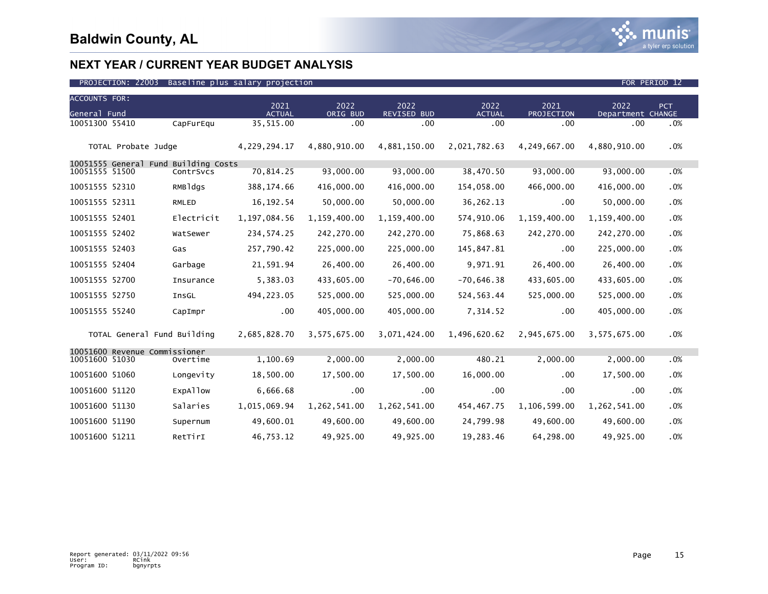

| <b>ACCOUNTS FOR:</b> |                               |                                      |                       |                  |                     |                       |                    |                           |            |
|----------------------|-------------------------------|--------------------------------------|-----------------------|------------------|---------------------|-----------------------|--------------------|---------------------------|------------|
| General Fund         |                               |                                      | 2021<br><b>ACTUAL</b> | 2022<br>ORIG BUD | 2022<br>REVISED BUD | 2022<br><b>ACTUAL</b> | 2021<br>PROJECTION | 2022<br>Department CHANGE | <b>PCT</b> |
| 10051300 55410       |                               | CapFurEqu                            | 35,515.00             | .00              | .00 <sub>1</sub>    | .00                   | .00                | .00                       | .0%        |
|                      | TOTAL Probate Judge           |                                      | 4,229,294.17          | 4,880,910.00     | 4,881,150.00        | 2,021,782.63          | 4,249,667.00       | 4,880,910.00              | .0%        |
|                      |                               | 10051555 General Fund Building Costs |                       |                  |                     |                       |                    |                           |            |
| 10051555 51500       |                               | ContrSvcs                            | 70,814.25             | 93,000.00        | 93,000.00           | 38,470.50             | 93,000.00          | 93,000.00                 | .0%        |
| 10051555 52310       |                               | RMBldgs                              | 388, 174.66           | 416,000.00       | 416,000.00          | 154,058.00            | 466,000.00         | 416,000.00                | .0%        |
| 10051555 52311       |                               | RMLED                                | 16, 192.54            | 50,000.00        | 50,000.00           | 36, 262. 13           | .00                | 50,000.00                 | .0%        |
| 10051555 52401       |                               | Electricit                           | 1,197,084.56          | 1,159,400.00     | 1,159,400.00        | 574,910.06            | 1,159,400.00       | 1,159,400.00              | .0%        |
| 10051555 52402       |                               | WatSewer                             | 234, 574. 25          | 242,270.00       | 242,270.00          | 75,868.63             | 242,270.00         | 242,270.00                | .0%        |
| 10051555 52403       |                               | Gas                                  | 257,790.42            | 225,000.00       | 225,000.00          | 145,847.81            | .00                | 225,000.00                | .0%        |
| 10051555 52404       |                               | Garbage                              | 21,591.94             | 26,400.00        | 26,400.00           | 9,971.91              | 26,400.00          | 26,400.00                 | .0%        |
| 10051555 52700       |                               | Insurance                            | 5,383.03              | 433,605.00       | $-70,646.00$        | $-70,646.38$          | 433,605.00         | 433,605.00                | .0%        |
| 10051555 52750       |                               | InsGL                                | 494, 223.05           | 525,000.00       | 525,000.00          | 524,563.44            | 525,000.00         | 525,000.00                | .0%        |
| 10051555 55240       |                               | CapImpr                              | .00                   | 405,000.00       | 405,000.00          | 7,314.52              | .00                | 405,000.00                | .0%        |
|                      | TOTAL General Fund Building   |                                      | 2,685,828.70          | 3,575,675.00     | 3,071,424.00        | 1,496,620.62          | 2,945,675.00       | 3,575,675.00              | .0%        |
| 10051600 51030       | 10051600 Revenue Commissioner | Overtime                             | 1,100.69              | 2,000.00         | 2,000.00            | 480.21                | 2,000.00           | 2,000.00                  | .0%        |
| 10051600 51060       |                               | Longevity                            | 18,500.00             | 17,500.00        | 17,500.00           | 16,000.00             | .00                | 17,500.00                 | .0%        |
| 10051600 51120       |                               | <b>EXPATIOW</b>                      | 6,666.68              | .00              | $.00 \times$        | .00                   | .00                | .00                       | .0%        |
| 10051600 51130       |                               | Salaries                             | 1,015,069.94          | 1,262,541.00     | 1,262,541.00        | 454,467.75            | 1,106,599.00       | 1,262,541.00              | .0%        |
| 10051600 51190       |                               | Supernum                             | 49,600.01             | 49,600.00        | 49,600.00           | 24,799.98             | 49,600.00          | 49,600.00                 | .0%        |
| 10051600 51211       |                               | RetTirI                              | 46,753.12             | 49,925.00        | 49,925.00           | 19,283.46             | 64,298.00          | 49,925.00                 | .0%        |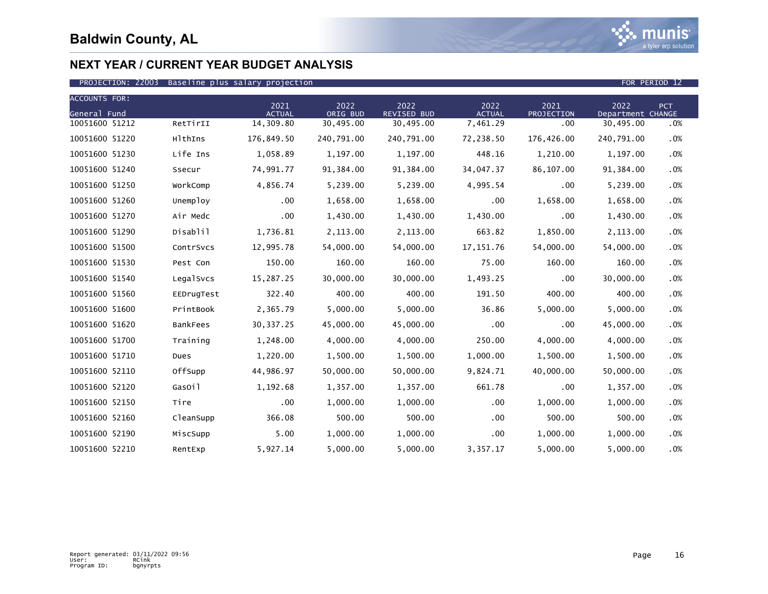

| <b>ACCOUNTS FOR:</b> |                 |                       |                  |                     |                       |                    |                           |            |
|----------------------|-----------------|-----------------------|------------------|---------------------|-----------------------|--------------------|---------------------------|------------|
| General Fund         |                 | 2021<br><b>ACTUAL</b> | 2022<br>ORIG BUD | 2022<br>REVISED BUD | 2022<br><b>ACTUAL</b> | 2021<br>PROJECTION | 2022<br>Department CHANGE | <b>PCT</b> |
| 10051600 51212       | RetTirII        | 14,309.80             | 30,495.00        | 30,495.00           | 7,461.29              | .00                | 30,495.00                 | .0%        |
| 10051600 51220       | HlthIns         | 176,849.50            | 240,791.00       | 240,791.00          | 72,238.50             | 176,426.00         | 240,791.00                | .0%        |
| 10051600 51230       | Life Ins        | 1,058.89              | 1,197.00         | 1,197.00            | 448.16                | 1,210.00           | 1,197.00                  | .0%        |
| 10051600 51240       | Ssecur          | 74,991.77             | 91,384.00        | 91,384.00           | 34,047.37             | 86,107.00          | 91,384.00                 | .0%        |
| 10051600 51250       | WorkComp        | 4,856.74              | 5,239.00         | 5,239.00            | 4,995.54              | .00                | 5,239.00                  | .0%        |
| 10051600 51260       | Unemploy        | .00                   | 1,658.00         | 1,658.00            | .00                   | 1,658.00           | 1,658.00                  | .0%        |
| 10051600 51270       | Air Medc        | .00                   | 1,430.00         | 1,430.00            | 1,430.00              | .00                | 1,430.00                  | .0%        |
| 10051600 51290       | Disablil        | 1,736.81              | 2,113.00         | 2,113.00            | 663.82                | 1,850.00           | 2,113.00                  | .0%        |
| 10051600 51500       | ContrSvcs       | 12,995.78             | 54,000.00        | 54,000.00           | 17, 151. 76           | 54,000.00          | 54,000.00                 | .0%        |
| 10051600 51530       | Pest Con        | 150.00                | 160.00           | 160.00              | 75.00                 | 160.00             | 160.00                    | .0%        |
| 10051600 51540       | LegalSvcs       | 15,287.25             | 30,000.00        | 30,000.00           | 1,493.25              | .00                | 30,000.00                 | .0%        |
| 10051600 51560       | EEDrugTest      | 322.40                | 400.00           | 400.00              | 191.50                | 400.00             | 400.00                    | .0%        |
| 10051600 51600       | PrintBook       | 2,365.79              | 5,000.00         | 5,000.00            | 36.86                 | 5,000.00           | 5,000.00                  | .0%        |
| 10051600 51620       | <b>BankFees</b> | 30, 337. 25           | 45,000.00        | 45,000.00           | .00                   | .00                | 45,000.00                 | .0%        |
| 10051600 51700       | Training        | 1,248.00              | 4,000.00         | 4,000.00            | 250.00                | 4,000.00           | 4,000.00                  | .0%        |
| 10051600 51710       | Dues            | 1,220.00              | 1,500.00         | 1,500.00            | 1,000.00              | 1,500.00           | 1,500.00                  | .0%        |
| 10051600 52110       | OffSupp         | 44,986.97             | 50,000.00        | 50,000.00           | 9,824.71              | 40,000.00          | 50,000.00                 | .0%        |
| 10051600 52120       | GasOil          | 1,192.68              | 1,357.00         | 1,357.00            | 661.78                | .00                | 1,357.00                  | .0%        |
| 10051600 52150       | Tire            | $.00 \,$              | 1,000.00         | 1,000.00            | .00                   | 1,000.00           | 1,000.00                  | .0%        |
| 10051600 52160       | CleanSupp       | 366.08                | 500.00           | 500.00              | .00                   | 500.00             | 500.00                    | .0%        |
| 10051600 52190       | MiscSupp        | 5.00                  | 1,000.00         | 1,000.00            | .00.                  | 1,000.00           | 1,000.00                  | $.0\%$     |
| 10051600 52210       | RentExp         | 5,927.14              | 5,000.00         | 5,000.00            | 3,357.17              | 5,000.00           | 5,000.00                  | .0%        |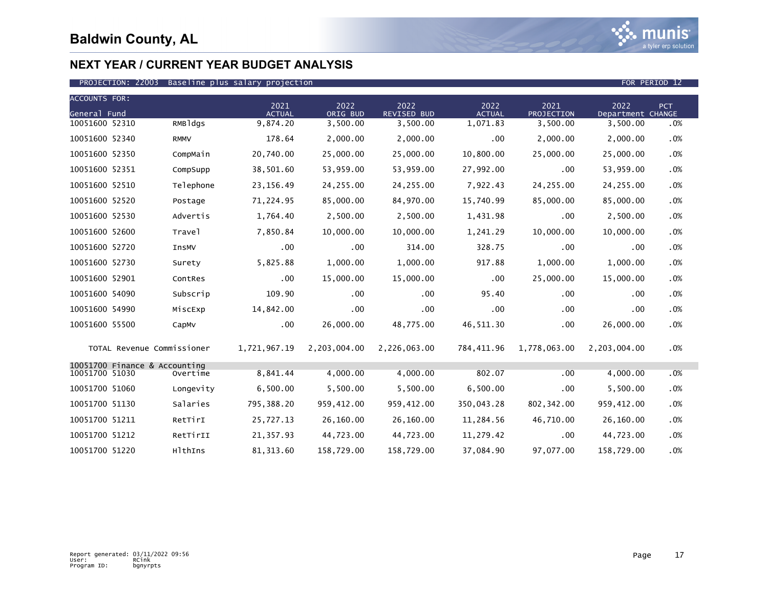

| <b>ACCOUNTS FOR:</b> |                               |             |                       |                  |                            |                       |                    |                           |     |
|----------------------|-------------------------------|-------------|-----------------------|------------------|----------------------------|-----------------------|--------------------|---------------------------|-----|
| General Fund         |                               |             | 2021<br><b>ACTUAL</b> | 2022<br>ORIG BUD | 2022<br><b>REVISED BUD</b> | 2022<br><b>ACTUAL</b> | 2021<br>PROJECTION | 2022<br>Department CHANGE | PCT |
| 10051600 52310       |                               | RMBldgs     | 9,874.20              | 3,500.00         | 3,500.00                   | 1,071.83              | 3,500.00           | 3,500.00                  | .0% |
| 10051600 52340       |                               | <b>RMMV</b> | 178.64                | 2,000.00         | 2,000.00                   | .00                   | 2,000.00           | 2,000.00                  | .0% |
| 10051600 52350       |                               | CompMain    | 20,740.00             | 25,000.00        | 25,000.00                  | 10,800.00             | 25,000.00          | 25,000.00                 | .0% |
| 10051600 52351       |                               | CompSupp    | 38,501.60             | 53,959.00        | 53,959.00                  | 27,992.00             | .00                | 53,959.00                 | .0% |
| 10051600 52510       |                               | Telephone   | 23, 156.49            | 24, 255.00       | 24,255.00                  | 7,922.43              | 24, 255.00         | 24, 255.00                | .0% |
| 10051600 52520       |                               | Postage     | 71,224.95             | 85,000.00        | 84,970.00                  | 15,740.99             | 85,000.00          | 85,000.00                 | .0% |
| 10051600 52530       |                               | Advertis    | 1,764.40              | 2,500.00         | 2,500.00                   | 1,431.98              | .00                | 2,500.00                  | .0% |
| 10051600 52600       |                               | Travel      | 7,850.84              | 10,000.00        | 10,000.00                  | 1,241.29              | 10,000.00          | 10,000.00                 | .0% |
| 10051600 52720       |                               | InsMV       | $.00 \,$              | .00              | 314.00                     | 328.75                | .00                | .00                       | .0% |
| 10051600 52730       |                               | Surety      | 5,825.88              | 1,000.00         | 1,000.00                   | 917.88                | 1,000.00           | 1,000.00                  | .0% |
| 10051600 52901       |                               | ContRes     | .00                   | 15,000.00        | 15,000.00                  | .00                   | 25,000.00          | 15,000.00                 | .0% |
| 10051600 54090       |                               | Subscrip    | 109.90                | .00              | $.00 \,$                   | 95.40                 | $.00 \,$           | .00                       | .0% |
| 10051600 54990       |                               | MiscExp     | 14,842.00             | .00              | .00                        | .00                   | .00                | .00                       | .0% |
| 10051600 55500       |                               | CapMv       | .00                   | 26,000.00        | 48,775.00                  | 46,511.30             | .00                | 26,000.00                 | .0% |
|                      | TOTAL Revenue Commissioner    |             | 1,721,967.19          | 2,203,004.00     | 2,226,063.00               | 784,411.96            | 1,778,063.00       | 2,203,004.00              | .0% |
| 10051700 51030       | 10051700 Finance & Accounting | Overtime    | 8,841.44              | 4,000.00         | 4,000.00                   | 802.07                | .00                | 4,000.00                  | .0% |
|                      |                               |             |                       |                  |                            |                       |                    |                           |     |
| 10051700 51060       |                               | Longevity   | 6,500.00              | 5,500.00         | 5,500.00                   | 6,500.00              | .00                | 5,500.00                  | .0% |
| 10051700 51130       |                               | Salaries    | 795,388.20            | 959,412.00       | 959,412.00                 | 350,043.28            | 802, 342.00        | 959,412.00                | .0% |
| 10051700 51211       |                               | RetTirI     | 25,727.13             | 26,160.00        | 26,160.00                  | 11,284.56             | 46,710.00          | 26,160.00                 | .0% |
| 10051700 51212       |                               | RetTirII    | 21,357.93             | 44,723.00        | 44,723.00                  | 11,279.42             | .00                | 44,723.00                 | .0% |
| 10051700 51220       |                               | HlthIns     | 81, 313.60            | 158,729.00       | 158,729.00                 | 37,084.90             | 97,077.00          | 158,729.00                | .0% |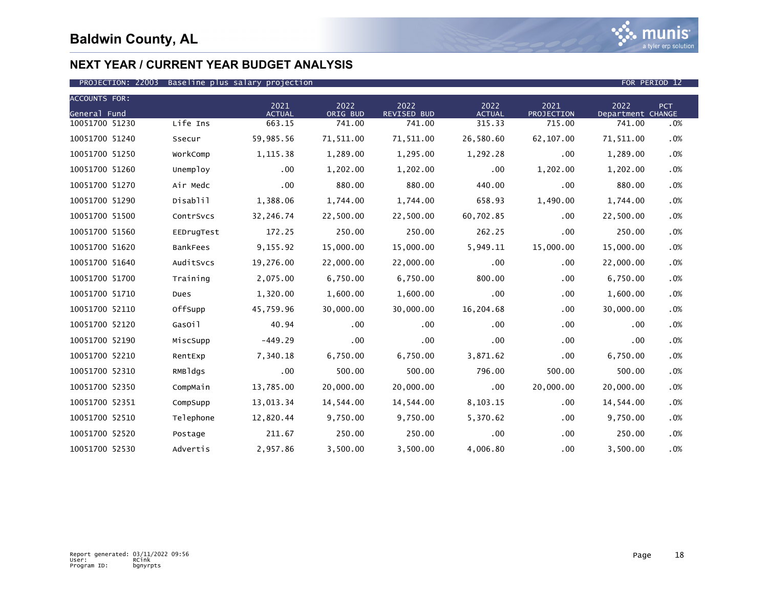

| <b>ACCOUNTS FOR:</b> |            |                       |                  |                            |                       |                    |                           |            |
|----------------------|------------|-----------------------|------------------|----------------------------|-----------------------|--------------------|---------------------------|------------|
| General Fund         |            | 2021<br><b>ACTUAL</b> | 2022<br>ORIG BUD | 2022<br><b>REVISED BUD</b> | 2022<br><b>ACTUAL</b> | 2021<br>PROJECTION | 2022<br>Department CHANGE | <b>PCT</b> |
| 10051700 51230       | Life Ins   | 663.15                | 741.00           | 741.00                     | 315.33                | 715.00             | 741.00                    | .0%        |
| 10051700 51240       | Ssecur     | 59,985.56             | 71,511.00        | 71,511.00                  | 26,580.60             | 62,107.00          | 71,511.00                 | .0%        |
| 10051700 51250       | WorkComp   | 1,115.38              | 1,289.00         | 1,295.00                   | 1,292.28              | .00                | 1,289.00                  | .0%        |
| 10051700 51260       | Unemploy   | .00                   | 1,202.00         | 1,202.00                   | .00                   | 1,202.00           | 1,202.00                  | .0%        |
| 10051700 51270       | Air Medc   | .00                   | 880.00           | 880.00                     | 440.00                | .00                | 880.00                    | .0%        |
| 10051700 51290       | Disablil   | 1,388.06              | 1,744.00         | 1,744.00                   | 658.93                | 1,490.00           | 1,744.00                  | .0%        |
| 10051700 51500       | ContrSvcs  | 32,246.74             | 22,500.00        | 22,500.00                  | 60,702.85             | .00                | 22,500.00                 | .0%        |
| 10051700 51560       | EEDrugTest | 172.25                | 250.00           | 250.00                     | 262.25                | .00                | 250.00                    | .0%        |
| 10051700 51620       | BankFees   | 9,155.92              | 15,000.00        | 15,000.00                  | 5,949.11              | 15,000.00          | 15,000.00                 | .0%        |
| 10051700 51640       | AuditSvcs  | 19,276.00             | 22,000.00        | 22,000.00                  | .00                   | .00                | 22,000.00                 | .0%        |
| 10051700 51700       | Training   | 2,075.00              | 6,750.00         | 6,750.00                   | 800.00                | .00                | 6,750.00                  | .0%        |
| 10051700 51710       | Dues       | 1,320.00              | 1,600.00         | 1,600.00                   | .00                   | .00                | 1,600.00                  | .0%        |
| 10051700 52110       | OffSupp    | 45,759.96             | 30,000.00        | 30,000.00                  | 16,204.68             | .00                | 30,000.00                 | .0%        |
| 10051700 52120       | GasOil     | 40.94                 | .00              | $.00 \,$                   | .00                   | .00                | .00                       | .0%        |
| 10051700 52190       | MiscSupp   | $-449.29$             | .00              | .00                        | .00                   | .00                | .00                       | .0%        |
| 10051700 52210       | RentExp    | 7,340.18              | 6,750.00         | 6,750.00                   | 3,871.62              | .00                | 6,750.00                  | .0%        |
| 10051700 52310       | RMBldgs    | .00                   | 500.00           | 500.00                     | 796.00                | 500.00             | 500.00                    | .0%        |
| 10051700 52350       | CompMain   | 13,785.00             | 20,000,00        | 20,000.00                  | .00                   | 20,000.00          | 20,000,00                 | .0%        |
| 10051700 52351       | CompSupp   | 13,013.34             | 14,544.00        | 14,544.00                  | 8,103.15              | .00                | 14,544.00                 | .0%        |
| 10051700 52510       | Telephone  | 12,820.44             | 9,750.00         | 9,750.00                   | 5,370.62              | .00                | 9,750.00                  | .0%        |
| 10051700 52520       | Postage    | 211.67                | 250.00           | 250.00                     | .00.                  | .00                | 250.00                    | $.0\%$     |
| 10051700 52530       | Advertis   | 2,957.86              | 3,500.00         | 3,500.00                   | 4,006.80              | .00                | 3,500.00                  | .0%        |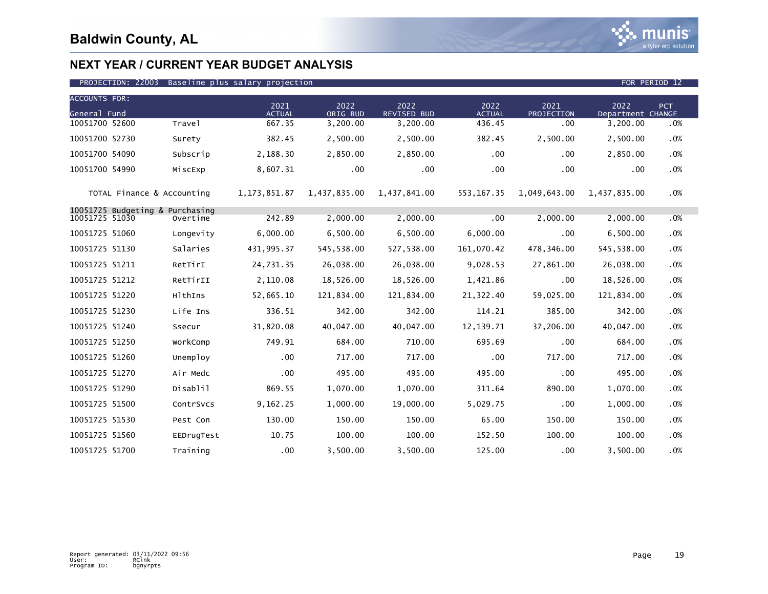

| <b>ACCOUNTS FOR:</b>                              |            |                       |                  |                            |                       |                    |                           |            |
|---------------------------------------------------|------------|-----------------------|------------------|----------------------------|-----------------------|--------------------|---------------------------|------------|
| General Fund                                      |            | 2021<br><b>ACTUAL</b> | 2022<br>ORIG BUD | 2022<br><b>REVISED BUD</b> | 2022<br><b>ACTUAL</b> | 2021<br>PROJECTION | 2022<br>Department CHANGE | <b>PCT</b> |
| 10051700 52600                                    | Travel     | 667.35                | 3,200.00         | 3,200.00                   | 436.45                | .00                | 3,200.00                  | .0%        |
| 10051700 52730                                    | Surety     | 382.45                | 2,500.00         | 2,500.00                   | 382.45                | 2,500.00           | 2,500.00                  | .0%        |
| 10051700 54090                                    | Subscrip   | 2,188.30              | 2,850.00         | 2,850.00                   | .00 <sub>1</sub>      | .00                | 2,850.00                  | .0%        |
| 10051700 54990                                    | MiscExp    | 8,607.31              | .00              | $.00 \times$               | .00                   | .00                | .00                       | .0%        |
| TOTAL Finance & Accounting                        |            | 1, 173, 851.87        | 1,437,835.00     | 1,437,841.00               | 553, 167.35           | 1,049,643.00       | 1,437,835.00              | .0%        |
| 10051725 Budgeting & Purchasing<br>10051725 51030 | Overtime   | 242.89                | 2,000.00         | 2,000.00                   | .00                   | 2,000.00           | 2,000.00                  | .0%        |
| 10051725 51060                                    | Longevity  | 6,000.00              | 6,500.00         | 6,500.00                   | 6,000.00              | .00                | 6,500.00                  | .0%        |
| 10051725 51130                                    | Salaries   | 431,995.37            | 545,538.00       | 527,538.00                 | 161,070.42            | 478,346.00         | 545,538.00                | .0%        |
| 10051725 51211                                    | RetTirI    | 24,731.35             | 26,038.00        | 26,038.00                  | 9,028.53              | 27,861.00          | 26,038.00                 | .0%        |
| 10051725 51212                                    | RetTirII   | 2,110.08              | 18,526.00        | 18,526.00                  | 1,421.86              | .00                | 18,526.00                 | .0%        |
| 10051725 51220                                    | HlthIns    | 52,665.10             | 121,834.00       | 121,834.00                 | 21,322.40             | 59,025.00          | 121,834.00                | .0%        |
| 10051725 51230                                    | Life Ins   | 336.51                | 342.00           | 342.00                     | 114.21                | 385.00             | 342.00                    | .0%        |
| 10051725 51240                                    | Ssecur     | 31,820.08             | 40,047.00        | 40,047.00                  | 12, 139. 71           | 37,206.00          | 40,047.00                 | .0%        |
| 10051725 51250                                    | WorkComp   | 749.91                | 684.00           | 710.00                     | 695.69                | .00                | 684.00                    | .0%        |
| 10051725 51260                                    | Unemploy   | .00                   | 717.00           | 717.00                     | .00                   | 717.00             | 717.00                    | .0%        |
| 10051725 51270                                    | Air Medc   | .00                   | 495.00           | 495.00                     | 495.00                | .00                | 495.00                    | .0%        |
| 10051725 51290                                    | Disablil   | 869.55                | 1,070.00         | 1,070.00                   | 311.64                | 890.00             | 1,070.00                  | .0%        |
| 10051725 51500                                    | ContrSvcs  | 9,162.25              | 1,000.00         | 19,000.00                  | 5,029.75              | .00                | 1,000.00                  | .0%        |
| 10051725 51530                                    | Pest Con   | 130.00                | 150.00           | 150.00                     | 65.00                 | 150.00             | 150.00                    | .0%        |
| 10051725 51560                                    | EEDrugTest | 10.75                 | 100.00           | 100.00                     | 152.50                | 100.00             | 100.00                    | .0%        |
| 10051725 51700                                    | Training   | .00                   | 3,500.00         | 3,500.00                   | 125.00                | .00                | 3,500.00                  | .0%        |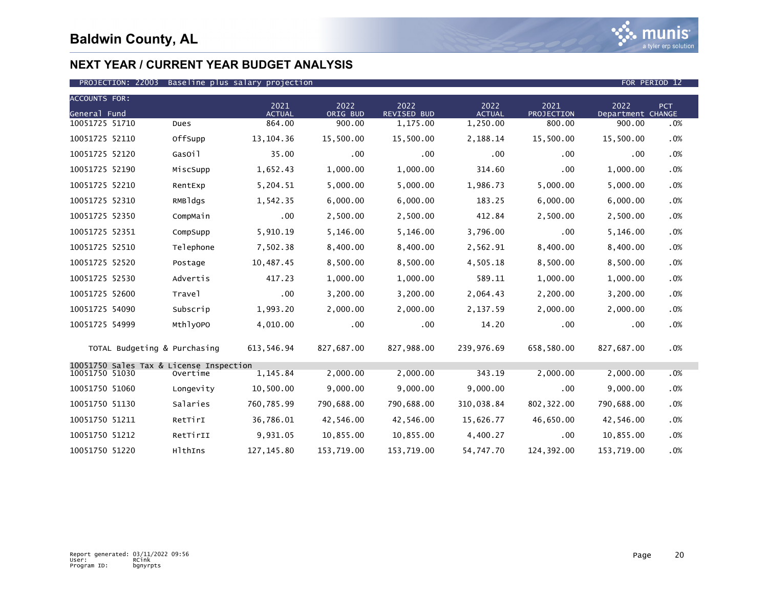

| <b>ACCOUNTS FOR:</b>                                      |           |                       |                  |                            |                       |                    |                           |     |
|-----------------------------------------------------------|-----------|-----------------------|------------------|----------------------------|-----------------------|--------------------|---------------------------|-----|
| General Fund                                              |           | 2021<br><b>ACTUAL</b> | 2022<br>ORIG BUD | 2022<br><b>REVISED BUD</b> | 2022<br><b>ACTUAL</b> | 2021<br>PROJECTION | 2022<br>Department CHANGE | PCT |
| 10051725 51710                                            | Dues      | 864.00                | 900.00           | 1,175.00                   | 1,250.00              | 800.00             | 900.00                    | .0% |
| 10051725 52110                                            | OffSupp   | 13, 104. 36           | 15,500.00        | 15,500.00                  | 2,188.14              | 15,500.00          | 15,500.00                 | .0% |
| 10051725 52120                                            | GasOil    | 35.00                 | .00              | $.00 \,$                   | .00                   | .00.               | .00                       | .0% |
| 10051725 52190                                            | MiscSupp  | 1,652.43              | 1,000.00         | 1,000.00                   | 314.60                | .00.               | 1,000.00                  | .0% |
| 10051725 52210                                            | RentExp   | 5,204.51              | 5,000.00         | 5,000.00                   | 1,986.73              | 5,000.00           | 5,000.00                  | .0% |
| 10051725 52310                                            | RMBldgs   | 1,542.35              | 6,000.00         | 6,000.00                   | 183.25                | 6,000.00           | 6,000.00                  | .0% |
| 10051725 52350                                            | CompMain  | .00                   | 2,500.00         | 2,500.00                   | 412.84                | 2,500.00           | 2,500.00                  | .0% |
| 10051725 52351                                            | CompSupp  | 5,910.19              | 5,146.00         | 5,146.00                   | 3,796.00              | .00                | 5,146.00                  | .0% |
| 10051725 52510                                            | Telephone | 7,502.38              | 8,400.00         | 8,400.00                   | 2,562.91              | 8,400.00           | 8,400.00                  | .0% |
| 10051725 52520                                            | Postage   | 10,487.45             | 8,500.00         | 8,500.00                   | 4,505.18              | 8,500.00           | 8,500.00                  | .0% |
| 10051725 52530                                            | Advertis  | 417.23                | 1,000.00         | 1,000.00                   | 589.11                | 1,000.00           | 1,000.00                  | .0% |
| 10051725 52600                                            | Travel    | .00                   | 3,200.00         | 3,200.00                   | 2,064.43              | 2,200.00           | 3,200.00                  | .0% |
| 10051725 54090                                            | Subscrip  | 1,993.20              | 2,000.00         | 2,000.00                   | 2,137.59              | 2,000.00           | 2,000.00                  | .0% |
| 10051725 54999                                            | MthlyOPO  | 4,010.00              | .00              | .00                        | 14.20                 | .00                | .00                       | .0% |
| TOTAL Budgeting & Purchasing                              |           | 613,546.94            | 827,687.00       | 827,988.00                 | 239,976.69            | 658,580.00         | 827,687.00                | .0% |
| 10051750 Sales Tax & License Inspection<br>10051750 51030 | Overtime  | 1,145.84              | 2,000.00         | 2,000.00                   | 343.19                | 2,000.00           | 2,000.00                  | .0% |
| 10051750 51060                                            | Longevity | 10,500.00             | 9,000.00         | 9,000.00                   | 9,000.00              | .00                | 9,000.00                  | .0% |
| 10051750 51130                                            | Salaries  | 760,785.99            | 790,688.00       | 790,688.00                 | 310,038.84            | 802, 322.00        | 790,688.00                | .0% |
| 10051750 51211                                            | RetTirI   | 36,786.01             | 42,546.00        | 42,546.00                  | 15,626.77             | 46,650.00          | 42,546.00                 | .0% |
| 10051750 51212                                            | RetTirII  | 9,931.05              | 10,855.00        | 10,855.00                  | 4,400.27              | .00                | 10,855.00                 | .0% |
| 10051750 51220                                            | HlthIns   | 127, 145.80           | 153,719.00       | 153,719.00                 | 54,747.70             | 124,392.00         | 153,719.00                | .0% |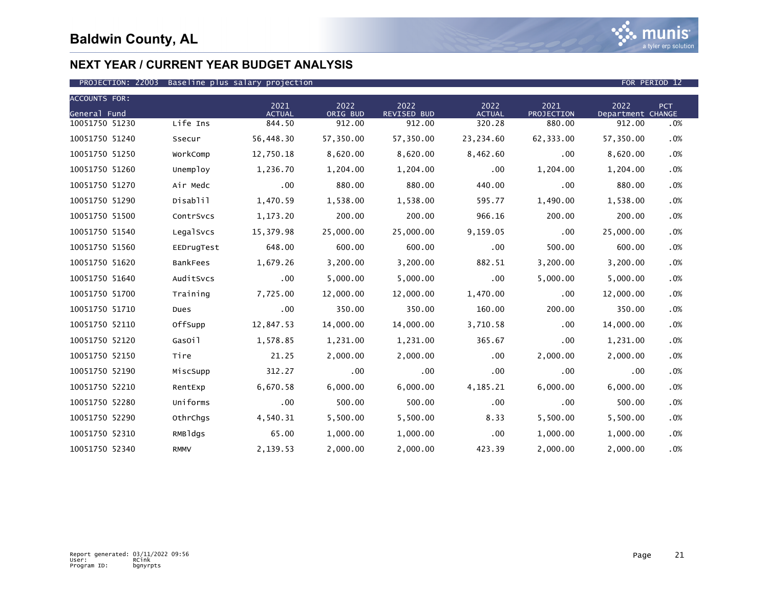

| <b>ACCOUNTS FOR:</b> |                 | 2021          | 2022      | 2022               | 2022          | 2021              | 2022              | PCT |
|----------------------|-----------------|---------------|-----------|--------------------|---------------|-------------------|-------------------|-----|
| General Fund         |                 | <b>ACTUAL</b> | ORIG BUD  | <b>REVISED BUD</b> | <b>ACTUAL</b> | <b>PROJECTION</b> | Department CHANGE |     |
| 10051750 51230       | Life Ins        | 844.50        | 912.00    | 912.00             | 320.28        | 880.00            | 912.00            | .0% |
| 10051750 51240       | Ssecur          | 56,448.30     | 57,350.00 | 57,350.00          | 23,234.60     | 62,333.00         | 57,350.00         | .0% |
| 10051750 51250       | WorkComp        | 12,750.18     | 8,620.00  | 8,620.00           | 8,462.60      | .00               | 8,620.00          | .0% |
| 10051750 51260       | Unemploy        | 1,236.70      | 1,204.00  | 1,204.00           | .00           | 1,204.00          | 1,204.00          | .0% |
| 10051750 51270       | Air Medc        | .00           | 880.00    | 880.00             | 440.00        | .00.              | 880.00            | .0% |
| 10051750 51290       | Disablil        | 1,470.59      | 1,538.00  | 1,538.00           | 595.77        | 1,490.00          | 1,538.00          | .0% |
| 10051750 51500       | ContrSvcs       | 1,173.20      | 200.00    | 200.00             | 966.16        | 200.00            | 200.00            | .0% |
| 10051750 51540       | LegalSvcs       | 15,379.98     | 25,000.00 | 25,000.00          | 9,159.05      | .00               | 25,000.00         | .0% |
| 10051750 51560       | EEDrugTest      | 648.00        | 600.00    | 600.00             | $.00 \times$  | 500.00            | 600.00            | .0% |
| 10051750 51620       | <b>BankFees</b> | 1,679.26      | 3,200.00  | 3,200.00           | 882.51        | 3,200.00          | 3,200.00          | .0% |
| 10051750 51640       | AuditSvcs       | .00           | 5,000.00  | 5,000.00           | .00           | 5,000.00          | 5,000.00          | .0% |
| 10051750 51700       | Training        | 7,725.00      | 12,000.00 | 12,000.00          | 1,470.00      | .00               | 12,000.00         | .0% |
| 10051750 51710       | Dues            | .00           | 350.00    | 350.00             | 160.00        | 200.00            | 350.00            | .0% |
| 10051750 52110       | OffSupp         | 12,847.53     | 14,000.00 | 14,000.00          | 3,710.58      | .00               | 14,000.00         | .0% |
| 10051750 52120       | GasOil          | 1,578.85      | 1,231.00  | 1,231.00           | 365.67        | .00               | 1,231.00          | .0% |
| 10051750 52150       | Tire            | 21.25         | 2,000.00  | 2,000.00           | $.00 \,$      | 2,000.00          | 2,000.00          | .0% |
| 10051750 52190       | MiscSupp        | 312.27        | .00       | $.00 \times$       | $.00 \,$      | .00               | .00               | .0% |
| 10051750 52210       | RentExp         | 6,670.58      | 6,000.00  | 6,000.00           | 4,185.21      | 6,000.00          | 6,000.00          | .0% |
| 10051750 52280       | Uniforms        | .00           | 500.00    | 500.00             | .00           | .00               | 500.00            | .0% |
| 10051750 52290       | OthrChqs        | 4,540.31      | 5,500.00  | 5,500.00           | 8.33          | 5,500.00          | 5,500.00          | .0% |
| 10051750 52310       | RMBldgs         | 65.00         | 1,000.00  | 1,000.00           | $.00 \,$      | 1,000.00          | 1,000.00          | .0% |
| 10051750 52340       | <b>RMMV</b>     | 2,139.53      | 2,000.00  | 2,000.00           | 423.39        | 2,000.00          | 2,000.00          | .0% |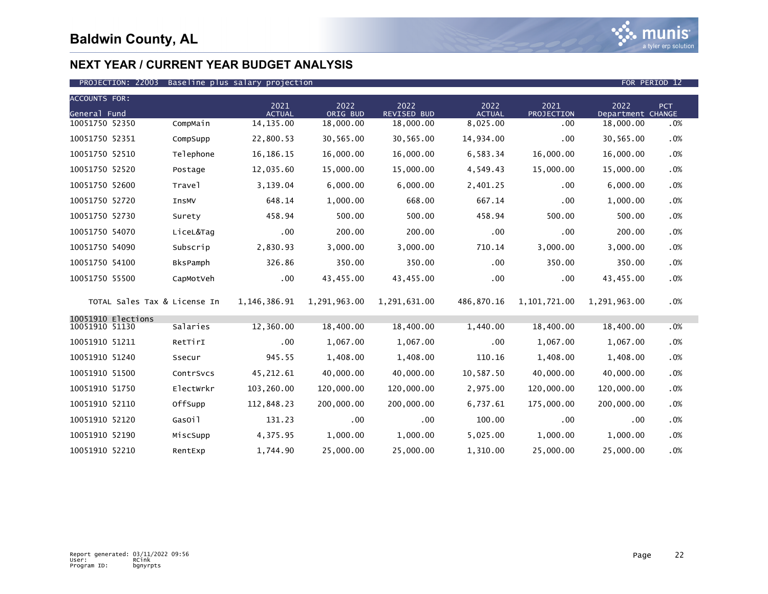

### PROJECTION: 22003 Baseline plus salary projection FOR PERIOD 12

| <b>ACCOUNTS FOR:</b>                 |           |                       |                  |                            |                       |                    |                           |        |
|--------------------------------------|-----------|-----------------------|------------------|----------------------------|-----------------------|--------------------|---------------------------|--------|
| General Fund                         |           | 2021<br><b>ACTUAL</b> | 2022<br>ORIG BUD | 2022<br><b>REVISED BUD</b> | 2022<br><b>ACTUAL</b> | 2021<br>PROJECTION | 2022<br>Department CHANGE | PCT    |
| 10051750 52350                       | CompMain  | 14, 135.00            | 18,000.00        | 18,000.00                  | 8,025.00              | .00                | 18,000.00                 | .0%    |
| 10051750 52351                       | CompSupp  | 22,800.53             | 30,565.00        | 30,565.00                  | 14,934.00             | .00                | 30,565.00                 | .0%    |
| 10051750 52510                       | Telephone | 16, 186. 15           | 16,000.00        | 16,000.00                  | 6,583.34              | 16,000.00          | 16,000.00                 | .0%    |
| 10051750 52520                       | Postage   | 12,035.60             | 15,000.00        | 15,000.00                  | 4,549.43              | 15,000.00          | 15,000.00                 | .0%    |
| 10051750 52600                       | Travel    | 3,139.04              | 6,000.00         | 6,000.00                   | 2,401.25              | .00                | 6,000.00                  | .0%    |
| 10051750 52720                       | InsMV     | 648.14                | 1,000.00         | 668.00                     | 667.14                | .00                | 1,000.00                  | .0%    |
| 10051750 52730                       | Surety    | 458.94                | 500.00           | 500.00                     | 458.94                | 500.00             | 500.00                    | .0%    |
| 10051750 54070                       | LiceL&Tag | $.00 \,$              | 200.00           | 200.00                     | .00                   | .00                | 200.00                    | .0%    |
| 10051750 54090                       | Subscrip  | 2,830.93              | 3,000.00         | 3,000.00                   | 710.14                | 3,000.00           | 3,000.00                  | .0%    |
| 10051750 54100                       | BksPamph  | 326.86                | 350.00           | 350.00                     | .00                   | 350.00             | 350.00                    | .0%    |
| 10051750 55500                       | CapMotVeh | $.00 \,$              | 43,455.00        | 43,455.00                  | .00                   | .00                | 43,455.00                 | .0%    |
| TOTAL Sales Tax & License In         |           | 1,146,386.91          | 1,291,963.00     | 1,291,631.00               | 486,870.16            | 1,101,721.00       | 1,291,963.00              | .0%    |
| 10051910 Elections<br>10051910 51130 | Salaries  | 12,360.00             | 18,400.00        | 18,400.00                  |                       | 18,400.00          |                           |        |
|                                      |           |                       |                  |                            | 1,440.00              |                    | 18,400.00                 | .0%    |
| 10051910 51211                       | RetTirI   | $.00 \,$              | 1,067.00         | 1,067.00                   | .00                   | 1,067.00           | 1,067.00                  | .0%    |
| 10051910 51240                       | Ssecur    | 945.55                | 1,408.00         | 1,408.00                   | 110.16                | 1,408.00           | 1,408.00                  | .0%    |
| 10051910 51500                       | ContrSvcs | 45,212.61             | 40,000.00        | 40,000.00                  | 10,587.50             | 40,000.00          | 40,000.00                 | .0%    |
| 10051910 51750                       | Electwrkr | 103,260.00            | 120,000.00       | 120,000.00                 | 2,975.00              | 120,000.00         | 120,000.00                | .0%    |
| 10051910 52110                       | OffSupp   | 112,848.23            | 200,000.00       | 200,000.00                 | 6,737.61              | 175,000.00         | 200,000.00                | .0%    |
| 10051910 52120                       | GasOil    | 131.23                | $.00 \,$         | .00                        | 100.00                | .00                | .00                       | .0%    |
| 10051910 52190                       | MiscSupp  | 4,375.95              | 1,000.00         | 1,000.00                   | 5,025.00              | 1,000.00           | 1,000.00                  | .0%    |
| 10051910 52210                       | RentExp   | 1,744.90              | 25,000.00        | 25,000.00                  | 1,310.00              | 25,000.00          | 25,000.00                 | $.0\%$ |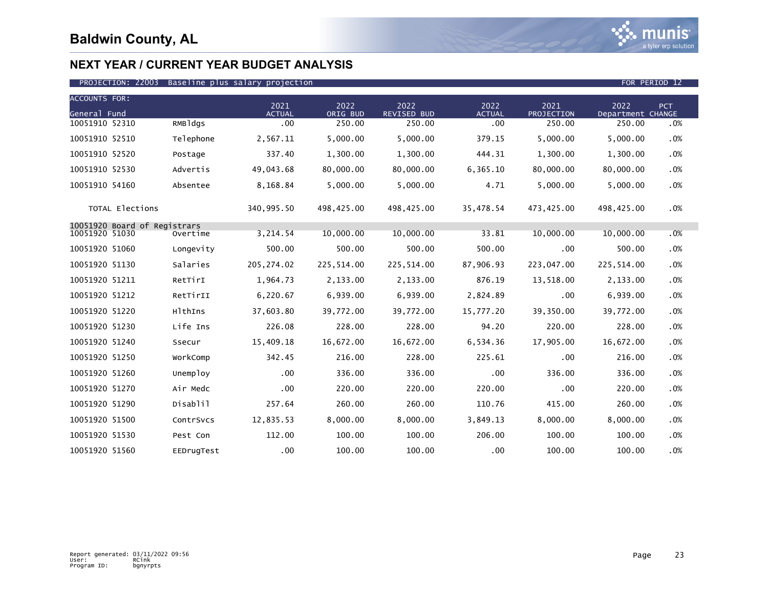

| <b>ACCOUNTS FOR:</b>         |            |                       |                  |                            |                       |                    |                           |            |
|------------------------------|------------|-----------------------|------------------|----------------------------|-----------------------|--------------------|---------------------------|------------|
| General Fund                 |            | 2021<br><b>ACTUAL</b> | 2022<br>ORIG BUD | 2022<br><b>REVISED BUD</b> | 2022<br><b>ACTUAL</b> | 2021<br>PROJECTION | 2022<br>Department CHANGE | <b>PCT</b> |
| 10051910 52310               | RMBldgs    | .00                   | 250.00           | 250.00                     | .00                   | 250.00             | 250.00                    | .0%        |
| 10051910 52510               | Telephone  | 2,567.11              | 5,000.00         | 5,000.00                   | 379.15                | 5,000.00           | 5,000.00                  | .0%        |
| 10051910 52520               | Postage    | 337.40                | 1,300.00         | 1,300.00                   | 444.31                | 1,300.00           | 1,300.00                  | .0%        |
| 10051910 52530               | Advertis   | 49,043.68             | 80,000.00        | 80,000.00                  | 6,365.10              | 80,000.00          | 80,000.00                 | .0%        |
| 10051910 54160               | Absentee   | 8,168.84              | 5,000.00         | 5,000.00                   | 4.71                  | 5,000.00           | 5,000.00                  | .0%        |
| TOTAL Elections              |            | 340,995.50            | 498,425.00       | 498,425.00                 | 35,478.54             | 473,425.00         | 498,425.00                | .0%        |
| 10051920 Board of Registrars |            |                       |                  |                            |                       |                    |                           |            |
| 10051920 51030               | Overtime   | 3,214.54              | 10,000.00        | 10,000.00                  | 33.81                 | 10,000.00          | 10,000.00                 | .0%        |
| 10051920 51060               | Longevity  | 500.00                | 500.00           | 500.00                     | 500.00                | .00                | 500.00                    | .0%        |
| 10051920 51130               | Salaries   | 205, 274.02           | 225,514.00       | 225,514.00                 | 87,906.93             | 223,047.00         | 225,514.00                | .0%        |
| 10051920 51211               | RetTirI    | 1,964.73              | 2,133.00         | 2,133.00                   | 876.19                | 13,518.00          | 2,133.00                  | .0%        |
| 10051920 51212               | RetTirII   | 6,220.67              | 6,939.00         | 6,939.00                   | 2,824.89              | .00                | 6,939.00                  | .0%        |
| 10051920 51220               | HlthIns    | 37,603.80             | 39,772.00        | 39,772.00                  | 15,777.20             | 39,350.00          | 39,772.00                 | .0%        |
| 10051920 51230               | Life Ins   | 226.08                | 228.00           | 228,00                     | 94.20                 | 220.00             | 228,00                    | .0%        |
| 10051920 51240               | Ssecur     | 15,409.18             | 16,672.00        | 16,672.00                  | 6,534.36              | 17,905.00          | 16,672.00                 | .0%        |
| 10051920 51250               | WorkComp   | 342.45                | 216.00           | 228.00                     | 225.61                | .00                | 216.00                    | .0%        |
| 10051920 51260               | Unemploy   | .00                   | 336.00           | 336.00                     | .00                   | 336.00             | 336.00                    | .0%        |
| 10051920 51270               | Air Medc   | .00                   | 220.00           | 220.00                     | 220.00                | .00                | 220.00                    | .0%        |
| 10051920 51290               | Disablil   | 257.64                | 260.00           | 260.00                     | 110.76                | 415.00             | 260.00                    | .0%        |
| 10051920 51500               | ContrSvcs  | 12,835.53             | 8,000.00         | 8,000.00                   | 3,849.13              | 8,000.00           | 8,000.00                  | .0%        |
| 10051920 51530               | Pest Con   | 112.00                | 100.00           | 100.00                     | 206.00                | 100.00             | 100.00                    | .0%        |
| 10051920 51560               | EEDrugTest | .00                   | 100.00           | 100.00                     | .00                   | 100.00             | 100.00                    | .0%        |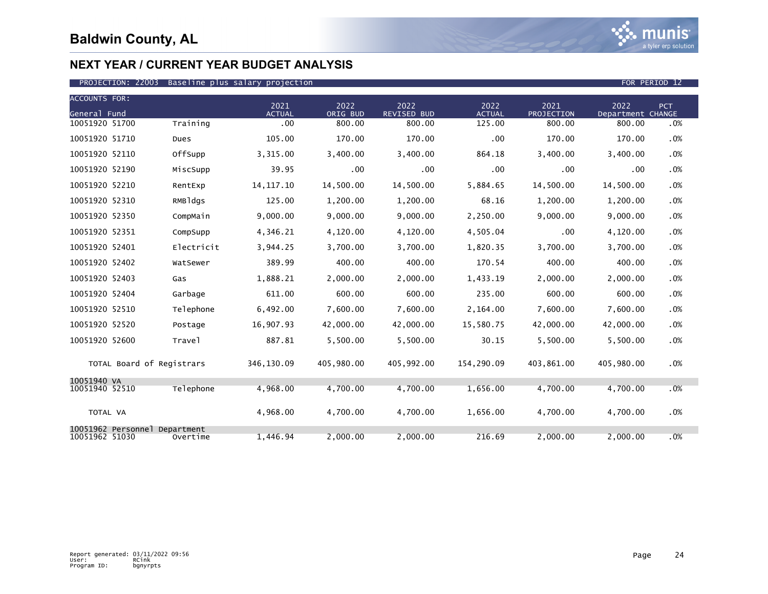

| <b>ACCOUNTS FOR:</b>          |                           | 2021          | 2022       | 2022               | 2022          | 2021       | 2022              |            |
|-------------------------------|---------------------------|---------------|------------|--------------------|---------------|------------|-------------------|------------|
| General Fund                  |                           | <b>ACTUAL</b> | ORIG BUD   | <b>REVISED BUD</b> | <b>ACTUAL</b> | PROJECTION | Department CHANGE | <b>PCT</b> |
| 10051920 51700                | Training                  | .00           | 800.00     | 800.00             | 125.00        | 800.00     | 800.00            | .0%        |
| 10051920 51710                | Dues                      | 105.00        | 170.00     | 170.00             | .00           | 170.00     | 170.00            | .0%        |
| 10051920 52110                | OffSupp                   | 3,315.00      | 3,400.00   | 3,400.00           | 864.18        | 3,400.00   | 3,400.00          | .0%        |
| 10051920 52190                | MiscSupp                  | 39.95         | .00        | .00                | .00           | .00        | .00               | .0%        |
| 10051920 52210                | RentExp                   | 14, 117. 10   | 14,500.00  | 14,500.00          | 5,884.65      | 14,500.00  | 14,500.00         | .0%        |
| 10051920 52310                | RMBldgs                   | 125.00        | 1,200.00   | 1,200.00           | 68.16         | 1,200.00   | 1,200.00          | .0%        |
| 10051920 52350                | CompMain                  | 9.000.00      | 9.000.00   | 9.000.00           | 2,250.00      | 9.000.00   | 9,000.00          | .0%        |
| 10051920 52351                | CompSupp                  | 4,346.21      | 4,120.00   | 4,120.00           | 4,505.04      | .00        | 4,120.00          | .0%        |
| 10051920 52401                | Electricit                | 3,944.25      | 3,700.00   | 3,700.00           | 1,820.35      | 3,700.00   | 3,700.00          | .0%        |
| 10051920 52402                | WatSewer                  | 389.99        | 400.00     | 400.00             | 170.54        | 400.00     | 400.00            | .0%        |
| 10051920 52403                | Gas                       | 1,888.21      | 2,000.00   | 2,000.00           | 1,433.19      | 2,000.00   | 2,000.00          | .0%        |
| 10051920 52404                | Garbage                   | 611.00        | 600.00     | 600.00             | 235.00        | 600.00     | 600.00            | .0%        |
| 10051920 52510                | Telephone                 | 6,492.00      | 7.600.00   | 7.600.00           | 2,164.00      | 7.600.00   | 7.600.00          | .0%        |
| 10051920 52520                | Postage                   | 16,907.93     | 42,000.00  | 42,000.00          | 15,580.75     | 42,000.00  | 42,000.00         | .0%        |
| 10051920 52600                | Trave <sub>1</sub>        | 887.81        | 5.500.00   | 5.500.00           | 30.15         | 5.500.00   | 5.500.00          | .0%        |
|                               | TOTAL Board of Registrars | 346,130.09    | 405,980.00 | 405,992.00         | 154,290.09    | 403,861.00 | 405,980.00        | .0%        |
| 10051940 VA<br>10051940 52510 | Telephone                 | 4,968.00      | 4,700.00   | 4,700.00           | 1,656.00      | 4,700.00   | 4,700.00          | .0%        |
|                               |                           |               |            |                    |               |            |                   |            |
| TOTAL VA                      |                           | 4,968.00      | 4,700.00   | 4,700.00           | 1,656.00      | 4,700.00   | 4,700.00          | .0%        |
| 10051962 Personnel            | Department                |               |            |                    |               |            |                   |            |
| 10051962 51030                | Overtime                  | 1,446.94      | 2.000.00   | 2.000.00           | 216.69        | 2.000.00   | 2.000.00          | .0%        |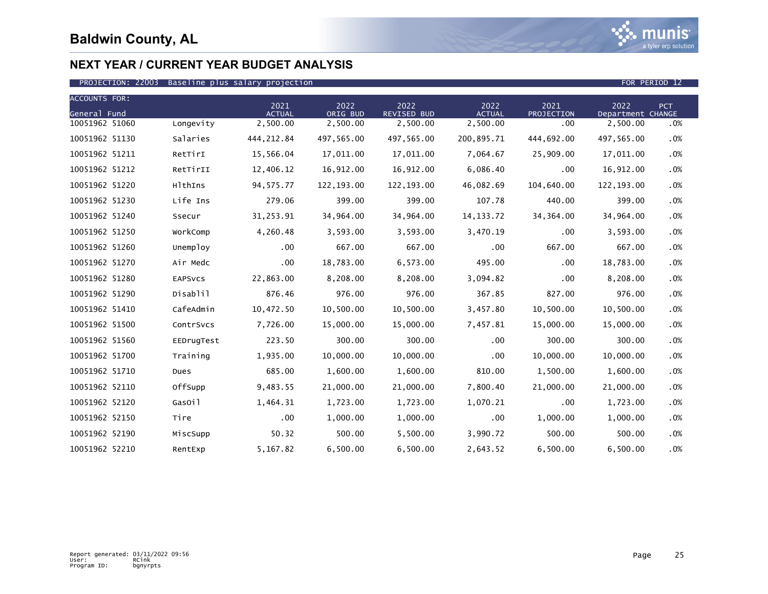

| <b>ACCOUNTS FOR:</b> |            |                       |                  |                     |                       |                    |                           |            |
|----------------------|------------|-----------------------|------------------|---------------------|-----------------------|--------------------|---------------------------|------------|
| General Fund         |            | 2021<br><b>ACTUAL</b> | 2022<br>ORIG BUD | 2022<br>REVISED BUD | 2022<br><b>ACTUAL</b> | 2021<br>PROJECTION | 2022<br>Department CHANGE | <b>PCT</b> |
| 10051962 51060       | Longevity  | 2,500.00              | 2,500.00         | 2,500.00            | 2,500.00              | $.00 \,$           | 2,500.00                  | .0%        |
| 10051962 51130       | Salaries   | 444, 212.84           | 497,565.00       | 497,565.00          | 200,895.71            | 444,692.00         | 497,565.00                | .0%        |
| 10051962 51211       | RetTirI    | 15,566.04             | 17,011.00        | 17,011.00           | 7,064.67              | 25,909.00          | 17,011.00                 | .0%        |
| 10051962 51212       | RetTirII   | 12,406.12             | 16,912.00        | 16,912.00           | 6,086.40              | .00                | 16,912.00                 | .0%        |
| 10051962 51220       | HlthIns    | 94, 575. 77           | 122, 193.00      | 122, 193.00         | 46,082.69             | 104,640.00         | 122, 193.00               | .0%        |
| 10051962 51230       | Life Ins   | 279.06                | 399.00           | 399.00              | 107.78                | 440.00             | 399.00                    | .0%        |
| 10051962 51240       | Ssecur     | 31,253.91             | 34,964.00        | 34,964.00           | 14, 133. 72           | 34, 364.00         | 34,964.00                 | .0%        |
| 10051962 51250       | WorkComp   | 4,260.48              | 3,593.00         | 3,593.00            | 3,470.19              | .00                | 3,593.00                  | .0%        |
| 10051962 51260       | Unemploy   | .00                   | 667.00           | 667.00              | .00                   | 667.00             | 667.00                    | .0%        |
| 10051962 51270       | Air Medc   | $.00 \,$              | 18,783.00        | 6,573.00            | 495.00                | .00                | 18,783.00                 | .0%        |
| 10051962 51280       | EAPSVCS    | 22,863.00             | 8,208.00         | 8,208.00            | 3,094.82              | .00                | 8,208.00                  | .0%        |
| 10051962 51290       | Disablil   | 876.46                | 976.00           | 976.00              | 367.85                | 827.00             | 976.00                    | .0%        |
| 10051962 51410       | CafeAdmin  | 10,472.50             | 10,500.00        | 10,500.00           | 3,457.80              | 10,500.00          | 10,500.00                 | .0%        |
| 10051962 51500       | ContrSvcs  | 7,726.00              | 15,000.00        | 15,000.00           | 7,457.81              | 15,000.00          | 15,000.00                 | .0%        |
| 10051962 51560       | EEDrugTest | 223.50                | 300.00           | 300.00              | .00                   | 300.00             | 300.00                    | .0%        |
| 10051962 51700       | Training   | 1,935.00              | 10,000.00        | 10,000.00           | .00                   | 10,000.00          | 10,000.00                 | .0%        |
| 10051962 51710       | Dues       | 685.00                | 1,600.00         | 1,600.00            | 810.00                | 1,500.00           | 1,600.00                  | .0%        |
| 10051962 52110       | OffSupp    | 9,483.55              | 21,000.00        | 21,000.00           | 7,800.40              | 21,000.00          | 21,000.00                 | .0%        |
| 10051962 52120       | GasOil     | 1,464.31              | 1,723.00         | 1,723.00            | 1,070.21              | .00                | 1,723.00                  | $.0\%$     |
| 10051962 52150       | Tire       | .00                   | 1,000.00         | 1,000.00            | .00                   | 1,000.00           | 1,000.00                  | .0%        |
| 10051962 52190       | MiscSupp   | 50.32                 | 500.00           | 5,500.00            | 3,990.72              | 500.00             | 500.00                    | $.0\%$     |
| 10051962 52210       | RentExp    | 5,167.82              | 6,500.00         | 6,500.00            | 2,643.52              | 6,500.00           | 6,500.00                  | .0%        |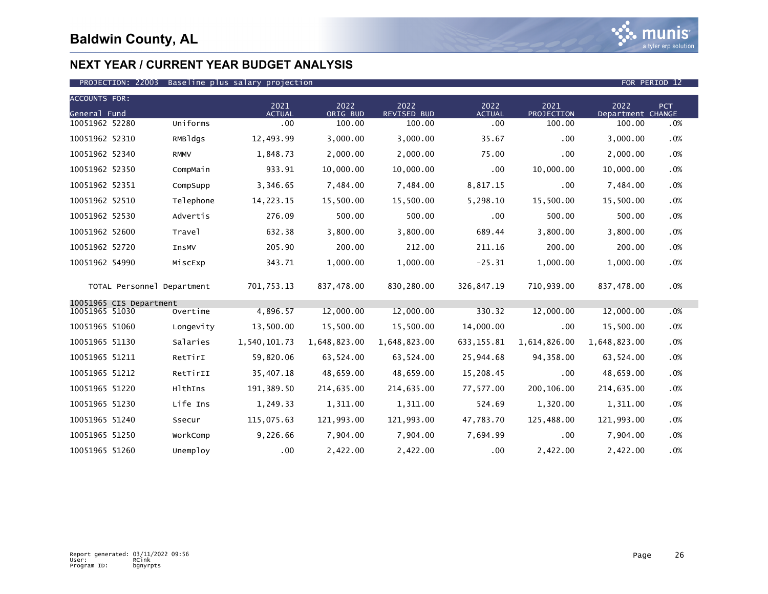

### PROJECTION: 22003 Baseline plus salary projection FOR PERIOD 12

| <b>ACCOUNTS FOR:</b> |                            |              |                       |                  |                            |                       |                           |                           |        |
|----------------------|----------------------------|--------------|-----------------------|------------------|----------------------------|-----------------------|---------------------------|---------------------------|--------|
| General Fund         |                            |              | 2021<br><b>ACTUAL</b> | 2022<br>ORIG BUD | 2022<br><b>REVISED BUD</b> | 2022<br><b>ACTUAL</b> | 2021<br><b>PROJECTION</b> | 2022<br>Department CHANGE | PCT    |
| 10051962 52280       |                            | Uniforms     | .00                   | 100.00           | 100.00                     | .00                   | 100.00                    | 100.00                    | .0%    |
| 10051962 52310       |                            | RMBldgs      | 12,493.99             | 3,000.00         | 3,000.00                   | 35.67                 | .00.                      | 3,000.00                  | .0%    |
| 10051962 52340       |                            | <b>RMMV</b>  | 1,848.73              | 2,000.00         | 2,000.00                   | 75.00                 | .00                       | 2,000.00                  | .0%    |
| 10051962 52350       |                            | CompMain     | 933.91                | 10,000.00        | 10,000.00                  | $.00 \,$              | 10,000.00                 | 10,000.00                 | .0%    |
| 10051962 52351       |                            | CompSupp     | 3,346.65              | 7,484.00         | 7,484.00                   | 8,817.15              | .00                       | 7,484.00                  | .0%    |
| 10051962 52510       |                            | Telephone    | 14,223.15             | 15,500.00        | 15,500.00                  | 5,298.10              | 15,500.00                 | 15,500.00                 | .0%    |
| 10051962 52530       |                            | Advertis     | 276.09                | 500.00           | 500.00                     | $.00 \,$              | 500.00                    | 500.00                    | .0%    |
| 10051962 52600       |                            | Travel       | 632.38                | 3,800.00         | 3.800.00                   | 689.44                | 3,800.00                  | 3,800.00                  | $.0\%$ |
| 10051962 52720       |                            | <b>InsMV</b> | 205.90                | 200.00           | 212.00                     | 211.16                | 200.00                    | 200.00                    | .0%    |
| 10051962 54990       |                            | MiscExp      | 343.71                | 1,000.00         | 1,000.00                   | $-25.31$              | 1,000.00                  | 1,000.00                  | .0%    |
|                      | TOTAL Personnel Department |              | 701,753.13            | 837,478.00       | 830.280.00                 | 326,847.19            | 710,939.00                | 837.478.00                | .0%    |
| 10051965 51030       | 10051965 CIS Department    | Overtime     | 4,896.57              | 12,000.00        | 12,000.00                  | 330.32                | 12,000.00                 | 12,000.00                 | $.0\%$ |
|                      |                            |              |                       |                  |                            |                       |                           |                           |        |
| 10051965 51060       |                            | Longevity    | 13,500.00             | 15,500.00        | 15,500.00                  | 14,000.00             | .00.                      | 15,500.00                 | .0%    |
| 10051965 51130       |                            | Salaries     | 1,540,101.73          | 1,648,823.00     | 1,648,823.00               | 633, 155.81           | 1,614,826.00              | 1,648,823.00              | .0%    |
| 10051965 51211       |                            | RetTirI      | 59,820.06             | 63,524.00        | 63,524.00                  | 25,944.68             | 94,358.00                 | 63,524.00                 | $.0\%$ |
| 10051965 51212       |                            | RetTirII     | 35,407.18             | 48,659.00        | 48,659.00                  | 15,208.45             | .00                       | 48,659.00                 | .0%    |
| 10051965 51220       |                            | HlthIns      | 191,389.50            | 214,635.00       | 214,635.00                 | 77,577.00             | 200,106.00                | 214,635.00                | .0%    |
| 10051965 51230       |                            | Life Ins     | 1,249.33              | 1,311.00         | 1,311.00                   | 524.69                | 1,320.00                  | 1,311.00                  | .0%    |
| 10051965 51240       |                            | Ssecur       | 115,075.63            | 121,993.00       | 121,993.00                 | 47,783.70             | 125,488.00                | 121,993.00                | .0%    |
| 10051965 51250       |                            | WorkComp     | 9,226.66              | 7,904.00         | 7,904.00                   | 7,694.99              | .00                       | 7,904.00                  | .0%    |
| 10051965 51260       |                            | Unemploy     | .00                   | 2,422.00         | 2,422.00                   | $.00 \,$              | 2,422.00                  | 2,422.00                  | .0%    |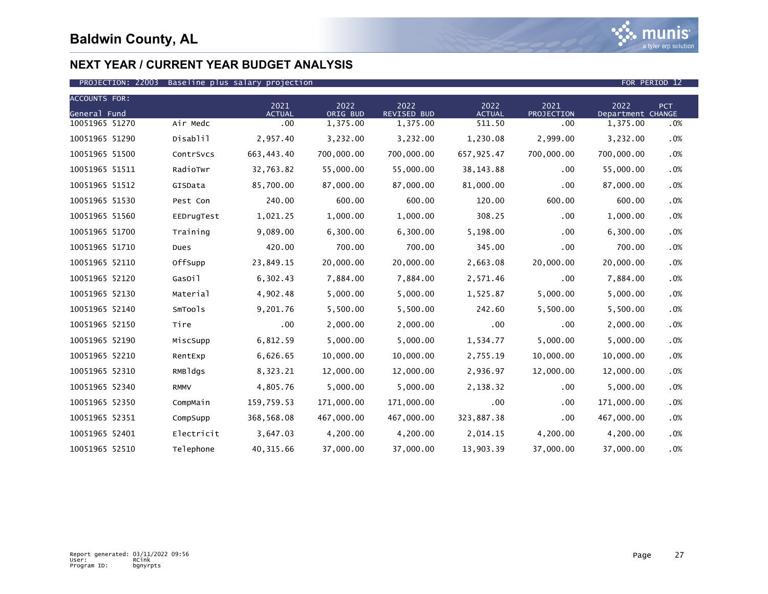

| <b>ACCOUNTS FOR:</b> |             |                       |                  |                     |                       |                    |                           |            |
|----------------------|-------------|-----------------------|------------------|---------------------|-----------------------|--------------------|---------------------------|------------|
| General Fund         |             | 2021<br><b>ACTUAL</b> | 2022<br>ORIG BUD | 2022<br>REVISED BUD | 2022<br><b>ACTUAL</b> | 2021<br>PROJECTION | 2022<br>Department CHANGE | <b>PCT</b> |
| 10051965 51270       | Air Medc    | $.00 \,$              | 1,375.00         | 1,375.00            | 511.50                | .00                | 1,375.00                  | .0%        |
| 10051965 51290       | Disablil    | 2,957.40              | 3,232.00         | 3,232.00            | 1,230.08              | 2,999.00           | 3,232.00                  | .0%        |
| 10051965 51500       | ContrSvcs   | 663,443.40            | 700,000.00       | 700,000.00          | 657,925.47            | 700,000.00         | 700,000.00                | .0%        |
| 10051965 51511       | RadioTwr    | 32,763.82             | 55,000.00        | 55,000.00           | 38, 143.88            | .00                | 55,000.00                 | .0%        |
| 10051965 51512       | GISData     | 85,700.00             | 87,000.00        | 87,000.00           | 81,000.00             | .00                | 87,000.00                 | .0%        |
| 10051965 51530       | Pest Con    | 240.00                | 600.00           | 600.00              | 120.00                | 600.00             | 600.00                    | .0%        |
| 10051965 51560       | EEDrugTest  | 1,021.25              | 1,000.00         | 1,000.00            | 308.25                | .00                | 1,000.00                  | .0%        |
| 10051965 51700       | Training    | 9,089.00              | 6,300.00         | 6,300.00            | 5,198.00              | .00                | 6,300.00                  | .0%        |
| 10051965 51710       | Dues        | 420.00                | 700.00           | 700.00              | 345.00                | .00                | 700.00                    | .0%        |
| 10051965 52110       | OffSupp     | 23,849.15             | 20,000.00        | 20,000.00           | 2,663.08              | 20,000.00          | 20,000.00                 | .0%        |
| 10051965 52120       | GasOil      | 6,302.43              | 7,884.00         | 7,884.00            | 2,571.46              | .00                | 7,884.00                  | .0%        |
| 10051965 52130       | Material    | 4,902.48              | 5,000.00         | 5,000.00            | 1,525.87              | 5,000.00           | 5,000.00                  | .0%        |
| 10051965 52140       | SmTools     | 9,201.76              | 5,500.00         | 5,500.00            | 242.60                | 5,500.00           | 5,500.00                  | .0%        |
| 10051965 52150       | Tire        | .00                   | 2,000.00         | 2,000.00            | .00                   | .00                | 2,000.00                  | .0%        |
| 10051965 52190       | MiscSupp    | 6,812.59              | 5,000.00         | 5,000.00            | 1,534.77              | 5,000.00           | 5,000.00                  | .0%        |
| 10051965 52210       | RentExp     | 6,626.65              | 10,000.00        | 10,000.00           | 2,755.19              | 10,000.00          | 10,000.00                 | .0%        |
| 10051965 52310       | RMBldgs     | 8,323.21              | 12,000.00        | 12,000.00           | 2,936.97              | 12,000.00          | 12,000.00                 | .0%        |
| 10051965 52340       | <b>RMMV</b> | 4,805.76              | 5,000.00         | 5,000.00            | 2,138.32              | .00                | 5,000.00                  | .0%        |
| 10051965 52350       | CompMain    | 159,759.53            | 171,000.00       | 171,000.00          | .00                   | .00                | 171,000.00                | $.0\%$     |
| 10051965 52351       | CompSupp    | 368,568.08            | 467,000.00       | 467,000.00          | 323,887.38            | .00                | 467,000.00                | .0%        |
| 10051965 52401       | Electricit  | 3,647.03              | 4,200.00         | 4,200.00            | 2,014.15              | 4,200.00           | 4,200.00                  | $.0\%$     |
| 10051965 52510       | Telephone   | 40, 315.66            | 37,000.00        | 37,000.00           | 13,903.39             | 37,000.00          | 37,000.00                 | .0%        |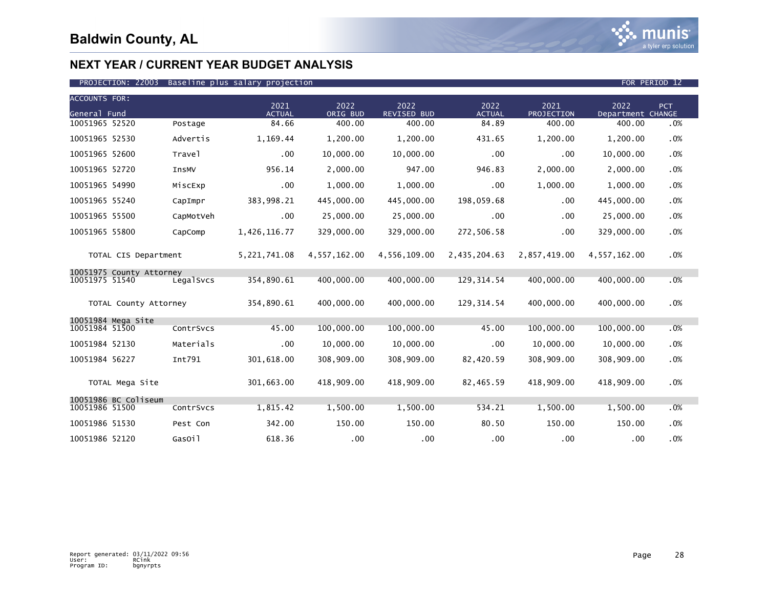

| <b>ACCOUNTS FOR:</b><br>General Fund |                          |           | 2021<br><b>ACTUAL</b> | 2022<br>ORIG BUD | 2022<br>REVISED BUD | 2022<br><b>ACTUAL</b> | 2021<br>PROJECTION | 2022<br>Department CHANGE | PCT |
|--------------------------------------|--------------------------|-----------|-----------------------|------------------|---------------------|-----------------------|--------------------|---------------------------|-----|
| 10051965 52520                       |                          | Postage   | 84.66                 | 400.00           | 400.00              | 84.89                 | 400.00             | 400.00                    | .0% |
| 10051965 52530                       |                          | Advertis  | 1,169.44              | 1,200.00         | 1,200.00            | 431.65                | 1,200.00           | 1,200.00                  | .0% |
| 10051965 52600                       |                          | Travel    | $.00 \,$              | 10,000.00        | 10,000.00           | .00                   | $.00 \times$       | 10,000.00                 | .0% |
| 10051965 52720                       |                          | InsMV     | 956.14                | 2,000.00         | 947.00              | 946.83                | 2,000.00           | 2,000.00                  | .0% |
| 10051965 54990                       |                          | MiscExp   | .00                   | 1,000.00         | 1,000.00            | .00                   | 1,000.00           | 1,000.00                  | .0% |
| 10051965 55240                       |                          | CapImpr   | 383,998.21            | 445,000.00       | 445,000.00          | 198,059.68            | $.00 \,$           | 445,000.00                | .0% |
| 10051965 55500                       |                          | CapMotVeh | $.00 \,$              | 25,000.00        | 25,000.00           | .00                   | .00                | 25,000.00                 | .0% |
| 10051965 55800                       |                          | CapComp   | 1,426,116.77          | 329,000.00       | 329,000.00          | 272,506.58            | .00                | 329,000.00                | .0% |
|                                      | TOTAL CIS Department     |           | 5,221,741.08          | 4,557,162.00     | 4,556,109.00        | 2,435,204.63          | 2,857,419.00       | 4,557,162.00              | .0% |
|                                      | 10051975 County Attorney |           |                       |                  |                     |                       |                    |                           |     |
| 10051975 51540                       |                          | LegalSvcs | 354,890.61            | 400,000.00       | 400,000.00          | 129, 314.54           | 400,000.00         | 400,000.00                | .0% |
|                                      | TOTAL County Attorney    |           | 354,890.61            | 400,000.00       | 400,000.00          | 129, 314.54           | 400,000.00         | 400,000.00                | .0% |
|                                      | 10051984 Mega Site       |           |                       |                  |                     |                       |                    |                           |     |
| 10051984 51500                       |                          | ContrSvcs | 45.00                 | 100,000.00       | 100,000.00          | 45.00                 | 100,000.00         | 100,000.00                | .0% |
| 10051984 52130                       |                          | Materials | .00                   | 10,000.00        | 10,000.00           | .00                   | 10,000.00          | 10,000.00                 | .0% |
| 10051984 56227                       |                          | Int791    | 301,618.00            | 308,909.00       | 308,909.00          | 82,420.59             | 308,909.00         | 308,909.00                | .0% |
|                                      | TOTAL Mega Site          |           | 301,663.00            | 418,909.00       | 418,909.00          | 82,465.59             | 418,909.00         | 418,909.00                | .0% |
|                                      | 10051986 BC Coliseum     |           |                       |                  |                     |                       |                    |                           |     |
| 10051986 51500                       |                          | ContrSvcs | 1,815.42              | 1,500.00         | 1,500.00            | 534.21                | 1,500.00           | 1,500.00                  | .0% |
| 10051986 51530                       |                          | Pest Con  | 342.00                | 150.00           | 150.00              | 80.50                 | 150.00             | 150.00                    | .0% |
| 10051986 52120                       |                          | GasOil    | 618.36                | .00              | .00                 | .00                   | $.00 \,$           | .00                       | .0% |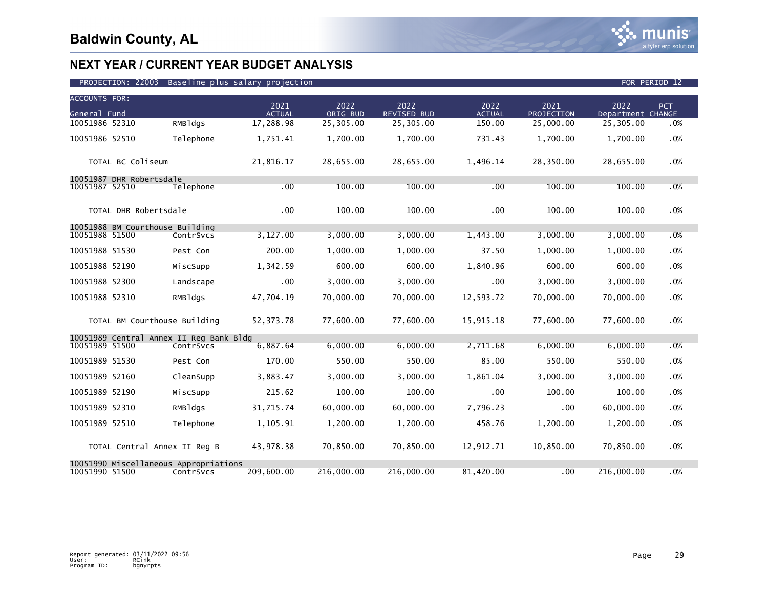

| <b>ACCOUNTS FOR:</b> |                                         |            |                       |                  |                     |                       |                    |                           |            |
|----------------------|-----------------------------------------|------------|-----------------------|------------------|---------------------|-----------------------|--------------------|---------------------------|------------|
| General Fund         |                                         |            | 2021<br><b>ACTUAL</b> | 2022<br>ORIG BUD | 2022<br>REVISED BUD | 2022<br><b>ACTUAL</b> | 2021<br>PROJECTION | 2022<br>Department CHANGE | <b>PCT</b> |
| 10051986 52310       |                                         | $RMB$ ldgs | 17,288.98             | 25,305.00        | 25,305.00           | 150.00                | 25,000.00          | 25,305.00                 | .0%        |
| 10051986 52510       |                                         | Telephone  | 1,751.41              | 1,700.00         | 1,700.00            | 731.43                | 1,700.00           | 1,700.00                  | .0%        |
|                      | TOTAL BC Coliseum                       |            | 21,816.17             | 28,655.00        | 28,655.00           | 1,496.14              | 28,350.00          | 28,655.00                 | .0%        |
|                      | 10051987 DHR Robertsdale                |            |                       |                  |                     |                       |                    |                           |            |
| 10051987 52510       |                                         | Telephone  | .00                   | 100.00           | 100.00              | .00                   | 100.00             | 100.00                    | .0%        |
|                      | TOTAL DHR Robertsdale                   |            | .00                   | 100.00           | 100.00              | .00                   | 100.00             | 100.00                    | .0%        |
|                      | 10051988 BM Courthouse Building         |            |                       |                  |                     |                       |                    |                           |            |
| 10051988 51500       |                                         | ContrSvcs  | 3,127.00              | 3,000.00         | 3,000.00            | 1,443.00              | 3,000.00           | 3,000.00                  | .0%        |
| 10051988 51530       |                                         | Pest Con   | 200.00                | 1,000.00         | 1,000.00            | 37.50                 | 1,000.00           | 1,000.00                  | .0%        |
| 10051988 52190       |                                         | MiscSupp   | 1,342.59              | 600.00           | 600.00              | 1,840.96              | 600.00             | 600.00                    | .0%        |
| 10051988 52300       |                                         | Landscape  | .00                   | 3.000.00         | 3.000.00            | .00                   | 3,000.00           | 3.000.00                  | .0%        |
| 10051988 52310       |                                         | RMBldgs    | 47,704.19             | 70,000.00        | 70,000.00           | 12,593.72             | 70,000.00          | 70,000.00                 | .0%        |
|                      | TOTAL BM Courthouse Building            |            | 52.373.78             | 77.600.00        | 77.600.00           | 15,915.18             | 77.600.00          | 77.600.00                 | .0%        |
|                      | 10051989 Central Annex II Reg Bank Bldg |            |                       |                  |                     |                       |                    |                           |            |
| 10051989 51500       |                                         | ContrSvcs  | 6,887.64              | 6.000.00         | 6.000.00            | 2,711.68              | 6,000.00           | 6,000.00                  | .0%        |
| 10051989 51530       |                                         | Pest Con   | 170.00                | 550.00           | 550.00              | 85.00                 | 550.00             | 550.00                    | .0%        |
| 10051989 52160       |                                         | CleanSupp  | 3,883.47              | 3,000.00         | 3,000.00            | 1,861.04              | 3,000.00           | 3,000.00                  | .0%        |
| 10051989 52190       |                                         | MiscSupp   | 215.62                | 100.00           | 100.00              | .00                   | 100.00             | 100.00                    | .0%        |
| 10051989 52310       |                                         | RMBldgs    | 31,715.74             | 60,000.00        | 60,000.00           | 7,796.23              | .00                | 60,000.00                 | .0%        |
| 10051989 52510       |                                         | Telephone  | 1,105.91              | 1,200.00         | 1,200.00            | 458.76                | 1,200.00           | 1,200.00                  | .0%        |
|                      | TOTAL Central Annex II Reg B            |            | 43,978.38             | 70,850.00        | 70,850.00           | 12,912.71             | 10,850.00          | 70,850.00                 | .0%        |
| 10051990 51500       | 10051990 Miscellaneous Appropriations   | ContrSvcs  | 209,600.00            | 216,000.00       | 216,000.00          | 81,420.00             | .00                | 216,000.00                | .0%        |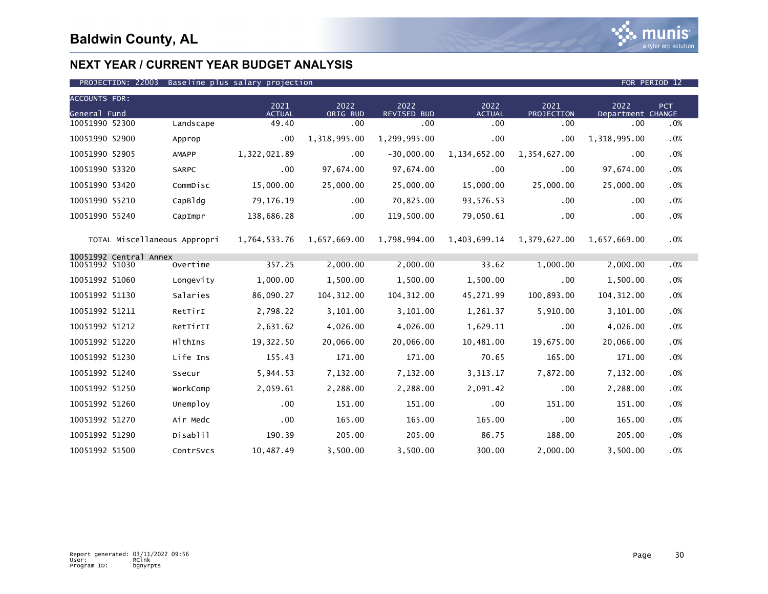

### PROJECTION: 22003 Baseline plus salary projection FOR PERIOD 12

| <b>ACCOUNTS FOR:</b>                     |           | 2021          | 2022         | 2022               | 2022           | 2021         | 2022              | PCT. |
|------------------------------------------|-----------|---------------|--------------|--------------------|----------------|--------------|-------------------|------|
| General Fund                             |           | <b>ACTUAL</b> | ORIG BUD     | <b>REVISED BUD</b> | <b>ACTUAL</b>  | PROJECTION   | Department CHANGE |      |
| 10051990 52300                           | Landscape | 49.40         | .00          | .00                | .00            | .00          | .00               | .0%  |
| 10051990 52900                           | Approp    | $.00 \,$      | 1,318,995.00 | 1,299,995.00       | .00            | .00          | 1,318,995.00      | .0%  |
| 10051990 52905                           | AMAPP     | 1,322,021.89  | .00          | $-30,000.00$       | 1, 134, 652.00 | 1,354,627.00 | .00               | .0%  |
| 10051990 53320                           | SARPC     | $.00 \,$      | 97,674.00    | 97,674.00          | .00            | .00          | 97,674.00         | .0%  |
| 10051990 53420                           | CommDisc  | 15,000.00     | 25,000.00    | 25,000.00          | 15,000.00      | 25,000.00    | 25,000.00         | .0%  |
| 10051990 55210                           | CapB1dq   | 79,176.19     | .00          | 70,825.00          | 93,576.53      | .00          | .00               | .0%  |
| 10051990 55240                           | CapImpr   | 138,686.28    | $.00 \,$     | 119,500.00         | 79,050.61      | .00          | .00               | .0%  |
| TOTAL Miscellaneous Appropri             |           | 1,764,533.76  | 1,657,669.00 | 1,798,994.00       | 1,403,699.14   | 1,379,627.00 | 1.657.669.00      | .0%  |
| 10051992 Central Annex<br>10051992 51030 | Overtime  | 357.25        | 2,000.00     | 2,000.00           | 33.62          | 1,000.00     | 2,000.00          | .0%  |
| 10051992 51060                           | Longevity | 1,000.00      | 1,500.00     | 1,500.00           | 1,500.00       | .00          | 1,500.00          | .0%  |
| 10051992 51130                           | Salaries  | 86,090.27     | 104, 312.00  | 104, 312.00        | 45,271.99      | 100,893.00   | 104, 312.00       | .0%  |
| 10051992 51211                           | RetTirI   | 2,798.22      | 3,101.00     | 3,101.00           | 1,261.37       | 5,910.00     | 3,101.00          | .0%  |
| 10051992 51212                           | RetTirII  | 2,631.62      | 4,026.00     | 4,026.00           | 1,629.11       | .00          | 4,026.00          | .0%  |
| 10051992 51220                           | HlthIns   | 19,322.50     | 20,066.00    | 20,066.00          | 10,481.00      | 19,675.00    | 20,066.00         | .0%  |
| 10051992 51230                           | Life Ins  | 155.43        | 171.00       | 171.00             | 70.65          | 165.00       | 171.00            | .0%  |
| 10051992 51240                           | Ssecur    | 5,944.53      | 7,132.00     | 7,132.00           | 3,313.17       | 7,872.00     | 7,132.00          | .0%  |
| 10051992 51250                           | WorkComp  | 2,059.61      | 2,288.00     | 2,288.00           | 2,091.42       | .00          | 2,288.00          | .0%  |
| 10051992 51260                           | Unemploy  | $.00 \,$      | 151.00       | 151.00             | .00            | 151.00       | 151.00            | .0%  |
| 10051992 51270                           | Air Medc  | .00           | 165.00       | 165.00             | 165.00         | .00          | 165.00            | .0%  |
| 10051992 51290                           | Disablil  | 190.39        | 205.00       | 205.00             | 86.75          | 188.00       | 205.00            | .0%  |
| 10051992 51500                           | ContrSvcs | 10,487.49     | 3,500.00     | 3,500.00           | 300.00         | 2,000.00     | 3,500.00          | .0%  |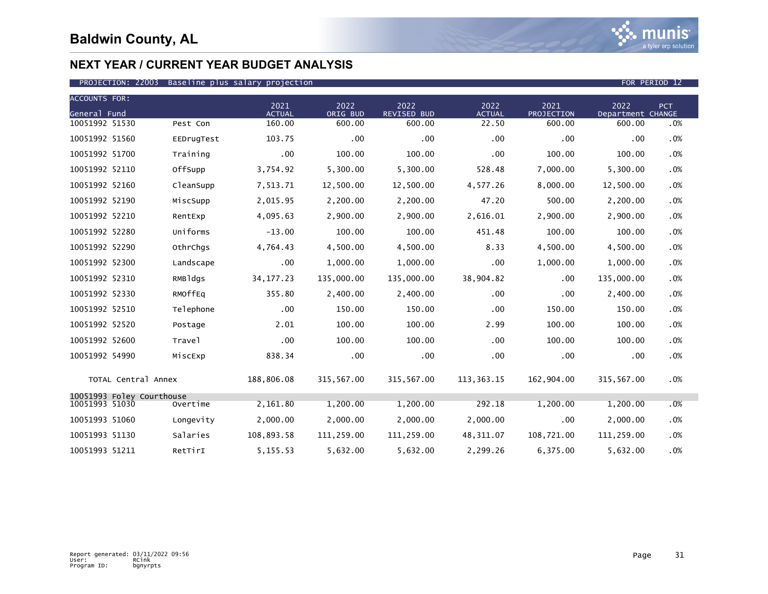| <b>ACCOUNTS FOR:</b>                        |            |                       |                  |                            |                       |                    |                           |     |
|---------------------------------------------|------------|-----------------------|------------------|----------------------------|-----------------------|--------------------|---------------------------|-----|
| General Fund                                |            | 2021<br><b>ACTUAL</b> | 2022<br>ORIG BUD | 2022<br><b>REVISED BUD</b> | 2022<br><b>ACTUAL</b> | 2021<br>PROJECTION | 2022<br>Department CHANGE | PCT |
| 10051992 51530                              | Pest Con   | 160.00                | 600.00           | 600.00                     | 22.50                 | 600.00             | 600.00                    | .0% |
| 10051992 51560                              | EEDrugTest | 103.75                | .00              | .00 <sub>1</sub>           | .00                   | .00                | .00                       | .0% |
| 10051992 51700                              | Training   | .00                   | 100.00           | 100.00                     | .00                   | 100.00             | 100.00                    | .0% |
| 10051992 52110                              | OffSupp    | 3,754.92              | 5,300.00         | 5,300.00                   | 528.48                | 7,000.00           | 5,300.00                  | .0% |
| 10051992 52160                              | CleanSupp  | 7,513.71              | 12,500.00        | 12,500.00                  | 4,577.26              | 8,000.00           | 12,500.00                 | .0% |
| 10051992 52190                              | MiscSupp   | 2,015.95              | 2,200.00         | 2,200.00                   | 47.20                 | 500.00             | 2,200.00                  | .0% |
| 10051992 52210                              | RentExp    | 4,095.63              | 2,900.00         | 2,900.00                   | 2,616.01              | 2,900.00           | 2,900.00                  | .0% |
| 10051992 52280                              | Uniforms   | $-13.00$              | 100.00           | 100.00                     | 451.48                | 100.00             | 100.00                    | .0% |
| 10051992 52290                              | OthrChgs   | 4,764.43              | 4,500.00         | 4,500.00                   | 8.33                  | 4,500.00           | 4,500.00                  | .0% |
| 10051992 52300                              | Landscape  | .00                   | 1,000.00         | 1,000.00                   | .00                   | 1,000.00           | 1,000.00                  | .0% |
| 10051992 52310                              | RMBldgs    | 34, 177. 23           | 135,000.00       | 135,000.00                 | 38,904.82             | .00                | 135,000.00                | .0% |
| 10051992 52330                              | RMOffEq    | 355.80                | 2,400.00         | 2,400.00                   | $.00 \,$              | .00                | 2,400.00                  | .0% |
| 10051992 52510                              | Telephone  | $.00 \,$              | 150.00           | 150.00                     | .00                   | 150.00             | 150.00                    | .0% |
| 10051992 52520                              | Postage    | 2.01                  | 100.00           | 100.00                     | 2.99                  | 100.00             | 100.00                    | .0% |
| 10051992 52600                              | Travel     | .00                   | 100.00           | 100.00                     | .00                   | 100.00             | 100.00                    | .0% |
| 10051992 54990                              | MiscExp    | 838.34                | .00              | $.00 \,$                   | $.00 \,$              | .00                | .00                       | .0% |
| TOTAL Central Annex                         |            | 188,806.08            | 315,567.00       | 315,567.00                 | 113,363.15            | 162,904.00         | 315,567.00                | .0% |
| 10051993 Foley Courthouse<br>10051993 51030 | Overtime   | 2,161.80              | 1,200.00         | 1,200.00                   | 292.18                | 1,200.00           | 1,200.00                  | .0% |
|                                             |            |                       |                  |                            |                       |                    |                           |     |
| 10051993 51060                              | Longevity  | 2,000.00              | 2,000.00         | 2,000.00                   | 2,000.00              | .00                | 2,000.00                  | .0% |
| 10051993 51130                              | Salaries   | 108,893.58            | 111,259.00       | 111,259.00                 | 48,311.07             | 108,721.00         | 111,259.00                | .0% |
| 10051993 51211                              | RetTirI    | 5, 155. 53            | 5,632.00         | 5,632.00                   | 2,299.26              | 6,375.00           | 5,632.00                  | .0% |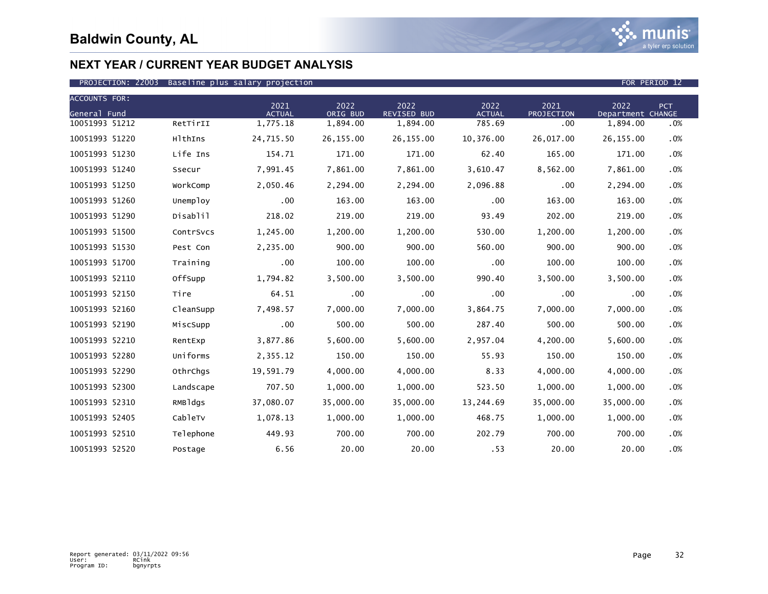

| <b>ACCOUNTS FOR:</b> |           |                       |                  |                            |                       |                    |                           |            |
|----------------------|-----------|-----------------------|------------------|----------------------------|-----------------------|--------------------|---------------------------|------------|
| General Fund         |           | 2021<br><b>ACTUAL</b> | 2022<br>ORIG BUD | 2022<br><b>REVISED BUD</b> | 2022<br><b>ACTUAL</b> | 2021<br>PROJECTION | 2022<br>Department CHANGE | <b>PCT</b> |
| 10051993 51212       | RetTirII  | 1,775.18              | 1,894.00         | 1,894.00                   | 785.69                | .00                | 1,894.00                  | .0%        |
| 10051993 51220       | HlthIns   | 24,715.50             | 26, 155.00       | 26,155.00                  | 10,376.00             | 26,017.00          | 26,155.00                 | .0%        |
| 10051993 51230       | Life Ins  | 154.71                | 171.00           | 171.00                     | 62.40                 | 165.00             | 171.00                    | .0%        |
| 10051993 51240       | Ssecur    | 7,991.45              | 7,861.00         | 7,861.00                   | 3,610.47              | 8,562.00           | 7,861.00                  | .0%        |
| 10051993 51250       | WorkComp  | 2,050.46              | 2,294.00         | 2,294.00                   | 2,096.88              | .00                | 2,294.00                  | .0%        |
| 10051993 51260       | Unemploy  | .00                   | 163.00           | 163.00                     | .00                   | 163.00             | 163.00                    | .0%        |
| 10051993 51290       | Disablil  | 218.02                | 219.00           | 219.00                     | 93.49                 | 202.00             | 219.00                    | .0%        |
| 10051993 51500       | ContrSvcs | 1,245.00              | 1,200.00         | 1,200.00                   | 530.00                | 1,200.00           | 1,200.00                  | .0%        |
| 10051993 51530       | Pest Con  | 2,235.00              | 900.00           | 900.00                     | 560.00                | 900.00             | 900.00                    | .0%        |
| 10051993 51700       | Training  | .00                   | 100.00           | 100.00                     | .00                   | 100.00             | 100.00                    | .0%        |
| 10051993 52110       | OffSupp   | 1,794.82              | 3,500.00         | 3,500.00                   | 990.40                | 3,500.00           | 3,500.00                  | .0%        |
| 10051993 52150       | Tire      | 64.51                 | .00              | $.00 \,$                   | .00                   | .00                | .00                       | .0%        |
| 10051993 52160       | CleanSupp | 7,498.57              | 7,000.00         | 7,000.00                   | 3,864.75              | 7,000.00           | 7,000.00                  | .0%        |
| 10051993 52190       | MiscSupp  | .00                   | 500.00           | 500.00                     | 287.40                | 500.00             | 500.00                    | .0%        |
| 10051993 52210       | RentExp   | 3,877.86              | 5,600.00         | 5,600.00                   | 2,957.04              | 4,200.00           | 5,600.00                  | .0%        |
| 10051993 52280       | Uniforms  | 2,355.12              | 150.00           | 150.00                     | 55.93                 | 150.00             | 150.00                    | .0%        |
| 10051993 52290       | OthrChgs  | 19,591.79             | 4,000.00         | 4,000.00                   | 8.33                  | 4,000.00           | 4,000.00                  | .0%        |
| 10051993 52300       | Landscape | 707.50                | 1,000.00         | 1,000.00                   | 523.50                | 1,000.00           | 1.000.00                  | .0%        |
| 10051993 52310       | RMBldgs   | 37,080.07             | 35,000.00        | 35,000.00                  | 13,244.69             | 35,000.00          | 35,000.00                 | .0%        |
| 10051993 52405       | CableTv   | 1,078.13              | 1,000.00         | 1,000.00                   | 468.75                | 1,000.00           | 1,000.00                  | .0%        |
| 10051993 52510       | Telephone | 449.93                | 700.00           | 700.00                     | 202.79                | 700.00             | 700.00                    | .0%        |
| 10051993 52520       | Postage   | 6.56                  | 20.00            | 20.00                      | .53                   | 20.00              | 20.00                     | .0%        |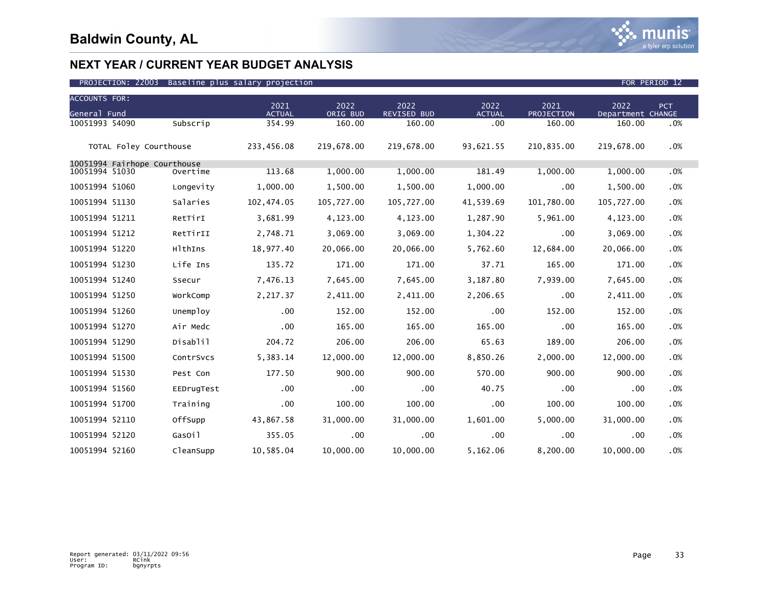

| <b>ACCOUNTS FOR:</b>                           |            |                       |                  |                     |                       |                    |                           |            |
|------------------------------------------------|------------|-----------------------|------------------|---------------------|-----------------------|--------------------|---------------------------|------------|
| General Fund                                   |            | 2021<br><b>ACTUAL</b> | 2022<br>ORIG BUD | 2022<br>REVISED BUD | 2022<br><b>ACTUAL</b> | 2021<br>PROJECTION | 2022<br>Department CHANGE | <b>PCT</b> |
| 10051993 54090                                 | Subscrip   | 354.99                | 160.00           | 160.00              | .00                   | 160.00             | 160.00                    | .0%        |
| TOTAL Foley Courthouse                         |            | 233,456.08            | 219,678.00       | 219,678.00          | 93,621.55             | 210,835.00         | 219,678.00                | .0%        |
| 10051994 Fairhope Courthouse<br>10051994 51030 |            | 113.68                | 1,000.00         | 1,000.00            |                       | 1,000.00           |                           |            |
|                                                | Overtime   |                       |                  |                     | 181.49                |                    | 1,000.00                  | .0%        |
| 10051994 51060                                 | Longevity  | 1,000.00              | 1,500.00         | 1,500.00            | 1,000.00              | .00                | 1,500.00                  | .0%        |
| 10051994 51130                                 | Salaries   | 102,474.05            | 105,727.00       | 105,727.00          | 41,539.69             | 101,780.00         | 105,727.00                | .0%        |
| 10051994 51211                                 | RetTirI    | 3,681.99              | 4,123.00         | 4,123.00            | 1,287.90              | 5,961.00           | 4,123.00                  | $.0\%$     |
| 10051994 51212                                 | RetTirII   | 2,748.71              | 3,069.00         | 3,069.00            | 1,304.22              | .00                | 3,069.00                  | .0%        |
| 10051994 51220                                 | HlthIns    | 18,977.40             | 20,066.00        | 20,066.00           | 5,762.60              | 12,684.00          | 20,066.00                 | .0%        |
| 10051994 51230                                 | Life Ins   | 135.72                | 171.00           | 171.00              | 37.71                 | 165.00             | 171.00                    | .0%        |
| 10051994 51240                                 | Ssecur     | 7,476.13              | 7,645.00         | 7,645.00            | 3,187.80              | 7,939.00           | 7,645.00                  | .0%        |
| 10051994 51250                                 | WorkComp   | 2,217.37              | 2,411.00         | 2,411.00            | 2,206.65              | .00                | 2,411.00                  | .0%        |
| 10051994 51260                                 | Unemploy   | .00                   | 152.00           | 152.00              | .00                   | 152.00             | 152.00                    | $.0\%$     |
| 10051994 51270                                 | Air Medc   | .00                   | 165.00           | 165.00              | 165.00                | .00                | 165.00                    | .0%        |
| 10051994 51290                                 | Disablil   | 204.72                | 206.00           | 206.00              | 65.63                 | 189.00             | 206.00                    | .0%        |
| 10051994 51500                                 | ContrSvcs  | 5,383.14              | 12,000.00        | 12,000.00           | 8,850.26              | 2,000.00           | 12,000.00                 | $.0\%$     |
| 10051994 51530                                 | Pest Con   | 177.50                | 900.00           | 900.00              | 570.00                | 900.00             | 900.00                    | .0%        |
| 10051994 51560                                 | EEDrugTest | .00                   | .00              | .00                 | 40.75                 | .00                | .00                       | .0%        |
| 10051994 51700                                 | Training   | .00.                  | 100.00           | 100.00              | .00                   | 100.00             | 100.00                    | .0%        |
| 10051994 52110                                 | OffSupp    | 43,867.58             | 31,000.00        | 31,000.00           | 1,601.00              | 5,000.00           | 31,000.00                 | .0%        |
| 10051994 52120                                 | GasOil     | 355.05                | .00              | .00.                | .00                   | .00                | .00                       | .0%        |
| 10051994 52160                                 | CleanSupp  | 10,585.04             | 10,000.00        | 10,000.00           | 5,162.06              | 8,200.00           | 10,000.00                 | .0%        |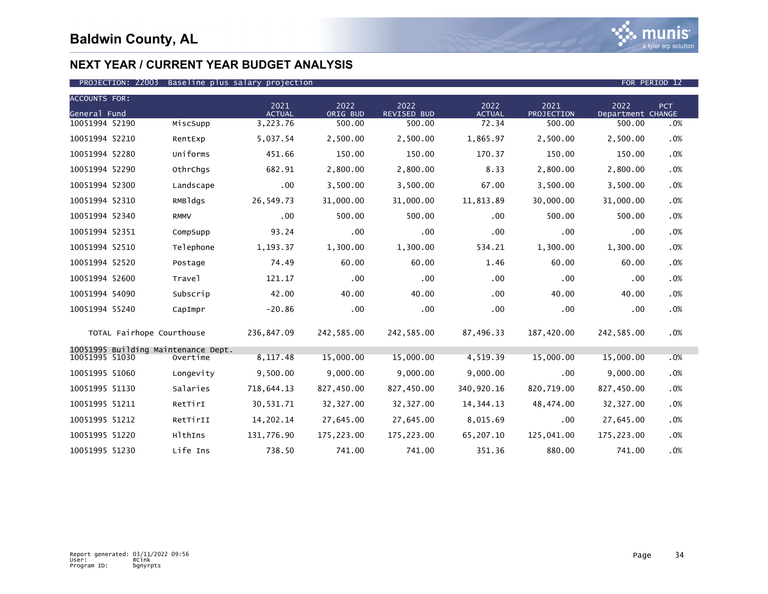

| <b>ACCOUNTS FOR:</b> |                                     |                       |                  |                            |                       |                           |                           |     |
|----------------------|-------------------------------------|-----------------------|------------------|----------------------------|-----------------------|---------------------------|---------------------------|-----|
| General Fund         |                                     | 2021<br><b>ACTUAL</b> | 2022<br>ORIG BUD | 2022<br><b>REVISED BUD</b> | 2022<br><b>ACTUAL</b> | 2021<br><b>PROJECTION</b> | 2022<br>Department CHANGE | PCT |
| 10051994 52190       | MiscSupp                            | 3,223.76              | 500.00           | 500.00                     | 72.34                 | 500.00                    | 500.00                    | .0% |
| 10051994 52210       | RentExp                             | 5,037.54              | 2,500.00         | 2,500.00                   | 1,865.97              | 2,500.00                  | 2,500.00                  | .0% |
| 10051994 52280       | Uniforms                            | 451.66                | 150.00           | 150.00                     | 170.37                | 150.00                    | 150.00                    | .0% |
| 10051994 52290       | OthrChgs                            | 682.91                | 2,800.00         | 2,800.00                   | 8.33                  | 2,800.00                  | 2,800.00                  | .0% |
| 10051994 52300       | Landscape                           | .00                   | 3,500.00         | 3,500.00                   | 67.00                 | 3,500.00                  | 3,500.00                  | .0% |
| 10051994 52310       | RMBldgs                             | 26,549.73             | 31,000.00        | 31,000.00                  | 11,813.89             | 30,000.00                 | 31,000.00                 | .0% |
| 10051994 52340       | <b>RMMV</b>                         | $.00 \,$              | 500.00           | 500.00                     | .00                   | 500.00                    | 500.00                    | .0% |
| 10051994 52351       | CompSupp                            | 93.24                 | .00              | $.00 \,$                   | .00                   | .00                       | .00                       | .0% |
| 10051994 52510       | Telephone                           | 1,193.37              | 1,300.00         | 1,300.00                   | 534.21                | 1,300.00                  | 1,300.00                  | .0% |
| 10051994 52520       | Postage                             | 74.49                 | 60.00            | 60.00                      | 1.46                  | 60.00                     | 60.00                     | .0% |
| 10051994 52600       | Travel                              | 121.17                | .00              | $.00 \,$                   | .00                   | .00                       | .00                       | .0% |
| 10051994 54090       | Subscrip                            | 42.00                 | 40.00            | 40.00                      | $.00 \,$              | 40.00                     | 40.00                     | .0% |
| 10051994 55240       | CapImpr                             | $-20.86$              | .00              | .00.                       | .00                   | .00                       | .00                       | .0% |
|                      | TOTAL Fairhope Courthouse           | 236,847.09            | 242,585.00       | 242,585.00                 | 87,496.33             | 187,420.00                | 242,585.00                | .0% |
| 10051995 51030       | 10051995 Building Maintenance Dept. | 8, 117.48             | 15,000.00        | 15,000.00                  | 4,519.39              | 15,000.00                 | 15,000.00                 |     |
|                      | Overtime                            |                       |                  |                            |                       |                           |                           | .0% |
| 10051995 51060       | Longevity                           | 9,500.00              | 9,000.00         | 9,000.00                   | 9,000.00              | .00                       | 9,000.00                  | .0% |
| 10051995 51130       | Salaries                            | 718,644.13            | 827,450.00       | 827,450.00                 | 340,920.16            | 820,719.00                | 827,450.00                | .0% |
| 10051995 51211       | RetTirI                             | 30,531.71             | 32, 327.00       | 32, 327.00                 | 14, 344. 13           | 48,474.00                 | 32, 327.00                | .0% |
| 10051995 51212       | RetTirII                            | 14,202.14             | 27,645.00        | 27,645.00                  | 8,015.69              | .00                       | 27,645.00                 | .0% |
| 10051995 51220       | HlthIns                             | 131,776.90            | 175,223.00       | 175,223.00                 | 65,207.10             | 125,041.00                | 175,223.00                | .0% |
| 10051995 51230       | Life Ins                            | 738.50                | 741.00           | 741.00                     | 351.36                | 880.00                    | 741.00                    | .0% |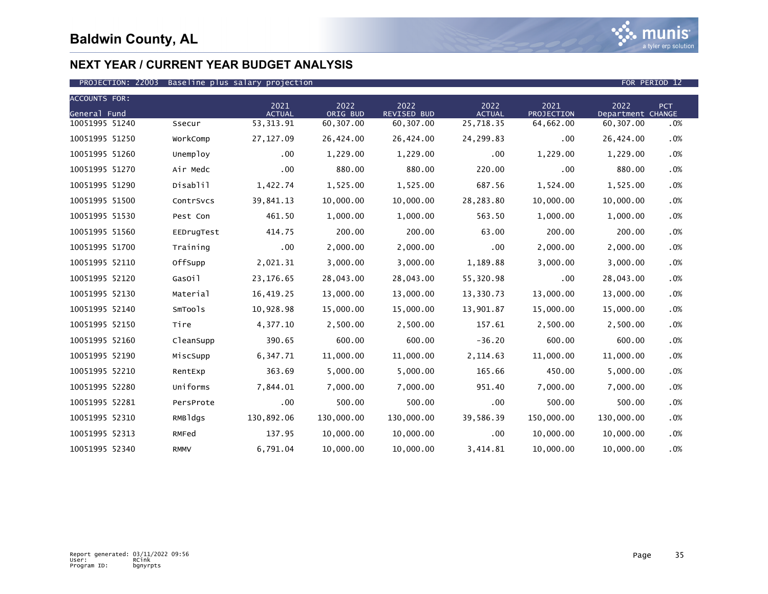

| <b>ACCOUNTS FOR:</b> |             |                       |                  |                            |                       |                    |                           |            |
|----------------------|-------------|-----------------------|------------------|----------------------------|-----------------------|--------------------|---------------------------|------------|
| General Fund         |             | 2021<br><b>ACTUAL</b> | 2022<br>ORIG BUD | 2022<br><b>REVISED BUD</b> | 2022<br><b>ACTUAL</b> | 2021<br>PROJECTION | 2022<br>Department CHANGE | <b>PCT</b> |
| 10051995 51240       | Ssecur      | 53, 313.91            | 60,307.00        | 60,307.00                  | 25,718.35             | 64,662.00          | 60,307.00                 | .0%        |
| 10051995 51250       | WorkComp    | 27,127.09             | 26,424.00        | 26,424.00                  | 24,299.83             | $.00 \,$           | 26,424.00                 | .0%        |
| 10051995 51260       | Unemploy    | $.00 \,$              | 1,229.00         | 1,229.00                   | $.00 \,$              | 1,229.00           | 1,229.00                  | .0%        |
| 10051995 51270       | Air Medc    | .00                   | 880.00           | 880.00                     | 220.00                | .00                | 880.00                    | .0%        |
| 10051995 51290       | Disablil    | 1,422.74              | 1,525.00         | 1,525.00                   | 687.56                | 1,524.00           | 1,525.00                  | .0%        |
| 10051995 51500       | ContrSvcs   | 39,841.13             | 10,000.00        | 10,000.00                  | 28,283.80             | 10,000.00          | 10,000.00                 | .0%        |
| 10051995 51530       | Pest Con    | 461.50                | 1,000.00         | 1,000.00                   | 563.50                | 1,000.00           | 1,000.00                  | .0%        |
| 10051995 51560       | EEDrugTest  | 414.75                | 200.00           | 200.00                     | 63.00                 | 200.00             | 200.00                    | .0%        |
| 10051995 51700       | Training    | .00                   | 2,000.00         | 2,000.00                   | .00                   | 2,000.00           | 2,000.00                  | .0%        |
| 10051995 52110       | OffSupp     | 2,021.31              | 3,000.00         | 3,000.00                   | 1,189.88              | 3,000.00           | 3,000.00                  | .0%        |
| 10051995 52120       | GasOil      | 23,176.65             | 28,043.00        | 28,043.00                  | 55,320.98             | .00                | 28,043.00                 | .0%        |
| 10051995 52130       | Material    | 16,419.25             | 13,000.00        | 13,000.00                  | 13,330.73             | 13,000.00          | 13,000.00                 | .0%        |
| 10051995 52140       | SmTools     | 10,928.98             | 15,000.00        | 15,000.00                  | 13,901.87             | 15,000.00          | 15,000.00                 | .0%        |
| 10051995 52150       | Tire        | 4,377.10              | 2,500.00         | 2,500.00                   | 157.61                | 2,500.00           | 2,500.00                  | .0%        |
| 10051995 52160       | CleanSupp   | 390.65                | 600.00           | 600.00                     | $-36.20$              | 600.00             | 600.00                    | .0%        |
| 10051995 52190       | MiscSupp    | 6,347.71              | 11,000.00        | 11,000.00                  | 2,114.63              | 11,000.00          | 11,000.00                 | .0%        |
| 10051995 52210       | RentExp     | 363.69                | 5,000.00         | 5,000.00                   | 165.66                | 450.00             | 5,000.00                  | .0%        |
| 10051995 52280       | Uniforms    | 7.844.01              | 7,000.00         | 7.000.00                   | 951.40                | 7.000.00           | 7.000.00                  | .0%        |
| 10051995 52281       | PersProte   | .00                   | 500.00           | 500.00                     | $.00 \,$              | 500.00             | 500.00                    | $.0\%$     |
| 10051995 52310       | RMBldgs     | 130,892.06            | 130,000.00       | 130,000.00                 | 39,586.39             | 150,000.00         | 130,000.00                | .0%        |
| 10051995 52313       | RMFed       | 137.95                | 10,000.00        | 10,000.00                  | $.00 \,$              | 10,000.00          | 10,000.00                 | $.0\%$     |
| 10051995 52340       | <b>RMMV</b> | 6,791.04              | 10,000.00        | 10,000.00                  | 3,414.81              | 10,000.00          | 10,000.00                 | .0%        |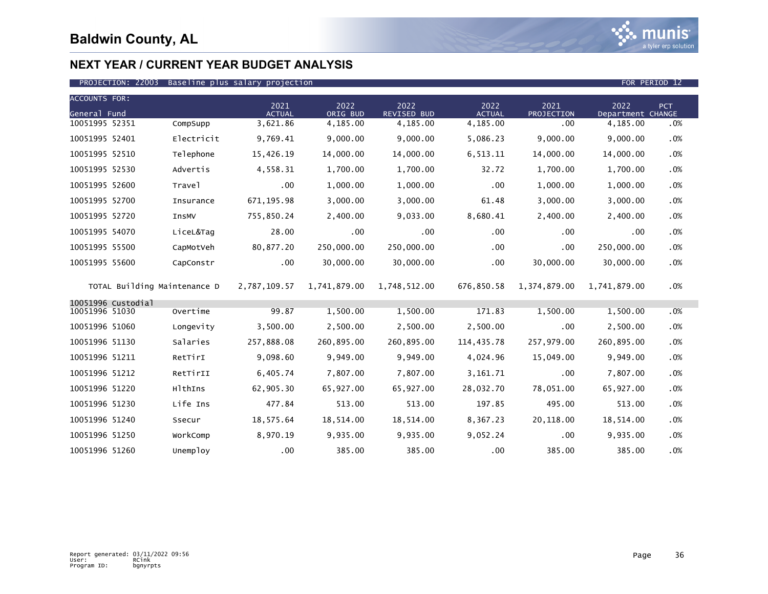

### PROJECTION: 22003 Baseline plus salary projection FOR PERIOD 12

| <b>ACCOUNTS FOR:</b><br>General Fund |                              |            | 2021<br><b>ACTUAL</b> | 2022<br>ORIG BUD | 2022<br>REVISED BUD | 2022<br><b>ACTUAL</b> | 2021<br>PROJECTION | 2022<br>Department CHANGE | PCT |
|--------------------------------------|------------------------------|------------|-----------------------|------------------|---------------------|-----------------------|--------------------|---------------------------|-----|
| 10051995 52351                       |                              | CompSupp   | 3,621.86              | 4,185.00         | 4,185.00            | 4,185.00              | .00                | 4,185.00                  | .0% |
| 10051995 52401                       |                              | Electricit | 9,769.41              | 9,000.00         | 9,000.00            | 5,086.23              | 9,000.00           | 9,000.00                  | .0% |
| 10051995 52510                       |                              | Telephone  | 15,426.19             | 14,000.00        | 14,000.00           | 6,513.11              | 14,000.00          | 14,000.00                 | .0% |
| 10051995 52530                       |                              | Advertis   | 4,558.31              | 1,700.00         | 1,700.00            | 32.72                 | 1,700.00           | 1,700.00                  | .0% |
| 10051995 52600                       |                              | Trave]     | $.00 \,$              | 1,000.00         | 1,000.00            | $.00 \,$              | 1,000.00           | 1,000.00                  | .0% |
| 10051995 52700                       |                              | Insurance  | 671, 195.98           | 3,000.00         | 3,000.00            | 61.48                 | 3,000.00           | 3,000.00                  | .0% |
| 10051995 52720                       |                              | InsMV      | 755,850.24            | 2,400.00         | 9,033.00            | 8,680.41              | 2,400.00           | 2,400.00                  | .0% |
| 10051995 54070                       |                              | LiceL&Tag  | 28.00                 | $.00 \,$         | .00                 | .00                   | .00                | $.00 \,$                  | .0% |
| 10051995 55500                       |                              | CapMotVeh  | 80,877.20             | 250,000.00       | 250,000.00          | .00                   | .00                | 250,000.00                | .0% |
| 10051995 55600                       |                              | CapConstr  | $.00 \,$              | 30,000.00        | 30,000.00           | .00                   | 30,000.00          | 30,000.00                 | .0% |
|                                      | TOTAL Building Maintenance D |            | 2,787,109.57          | 1,741,879.00     | 1,748,512.00        | 676,850.58            | 1,374,879.00       | 1,741,879.00              | .0% |
| 10051996 Custodial<br>10051996 51030 |                              | Overtime   | 99.87                 | 1,500.00         | 1,500.00            | 171.83                | 1,500.00           | 1,500.00                  | .0% |
| 10051996 51060                       |                              | Longevity  | 3,500.00              | 2,500.00         | 2,500.00            | 2,500.00              | .00                | 2,500.00                  | .0% |
| 10051996 51130                       |                              | Salaries   | 257,888.08            | 260,895.00       | 260,895.00          | 114,435.78            | 257,979.00         | 260,895.00                | .0% |
| 10051996 51211                       |                              | RetTirI    | 9,098.60              | 9,949.00         | 9,949.00            | 4,024.96              | 15,049.00          | 9,949.00                  | .0% |
| 10051996 51212                       |                              | RetTirII   | 6,405.74              | 7,807.00         | 7,807.00            | 3,161.71              | .00                | 7,807.00                  | .0% |
| 10051996 51220                       |                              | HlthIns    | 62,905.30             | 65,927.00        | 65,927.00           | 28,032.70             | 78,051.00          | 65,927.00                 | .0% |
| 10051996 51230                       |                              | Life Ins   | 477.84                | 513.00           | 513.00              | 197.85                | 495.00             | 513.00                    | .0% |
| 10051996 51240                       |                              | Ssecur     | 18,575.64             | 18,514.00        | 18,514.00           | 8,367.23              | 20,118.00          | 18,514.00                 | .0% |
| 10051996 51250                       |                              | WorkComp   | 8,970.19              | 9,935.00         | 9,935.00            | 9,052.24              | .00                | 9,935.00                  | .0% |
| 10051996 51260                       |                              | Unemploy   | .00                   | 385.00           | 385.00              | .00                   | 385.00             | 385.00                    | .0% |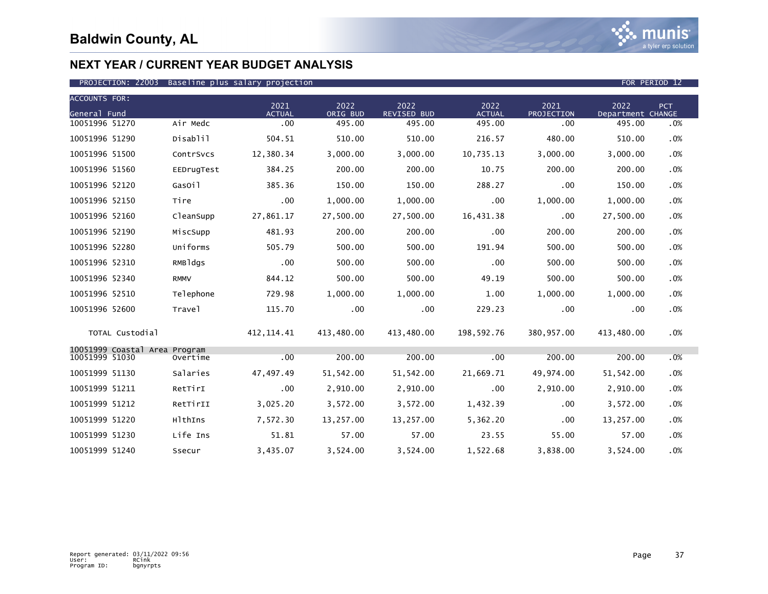

| <b>ACCOUNTS FOR:</b> |                               |             |                       |                  |                            |                       |                    |                           |     |
|----------------------|-------------------------------|-------------|-----------------------|------------------|----------------------------|-----------------------|--------------------|---------------------------|-----|
| General Fund         |                               |             | 2021<br><b>ACTUAL</b> | 2022<br>ORIG BUD | 2022<br><b>REVISED BUD</b> | 2022<br><b>ACTUAL</b> | 2021<br>PROJECTION | 2022<br>Department CHANGE | PCT |
| 10051996 51270       |                               | Air Medc    | .00                   | 495.00           | 495.00                     | 495.00                | .00                | 495.00                    | .0% |
| 10051996 51290       |                               | Disablil    | 504.51                | 510.00           | 510.00                     | 216.57                | 480.00             | 510.00                    | .0% |
| 10051996 51500       |                               | ContrSvcs   | 12,380.34             | 3,000.00         | 3,000.00                   | 10,735.13             | 3,000.00           | 3,000.00                  | .0% |
| 10051996 51560       |                               | EEDrugTest  | 384.25                | 200.00           | 200.00                     | 10.75                 | 200.00             | 200.00                    | .0% |
| 10051996 52120       |                               | GasOil      | 385.36                | 150.00           | 150.00                     | 288.27                | .00                | 150.00                    | .0% |
| 10051996 52150       |                               | Tire        | .00                   | 1,000.00         | 1,000.00                   | .00.                  | 1,000.00           | 1,000.00                  | .0% |
| 10051996 52160       |                               | CleanSupp   | 27,861.17             | 27,500.00        | 27.500.00                  | 16,431.38             | .00                | 27,500.00                 | .0% |
| 10051996 52190       |                               | MiscSupp    | 481.93                | 200.00           | 200.00                     | .00 <sub>1</sub>      | 200.00             | 200.00                    | .0% |
| 10051996 52280       |                               | Uniforms    | 505.79                | 500.00           | 500.00                     | 191.94                | 500.00             | 500.00                    | .0% |
| 10051996 52310       |                               | RMBldgs     | .00                   | 500.00           | 500.00                     | .00                   | 500.00             | 500.00                    | .0% |
| 10051996 52340       |                               | <b>RMMV</b> | 844.12                | 500.00           | 500.00                     | 49.19                 | 500.00             | 500.00                    | .0% |
| 10051996 52510       |                               | Telephone   | 729.98                | 1,000.00         | 1.000.00                   | 1.00                  | 1,000.00           | 1,000.00                  | .0% |
| 10051996 52600       |                               | Trave1      | 115.70                | .00              | $.00 \,$                   | 229.23                | .00                | .00                       | .0% |
|                      | TOTAL Custodial               |             | 412, 114.41           | 413,480.00       | 413,480.00                 | 198,592.76            | 380,957.00         | 413,480.00                | .0% |
| 10051999 51030       | 10051999 Coastal Area Program |             |                       | 200.00           | 200.00                     | .00                   | 200.00             |                           |     |
|                      |                               | Overtime    | .00                   |                  |                            |                       |                    | 200.00                    | .0% |
| 10051999 51130       |                               | Salaries    | 47,497.49             | 51,542.00        | 51,542.00                  | 21,669.71             | 49,974.00          | 51,542.00                 | .0% |
| 10051999 51211       |                               | RetTirI     | .00                   | 2,910.00         | 2,910.00                   | .00                   | 2,910.00           | 2,910.00                  | .0% |
| 10051999 51212       |                               | RetTirII    | 3,025.20              | 3,572.00         | 3,572.00                   | 1,432.39              | .00                | 3,572.00                  | .0% |
| 10051999 51220       |                               | HlthIns     | 7,572.30              | 13,257.00        | 13,257.00                  | 5,362.20              | .00                | 13,257.00                 | .0% |
| 10051999 51230       |                               | Life Ins    | 51.81                 | 57.00            | 57.00                      | 23.55                 | 55.00              | 57.00                     | .0% |
| 10051999 51240       |                               | Ssecur      | 3,435.07              | 3,524.00         | 3,524.00                   | 1,522.68              | 3,838.00           | 3,524.00                  | .0% |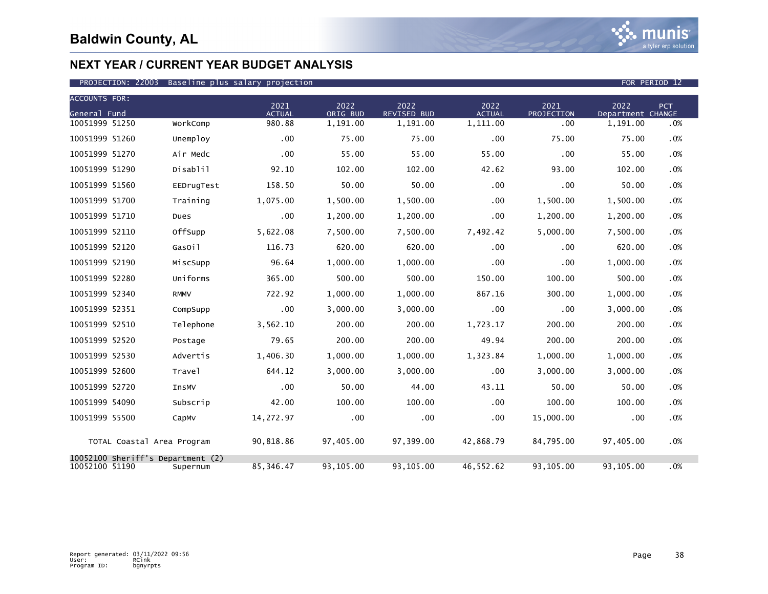

| <b>ACCOUNTS FOR:</b>                                |             | 2021          | 2022      | 2022        | 2022          | 2021       | 2022              | PCT |
|-----------------------------------------------------|-------------|---------------|-----------|-------------|---------------|------------|-------------------|-----|
| General Fund                                        |             | <b>ACTUAL</b> | ORIG BUD  | REVISED BUD | <b>ACTUAL</b> | PROJECTION | Department CHANGE |     |
| 10051999 51250                                      | WorkComp    | 980.88        | 1,191.00  | 1,191.00    | 1,111.00      | .00        | 1,191.00          | .0% |
| 10051999 51260                                      | Unemploy    | $.00 \,$      | 75.00     | 75.00       | $.00 \,$      | 75.00      | 75.00             | .0% |
| 10051999 51270                                      | Air Medc    | .00           | 55.00     | 55.00       | 55.00         | .00        | 55.00             | .0% |
| 10051999 51290                                      | Disablil    | 92.10         | 102.00    | 102.00      | 42.62         | 93.00      | 102.00            | .0% |
| 10051999 51560                                      | EEDrugTest  | 158.50        | 50.00     | 50.00       | .00           | .00        | 50.00             | .0% |
| 10051999 51700                                      | Training    | 1,075.00      | 1,500.00  | 1,500.00    | .00           | 1,500.00   | 1,500.00          | .0% |
| 10051999 51710                                      | Dues        | .00           | 1,200.00  | 1,200.00    | .00           | 1,200.00   | 1,200.00          | .0% |
| 10051999 52110                                      | OffSupp     | 5,622.08      | 7,500.00  | 7,500.00    | 7,492.42      | 5,000.00   | 7,500.00          | .0% |
| 10051999 52120                                      | GasOil      | 116.73        | 620.00    | 620.00      | .00           | .00        | 620.00            | .0% |
| 10051999 52190                                      | MiscSupp    | 96.64         | 1,000.00  | 1.000.00    | .00           | .00        | 1,000.00          | .0% |
| 10051999 52280                                      | Uniforms    | 365.00        | 500.00    | 500.00      | 150.00        | 100.00     | 500.00            | .0% |
| 10051999 52340                                      | <b>RMMV</b> | 722.92        | 1,000.00  | 1,000.00    | 867.16        | 300.00     | 1,000.00          | .0% |
| 10051999 52351                                      | CompSupp    | .00           | 3,000.00  | 3,000.00    | $.00 \,$      | .00        | 3,000.00          | .0% |
| 10051999 52510                                      | Telephone   | 3,562.10      | 200.00    | 200.00      | 1,723.17      | 200.00     | 200.00            | .0% |
| 10051999 52520                                      | Postage     | 79.65         | 200.00    | 200.00      | 49.94         | 200.00     | 200.00            | .0% |
| 10051999 52530                                      | Advertis    | 1,406.30      | 1,000.00  | 1,000.00    | 1,323.84      | 1,000.00   | 1,000.00          | .0% |
| 10051999 52600                                      | Travel      | 644.12        | 3,000.00  | 3,000.00    | .00           | 3,000.00   | 3,000.00          | .0% |
| 10051999 52720                                      | InsMV       | .00           | 50.00     | 44.00       | 43.11         | 50.00      | 50.00             | .0% |
| 10051999 54090                                      | Subscrip    | 42.00         | 100.00    | 100.00      | .00           | 100.00     | 100.00            | .0% |
| 10051999 55500                                      | CapMv       | 14,272.97     | .00       | .00         | .00           | 15,000.00  | .00               | .0% |
| TOTAL Coastal Area Program                          |             | 90,818.86     | 97,405.00 | 97,399.00   | 42,868.79     | 84,795.00  | 97,405.00         | .0% |
| 10052100 Sheriff's Department (2)<br>10052100 51190 | Supernum    | 85.346.47     | 93.105.00 | 93.105.00   | 46.552.62     | 93.105.00  | 93.105.00         | .0% |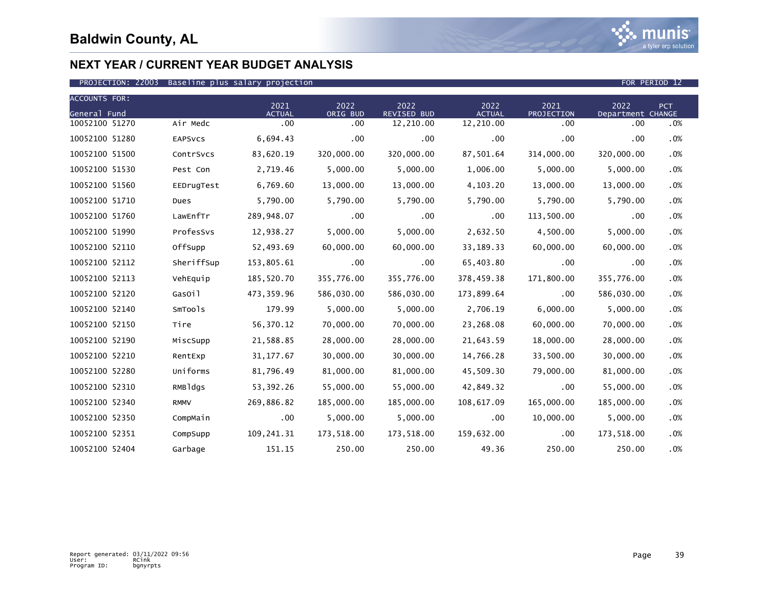

| <b>ACCOUNTS FOR:</b> |             | 2021          | 2022       | 2022        | 2022          |                    | 2022              |     |
|----------------------|-------------|---------------|------------|-------------|---------------|--------------------|-------------------|-----|
| General Fund         |             | <b>ACTUAL</b> | ORIG BUD   | REVISED BUD | <b>ACTUAL</b> | 2021<br>PROJECTION | Department CHANGE | PCT |
| 10052100 51270       | Air Medc    | .00           | .00        | 12,210.00   | 12,210.00     | $.00 \,$           | .00               | .0% |
| 10052100 51280       | EAPSVCS     | 6,694.43      | .00        | .00         | $.00 \,$      | .00                | .00               | .0% |
| 10052100 51500       | ContrSvcs   | 83,620.19     | 320,000.00 | 320,000.00  | 87,501.64     | 314,000.00         | 320,000.00        | .0% |
| 10052100 51530       | Pest Con    | 2,719.46      | 5,000.00   | 5,000.00    | 1,006.00      | 5,000.00           | 5,000.00          | .0% |
| 10052100 51560       | EEDrugTest  | 6,769.60      | 13,000.00  | 13,000.00   | 4,103.20      | 13,000.00          | 13,000.00         | .0% |
| 10052100 51710       | Dues        | 5,790.00      | 5,790.00   | 5,790.00    | 5,790.00      | 5,790.00           | 5,790.00          | .0% |
| 10052100 51760       | LawEnfTr    | 289,948.07    | $.00 \,$   | .00         | $.00 \,$      | 113,500.00         | .00               | .0% |
| 10052100 51990       | ProfesSvs   | 12,938.27     | 5,000.00   | 5,000.00    | 2,632.50      | 4,500.00           | 5,000.00          | .0% |
| 10052100 52110       | OffSupp     | 52,493.69     | 60,000.00  | 60,000.00   | 33, 189. 33   | 60,000.00          | 60,000.00         | .0% |
| 10052100 52112       | SheriffSup  | 153,805.61    | $.00 \,$   | $.00 \,$    | 65,403.80     | .00                | .00               | .0% |
| 10052100 52113       | VehEquip    | 185,520.70    | 355,776.00 | 355,776.00  | 378,459.38    | 171,800.00         | 355,776.00        | .0% |
| 10052100 52120       | GasOil      | 473,359.96    | 586,030.00 | 586,030.00  | 173,899.64    | $.00 \,$           | 586,030.00        | .0% |
| 10052100 52140       | SmTools     | 179.99        | 5,000.00   | 5,000.00    | 2,706.19      | 6,000.00           | 5,000.00          | .0% |
| 10052100 52150       | Tire        | 56,370.12     | 70,000.00  | 70,000.00   | 23,268.08     | 60,000.00          | 70,000.00         | .0% |
| 10052100 52190       | MiscSupp    | 21,588.85     | 28,000.00  | 28,000.00   | 21,643.59     | 18,000.00          | 28,000.00         | .0% |
| 10052100 52210       | RentExp     | 31, 177.67    | 30,000.00  | 30,000.00   | 14,766.28     | 33,500.00          | 30,000.00         | .0% |
| 10052100 52280       | Uniforms    | 81,796.49     | 81,000.00  | 81,000.00   | 45,509.30     | 79,000.00          | 81,000.00         | .0% |
| 10052100 52310       | RMBldgs     | 53, 392. 26   | 55,000.00  | 55,000.00   | 42,849.32     | .00                | 55,000.00         | .0% |
| 10052100 52340       | <b>RMMV</b> | 269,886.82    | 185,000.00 | 185,000.00  | 108,617.09    | 165,000.00         | 185,000.00        | .0% |
| 10052100 52350       | CompMain    | $.00 \,$      | 5,000.00   | 5,000.00    | .00           | 10,000.00          | 5,000.00          | .0% |
| 10052100 52351       | CompSupp    | 109,241.31    | 173,518.00 | 173,518.00  | 159,632.00    | $.00 \,$           | 173,518.00        | .0% |
| 10052100 52404       | Garbage     | 151.15        | 250.00     | 250.00      | 49.36         | 250.00             | 250.00            | .0% |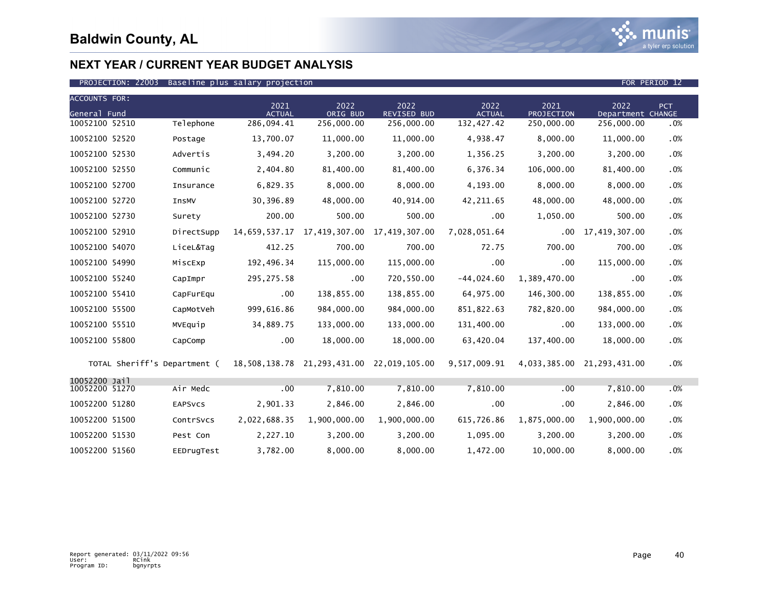

### PROJECTION: 22003 Baseline plus salary projection FOR PERIOD 12

| <b>ACCOUNTS FOR:</b>            |                              |                       |                  |                                                        |                       |                    |                            |      |
|---------------------------------|------------------------------|-----------------------|------------------|--------------------------------------------------------|-----------------------|--------------------|----------------------------|------|
| General Fund                    |                              | 2021<br><b>ACTUAL</b> | 2022<br>ORIG BUD | 2022<br><b>REVISED BUD</b>                             | 2022<br><b>ACTUAL</b> | 2021<br>PROJECTION | 2022<br>Department CHANGE  | PCT. |
| 10052100 52510                  | Telephone                    | 286,094.41            | 256,000.00       | 256,000.00                                             | 132, 427.42           | 250,000.00         | 256,000.00                 | .0%  |
| 10052100 52520                  | Postage                      | 13,700.07             | 11,000.00        | 11,000.00                                              | 4,938.47              | 8,000.00           | 11,000.00                  | .0%  |
| 10052100 52530                  | Advertis                     | 3,494.20              | 3,200.00         | 3,200.00                                               | 1,356.25              | 3,200.00           | 3,200.00                   | .0%  |
| 10052100 52550                  | Communic                     | 2,404.80              | 81,400.00        | 81,400.00                                              | 6,376.34              | 106,000.00         | 81,400.00                  | .0%  |
| 10052100 52700                  | Insurance                    | 6,829.35              | 8,000.00         | 8,000.00                                               | 4,193.00              | 8,000.00           | 8,000.00                   | .0%  |
| 10052100 52720                  | InsMV                        | 30,396.89             | 48,000.00        | 40,914.00                                              | 42,211.65             | 48,000.00          | 48,000.00                  | .0%  |
| 10052100 52730                  | Surety                       | 200.00                | 500.00           | 500.00                                                 | $.00 \,$              | 1,050.00           | 500.00                     | .0%  |
| 10052100 52910                  | DirectSupp                   | 14,659,537.17         | 17,419,307.00    | 17.419.307.00                                          | 7,028,051.64          | .00                | 17,419,307.00              | .0%  |
| 10052100 54070                  | LiceL&Tag                    | 412.25                | 700.00           | 700.00                                                 | 72.75                 | 700.00             | 700.00                     | .0%  |
| 10052100 54990                  | MiscExp                      | 192,496.34            | 115,000.00       | 115,000.00                                             | .00                   | .00                | 115,000.00                 | .0%  |
| 10052100 55240                  | CapImpr                      | 295, 275.58           | $.00 \,$         | 720,550.00                                             | $-44,024.60$          | 1,389,470.00       | .00                        | .0%  |
| 10052100 55410                  | CapFurEqu                    | $.00 \,$              | 138,855.00       | 138,855.00                                             | 64,975.00             | 146,300.00         | 138,855.00                 | .0%  |
| 10052100 55500                  | CapMotVeh                    | 999,616.86            | 984,000.00       | 984,000.00                                             | 851,822.63            | 782,820.00         | 984,000.00                 | .0%  |
| 10052100 55510                  | MVEquip                      | 34,889.75             | 133,000.00       | 133,000.00                                             | 131,400.00            | .00                | 133,000.00                 | .0%  |
| 10052100 55800                  | CapComp                      | .00                   | 18,000.00        | 18,000.00                                              | 63,420.04             | 137,400.00         | 18,000.00                  | .0%  |
|                                 | TOTAL Sheriff's Department ( |                       |                  | 18,508,138.78 21,293,431.00 22,019,105.00 9,517,009.91 |                       |                    | 4,033,385.00 21,293,431.00 | .0%  |
| 10052200 Jail<br>10052200 51270 | Air Medc                     | .00                   | 7,810.00         | 7,810.00                                               | 7,810.00              | .00                | 7,810.00                   | .0%  |
| 10052200 51280                  | <b>EAPSVCS</b>               | 2,901.33              | 2,846.00         | 2,846.00                                               | .00                   | .00.               | 2,846.00                   | .0%  |
| 10052200 51500                  | ContrSvcs                    | 2,022,688.35          | 1,900,000.00     | 1,900,000.00                                           | 615,726.86            | 1,875,000.00       | 1,900,000.00               | .0%  |
|                                 |                              |                       |                  |                                                        |                       |                    |                            |      |
| 10052200 51530                  | Pest Con                     | 2,227.10              | 3,200.00         | 3,200.00                                               | 1,095.00              | 3,200.00           | 3,200.00                   | .0%  |
| 10052200 51560                  | EEDrugTest                   | 3,782.00              | 8,000.00         | 8,000.00                                               | 1,472.00              | 10,000.00          | 8,000.00                   | .0%  |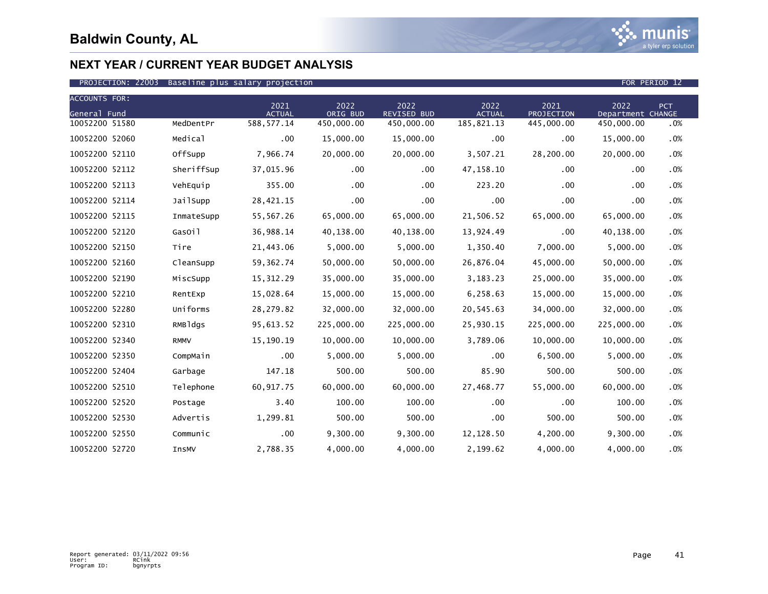

| <b>ACCOUNTS FOR:</b> |             |                       |                  |                            |                       |                           |                           |            |
|----------------------|-------------|-----------------------|------------------|----------------------------|-----------------------|---------------------------|---------------------------|------------|
| General Fund         |             | 2021<br><b>ACTUAL</b> | 2022<br>ORIG BUD | 2022<br><b>REVISED BUD</b> | 2022<br><b>ACTUAL</b> | 2021<br><b>PROJECTION</b> | 2022<br>Department CHANGE | <b>PCT</b> |
| 10052200 51580       | MedDentPr   | 588, 577.14           | 450,000.00       | 450,000.00                 | 185,821.13            | 445,000.00                | 450,000.00                | .0%        |
| 10052200 52060       | Medical     | .00                   | 15,000.00        | 15,000.00                  | $.00 \,$              | .00                       | 15,000.00                 | .0%        |
| 10052200 52110       | OffSupp     | 7,966.74              | 20,000.00        | 20,000.00                  | 3,507.21              | 28,200.00                 | 20,000.00                 | .0%        |
| 10052200 52112       | SheriffSup  | 37,015.96             | .00              | $.00 \,$                   | 47,158.10             | .00                       | .00                       | .0%        |
| 10052200 52113       | VehEquip    | 355.00                | .00              | $.00 \,$                   | 223.20                | .00                       | .00                       | .0%        |
| 10052200 52114       | JailSupp    | 28,421.15             | .00              | $.00 \,$                   | .00                   | .00                       | .00                       | .0%        |
| 10052200 52115       | InmateSupp  | 55,567.26             | 65,000.00        | 65,000.00                  | 21,506.52             | 65,000.00                 | 65,000.00                 | .0%        |
| 10052200 52120       | GasOil      | 36,988.14             | 40,138.00        | 40,138.00                  | 13,924.49             | .00                       | 40,138.00                 | .0%        |
| 10052200 52150       | Tire        | 21,443.06             | 5,000.00         | 5,000.00                   | 1,350.40              | 7,000.00                  | 5,000.00                  | .0%        |
| 10052200 52160       | CleanSupp   | 59, 362. 74           | 50,000.00        | 50,000.00                  | 26,876.04             | 45,000.00                 | 50,000.00                 | .0%        |
| 10052200 52190       | MiscSupp    | 15,312.29             | 35,000.00        | 35,000.00                  | 3,183.23              | 25,000.00                 | 35,000.00                 | .0%        |
| 10052200 52210       | RentExp     | 15,028.64             | 15,000.00        | 15,000.00                  | 6,258.63              | 15,000.00                 | 15,000.00                 | .0%        |
| 10052200 52280       | Uniforms    | 28,279.82             | 32,000.00        | 32,000.00                  | 20,545.63             | 34,000.00                 | 32,000.00                 | .0%        |
| 10052200 52310       | RMBldgs     | 95,613.52             | 225,000.00       | 225,000.00                 | 25,930.15             | 225,000.00                | 225,000.00                | .0%        |
| 10052200 52340       | <b>RMMV</b> | 15,190.19             | 10,000.00        | 10,000.00                  | 3,789.06              | 10,000.00                 | 10,000.00                 | .0%        |
| 10052200 52350       | CompMain    | $.00 \,$              | 5,000.00         | 5,000.00                   | $.00 \,$              | 6,500.00                  | 5,000.00                  | .0%        |
| 10052200 52404       | Garbage     | 147.18                | 500.00           | 500.00                     | 85.90                 | 500.00                    | 500.00                    | .0%        |
| 10052200 52510       | Telephone   | 60,917.75             | 60,000.00        | 60,000.00                  | 27,468.77             | 55,000.00                 | 60,000.00                 | .0%        |
| 10052200 52520       | Postage     | 3.40                  | 100.00           | 100.00                     | $.00 \,$              | .00                       | 100.00                    | .0%        |
| 10052200 52530       | Advertis    | 1,299.81              | 500.00           | 500.00                     | $.00 \,$              | 500.00                    | 500.00                    | .0%        |
| 10052200 52550       | Communic    | $.00 \,$              | 9,300.00         | 9,300.00                   | 12,128.50             | 4,200.00                  | 9,300.00                  | .0%        |
| 10052200 52720       | InsMV       | 2,788.35              | 4,000.00         | 4,000.00                   | 2,199.62              | 4,000.00                  | 4,000.00                  | .0%        |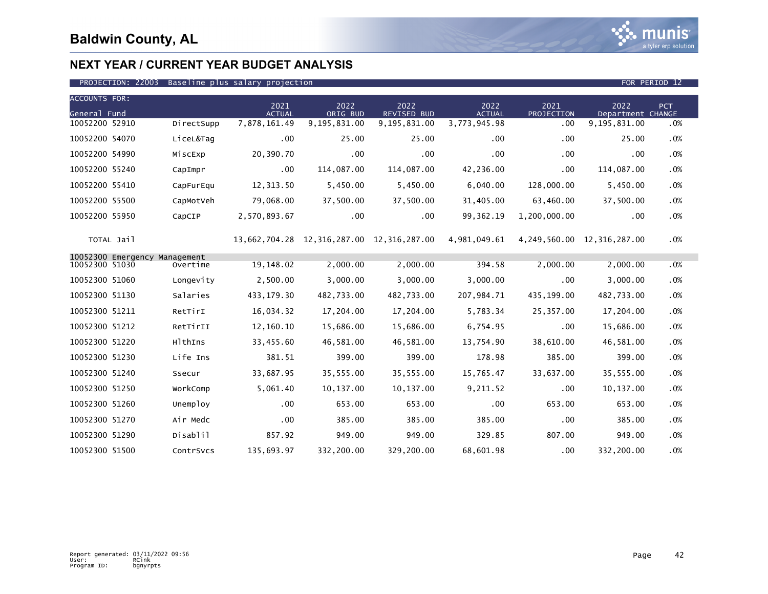

### PROJECTION: 22003 Baseline plus salary projection FOR PERIOD 12

| <b>ACCOUNTS FOR:</b> |                               |            |                       |                  |                                           |                       |                    |                                |        |
|----------------------|-------------------------------|------------|-----------------------|------------------|-------------------------------------------|-----------------------|--------------------|--------------------------------|--------|
| General Fund         |                               |            | 2021<br><b>ACTUAL</b> | 2022<br>ORIG BUD | 2022<br>REVISED BUD                       | 2022<br><b>ACTUAL</b> | 2021<br>PROJECTION | 2022<br>Department CHANGE      | PCT    |
| 10052200 52910       |                               | DirectSupp | 7,878,161.49          | 9,195,831.00     | 9,195,831.00                              | 3,773,945.98          | .00                | 9,195,831.00                   | .0%    |
| 10052200 54070       |                               | LiceL&Tag  | .00                   | 25.00            | 25.00                                     | $.00 \,$              | .00                | 25.00                          | .0%    |
| 10052200 54990       |                               | MiscExp    | 20,390.70             | .00              | .00                                       | .00                   | .00                | .00                            | .0%    |
| 10052200 55240       |                               | CapImpr    | $.00 \,$              | 114,087.00       | 114,087.00                                | 42,236.00             | .00                | 114,087.00                     | .0%    |
| 10052200 55410       |                               | CapFurEqu  | 12,313.50             | 5,450.00         | 5,450.00                                  | 6,040.00              | 128,000.00         | 5,450.00                       | .0%    |
| 10052200 55500       |                               | CapMotVeh  | 79,068.00             | 37,500.00        | 37,500.00                                 | 31,405.00             | 63,460.00          | 37,500.00                      | .0%    |
| 10052200 55950       |                               | CapCIP     | 2,570,893.67          | .00              | .00.                                      | 99, 362. 19           | 1,200,000.00       | $.00 \,$                       | .0%    |
|                      | TOTAL Jail                    |            |                       |                  | 13,662,704.28 12,316,287.00 12,316,287.00 | 4,981,049.61          |                    | 4, 249, 560.00 12, 316, 287.00 | .0%    |
| 10052300 51030       | 10052300 Emergency Management | Overtime   | 19,148.02             | 2,000.00         | 2,000.00                                  | 394.58                | 2,000.00           | 2,000.00                       | .0%    |
|                      |                               |            |                       |                  |                                           |                       |                    |                                |        |
| 10052300 51060       |                               | Longevity  | 2,500.00              | 3,000.00         | 3,000.00                                  | 3,000.00              | .00                | 3,000.00                       | .0%    |
| 10052300 51130       |                               | Salaries   | 433,179.30            | 482,733.00       | 482,733.00                                | 207,984.71            | 435,199.00         | 482,733.00                     | .0%    |
| 10052300 51211       |                               | RetTirI    | 16,034.32             | 17,204.00        | 17,204.00                                 | 5,783.34              | 25,357.00          | 17,204.00                      | .0%    |
| 10052300 51212       |                               | RetTirII   | 12,160.10             | 15,686.00        | 15,686.00                                 | 6,754.95              | .00                | 15,686.00                      | .0%    |
| 10052300 51220       |                               | HlthIns    | 33,455.60             | 46,581.00        | 46,581.00                                 | 13,754.90             | 38,610.00          | 46,581.00                      | .0%    |
| 10052300 51230       |                               | Life Ins   | 381.51                | 399.00           | 399.00                                    | 178.98                | 385.00             | 399.00                         | .0%    |
| 10052300 51240       |                               | Ssecur     | 33,687.95             | 35,555.00        | 35,555.00                                 | 15,765.47             | 33,637.00          | 35,555.00                      | .0%    |
| 10052300 51250       |                               | WorkComp   | 5,061.40              | 10, 137.00       | 10, 137.00                                | 9,211.52              | .00                | 10,137.00                      | .0%    |
| 10052300 51260       |                               | Unemploy   | .00                   | 653.00           | 653.00                                    | .00                   | 653.00             | 653.00                         | .0%    |
| 10052300 51270       |                               | Air Medc   | .00                   | 385.00           | 385.00                                    | 385.00                | .00                | 385.00                         | .0%    |
| 10052300 51290       |                               | Disablil   | 857.92                | 949.00           | 949.00                                    | 329.85                | 807.00             | 949.00                         | .0%    |
| 10052300 51500       |                               | ContrSvcs  | 135,693.97            | 332,200.00       | 329,200.00                                | 68,601.98             | .00                | 332,200.00                     | $.0\%$ |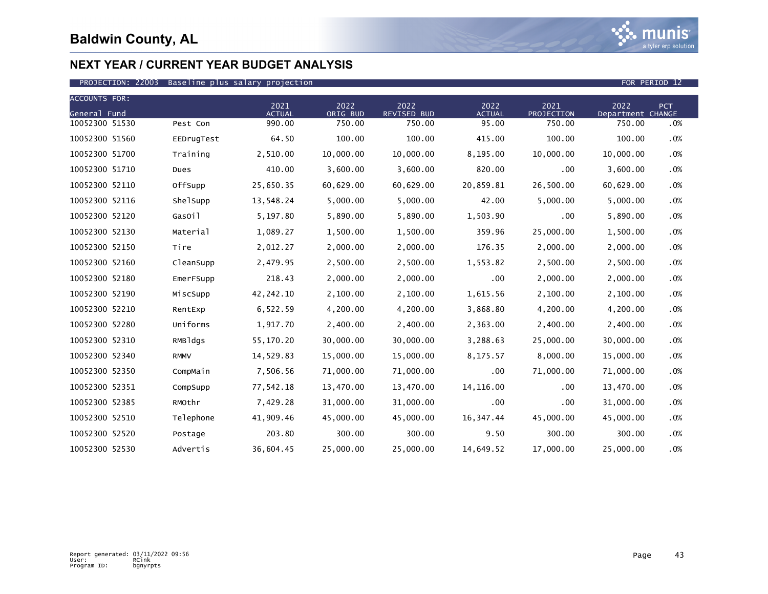

| <b>ACCOUNTS FOR:</b> |             |                       |                  |                            |                       |                    |                           |            |
|----------------------|-------------|-----------------------|------------------|----------------------------|-----------------------|--------------------|---------------------------|------------|
| General Fund         |             | 2021<br><b>ACTUAL</b> | 2022<br>ORIG BUD | 2022<br><b>REVISED BUD</b> | 2022<br><b>ACTUAL</b> | 2021<br>PROJECTION | 2022<br>Department CHANGE | <b>PCT</b> |
| 10052300 51530       | Pest Con    | 990.00                | 750.00           | 750.00                     | 95.00                 | 750.00             | 750.00                    | .0%        |
| 10052300 51560       | EEDrugTest  | 64.50                 | 100.00           | 100.00                     | 415.00                | 100.00             | 100.00                    | .0%        |
| 10052300 51700       | Training    | 2,510.00              | 10,000.00        | 10,000.00                  | 8,195.00              | 10,000.00          | 10,000.00                 | .0%        |
| 10052300 51710       | Dues        | 410.00                | 3,600.00         | 3,600.00                   | 820.00                | .00                | 3,600.00                  | .0%        |
| 10052300 52110       | OffSupp     | 25,650.35             | 60,629.00        | 60,629.00                  | 20,859.81             | 26,500.00          | 60,629.00                 | .0%        |
| 10052300 52116       | ShelSupp    | 13,548.24             | 5,000.00         | 5,000.00                   | 42.00                 | 5,000.00           | 5,000.00                  | .0%        |
| 10052300 52120       | GasOil      | 5,197.80              | 5,890.00         | 5,890.00                   | 1,503.90              | .00                | 5,890.00                  | .0%        |
| 10052300 52130       | Material    | 1,089.27              | 1,500.00         | 1,500.00                   | 359.96                | 25,000.00          | 1,500.00                  | .0%        |
| 10052300 52150       | Tire        | 2,012.27              | 2,000.00         | 2,000.00                   | 176.35                | 2,000.00           | 2,000.00                  | .0%        |
| 10052300 52160       | CleanSupp   | 2,479.95              | 2,500.00         | 2,500.00                   | 1,553.82              | 2,500.00           | 2,500.00                  | .0%        |
| 10052300 52180       | EmerFSupp   | 218.43                | 2,000.00         | 2,000.00                   | .00                   | 2,000.00           | 2,000.00                  | .0%        |
| 10052300 52190       | MiscSupp    | 42,242.10             | 2,100.00         | 2,100.00                   | 1,615.56              | 2,100.00           | 2,100.00                  | .0%        |
| 10052300 52210       | RentExp     | 6,522.59              | 4,200.00         | 4,200.00                   | 3,868.80              | 4,200.00           | 4,200.00                  | .0%        |
| 10052300 52280       | Uniforms    | 1,917.70              | 2,400.00         | 2,400.00                   | 2,363.00              | 2,400.00           | 2,400.00                  | .0%        |
| 10052300 52310       | RMBldgs     | 55,170.20             | 30,000.00        | 30,000.00                  | 3,288.63              | 25,000.00          | 30,000.00                 | .0%        |
| 10052300 52340       | <b>RMMV</b> | 14,529.83             | 15,000.00        | 15,000.00                  | 8,175.57              | 8,000.00           | 15,000.00                 | .0%        |
| 10052300 52350       | CompMain    | 7,506.56              | 71,000.00        | 71,000.00                  | .00                   | 71,000.00          | 71,000.00                 | .0%        |
| 10052300 52351       | CompSupp    | 77,542.18             | 13,470.00        | 13,470.00                  | 14, 116.00            | .00                | 13,470.00                 | .0%        |
| 10052300 52385       | RMOthr      | 7,429.28              | 31,000.00        | 31,000.00                  | $.00 \,$              | .00                | 31,000.00                 | .0%        |
| 10052300 52510       | Telephone   | 41,909.46             | 45,000.00        | 45,000.00                  | 16,347.44             | 45,000.00          | 45,000.00                 | .0%        |
| 10052300 52520       | Postage     | 203.80                | 300.00           | 300.00                     | 9.50                  | 300.00             | 300.00                    | $.0\%$     |
| 10052300 52530       | Advertis    | 36,604.45             | 25,000.00        | 25,000.00                  | 14,649.52             | 17,000.00          | 25,000.00                 | .0%        |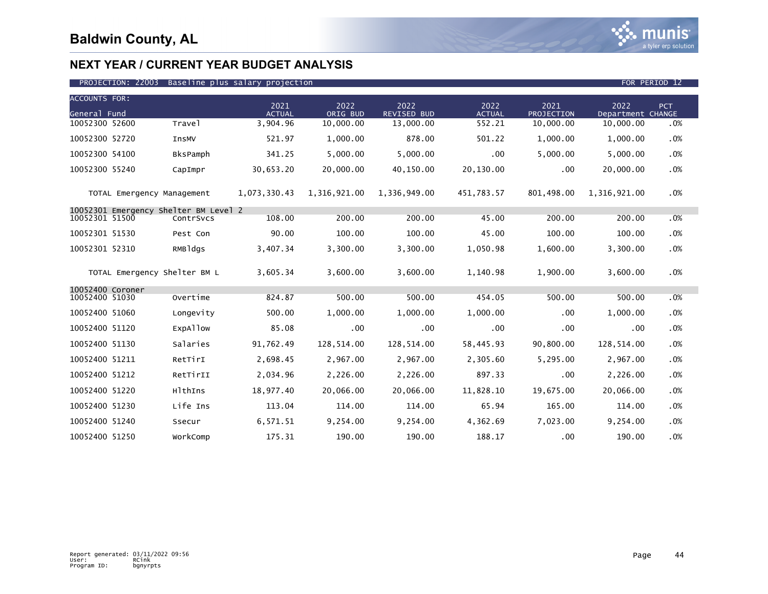

| <b>ACCOUNTS FOR:</b><br>General Fund |                              |                                                    | 2021<br><b>ACTUAL</b> | 2022<br>ORIG BUD | 2022<br><b>REVISED BUD</b> | 2022<br><b>ACTUAL</b> | 2021<br>PROJECTION | 2022<br>Department CHANGE | PCT |
|--------------------------------------|------------------------------|----------------------------------------------------|-----------------------|------------------|----------------------------|-----------------------|--------------------|---------------------------|-----|
| 10052300 52600                       |                              | Trave1                                             | 3,904.96              | 10,000.00        | 13,000.00                  | 552.21                | 10,000.00          | 10,000.00                 | .0% |
| 10052300 52720                       |                              | InsMV                                              | 521.97                | 1,000.00         | 878.00                     | 501.22                | 1,000.00           | 1,000.00                  | .0% |
| 10052300 54100                       |                              | BksPamph                                           | 341.25                | 5,000.00         | 5,000.00                   | .00                   | 5,000.00           | 5,000.00                  | .0% |
| 10052300 55240                       |                              | CapImpr                                            | 30,653.20             | 20,000.00        | 40,150.00                  | 20,130.00             | .00                | 20,000.00                 | .0% |
|                                      | TOTAL Emergency Management   |                                                    | 1,073,330.43          | 1,316,921.00     | 1,336,949.00               | 451,783.57            | 801,498.00         | 1,316,921.00              | .0% |
| 10052301 51500                       |                              | 10052301 Emergency Shelter BM Level 2<br>ContrSvcs | 108.00                | 200.00           | 200.00                     | 45.00                 | 200.00             | 200.00                    | .0% |
| 10052301 51530                       |                              | Pest Con                                           | 90.00                 | 100.00           | 100.00                     | 45.00                 | 100.00             | 100.00                    | .0% |
| 10052301 52310                       |                              | RMBldgs                                            | 3,407.34              | 3,300.00         | 3,300.00                   | 1,050.98              | 1,600.00           | 3,300.00                  | .0% |
|                                      | TOTAL Emergency Shelter BM L |                                                    | 3,605.34              | 3,600.00         | 3,600.00                   | 1,140.98              | 1,900.00           | 3,600.00                  | .0% |
| 10052400 Coroner                     |                              |                                                    |                       |                  |                            |                       |                    |                           |     |
| 10052400 51030                       |                              | Overtime                                           | 824.87                | 500.00           | 500.00                     | 454.05                | 500.00             | 500.00                    | .0% |
| 10052400 51060                       |                              | Longevity                                          | 500.00                | 1,000.00         | 1,000.00                   | 1,000.00              | .00                | 1,000.00                  | .0% |
| 10052400 51120                       |                              | ExpAllow                                           | 85.08                 | .00              | .00                        | $.00 \,$              | .00                | .00                       | .0% |
| 10052400 51130                       |                              | Salaries                                           | 91,762.49             | 128,514.00       | 128,514.00                 | 58,445.93             | 90,800.00          | 128,514.00                | .0% |
| 10052400 51211                       |                              | RetTirI                                            | 2,698.45              | 2,967.00         | 2,967.00                   | 2,305.60              | 5,295.00           | 2,967.00                  | .0% |
| 10052400 51212                       |                              | RetTirII                                           | 2.034.96              | 2,226.00         | 2,226.00                   | 897.33                | .00                | 2,226.00                  | .0% |
| 10052400 51220                       |                              | HlthIns                                            | 18,977.40             | 20,066.00        | 20,066.00                  | 11,828.10             | 19,675.00          | 20,066.00                 | .0% |
| 10052400 51230                       |                              | Life Ins                                           | 113.04                | 114.00           | 114.00                     | 65.94                 | 165.00             | 114.00                    | .0% |
| 10052400 51240                       |                              | Ssecur                                             | 6,571.51              | 9,254.00         | 9,254.00                   | 4,362.69              | 7,023.00           | 9,254.00                  | .0% |
| 10052400 51250                       |                              | WorkComp                                           | 175.31                | 190.00           | 190.00                     | 188.17                | .00                | 190.00                    | .0% |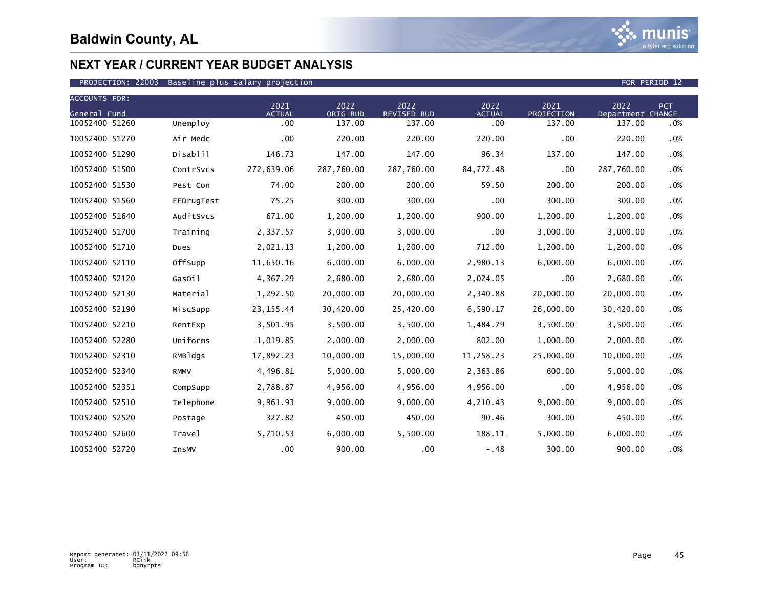

| <b>ACCOUNTS FOR:</b> |             | 2021          | 2022       | 2022               | 2022          | 2021       | 2022              | PCT    |
|----------------------|-------------|---------------|------------|--------------------|---------------|------------|-------------------|--------|
| General Fund         |             | <b>ACTUAL</b> | ORIG BUD   | <b>REVISED BUD</b> | <b>ACTUAL</b> | PROJECTION | Department CHANGE |        |
| 10052400 51260       | Unemploy    | .00           | 137.00     | 137.00             | .00           | 137.00     | 137.00            | .0%    |
| 10052400 51270       | Air Medc    | .00           | 220.00     | 220.00             | 220.00        | .00        | 220.00            | .0%    |
| 10052400 51290       | Disablil    | 146.73        | 147.00     | 147.00             | 96.34         | 137.00     | 147.00            | .0%    |
| 10052400 51500       | ContrSvcs   | 272,639.06    | 287,760.00 | 287,760.00         | 84,772.48     | .00        | 287,760.00        | .0%    |
| 10052400 51530       | Pest Con    | 74.00         | 200.00     | 200.00             | 59.50         | 200.00     | 200.00            | .0%    |
| 10052400 51560       | EEDrugTest  | 75.25         | 300.00     | 300.00             | .00           | 300.00     | 300.00            | .0%    |
| 10052400 51640       | AuditSvcs   | 671.00        | 1,200.00   | 1,200.00           | 900.00        | 1,200.00   | 1,200.00          | .0%    |
| 10052400 51700       | Training    | 2,337.57      | 3,000.00   | 3,000.00           | .00           | 3,000.00   | 3,000.00          | .0%    |
| 10052400 51710       | Dues        | 2,021.13      | 1,200.00   | 1,200.00           | 712.00        | 1,200.00   | 1,200.00          | .0%    |
| 10052400 52110       | OffSupp     | 11,650.16     | 6,000.00   | 6,000.00           | 2,980.13      | 6,000.00   | 6,000.00          | .0%    |
| 10052400 52120       | GasOil      | 4,367.29      | 2,680.00   | 2,680.00           | 2,024.05      | .00        | 2,680.00          | .0%    |
| 10052400 52130       | Material    | 1,292.50      | 20,000.00  | 20,000.00          | 2,340.88      | 20,000.00  | 20,000.00         | .0%    |
| 10052400 52190       | MiscSupp    | 23, 155.44    | 30,420.00  | 25,420.00          | 6,590.17      | 26,000.00  | 30,420.00         | $.0\%$ |
| 10052400 52210       | RentExp     | 3,501.95      | 3,500.00   | 3,500.00           | 1,484.79      | 3,500.00   | 3,500.00          | .0%    |
| 10052400 52280       | Uniforms    | 1,019.85      | 2,000.00   | 2,000.00           | 802.00        | 1,000.00   | 2,000.00          | .0%    |
| 10052400 52310       | RMBldgs     | 17,892.23     | 10,000.00  | 15,000.00          | 11,258.23     | 25,000.00  | 10,000.00         | .0%    |
| 10052400 52340       | <b>RMMV</b> | 4,496.81      | 5,000.00   | 5,000.00           | 2,363.86      | 600.00     | 5,000.00          | .0%    |
| 10052400 52351       | CompSupp    | 2,788.87      | 4,956.00   | 4,956.00           | 4,956.00      | .00        | 4,956.00          | .0%    |
| 10052400 52510       | Telephone   | 9,961.93      | 9,000.00   | 9,000.00           | 4,210.43      | 9,000.00   | 9,000.00          | .0%    |
| 10052400 52520       | Postage     | 327.82        | 450.00     | 450.00             | 90.46         | 300.00     | 450.00            | .0%    |
| 10052400 52600       | Travel      | 5,710.53      | 6,000.00   | 5,500.00           | 188.11        | 5,000.00   | 6,000.00          | .0%    |
| 10052400 52720       | InsMV       | .00           | 900.00     | .00                | $-.48$        | 300.00     | 900.00            | .0%    |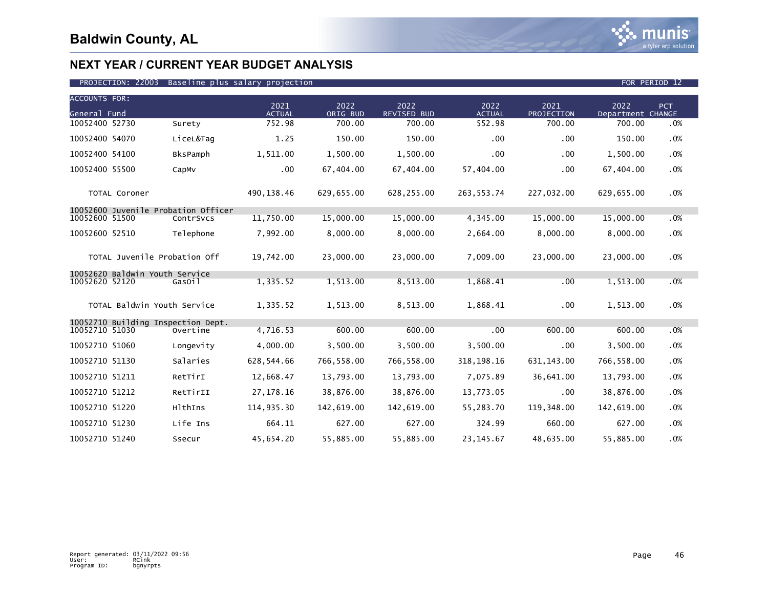

| <b>ACCOUNTS FOR:</b><br>General Fund |                                |                                     | 2021<br><b>ACTUAL</b> | 2022<br>ORIG BUD | 2022<br><b>REVISED BUD</b> | 2022<br><b>ACTUAL</b> | 2021<br>PROJECTION | 2022<br>Department CHANGE | PCT |
|--------------------------------------|--------------------------------|-------------------------------------|-----------------------|------------------|----------------------------|-----------------------|--------------------|---------------------------|-----|
| 10052400 52730                       |                                | Surety                              | 752.98                | 700.00           | 700.00                     | 552.98                | 700.00             | 700.00                    | .0% |
| 10052400 54070                       |                                | LiceL&Tag                           | 1.25                  | 150.00           | 150.00                     | $.00 \,$              | .00                | 150.00                    | .0% |
| 10052400 54100                       |                                | BksPamph                            | 1,511.00              | 1,500.00         | 1,500.00                   | .00                   | .00                | 1,500.00                  | .0% |
| 10052400 55500                       |                                | CapMv                               | .00                   | 67,404.00        | 67,404.00                  | 57,404.00             | .00                | 67,404.00                 | .0% |
|                                      | TOTAL Coroner                  |                                     | 490,138.46            | 629,655.00       | 628,255.00                 | 263,553.74            | 227,032.00         | 629,655.00                | .0% |
|                                      |                                | 10052600 Juvenile Probation Officer |                       |                  |                            |                       |                    |                           |     |
| 10052600 51500                       |                                | ContrSvcs                           | 11,750.00             | 15,000.00        | 15,000,00                  | 4,345.00              | 15,000.00          | 15,000.00                 | .0% |
| 10052600 52510                       |                                | Telephone                           | 7,992.00              | 8,000.00         | 8,000.00                   | 2,664.00              | 8,000.00           | 8,000.00                  | .0% |
|                                      | TOTAL Juvenile Probation Off   |                                     | 19,742.00             | 23,000.00        | 23,000.00                  | 7,009.00              | 23,000.00          | 23,000.00                 | .0% |
|                                      | 10052620 Baldwin Youth Service |                                     |                       |                  |                            |                       |                    |                           |     |
| 10052620 52120                       |                                | GasOil                              | 1,335.52              | 1,513.00         | 8,513.00                   | 1,868.41              | .00                | 1,513.00                  | .0% |
|                                      | TOTAL Baldwin Youth Service    |                                     | 1,335.52              | 1,513.00         | 8,513.00                   | 1,868.41              | .00                | 1,513.00                  | .0% |
|                                      |                                | 10052710 Building Inspection Dept.  |                       |                  |                            |                       |                    |                           |     |
| 10052710 51030                       |                                | Overtime                            | 4,716.53              | 600.00           | 600.00                     | .00                   | 600.00             | 600.00                    | .0% |
| 10052710 51060                       |                                | Longevity                           | 4,000.00              | 3,500.00         | 3,500.00                   | 3,500.00              | .00                | 3,500.00                  | .0% |
| 10052710 51130                       |                                | Salaries                            | 628,544.66            | 766,558.00       | 766,558.00                 | 318, 198. 16          | 631, 143.00        | 766,558.00                | .0% |
| 10052710 51211                       |                                | RetTirI                             | 12,668.47             | 13,793.00        | 13,793.00                  | 7,075.89              | 36,641.00          | 13,793.00                 | .0% |
| 10052710 51212                       |                                | RetTirII                            | 27, 178. 16           | 38,876.00        | 38,876.00                  | 13,773.05             | .00                | 38,876.00                 | .0% |
| 10052710 51220                       |                                | HlthIns                             | 114,935.30            | 142,619.00       | 142,619.00                 | 55,283.70             | 119,348.00         | 142,619.00                | .0% |
| 10052710 51230                       |                                | Life Ins                            | 664.11                | 627.00           | 627.00                     | 324.99                | 660.00             | 627.00                    | .0% |
| 10052710 51240                       |                                | Ssecur                              | 45,654.20             | 55,885.00        | 55,885.00                  | 23, 145.67            | 48,635.00          | 55,885.00                 | .0% |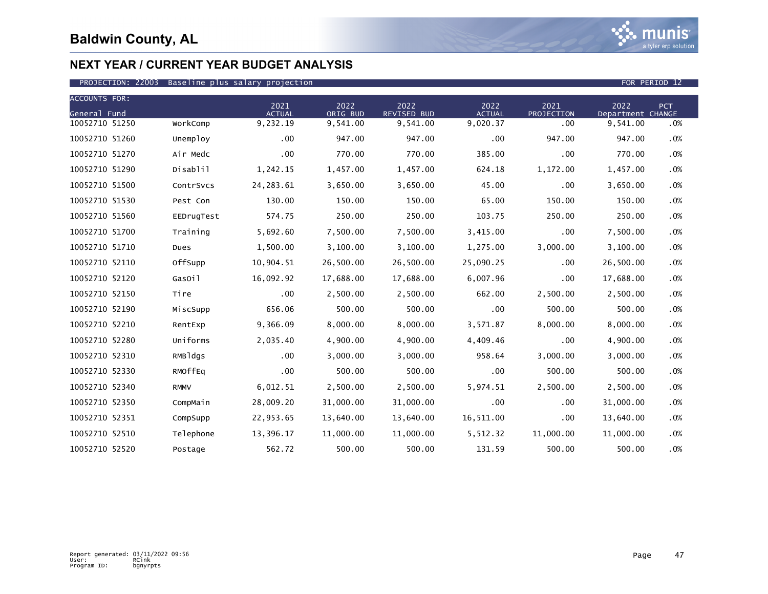

| <b>ACCOUNTS FOR:</b> |             |                       |                  |                            |                       |                    |                           |            |
|----------------------|-------------|-----------------------|------------------|----------------------------|-----------------------|--------------------|---------------------------|------------|
| General Fund         |             | 2021<br><b>ACTUAL</b> | 2022<br>ORIG BUD | 2022<br><b>REVISED BUD</b> | 2022<br><b>ACTUAL</b> | 2021<br>PROJECTION | 2022<br>Department CHANGE | <b>PCT</b> |
| 10052710 51250       | WorkComp    | 9,232.19              | 9,541.00         | 9,541.00                   | 9,020.37              | .00                | 9,541.00                  | .0%        |
| 10052710 51260       | Unemploy    | .00                   | 947.00           | 947.00                     | .00                   | 947.00             | 947.00                    | .0%        |
| 10052710 51270       | Air Medc    | .00                   | 770.00           | 770.00                     | 385.00                | .00                | 770.00                    | .0%        |
| 10052710 51290       | Disablil    | 1,242.15              | 1,457.00         | 1,457.00                   | 624.18                | 1,172.00           | 1,457.00                  | .0%        |
| 10052710 51500       | ContrSvcs   | 24, 283.61            | 3,650.00         | 3,650.00                   | 45.00                 | .00                | 3,650.00                  | .0%        |
| 10052710 51530       | Pest Con    | 130.00                | 150.00           | 150.00                     | 65.00                 | 150.00             | 150.00                    | .0%        |
| 10052710 51560       | EEDrugTest  | 574.75                | 250.00           | 250.00                     | 103.75                | 250.00             | 250.00                    | .0%        |
| 10052710 51700       | Training    | 5,692.60              | 7,500.00         | 7,500.00                   | 3,415.00              | .00                | 7,500.00                  | .0%        |
| 10052710 51710       | Dues        | 1,500.00              | 3,100.00         | 3,100.00                   | 1,275.00              | 3,000.00           | 3,100.00                  | .0%        |
| 10052710 52110       | OffSupp     | 10,904.51             | 26,500.00        | 26,500.00                  | 25,090.25             | .00                | 26,500.00                 | .0%        |
| 10052710 52120       | GasOil      | 16,092.92             | 17,688.00        | 17,688.00                  | 6,007.96              | .00                | 17,688.00                 | .0%        |
| 10052710 52150       | Tire        | .00                   | 2,500.00         | 2,500.00                   | 662.00                | 2,500.00           | 2,500.00                  | .0%        |
| 10052710 52190       | MiscSupp    | 656.06                | 500.00           | 500.00                     | .00                   | 500.00             | 500.00                    | .0%        |
| 10052710 52210       | RentExp     | 9,366.09              | 8,000.00         | 8,000.00                   | 3,571.87              | 8,000.00           | 8,000.00                  | .0%        |
| 10052710 52280       | Uniforms    | 2,035.40              | 4,900.00         | 4,900.00                   | 4,409.46              | .00                | 4,900.00                  | .0%        |
| 10052710 52310       | RMBldgs     | $.00 \,$              | 3,000.00         | 3,000.00                   | 958.64                | 3,000.00           | 3,000.00                  | .0%        |
| 10052710 52330       | RMOffEq     | .00                   | 500.00           | 500.00                     | .00                   | 500.00             | 500.00                    | .0%        |
| 10052710 52340       | <b>RMMV</b> | 6,012.51              | 2,500.00         | 2,500.00                   | 5,974.51              | 2,500.00           | 2,500.00                  | .0%        |
| 10052710 52350       | CompMain    | 28,009.20             | 31,000.00        | 31,000.00                  | .00                   | .00                | 31,000.00                 | .0%        |
| 10052710 52351       | CompSupp    | 22,953.65             | 13,640.00        | 13,640.00                  | 16,511.00             | .00                | 13,640.00                 | .0%        |
| 10052710 52510       | Telephone   | 13,396.17             | 11,000.00        | 11,000.00                  | 5,512.32              | 11,000.00          | 11,000.00                 | $.0\%$     |
| 10052710 52520       | Postage     | 562.72                | 500.00           | 500.00                     | 131.59                | 500.00             | 500.00                    | $.0\%$     |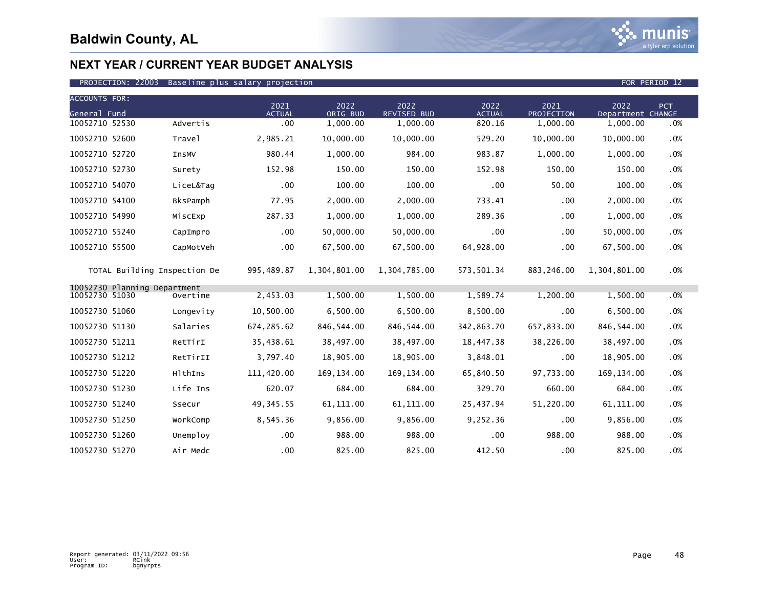

### PROJECTION: 22003 Baseline plus salary projection FOR PERIOD 12

| <b>ACCOUNTS FOR:</b>         |                              |                       |                  |                            |                       |                           |                           |        |
|------------------------------|------------------------------|-----------------------|------------------|----------------------------|-----------------------|---------------------------|---------------------------|--------|
| General Fund                 |                              | 2021<br><b>ACTUAL</b> | 2022<br>ORIG BUD | 2022<br><b>REVISED BUD</b> | 2022<br><b>ACTUAL</b> | 2021<br><b>PROJECTION</b> | 2022<br>Department CHANGE | PCT    |
| 10052710 52530               | Advertis                     | $.00 \,$              | 1,000.00         | 1,000.00                   | 820.16                | 1,000.00                  | 1,000.00                  | .0%    |
| 10052710 52600               | Travel                       | 2,985.21              | 10,000.00        | 10,000.00                  | 529.20                | 10,000.00                 | 10,000.00                 | .0%    |
| 10052710 52720               | InsMV                        | 980.44                | 1,000.00         | 984.00                     | 983.87                | 1,000.00                  | 1,000.00                  | .0%    |
| 10052710 52730               | Surety                       | 152.98                | 150.00           | 150.00                     | 152.98                | 150.00                    | 150.00                    | .0%    |
| 10052710 54070               | LiceL&Tag                    | .00                   | 100.00           | 100.00                     | .00                   | 50.00                     | 100.00                    | .0%    |
| 10052710 54100               | <b>BksPamph</b>              | 77.95                 | 2,000.00         | 2,000.00                   | 733.41                | .00                       | 2,000.00                  | .0%    |
| 10052710 54990               | MiscExp                      | 287.33                | 1,000.00         | 1,000.00                   | 289.36                | .00                       | 1,000.00                  | .0%    |
| 10052710 55240               | CapImpro                     | .00                   | 50,000.00        | 50,000.00                  | .00                   | .00                       | 50,000.00                 | .0%    |
| 10052710 55500               | CapMotVeh                    | .00                   | 67,500.00        | 67,500.00                  | 64,928.00             | .00                       | 67,500.00                 | $.0\%$ |
|                              | TOTAL Building Inspection De | 995,489.87            | 1,304,801.00     | 1,304,785.00               | 573,501.34            | 883,246.00                | 1,304,801.00              | $.0\%$ |
| 10052730 Planning Department |                              |                       |                  |                            |                       |                           |                           |        |
| 10052730 51030               | Overtime                     | 2,453.03              | 1,500.00         | 1,500.00                   | 1,589.74              | 1,200.00                  | 1,500.00                  | .0%    |
| 10052730 51060               | Longevity                    | 10,500.00             | 6,500.00         | 6,500.00                   | 8,500.00              | .00                       | 6,500.00                  | .0%    |
| 10052730 51130               | Salaries                     | 674, 285.62           | 846, 544.00      | 846,544.00                 | 342,863.70            | 657,833.00                | 846, 544.00               | .0%    |
| 10052730 51211               | RetTirI                      | 35,438.61             | 38,497.00        | 38,497.00                  | 18,447.38             | 38,226.00                 | 38,497.00                 | .0%    |
| 10052730 51212               | RetTirII                     | 3,797.40              | 18,905.00        | 18,905.00                  | 3,848.01              | .00                       | 18,905.00                 | .0%    |
| 10052730 51220               | HlthIns                      | 111,420.00            | 169, 134.00      | 169, 134.00                | 65,840.50             | 97,733.00                 | 169, 134.00               | $.0\%$ |
| 10052730 51230               | Life Ins                     | 620.07                | 684.00           | 684.00                     | 329.70                | 660.00                    | 684.00                    | .0%    |
| 10052730 51240               | Ssecur                       | 49, 345.55            | 61, 111.00       | 61, 111.00                 | 25,437.94             | 51,220.00                 | 61,111.00                 | .0%    |
| 10052730 51250               | WorkComp                     | 8,545.36              | 9,856.00         | 9,856.00                   | 9,252.36              | .00                       | 9,856.00                  | $.0\%$ |
| 10052730 51260               | Unemploy                     | .00                   | 988.00           | 988.00                     | .00                   | 988.00                    | 988.00                    | .0%    |
| 10052730 51270               | Air Medc                     | .00                   | 825.00           | 825.00                     | 412.50                | .00                       | 825.00                    | $.0\%$ |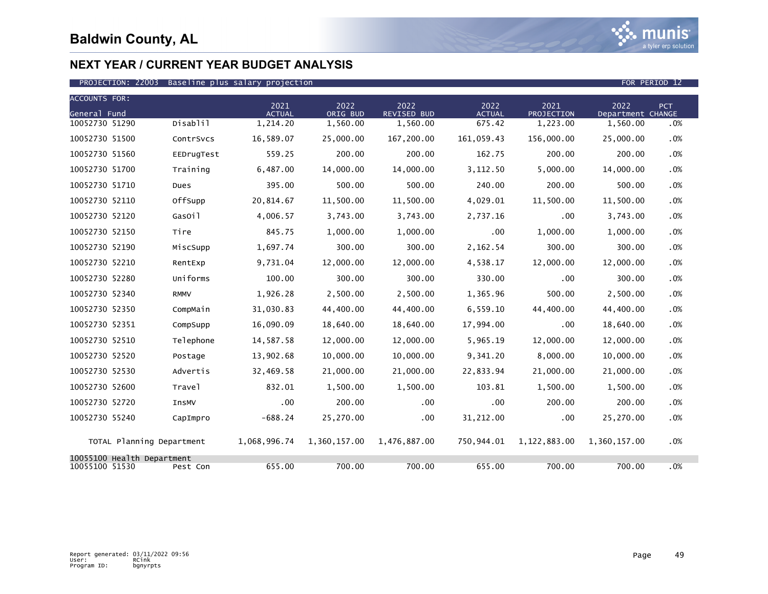

### PROJECTION: 22003 Baseline plus salary projection FOR PERIOD 12

| <b>ACCOUNTS FOR:</b>                         |             | 2021                      | 2022                 | 2022                    | 2022                    | 2021                   | 2022                          | <b>PCT</b> |
|----------------------------------------------|-------------|---------------------------|----------------------|-------------------------|-------------------------|------------------------|-------------------------------|------------|
| General Fund<br>10052730 51290               | Disablil    | <b>ACTUAL</b><br>1,214.20 | ORIG BUD<br>1,560.00 | REVISED BUD<br>1,560.00 | <b>ACTUAL</b><br>675.42 | PROJECTION<br>1,223.00 | Department CHANGE<br>1,560.00 |            |
|                                              |             |                           |                      |                         |                         |                        |                               | .0%        |
| 10052730 51500                               | ContrSvcs   | 16,589.07                 | 25,000.00            | 167,200.00              | 161,059.43              | 156,000.00             | 25,000.00                     | .0%        |
| 10052730 51560                               | EEDrugTest  | 559.25                    | 200.00               | 200.00                  | 162.75                  | 200.00                 | 200.00                        | .0%        |
| 10052730 51700                               | Training    | 6,487.00                  | 14,000.00            | 14,000.00               | 3,112.50                | 5.000.00               | 14,000.00                     | .0%        |
| 10052730 51710                               | Dues        | 395.00                    | 500.00               | 500.00                  | 240.00                  | 200.00                 | 500.00                        | .0%        |
| 10052730 52110                               | OffSupp     | 20,814.67                 | 11,500.00            | 11,500.00               | 4,029.01                | 11,500.00              | 11,500.00                     | .0%        |
| 10052730 52120                               | GasOil      | 4,006.57                  | 3,743.00             | 3,743.00                | 2,737.16                | .00                    | 3,743.00                      | .0%        |
| 10052730 52150                               | Tire        | 845.75                    | 1,000.00             | 1,000.00                | .00                     | 1,000.00               | 1,000.00                      | .0%        |
| 10052730 52190                               | MiscSupp    | 1,697.74                  | 300.00               | 300.00                  | 2,162.54                | 300.00                 | 300.00                        | .0%        |
| 10052730 52210                               | RentExp     | 9,731.04                  | 12,000.00            | 12,000.00               | 4,538.17                | 12,000.00              | 12,000.00                     | .0%        |
| 10052730 52280                               | Uniforms    | 100.00                    | 300.00               | 300.00                  | 330.00                  | .00                    | 300.00                        | .0%        |
| 10052730 52340                               | <b>RMMV</b> | 1,926.28                  | 2,500.00             | 2,500.00                | 1,365.96                | 500.00                 | 2,500.00                      | .0%        |
| 10052730 52350                               | CompMain    | 31,030.83                 | 44,400.00            | 44,400.00               | 6,559.10                | 44,400.00              | 44,400.00                     | .0%        |
| 10052730 52351                               | CompSupp    | 16,090.09                 | 18,640.00            | 18,640.00               | 17,994.00               | .00                    | 18,640.00                     | .0%        |
| 10052730 52510                               | Telephone   | 14,587.58                 | 12,000.00            | 12,000.00               | 5,965.19                | 12,000.00              | 12,000.00                     | .0%        |
| 10052730 52520                               | Postage     | 13,902.68                 | 10,000.00            | 10,000.00               | 9,341.20                | 8,000.00               | 10,000.00                     | .0%        |
| 10052730 52530                               | Advertis    | 32,469.58                 | 21,000.00            | 21,000.00               | 22,833.94               | 21,000.00              | 21,000.00                     | .0%        |
| 10052730 52600                               | Trave1      | 832.01                    | 1,500.00             | 1,500.00                | 103.81                  | 1,500.00               | 1,500.00                      | .0%        |
| 10052730 52720                               | InsMV       | .00                       | 200.00               | .00                     | .00                     | 200.00                 | 200.00                        | .0%        |
| 10052730 55240                               | CapImpro    | $-688.24$                 | 25,270.00            | $.00 \,$                | 31,212.00               | .00                    | 25,270.00                     | .0%        |
| TOTAL Planning Department                    |             | 1,068,996.74              | 1,360,157.00         | 1,476,887.00            | 750,944.01              | 1,122,883.00           | 1,360,157.00                  | .0%        |
| 10055100 Health Department<br>10055100 51530 | Pest Con    | 655.00                    | 700.00               | 700.00                  | 655.00                  | 700.00                 | 700.00                        | $.0\%$     |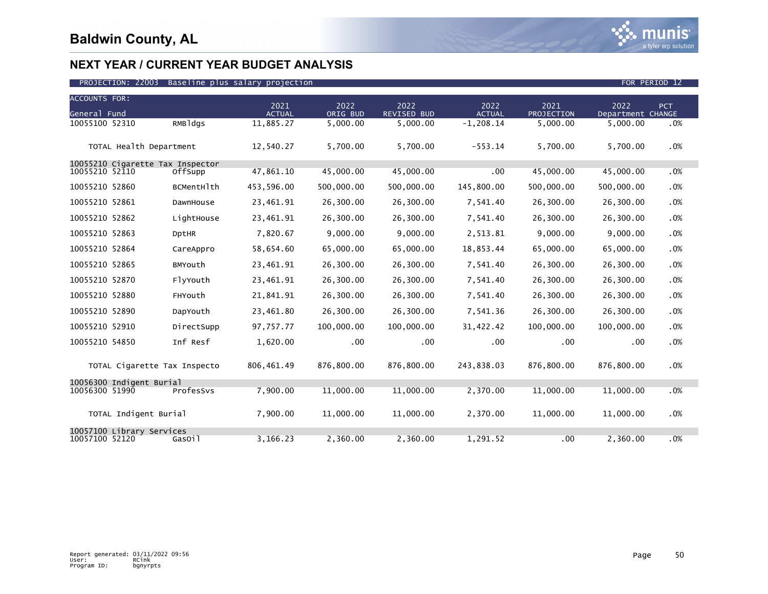

| <b>ACCOUNTS FOR:</b> |                                  |              |                       |                  |                     |                       |                    |                           |     |
|----------------------|----------------------------------|--------------|-----------------------|------------------|---------------------|-----------------------|--------------------|---------------------------|-----|
| General Fund         |                                  |              | 2021<br><b>ACTUAL</b> | 2022<br>ORIG BUD | 2022<br>REVISED BUD | 2022<br><b>ACTUAL</b> | 2021<br>PROJECTION | 2022<br>Department CHANGE | PCT |
| 10055100 52310       |                                  | RMBldgs      | 11,885.27             | 5,000.00         | 5,000.00            | $-1, 208.14$          | 5,000.00           | 5.000.00                  | .0% |
|                      |                                  |              |                       |                  |                     |                       |                    |                           |     |
|                      | TOTAL Health Department          |              | 12,540.27             | 5,700.00         | 5,700.00            | $-553.14$             | 5,700.00           | 5,700.00                  | .0% |
|                      | 10055210 Cigarette Tax Inspector |              |                       |                  |                     |                       |                    |                           |     |
| 10055210 52110       |                                  | OffSupp      | 47,861.10             | 45,000.00        | 45,000.00           | .00                   | 45,000.00          | 45,000.00                 | .0% |
| 10055210 52860       |                                  | BCMentHlth   | 453,596.00            | 500,000.00       | 500,000.00          | 145,800.00            | 500,000.00         | 500,000.00                | .0% |
| 10055210 52861       |                                  | DawnHouse    | 23,461.91             | 26,300.00        | 26,300.00           | 7,541.40              | 26,300.00          | 26,300.00                 | .0% |
| 10055210 52862       |                                  | LightHouse   | 23,461.91             | 26,300.00        | 26,300.00           | 7,541.40              | 26,300.00          | 26,300.00                 | .0% |
| 10055210 52863       |                                  | <b>DptHR</b> | 7,820.67              | 9,000.00         | 9,000.00            | 2,513.81              | 9,000.00           | 9,000.00                  | .0% |
| 10055210 52864       |                                  | CareAppro    | 58,654.60             | 65,000.00        | 65,000.00           | 18,853.44             | 65,000.00          | 65,000.00                 | .0% |
| 10055210 52865       |                                  | BMYouth      | 23,461.91             | 26,300.00        | 26,300.00           | 7,541.40              | 26,300.00          | 26,300.00                 | .0% |
| 10055210 52870       |                                  | FlyYouth     | 23,461.91             | 26,300.00        | 26,300.00           | 7,541.40              | 26,300.00          | 26,300.00                 | .0% |
| 10055210 52880       |                                  | FHYouth      | 21,841.91             | 26,300.00        | 26,300.00           | 7,541.40              | 26,300.00          | 26,300.00                 | .0% |
| 10055210 52890       |                                  | DapYouth     | 23,461.80             | 26,300.00        | 26,300.00           | 7,541.36              | 26,300.00          | 26,300.00                 | .0% |
| 10055210 52910       |                                  | DirectSupp   | 97,757.77             | 100,000.00       | 100,000.00          | 31,422.42             | 100,000.00         | 100,000.00                | .0% |
| 10055210 54850       |                                  | Inf Resf     | 1,620.00              | $.00 \,$         | .00                 | .00                   | .00                | .00                       | .0% |
|                      | TOTAL Cigarette Tax Inspecto     |              | 806,461.49            | 876,800.00       | 876,800.00          | 243,838.03            | 876,800.00         | 876,800.00                | .0% |
|                      | 10056300 Indigent Burial         |              |                       |                  |                     |                       |                    |                           |     |
| 10056300 51990       |                                  | ProfesSvs    | 7,900.00              | 11,000.00        | 11,000.00           | 2,370.00              | 11,000.00          | 11,000.00                 | .0% |
|                      | TOTAL Indigent Burial            |              | 7,900.00              | 11,000.00        | 11,000.00           | 2,370.00              | 11,000.00          | 11,000.00                 | .0% |
| 10057100 52120       | 10057100 Library Services        | Gasoil       | 3,166.23              | 2,360.00         | 2,360.00            | 1,291.52              | .00                | 2.360.00                  | .0% |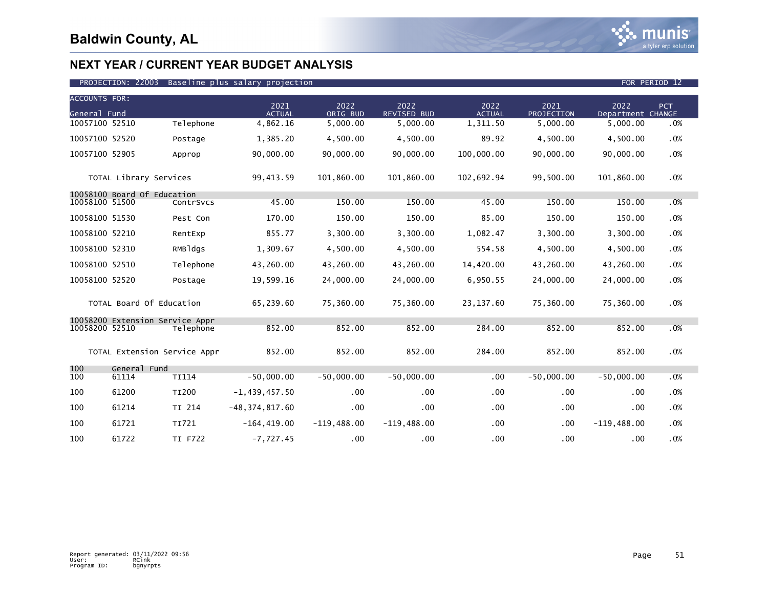

| <b>ACCOUNTS FOR:</b><br>General Fund |                                 |              | 2021<br><b>ACTUAL</b> | 2022<br>ORIG BUD | 2022<br><b>REVISED BUD</b> | 2022<br><b>ACTUAL</b> | 2021<br>PROJECTION | 2022<br>Department CHANGE | PCT |
|--------------------------------------|---------------------------------|--------------|-----------------------|------------------|----------------------------|-----------------------|--------------------|---------------------------|-----|
| 10057100 52510                       |                                 | Telephone    | 4,862.16              | 5,000.00         | 5,000.00                   | 1,311.50              | 5,000.00           | 5,000.00                  | .0% |
| 10057100 52520                       |                                 | Postage      | 1,385.20              | 4.500.00         | 4,500.00                   | 89.92                 | 4,500.00           | 4,500.00                  | .0% |
| 10057100 52905                       |                                 | Approp       | 90,000.00             | 90,000.00        | 90,000.00                  | 100,000.00            | 90,000.00          | 90,000.00                 | .0% |
|                                      | TOTAL Library Services          |              | 99,413.59             | 101,860.00       | 101,860.00                 | 102,692.94            | 99,500.00          | 101,860.00                | .0% |
| 10058100 51500                       | 10058100 Board Of Education     | ContrSvcs    | 45.00                 | 150.00           | 150.00                     | 45.00                 | 150.00             | 150.00                    | .0% |
|                                      |                                 |              |                       |                  |                            |                       |                    |                           |     |
| 10058100 51530                       |                                 | Pest Con     | 170.00                | 150.00           | 150.00                     | 85.00                 | 150.00             | 150.00                    | .0% |
| 10058100 52210                       |                                 | RentExp      | 855.77                | 3,300.00         | 3,300.00                   | 1,082.47              | 3,300.00           | 3,300.00                  | .0% |
| 10058100 52310                       |                                 | RMBldgs      | 1,309.67              | 4,500.00         | 4,500.00                   | 554.58                | 4,500.00           | 4,500.00                  | .0% |
| 10058100 52510                       |                                 | Telephone    | 43,260.00             | 43,260.00        | 43,260.00                  | 14,420.00             | 43,260.00          | 43,260.00                 | .0% |
| 10058100 52520                       |                                 | Postage      | 19,599.16             | 24,000.00        | 24,000.00                  | 6,950.55              | 24,000.00          | 24,000.00                 | .0% |
|                                      | TOTAL Board Of Education        |              | 65,239.60             | 75,360.00        | 75,360.00                  | 23, 137.60            | 75,360.00          | 75,360.00                 | .0% |
|                                      | 10058200 Extension Service Appr |              |                       |                  |                            |                       |                    |                           |     |
| 10058200 52510                       |                                 | Telephone    | 852.00                | 852.00           | 852.00                     | 284.00                | 852.00             | 852.00                    | .0% |
|                                      | TOTAL Extension Service Appr    |              | 852.00                | 852.00           | 852.00                     | 284.00                | 852.00             | 852.00                    | .0% |
| 100<br>100                           | General Fund<br>61114           | <b>TI114</b> | $-50.000.00$          | $-50.000.00$     | $-50.000.00$               | .00                   | $-50,000.00$       | $-50,000.00$              | .0% |
| 100                                  | 61200                           | TI200        | $-1,439,457.50$       | .00              | .00                        | .00                   | $.00 \,$           | .00                       | .0% |
| 100                                  | 61214                           | TI 214       | $-48, 374, 817.60$    | .00              | .00.                       | .00                   | .00                | .00                       | .0% |
| 100                                  | 61721                           | TI721        | $-164, 419.00$        | $-119,488.00$    | $-119,488.00$              | .00                   | $.00 \,$           | $-119,488.00$             | .0% |
| 100                                  | 61722                           | TI F722      | $-7,727.45$           | .00              | $.00 \,$                   | .00                   | $.00 \,$           | .00                       | .0% |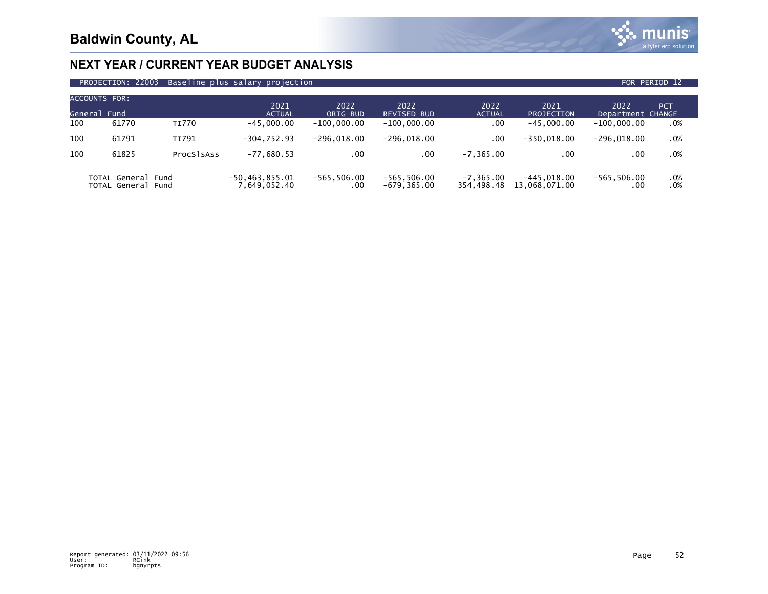

| PROJECTION: 22003<br>Baseline plus salary projection<br>FOR PERIOD 12 |                                          |              |                                    |                       |                                 |                            |                                |                           |            |  |  |
|-----------------------------------------------------------------------|------------------------------------------|--------------|------------------------------------|-----------------------|---------------------------------|----------------------------|--------------------------------|---------------------------|------------|--|--|
| <b>ACCOUNTS FOR:</b><br>General Fund                                  |                                          |              | 2021<br><b>ACTUAL</b>              | 2022<br>ORIG BUD      | 2022<br><b>REVISED BUD</b>      | 2022<br><b>ACTUAL</b>      | 2021<br>PROJECTION             | 2022<br>Department CHANGE | <b>PCT</b> |  |  |
| 100                                                                   | 61770                                    | <b>TI770</b> | $-45.000.00$                       | $-100.000.00$         | $-100.000.00$                   | .00                        | $-45.000.00$                   | $-100.000.00$             | .0%        |  |  |
| 100                                                                   | 61791                                    | <b>TI791</b> | $-304.752.93$                      | $-296.018.00$         | $-296,018.00$                   | .00                        | $-350.018.00$                  | $-296,018.00$             | .0%        |  |  |
| 100                                                                   | 61825                                    | ProcSlsAss   | $-77,680.53$                       | .00                   | .00                             | $-7.365.00$                | .00                            | .00                       | .0%        |  |  |
|                                                                       | TOTAL General Fund<br>TOTAL General Fund |              | $-50, 463, 855.01$<br>7,649,052.40 | $-565, 506.00$<br>.00 | $-565, 506.00$<br>$-679.365.00$ | $-7, 365.00$<br>354.498.48 | $-445.018.00$<br>13,068,071.00 | $-565, 506.00$<br>.00     | $.0\%$ .   |  |  |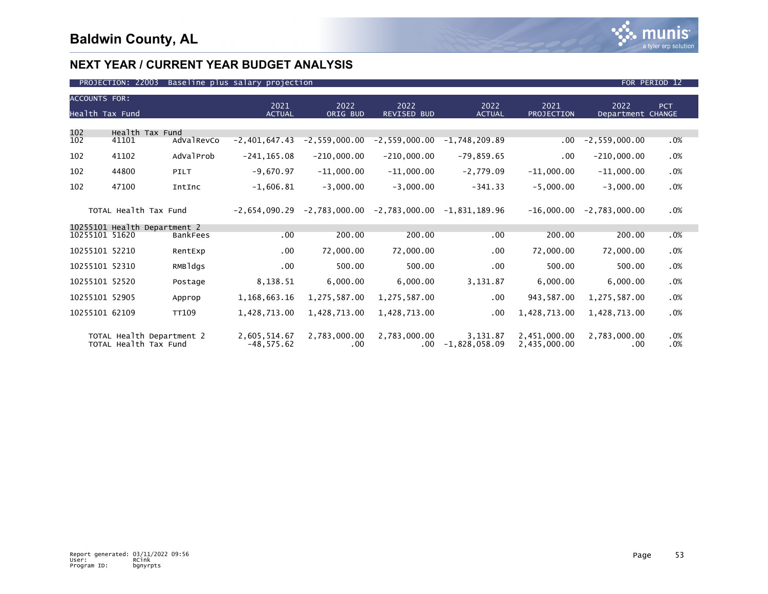

|                       | <b>ACCOUNTS FOR:</b>                               |            |                               |                     |                               |                             |                              |                           |            |  |  |  |
|-----------------------|----------------------------------------------------|------------|-------------------------------|---------------------|-------------------------------|-----------------------------|------------------------------|---------------------------|------------|--|--|--|
| Health Tax Fund       |                                                    |            | 2021<br><b>ACTUAL</b>         | 2022<br>ORIG BUD    | 2022<br><b>REVISED BUD</b>    | 2022<br><b>ACTUAL</b>       | 2021<br>PROJECTION           | 2022<br>Department CHANGE | <b>PCT</b> |  |  |  |
|                       |                                                    |            |                               |                     |                               |                             |                              |                           |            |  |  |  |
| 102<br>102            | Health Tax Fund<br>41101                           | AdValRevCo | $-2,401,647.43$               | $-2, 559, 000.00$   | $-2, 559, 000.00$             | $-1,748,209.89$             | $.00 \,$                     | $-2, 559, 000.00$         | .0%        |  |  |  |
| 102                   | 41102                                              | AdValProb  | $-241, 165.08$                | $-210,000.00$       | $-210,000.00$                 | $-79,859.65$                | $.00 \,$                     | $-210,000.00$             | .0%        |  |  |  |
| 102                   | 44800                                              | PILT       | $-9,670.97$                   | $-11,000.00$        | $-11,000.00$                  | $-2,779.09$                 | $-11,000.00$                 | $-11,000.00$              | .0%        |  |  |  |
| 102                   | 47100                                              | IntInc     | $-1,606.81$                   | $-3,000.00$         | $-3,000.00$                   | $-341.33$                   | $-5,000.00$                  | $-3,000.00$               | .0%        |  |  |  |
| TOTAL Health Tax Fund |                                                    |            | $-2.654.090.29$               |                     | $-2,783,000.00 -2,783,000.00$ | $-1.831.189.96$             | $-16,000.00$                 | $-2.783.000.00$           | .0%        |  |  |  |
|                       | 10255101 Health Department 2                       |            |                               |                     |                               |                             |                              |                           |            |  |  |  |
| 10255101 51620        |                                                    | BankFees   | .00                           | 200.00              | 200.00                        | .00                         | 200.00                       | 200.00                    | .0%        |  |  |  |
| 10255101 52210        |                                                    | RentExp    | .00                           | 72,000.00           | 72,000.00                     | $.00 \,$                    | 72,000.00                    | 72,000.00                 | .0%        |  |  |  |
| 10255101 52310        |                                                    | RMBldgs    | .00                           | 500.00              | 500.00                        | .00                         | 500.00                       | 500.00                    | .0%        |  |  |  |
| 10255101 52520        |                                                    | Postage    | 8,138.51                      | 6,000.00            | 6,000.00                      | 3,131.87                    | 6,000.00                     | 6,000.00                  | .0%        |  |  |  |
| 10255101 52905        |                                                    | Approp     | 1,168,663.16                  | 1,275,587.00        | 1,275,587.00                  | $.00 \,$                    | 943,587.00                   | 1,275,587.00              | .0%        |  |  |  |
| 10255101 62109        |                                                    | TT109      | 1,428,713.00                  | 1,428,713.00        | 1,428,713.00                  | .00                         | 1,428,713.00                 | 1,428,713.00              | .0%        |  |  |  |
|                       | TOTAL Health Department 2<br>TOTAL Health Tax Fund |            | 2,605,514.67<br>$-48, 575.62$ | 2,783,000.00<br>.00 | 2,783,000.00<br>$.00 \cdot$   | 3,131.87<br>$-1,828,058.09$ | 2,451,000.00<br>2,435,000.00 | 2,783,000.00<br>.00       | .0%<br>.0% |  |  |  |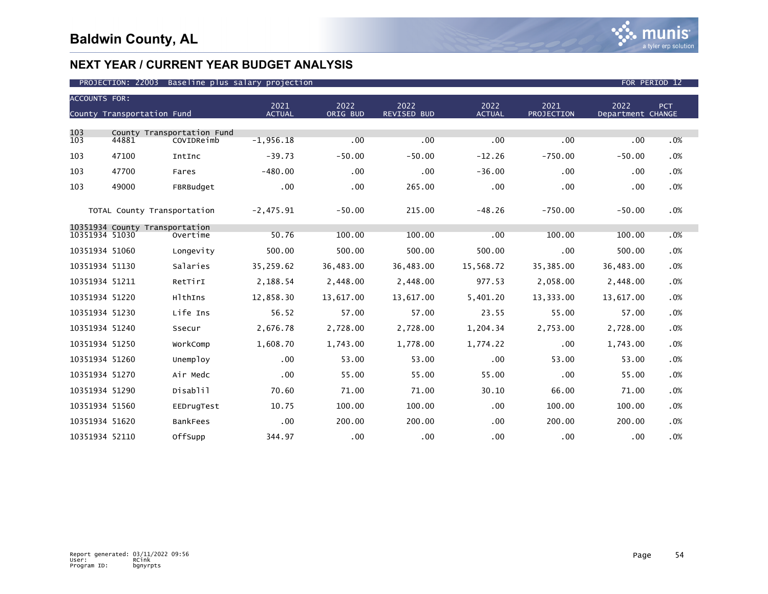| <b>ACCOUNTS FOR:</b> | County Transportation Fund     |                                          | 2021<br><b>ACTUAL</b> | 2022<br>ORIG BUD | 2022<br><b>REVISED BUD</b> | 2022<br><b>ACTUAL</b> | 2021<br>PROJECTION | 2022<br>Department CHANGE | PCT |
|----------------------|--------------------------------|------------------------------------------|-----------------------|------------------|----------------------------|-----------------------|--------------------|---------------------------|-----|
|                      |                                |                                          |                       |                  |                            |                       |                    |                           |     |
| 103<br>103           | 44881                          | County Transportation Fund<br>COVIDReimb | $-1,956.18$           | .00              | .00                        | .00                   | .00                | .00                       | .0% |
| 103                  | 47100                          | IntInc                                   | $-39.73$              | $-50.00$         | $-50.00$                   | $-12.26$              | $-750.00$          | $-50.00$                  | .0% |
| 103                  | 47700                          | Fares                                    | $-480.00$             | .00              | .00                        | $-36.00$              | .00                | .00                       | .0% |
| 103                  | 49000                          | FBRBudget                                | .00                   | .00              | 265.00                     | .00                   | .00                | .00                       | .0% |
|                      | TOTAL County Transportation    |                                          | $-2,475.91$           | $-50.00$         | 215.00                     | $-48.26$              | $-750.00$          | $-50.00$                  | .0% |
|                      | 10351934 County Transportation |                                          |                       |                  |                            |                       |                    |                           |     |
| 10351934 51030       |                                | Overtime                                 | 50.76                 | 100.00           | 100.00                     | .00                   | 100.00             | 100.00                    | .0% |
| 10351934 51060       |                                | Longevity                                | 500.00                | 500.00           | 500.00                     | 500.00                | .00                | 500.00                    | .0% |
| 10351934 51130       |                                | Salaries                                 | 35,259.62             | 36,483.00        | 36,483.00                  | 15,568.72             | 35,385.00          | 36,483.00                 | .0% |
| 10351934 51211       |                                | RetTirI                                  | 2,188.54              | 2,448.00         | 2,448.00                   | 977.53                | 2,058.00           | 2,448.00                  | .0% |
| 10351934 51220       |                                | HlthIns                                  | 12,858.30             | 13,617.00        | 13,617.00                  | 5,401.20              | 13,333.00          | 13,617.00                 | .0% |
| 10351934 51230       |                                | Life Ins                                 | 56.52                 | 57.00            | 57.00                      | 23.55                 | 55.00              | 57.00                     | .0% |
| 10351934 51240       |                                | Ssecur                                   | 2,676.78              | 2,728.00         | 2,728.00                   | 1,204.34              | 2,753.00           | 2,728.00                  | .0% |
| 10351934 51250       |                                | WorkComp                                 | 1,608.70              | 1,743.00         | 1,778.00                   | 1,774.22              | .00                | 1,743.00                  | .0% |
| 10351934 51260       |                                | Unemploy                                 | .00                   | 53.00            | 53.00                      | .00                   | 53.00              | 53.00                     | .0% |
| 10351934 51270       |                                | Air Medc                                 | .00                   | 55.00            | 55.00                      | 55.00                 | .00                | 55.00                     | .0% |
| 10351934 51290       |                                | Disablil                                 | 70.60                 | 71.00            | 71.00                      | 30.10                 | 66.00              | 71.00                     | .0% |
| 10351934 51560       |                                | EEDrugTest                               | 10.75                 | 100.00           | 100.00                     | .00                   | 100.00             | 100.00                    | .0% |
| 10351934 51620       |                                | <b>BankFees</b>                          | .00                   | 200.00           | 200.00                     | $.00 \,$              | 200.00             | 200.00                    | .0% |
| 10351934 52110       |                                | OffSupp                                  | 344.97                | .00              | .00 <sub>1</sub>           | .00                   | .00                | .00                       | .0% |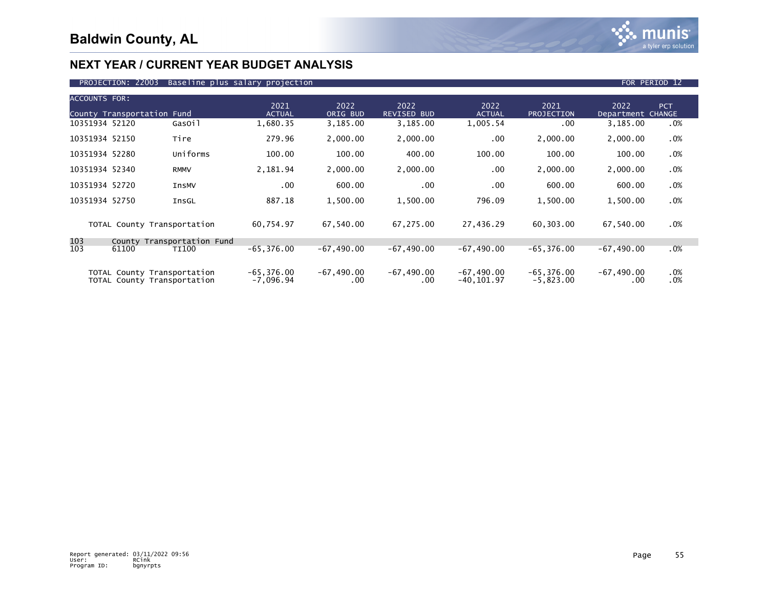

| <b>ACCOUNTS FOR:</b> | County Transportation Fund                                 |                     | 2021<br><b>ACTUAL</b>        | 2022<br>ORIG BUD    | 2022<br><b>REVISED BUD</b> | 2022<br><b>ACTUAL</b>         | 2021<br>PROJECTION           | 2022<br>Department CHANGE | <b>PCT</b> |
|----------------------|------------------------------------------------------------|---------------------|------------------------------|---------------------|----------------------------|-------------------------------|------------------------------|---------------------------|------------|
| 10351934 52120       |                                                            | GasOil              | 1,680.35                     | 3,185.00            | 3,185.00                   | 1,005.54                      | .00.                         | 3,185.00                  | .0%        |
| 10351934 52150       |                                                            | Tire                | 279.96                       | 2,000.00            | 2,000.00                   | .00                           | 2,000.00                     | 2,000.00                  | .0%        |
| 10351934 52280       |                                                            | Uniforms            | 100.00                       | 100.00              | 400.00                     | 100.00                        | 100.00                       | 100.00                    | .0%        |
| 10351934 52340       |                                                            | <b>RMMV</b>         | 2,181.94                     | 2,000.00            | 2,000.00                   | $.00 \,$                      | 2,000.00                     | 2,000.00                  | .0%        |
| 10351934 52720       |                                                            | <b>InsMV</b>        | .00                          | 600.00              | .00.                       | .00                           | 600.00                       | 600.00                    | .0%        |
| 10351934 52750       |                                                            | InsGL               | 887.18                       | 1,500.00            | 1,500.00                   | 796.09                        | 1,500.00                     | 1,500.00                  | .0%        |
|                      | TOTAL County Transportation                                |                     | 60,754.97                    | 67,540.00           | 67,275.00                  | 27,436.29                     | 60,303.00                    | 67,540.00                 | .0%        |
| 103                  | County                                                     | Transportation Fund |                              |                     |                            |                               |                              |                           |            |
| 103                  | 61100                                                      | <b>TI100</b>        | $-65, 376.00$                | $-67,490.00$        | $-67,490.00$               | $-67,490.00$                  | $-65, 376.00$                | $-67, 490.00$             | .0%        |
|                      | TOTAL County Transportation<br>TOTAL County Transportation |                     | $-65, 376.00$<br>$-7,096.94$ | $-67,490.00$<br>.00 | $-67,490.00$<br>.00        | $-67,490.00$<br>$-40, 101.97$ | $-65, 376.00$<br>$-5,823.00$ | $-67,490.00$<br>.00       | .0%<br>.0% |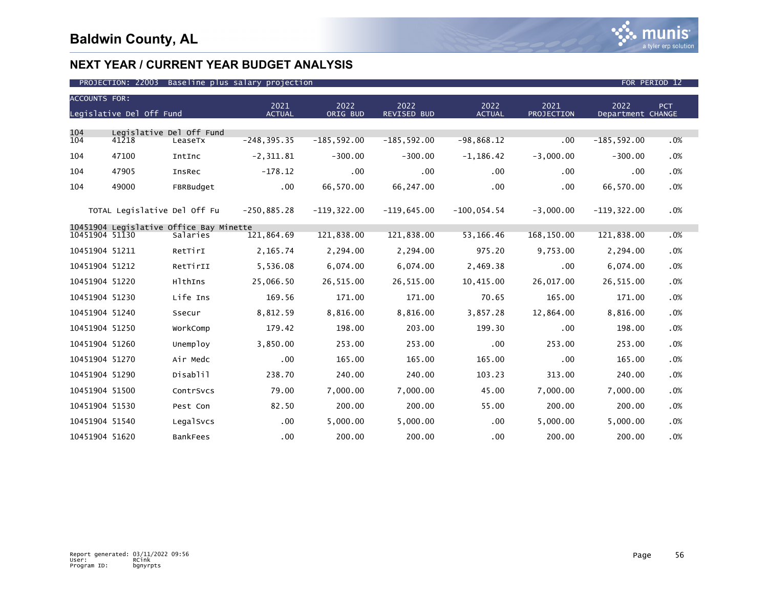

| <b>ACCOUNTS FOR:</b> |                                   |                                                     |                       |                  |                            |                       |                           |                           |     |
|----------------------|-----------------------------------|-----------------------------------------------------|-----------------------|------------------|----------------------------|-----------------------|---------------------------|---------------------------|-----|
|                      | Legislative Del Off Fund          |                                                     | 2021<br><b>ACTUAL</b> | 2022<br>ORIG BUD | 2022<br><b>REVISED BUD</b> | 2022<br><b>ACTUAL</b> | 2021<br><b>PROJECTION</b> | 2022<br>Department CHANGE | PCT |
|                      |                                   |                                                     |                       |                  |                            |                       |                           |                           |     |
| 104<br>104           | Legislative Del Off Fund<br>41218 | LeaseTx                                             | $-248, 395.35$        | $-185, 592.00$   | $-185,592.00$              | $-98,868.12$          | .00                       | $-185, 592.00$            | .0% |
| 104                  | 47100                             | IntInc                                              | $-2, 311.81$          | $-300.00$        | $-300.00$                  | $-1, 186.42$          | $-3,000.00$               | $-300.00$                 | .0% |
| 104                  | 47905                             | InsRec                                              | $-178.12$             | .00              | $.00 \,$                   | .00                   | .00                       | $.00 \,$                  | .0% |
| 104                  | 49000                             | FBRBudget                                           | $.00 \,$              | 66,570.00        | 66,247.00                  | $.00 \,$              | .00                       | 66,570.00                 | .0% |
|                      | TOTAL Legislative Del Off Fu      |                                                     | $-250,885.28$         | $-119, 322.00$   | $-119,645.00$              | $-100,054.54$         | $-3,000.00$               | $-119, 322.00$            | .0% |
| 10451904 51130       |                                   | 10451904 Legislative Office Bay Minette<br>Salaries | 121,864.69            | 121,838.00       | 121,838.00                 | 53, 166. 46           | 168,150.00                | 121,838.00                | .0% |
|                      |                                   |                                                     |                       |                  |                            |                       |                           |                           |     |
| 10451904 51211       |                                   | RetTirI                                             | 2,165.74              | 2,294.00         | 2,294.00                   | 975.20                | 9,753.00                  | 2,294.00                  | .0% |
| 10451904 51212       |                                   | RetTirII                                            | 5,536.08              | 6,074.00         | 6,074.00                   | 2,469.38              | .00                       | 6,074.00                  | .0% |
| 10451904 51220       |                                   | HlthIns                                             | 25,066.50             | 26,515.00        | 26,515.00                  | 10,415.00             | 26,017.00                 | 26,515.00                 | .0% |
| 10451904 51230       |                                   | Life Ins                                            | 169.56                | 171.00           | 171.00                     | 70.65                 | 165.00                    | 171.00                    | .0% |
| 10451904 51240       |                                   | Ssecur                                              | 8,812.59              | 8,816.00         | 8,816.00                   | 3,857.28              | 12,864.00                 | 8,816.00                  | .0% |
| 10451904 51250       |                                   | WorkComp                                            | 179.42                | 198.00           | 203.00                     | 199.30                | .00                       | 198.00                    | .0% |
| 10451904 51260       |                                   | Unemploy                                            | 3,850.00              | 253.00           | 253.00                     | .00                   | 253.00                    | 253.00                    | .0% |
| 10451904 51270       |                                   | Air Medc                                            | .00                   | 165.00           | 165.00                     | 165.00                | .00                       | 165.00                    | .0% |
| 10451904 51290       |                                   | Disablil                                            | 238.70                | 240.00           | 240.00                     | 103.23                | 313.00                    | 240.00                    | .0% |
| 10451904 51500       |                                   | ContrSvcs                                           | 79.00                 | 7,000.00         | 7,000.00                   | 45.00                 | 7,000.00                  | 7,000.00                  | .0% |
| 10451904 51530       |                                   | Pest Con                                            | 82.50                 | 200.00           | 200.00                     | 55.00                 | 200.00                    | 200.00                    | .0% |
| 10451904 51540       |                                   | LegalSvcs                                           | .00                   | 5,000.00         | 5,000.00                   | .00                   | 5,000.00                  | 5,000.00                  | .0% |
| 10451904 51620       |                                   | <b>BankFees</b>                                     | .00                   | 200.00           | 200.00                     | .00                   | 200.00                    | 200.00                    | .0% |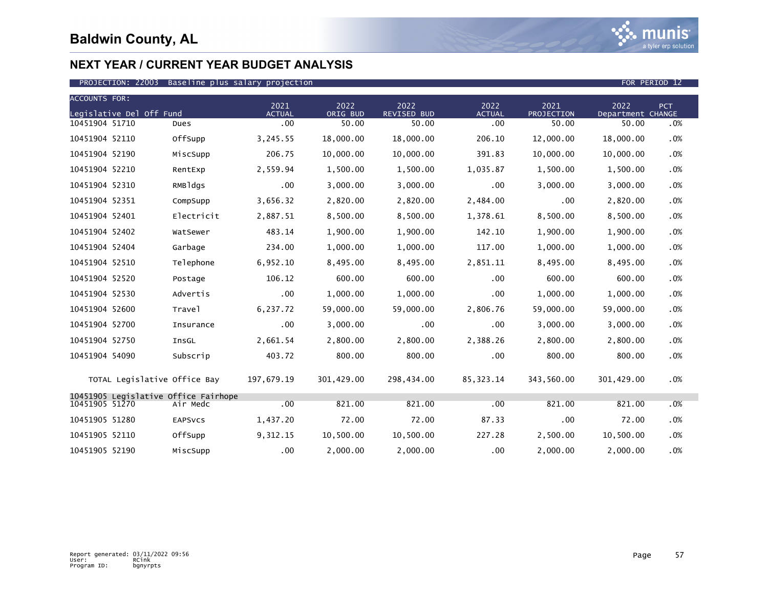

| <b>ACCOUNTS FOR:</b> |                              |                                      |                       |                  |                            |                       |                    |                           |     |
|----------------------|------------------------------|--------------------------------------|-----------------------|------------------|----------------------------|-----------------------|--------------------|---------------------------|-----|
|                      | Legislative Del Off Fund     |                                      | 2021<br><b>ACTUAL</b> | 2022<br>ORIG BUD | 2022<br><b>REVISED BUD</b> | 2022<br><b>ACTUAL</b> | 2021<br>PROJECTION | 2022<br>Department CHANGE | PCT |
| 10451904 51710       |                              | Dues                                 | .00                   | 50.00            | 50.00                      | .00                   | 50.00              | 50.00                     | .0% |
| 10451904 52110       |                              | OffSupp                              | 3,245.55              | 18,000.00        | 18,000.00                  | 206.10                | 12,000.00          | 18,000.00                 | .0% |
| 10451904 52190       |                              | MiscSupp                             | 206.75                | 10,000.00        | 10,000.00                  | 391.83                | 10,000.00          | 10,000.00                 | .0% |
| 10451904 52210       |                              | RentExp                              | 2,559.94              | 1,500.00         | 1,500.00                   | 1,035.87              | 1,500.00           | 1,500.00                  | .0% |
| 10451904 52310       |                              | RMBldgs                              | .00                   | 3,000.00         | 3,000.00                   | .00                   | 3,000.00           | 3,000.00                  | .0% |
| 10451904 52351       |                              | CompSupp                             | 3,656.32              | 2,820.00         | 2,820.00                   | 2,484.00              | .00                | 2,820.00                  | .0% |
| 10451904 52401       |                              | Electricit                           | 2,887.51              | 8,500.00         | 8,500.00                   | 1,378.61              | 8,500.00           | 8,500.00                  | .0% |
| 10451904 52402       |                              | WatSewer                             | 483.14                | 1,900.00         | 1,900.00                   | 142.10                | 1,900.00           | 1,900.00                  | .0% |
| 10451904 52404       |                              | Garbage                              | 234.00                | 1,000.00         | 1,000.00                   | 117.00                | 1,000.00           | 1,000.00                  | .0% |
| 10451904 52510       |                              | Telephone                            | 6,952.10              | 8,495.00         | 8,495.00                   | 2,851.11              | 8,495.00           | 8,495.00                  | .0% |
| 10451904 52520       |                              | Postage                              | 106.12                | 600.00           | 600.00                     | .00                   | 600.00             | 600.00                    | .0% |
| 10451904 52530       |                              | Advertis                             | .00                   | 1,000.00         | 1,000.00                   | .00                   | 1,000.00           | 1,000.00                  | .0% |
| 10451904 52600       |                              | Travel                               | 6,237.72              | 59,000.00        | 59,000.00                  | 2,806.76              | 59,000.00          | 59,000.00                 | .0% |
| 10451904 52700       |                              | Insurance                            | .00                   | 3,000.00         | $.00 \,$                   | $.00 \,$              | 3,000.00           | 3,000.00                  | .0% |
| 10451904 52750       |                              | InsGL                                | 2,661.54              | 2,800.00         | 2,800.00                   | 2,388.26              | 2,800.00           | 2,800.00                  | .0% |
| 10451904 54090       |                              | Subscrip                             | 403.72                | 800.00           | 800.00                     | .00                   | 800.00             | 800.00                    | .0% |
|                      | TOTAL Legislative Office Bay |                                      | 197,679.19            | 301,429.00       | 298,434.00                 | 85, 323. 14           | 343,560.00         | 301,429.00                | .0% |
|                      |                              | 10451905 Legislative Office Fairhope |                       |                  |                            |                       |                    |                           |     |
| 10451905 51270       |                              | Air Medc                             | .00                   | 821.00           | 821.00                     | .00                   | 821.00             | 821.00                    | .0% |
| 10451905 51280       |                              | <b>EAPSVCS</b>                       | 1,437.20              | 72.00            | 72.00                      | 87.33                 | .00                | 72.00                     | .0% |
| 10451905 52110       |                              | OffSupp                              | 9,312.15              | 10,500.00        | 10,500.00                  | 227.28                | 2,500.00           | 10,500.00                 | .0% |
| 10451905 52190       |                              | MiscSupp                             | $.00 \,$              | 2,000.00         | 2,000.00                   | .00                   | 2,000.00           | 2,000.00                  | .0% |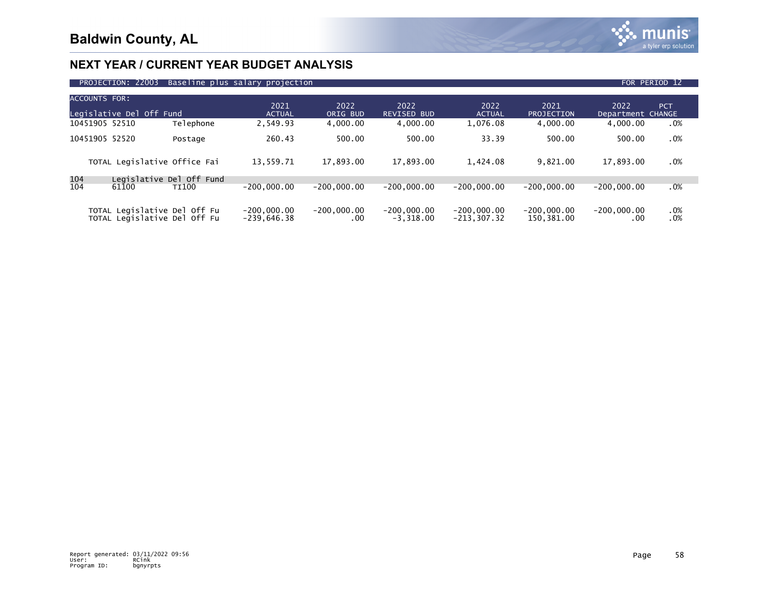

|                          | PROJECTION: 22003 Baseline plus salary projection |                       |                  |                            |                       |                    |                           | FOR PERIOD 12 |
|--------------------------|---------------------------------------------------|-----------------------|------------------|----------------------------|-----------------------|--------------------|---------------------------|---------------|
| ACCOUNTS FOR:            |                                                   |                       |                  |                            |                       |                    |                           |               |
| Legislative Del Off Fund |                                                   | 2021<br><b>ACTUAL</b> | 2022<br>ORIG BUD | 2022<br><b>REVISED BUD</b> | 2022<br><b>ACTUAL</b> | 2021<br>PROJECTION | 2022<br>Department CHANGE | <b>PCT</b>    |
| 10451905 52510           | Telephone                                         | 2.549.93              | 4.000.00         | 4.000.00                   | 1.076.08              | 4.000.00           | 4.000.00                  | .0%           |
| 10451905 52520           | Postage                                           | 260.43                | 500.00           | 500.00                     | 33.39                 | 500.00             | 500.00                    | .0%           |
|                          |                                                   |                       |                  |                            |                       |                    |                           |               |

|            | TOTAL Legislative Office Fai                                 | 13.559.71                      | 17.893.00            | 17.893.00                    | 1.424.08                        | 9.821.00                    | 17.893.00     | .0%        |  |
|------------|--------------------------------------------------------------|--------------------------------|----------------------|------------------------------|---------------------------------|-----------------------------|---------------|------------|--|
| 104<br>104 | Legislative Del Off Fund<br>61100<br>TI100                   | $-200.000.00$                  | $-200.000.00$        | $-200.000.00$                | $-200.000.00$                   | $-200.000.00$               | $-200.000.00$ | .0%        |  |
|            | TOTAL Legislative Del Off Fu<br>TOTAL Legislative Del Off Fu | $-200.000.00$<br>$-239,646.38$ | $-200.000.00$<br>.00 | $-200.000.00$<br>$-3.318.00$ | $-200,000,00$<br>$-213, 307.32$ | $-200.000.00$<br>150,381.00 | $-200.000.00$ | .0%<br>.0% |  |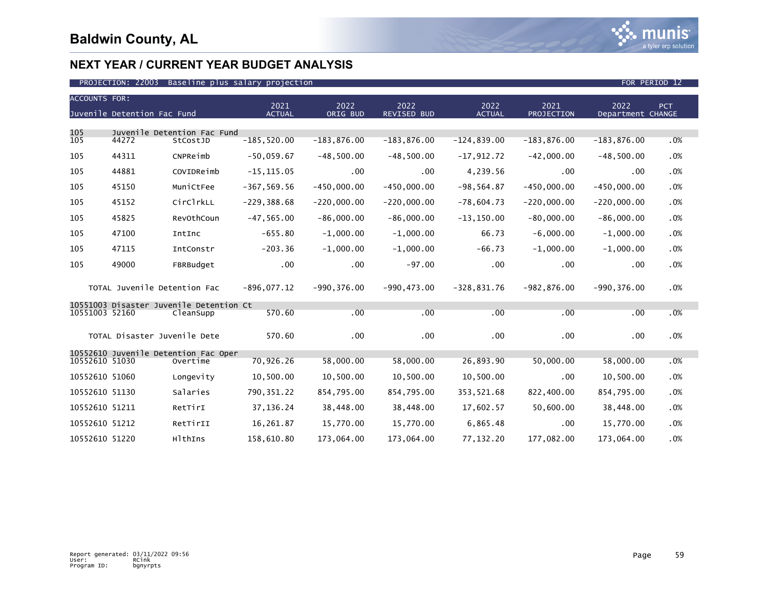| <b>ACCOUNTS FOR:</b> |                              |                                                      |                       |                  |                            |                       |                    |                           |            |  |  |
|----------------------|------------------------------|------------------------------------------------------|-----------------------|------------------|----------------------------|-----------------------|--------------------|---------------------------|------------|--|--|
|                      | Juvenile Detention Fac Fund  |                                                      | 2021<br><b>ACTUAL</b> | 2022<br>ORIG BUD | 2022<br><b>REVISED BUD</b> | 2022<br><b>ACTUAL</b> | 2021<br>PROJECTION | 2022<br>Department CHANGE | <b>PCT</b> |  |  |
|                      |                              |                                                      |                       |                  |                            |                       |                    |                           |            |  |  |
| 105<br>105           | 44272                        | Juvenile Detention Fac Fund<br>StCostJD              | $-185,520.00$         | $-183, 876.00$   | $-183, 876.00$             | $-124,839.00$         | $-183, 876.00$     | $-183, 876.00$            | .0%        |  |  |
| 105                  | 44311                        | CNPReimb                                             | $-50,059.67$          | $-48,500.00$     | $-48,500.00$               | $-17,912.72$          | $-42,000.00$       | $-48,500.00$              | .0%        |  |  |
| 105                  | 44881                        | COVIDReimb                                           | $-15, 115.05$         | $.00 \,$         | $.00 \times$               | 4,239.56              | $.00 \,$           | .00                       | .0%        |  |  |
| 105                  | 45150                        | MuniCtFee                                            | $-367, 569.56$        | $-450,000.00$    | $-450,000.00$              | $-98, 564.87$         | $-450,000.00$      | $-450,000.00$             | .0%        |  |  |
| 105                  | 45152                        | CirClrkLL                                            | $-229, 388.68$        | $-220,000.00$    | $-220,000.00$              | $-78,604.73$          | $-220,000.00$      | $-220,000.00$             | .0%        |  |  |
| 105                  | 45825                        | RevOthCoun                                           | $-47, 565.00$         | $-86,000.00$     | $-86,000.00$               | $-13, 150.00$         | $-80,000.00$       | $-86,000.00$              | .0%        |  |  |
| 105                  | 47100                        | IntInc                                               | $-655.80$             | $-1,000.00$      | $-1,000.00$                | 66.73                 | $-6,000.00$        | $-1,000.00$               | .0%        |  |  |
| 105                  | 47115                        | IntConstr                                            | $-203.36$             | $-1,000.00$      | $-1,000.00$                | $-66.73$              | $-1,000.00$        | $-1,000.00$               | .0%        |  |  |
| 105                  | 49000                        | FBRBudget                                            | .00                   | .00              | $-97.00$                   | .00                   | .00                | .00                       | .0%        |  |  |
|                      | TOTAL Juvenile Detention Fac |                                                      | $-896,077.12$         | $-990, 376.00$   | $-990, 473.00$             | $-328,831.76$         | $-982, 876.00$     | $-990.376.00$             | .0%        |  |  |
| 10551003 52160       |                              | 10551003 Disaster Juvenile Detention Ct<br>CleanSupp | 570.60                | .00              | .00                        | .00                   | .00                | .00                       | .0%        |  |  |
|                      | TOTAL Disaster Juvenile Dete |                                                      | 570.60                | $.00 \,$         | .00                        | .00 <sub>1</sub>      | .00                | .00                       | .0%        |  |  |
|                      |                              | 10552610 Juvenile Detention Fac Oper                 |                       |                  |                            |                       |                    |                           |            |  |  |
| 10552610 51030       |                              | Overtime                                             | 70,926.26             | 58,000.00        | 58,000.00                  | 26,893.90             | 50,000.00          | 58,000.00                 | .0%        |  |  |
| 10552610 51060       |                              | Longevity                                            | 10,500.00             | 10,500.00        | 10,500.00                  | 10,500.00             | .00                | 10,500.00                 | .0%        |  |  |
| 10552610 51130       |                              | Salaries                                             | 790, 351.22           | 854,795.00       | 854,795.00                 | 353,521.68            | 822,400.00         | 854,795.00                | .0%        |  |  |
| 10552610 51211       |                              | RetTirI                                              | 37, 136.24            | 38,448.00        | 38,448.00                  | 17,602.57             | 50,600.00          | 38,448.00                 | .0%        |  |  |
| 10552610 51212       |                              | RetTirII                                             | 16,261.87             | 15,770.00        | 15,770.00                  | 6,865.48              | .00                | 15,770.00                 | .0%        |  |  |
| 10552610 51220       |                              | HlthIns                                              | 158,610.80            | 173,064.00       | 173,064.00                 | 77,132.20             | 177,082.00         | 173,064.00                | .0%        |  |  |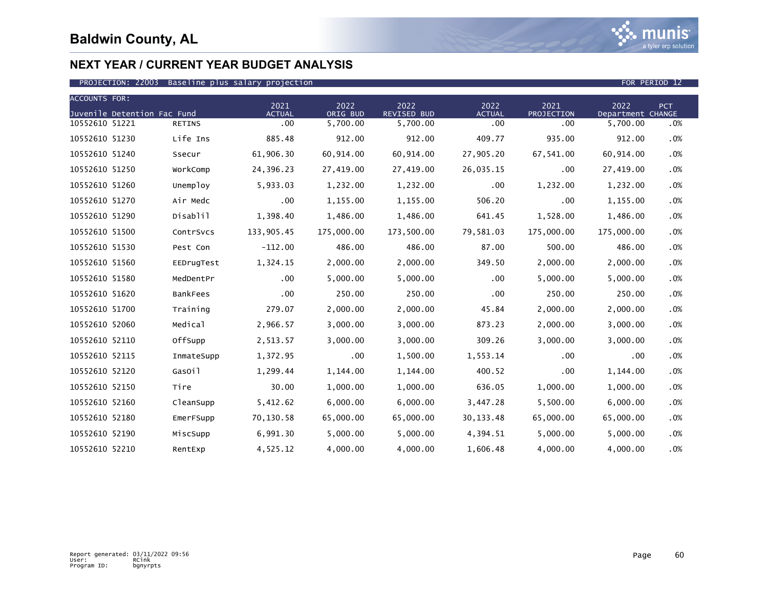

| <b>ACCOUNTS FOR:</b> |                             |                 |                       |                  |                     |                       |                    |                           |            |
|----------------------|-----------------------------|-----------------|-----------------------|------------------|---------------------|-----------------------|--------------------|---------------------------|------------|
|                      | Juvenile Detention Fac Fund |                 | 2021<br><b>ACTUAL</b> | 2022<br>ORIG BUD | 2022<br>REVISED BUD | 2022<br><b>ACTUAL</b> | 2021<br>PROJECTION | 2022<br>Department CHANGE | <b>PCT</b> |
| 10552610 51221       |                             | <b>RETINS</b>   | $.00 \,$              | 5,700.00         | 5,700.00            | .00                   | .00                | 5,700.00                  | .0%        |
| 10552610 51230       |                             | Life Ins        | 885.48                | 912.00           | 912.00              | 409.77                | 935.00             | 912.00                    | .0%        |
| 10552610 51240       |                             | Ssecur          | 61,906.30             | 60,914.00        | 60,914.00           | 27,905.20             | 67,541.00          | 60,914.00                 | .0%        |
| 10552610 51250       |                             | WorkComp        | 24,396.23             | 27,419.00        | 27,419.00           | 26,035.15             | .00                | 27,419.00                 | .0%        |
| 10552610 51260       |                             | Unemploy        | 5,933.03              | 1,232.00         | 1,232.00            | $.00 \times$          | 1,232.00           | 1,232.00                  | .0%        |
| 10552610 51270       |                             | Air Medc        | .00                   | 1,155.00         | 1,155.00            | 506.20                | .00                | 1,155.00                  | .0%        |
| 10552610 51290       |                             | Disablil        | 1,398.40              | 1,486.00         | 1,486.00            | 641.45                | 1,528.00           | 1,486.00                  | .0%        |
| 10552610 51500       |                             | ContrSvcs       | 133,905.45            | 175,000.00       | 173,500.00          | 79,581.03             | 175,000.00         | 175,000.00                | .0%        |
| 10552610 51530       |                             | Pest Con        | $-112.00$             | 486.00           | 486.00              | 87.00                 | 500.00             | 486.00                    | .0%        |
| 10552610 51560       |                             | EEDrugTest      | 1,324.15              | 2,000.00         | 2,000.00            | 349.50                | 2,000.00           | 2,000.00                  | .0%        |
| 10552610 51580       |                             | MedDentPr       | .00                   | 5,000.00         | 5,000.00            | .00                   | 5,000.00           | 5,000.00                  | .0%        |
| 10552610 51620       |                             | <b>BankFees</b> | .00                   | 250.00           | 250.00              | .00 <sub>1</sub>      | 250.00             | 250.00                    | .0%        |
| 10552610 51700       |                             | Training        | 279.07                | 2,000.00         | 2,000.00            | 45.84                 | 2,000.00           | 2,000.00                  | .0%        |
| 10552610 52060       |                             | Medical         | 2,966.57              | 3,000.00         | 3,000.00            | 873.23                | 2,000.00           | 3,000.00                  | .0%        |
| 10552610 52110       |                             | OffSupp         | 2,513.57              | 3,000.00         | 3,000.00            | 309.26                | 3,000.00           | 3,000.00                  | .0%        |
| 10552610 52115       |                             | InmateSupp      | 1,372.95              | $.00 \,$         | 1,500.00            | 1,553.14              | .00                | .00                       | .0%        |
| 10552610 52120       |                             | GasOil          | 1,299.44              | 1,144.00         | 1,144.00            | 400.52                | .00                | 1,144.00                  | .0%        |
| 10552610 52150       |                             | Tire            | 30.00                 | 1,000.00         | 1,000.00            | 636.05                | 1,000.00           | 1,000.00                  | .0%        |
| 10552610 52160       |                             | CleanSupp       | 5,412.62              | 6,000.00         | 6,000.00            | 3,447.28              | 5,500.00           | 6,000.00                  | .0%        |
| 10552610 52180       |                             | EmerFSupp       | 70,130.58             | 65,000.00        | 65,000.00           | 30, 133.48            | 65,000.00          | 65,000.00                 | .0%        |
| 10552610 52190       |                             | MiscSupp        | 6,991.30              | 5,000.00         | 5,000.00            | 4,394.51              | 5,000.00           | 5,000.00                  | $.0\%$     |
| 10552610 52210       |                             | RentExp         | 4,525.12              | 4,000.00         | 4,000.00            | 1,606.48              | 4,000.00           | 4,000.00                  | .0%        |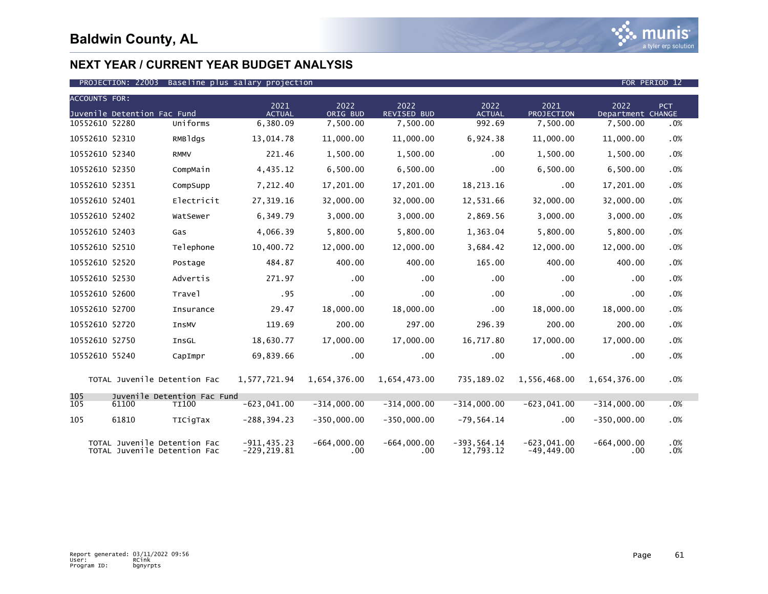

### PROJECTION: 22003 Baseline plus salary projection FOR PERIOD 12

| <b>ACCOUNTS FOR:</b> |                                                              |                                             |                                  |                           |                            |                             |                               |                           |            |
|----------------------|--------------------------------------------------------------|---------------------------------------------|----------------------------------|---------------------------|----------------------------|-----------------------------|-------------------------------|---------------------------|------------|
|                      | Juvenile Detention Fac Fund                                  |                                             | 2021<br><b>ACTUAL</b>            | 2022<br>ORIG BUD          | 2022<br><b>REVISED BUD</b> | 2022<br><b>ACTUAL</b>       | 2021<br>PROJECTION            | 2022<br>Department CHANGE | <b>PCT</b> |
| 10552610 52280       |                                                              | Uniforms                                    | 6,380.09                         | 7,500.00                  | 7,500.00                   | 992.69                      | 7,500.00                      | 7,500.00                  | .0%        |
| 10552610 52310       |                                                              | RMBldgs                                     | 13,014.78                        | 11,000.00                 | 11,000.00                  | 6,924.38                    | 11,000.00                     | 11,000.00                 | .0%        |
| 10552610 52340       |                                                              | <b>RMMV</b>                                 | 221.46                           | 1,500.00                  | 1,500.00                   | .00                         | 1,500.00                      | 1,500.00                  | .0%        |
| 10552610 52350       |                                                              | CompMain                                    | 4,435.12                         | 6,500.00                  | 6,500.00                   | .00                         | 6,500.00                      | 6,500.00                  | .0%        |
| 10552610 52351       |                                                              | CompSupp                                    | 7,212.40                         | 17,201.00                 | 17,201.00                  | 18,213.16                   | .00                           | 17,201.00                 | .0%        |
| 10552610 52401       |                                                              | Electricit                                  | 27,319.16                        | 32,000.00                 | 32,000.00                  | 12,531.66                   | 32,000.00                     | 32,000.00                 | .0%        |
| 10552610 52402       |                                                              | WatSewer                                    | 6,349.79                         | 3,000.00                  | 3,000.00                   | 2,869.56                    | 3,000.00                      | 3,000.00                  | .0%        |
| 10552610 52403       |                                                              | Gas                                         | 4,066.39                         | 5,800.00                  | 5,800.00                   | 1,363.04                    | 5,800.00                      | 5,800.00                  | .0%        |
| 10552610 52510       |                                                              | Telephone                                   | 10,400.72                        | 12,000.00                 | 12,000.00                  | 3,684.42                    | 12,000.00                     | 12,000.00                 | .0%        |
| 10552610 52520       |                                                              | Postage                                     | 484.87                           | 400.00                    | 400.00                     | 165.00                      | 400.00                        | 400.00                    | .0%        |
| 10552610 52530       |                                                              | Advertis                                    | 271.97                           | .00                       | .00                        | $.00 \,$                    | .00                           | $.00 \,$                  | .0%        |
| 10552610 52600       |                                                              | Travel                                      | .95                              | .00                       | $.00 \,$                   | $.00 \times$                | .00                           | .00 <sub>1</sub>          | .0%        |
| 10552610 52700       |                                                              | Insurance                                   | 29.47                            | 18,000.00                 | 18,000.00                  | $.00 \,$                    | 18,000.00                     | 18,000.00                 | .0%        |
| 10552610 52720       |                                                              | InsMV                                       | 119.69                           | 200.00                    | 297.00                     | 296.39                      | 200.00                        | 200.00                    | .0%        |
| 10552610 52750       |                                                              | InsGL                                       | 18,630.77                        | 17,000.00                 | 17,000.00                  | 16,717.80                   | 17,000.00                     | 17,000.00                 | .0%        |
| 10552610 55240       |                                                              | CapImpr                                     | 69,839.66                        | .00                       | $.00 \times$               | $.00 \,$                    | .00                           | .00                       | .0%        |
|                      | TOTAL Juvenile Detention Fac                                 |                                             | 1,577,721.94                     | 1,654,376.00              | 1,654,473.00               | 735,189.02                  | 1,556,468.00                  | 1,654,376.00              | .0%        |
| 105<br>105           | 61100                                                        | Juvenile Detention Fac Fund<br><b>TI100</b> | $-623,041.00$                    | $-314,000.00$             | $-314,000.00$              | $-314,000.00$               | $-623,041.00$                 | $-314,000.00$             | .0%        |
| 105                  | 61810                                                        | TICigTax                                    | $-288, 394.23$                   | $-350,000.00$             | $-350,000.00$              | $-79,564.14$                | .00                           | $-350,000.00$             | .0%        |
|                      |                                                              |                                             |                                  |                           |                            |                             |                               |                           |            |
|                      | TOTAL Juvenile Detention Fac<br>TOTAL Juvenile Detention Fac |                                             | $-911, 435.23$<br>$-229, 219.81$ | $-664,000.00$<br>$.00 \,$ | $-664,000.00$<br>.00       | $-393, 564.14$<br>12.793.12 | $-623.041.00$<br>$-49.449.00$ | $-664,000.00$<br>.00      | .0%<br>.0% |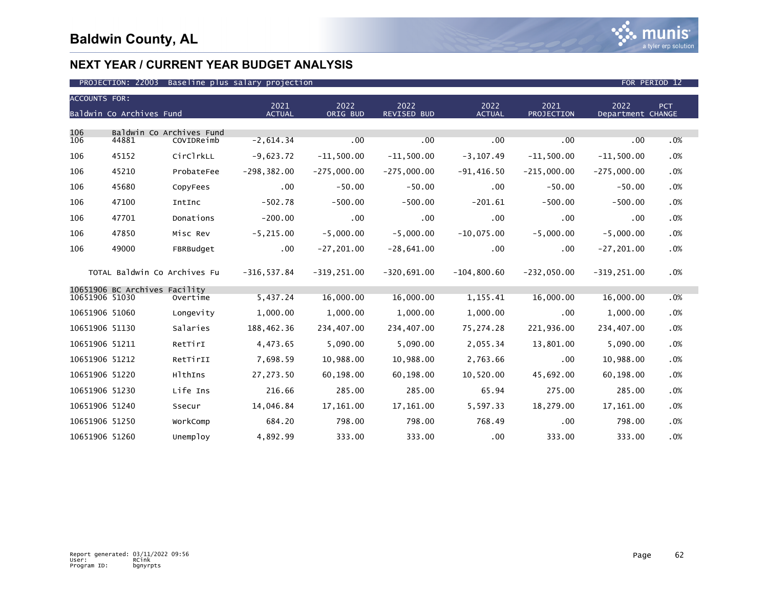

| <b>ACCOUNTS FOR:</b> |                               |                                        |                |                |               |                |                   |                   |     |
|----------------------|-------------------------------|----------------------------------------|----------------|----------------|---------------|----------------|-------------------|-------------------|-----|
|                      |                               |                                        | 2021           | 2022           | 2022          | 2022           | 2021              | 2022              | PCT |
|                      | Baldwin Co Archives Fund      |                                        | <b>ACTUAL</b>  | ORIG BUD       | REVISED BUD   | <b>ACTUAL</b>  | <b>PROJECTION</b> | Department CHANGE |     |
| 106<br>106           | 44881                         | Baldwin Co Archives Fund<br>COVIDReimb | $-2,614.34$    | .00            | .00           | .00            | .00               | .00               | .0% |
|                      |                               |                                        |                |                |               |                |                   |                   |     |
| 106                  | 45152                         | CirClrkLL                              | $-9,623.72$    | $-11,500.00$   | $-11,500.00$  | $-3, 107.49$   | $-11,500.00$      | $-11,500.00$      | .0% |
| 106                  | 45210                         | ProbateFee                             | $-298, 382.00$ | $-275,000.00$  | $-275,000.00$ | $-91,416.50$   | $-215,000.00$     | $-275,000.00$     | .0% |
| 106                  | 45680                         | CopyFees                               | .00            | $-50.00$       | $-50.00$      | $.00 \times$   | $-50.00$          | $-50.00$          | .0% |
| 106                  | 47100                         | IntInc                                 | $-502.78$      | $-500.00$      | $-500.00$     | $-201.61$      | $-500.00$         | $-500.00$         | .0% |
| 106                  | 47701                         | Donations                              | $-200.00$      | .00            | $.00 \,$      | .00            | .00               | .00               | .0% |
| 106                  | 47850                         | Misc Rev                               | $-5, 215.00$   | $-5,000.00$    | $-5.000.00$   | $-10.075.00$   | $-5,000.00$       | $-5,000.00$       | .0% |
| 106                  | 49000                         | FBRBudget                              | $.00 \,$       | $-27, 201.00$  | $-28,641.00$  | .00            | .00               | $-27, 201.00$     | .0% |
|                      | TOTAL Baldwin Co Archives Fu  |                                        | $-316, 537.84$ | $-319, 251.00$ | $-320,691.00$ | $-104, 800.60$ | $-232,050.00$     | $-319, 251.00$    | .0% |
|                      | 10651906 BC Archives Facility |                                        |                |                |               |                |                   |                   |     |
| 10651906 51030       |                               | Overtime                               | 5,437.24       | 16,000.00      | 16,000.00     | 1,155.41       | 16,000.00         | 16,000.00         | .0% |
| 10651906 51060       |                               | Longevity                              | 1,000.00       | 1,000.00       | 1,000.00      | 1,000.00       | .00               | 1,000.00          | .0% |
| 10651906 51130       |                               | Salaries                               | 188,462.36     | 234,407.00     | 234,407.00    | 75,274.28      | 221,936.00        | 234,407.00        | .0% |
| 10651906 51211       |                               | RetTirI                                | 4,473.65       | 5,090.00       | 5,090.00      | 2,055.34       | 13,801.00         | 5,090.00          | .0% |
| 10651906 51212       |                               | RetTirII                               | 7,698.59       | 10,988.00      | 10,988.00     | 2,763.66       | .00               | 10,988.00         | .0% |
| 10651906 51220       |                               | HlthIns                                | 27,273.50      | 60,198.00      | 60,198.00     | 10,520.00      | 45,692.00         | 60,198.00         | .0% |
| 10651906 51230       |                               | Life Ins                               | 216.66         | 285.00         | 285.00        | 65.94          | 275.00            | 285.00            | .0% |
| 10651906 51240       |                               | Ssecur                                 | 14,046.84      | 17,161.00      | 17,161.00     | 5,597.33       | 18,279.00         | 17, 161.00        | .0% |
| 10651906 51250       |                               | WorkComp                               | 684.20         | 798.00         | 798.00        | 768.49         | .00               | 798.00            | .0% |
| 10651906 51260       |                               | Unemploy                               | 4,892.99       | 333.00         | 333.00        | .00            | 333.00            | 333.00            | .0% |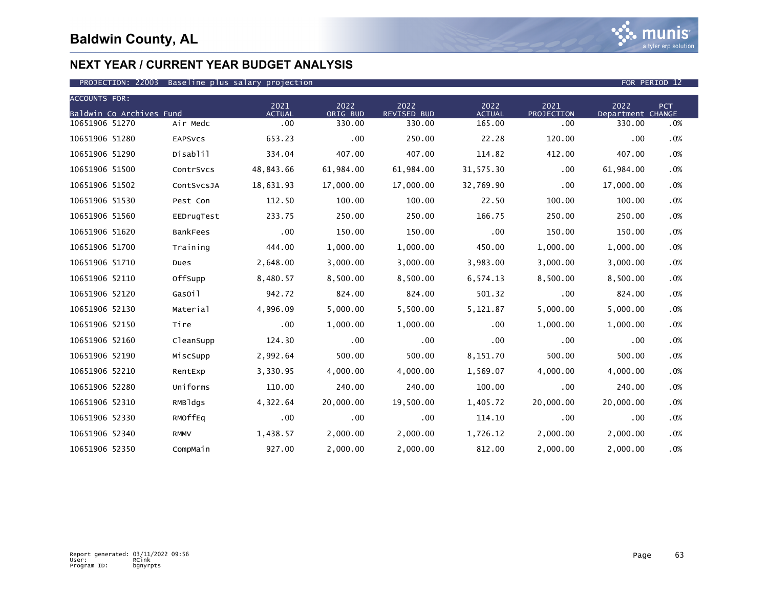

### PROJECTION: 22003 Baseline plus salary projection FOR PERIOD 12

| <b>ACCOUNTS FOR:</b>     |                 |                       |                  |                     |                       |                    |                           |        |
|--------------------------|-----------------|-----------------------|------------------|---------------------|-----------------------|--------------------|---------------------------|--------|
| Baldwin Co Archives Fund |                 | 2021<br><b>ACTUAL</b> | 2022<br>ORIG BUD | 2022<br>REVISED BUD | 2022<br><b>ACTUAL</b> | 2021<br>PROJECTION | 2022<br>Department CHANGE | PCT    |
| 10651906 51270           | Air Medc        | $.00 \,$              | 330.00           | 330.00              | 165.00                | .00                | 330.00                    | .0%    |
| 10651906 51280           | <b>EAPSVCS</b>  | 653.23                | .00              | 250.00              | 22.28                 | 120.00             | .00                       | .0%    |
| 10651906 51290           | Disablil        | 334.04                | 407.00           | 407.00              | 114.82                | 412.00             | 407.00                    | .0%    |
| 10651906 51500           | ContrSvcs       | 48,843.66             | 61,984.00        | 61,984.00           | 31,575.30             | .00                | 61,984.00                 | .0%    |
| 10651906 51502           | ContSvcsJA      | 18,631.93             | 17,000.00        | 17,000.00           | 32,769.90             | .00                | 17,000.00                 | .0%    |
| 10651906 51530           | Pest Con        | 112.50                | 100.00           | 100.00              | 22.50                 | 100.00             | 100.00                    | $.0\%$ |
| 10651906 51560           | EEDrugTest      | 233.75                | 250.00           | 250.00              | 166.75                | 250.00             | 250.00                    | .0%    |
| 10651906 51620           | <b>BankFees</b> | .00                   | 150.00           | 150.00              | .00                   | 150.00             | 150.00                    | .0%    |
| 10651906 51700           | Training        | 444.00                | 1,000.00         | 1,000.00            | 450.00                | 1,000.00           | 1,000.00                  | .0%    |
| 10651906 51710           | Dues            | 2,648.00              | 3,000.00         | 3,000.00            | 3,983.00              | 3,000.00           | 3,000.00                  | .0%    |
| 10651906 52110           | OffSupp         | 8,480.57              | 8,500.00         | 8,500.00            | 6,574.13              | 8,500.00           | 8,500.00                  | $.0\%$ |
| 10651906 52120           | GasOil          | 942.72                | 824.00           | 824.00              | 501.32                | .00                | 824.00                    | .0%    |
| 10651906 52130           | Material        | 4,996.09              | 5,000.00         | 5,500.00            | 5,121.87              | 5,000.00           | 5,000.00                  | .0%    |
| 10651906 52150           | Tire            | $.00 \,$              | 1,000.00         | 1,000.00            | .00                   | 1,000.00           | 1,000.00                  | .0%    |
| 10651906 52160           | CleanSupp       | 124.30                | .00              | .00                 | .00.                  | .00                | .00                       | .0%    |
| 10651906 52190           | MiscSupp        | 2,992.64              | 500.00           | 500.00              | 8,151.70              | 500.00             | 500.00                    | .0%    |
| 10651906 52210           | RentExp         | 3,330.95              | 4,000.00         | 4,000.00            | 1,569.07              | 4,000.00           | 4,000.00                  | .0%    |
| 10651906 52280           | Uniforms        | 110.00                | 240.00           | 240.00              | 100.00                | .00                | 240.00                    | .0%    |
| 10651906 52310           | RMBldgs         | 4,322.64              | 20,000.00        | 19,500.00           | 1,405.72              | 20,000.00          | 20,000.00                 | $.0\%$ |
| 10651906 52330           | RMOffEq         | .00                   | .00              | .00                 | 114.10                | .00                | .00                       | .0%    |
| 10651906 52340           | <b>RMMV</b>     | 1,438.57              | 2,000.00         | 2,000.00            | 1,726.12              | 2,000.00           | 2,000.00                  | $.0\%$ |
| 10651906 52350           | CompMain        | 927.00                | 2,000.00         | 2,000.00            | 812.00                | 2,000.00           | 2,000.00                  | .0%    |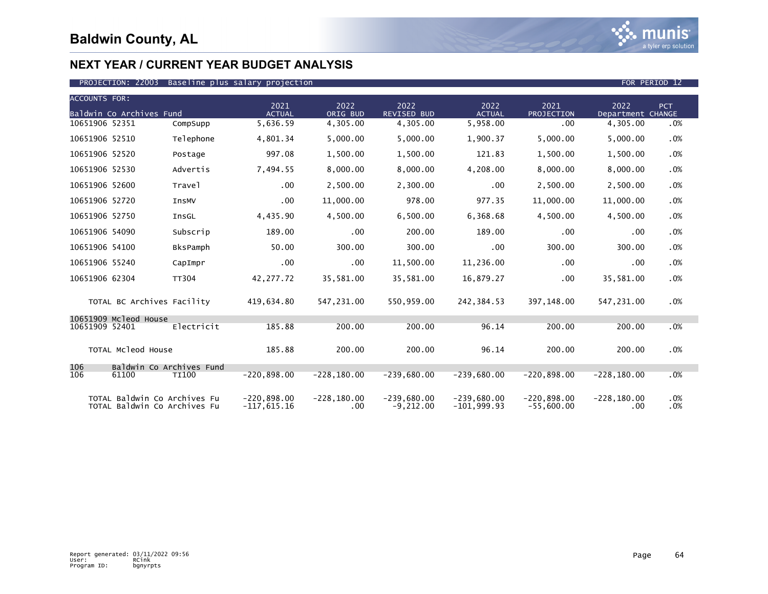

| <b>ACCOUNTS FOR:</b> | Baldwin Co Archives Fund                                     |                 | 2021<br><b>ACTUAL</b>          | 2022<br>ORIG BUD           | 2022<br>REVISED BUD          | 2022<br><b>ACTUAL</b>          | 2021<br>PROJECTION            | 2022<br>Department CHANGE | <b>PCT</b> |
|----------------------|--------------------------------------------------------------|-----------------|--------------------------------|----------------------------|------------------------------|--------------------------------|-------------------------------|---------------------------|------------|
| 10651906 52351       |                                                              | CompSupp        | 5,636.59                       | 4,305.00                   | 4,305.00                     | 5,958.00                       | .00                           | 4,305.00                  | .0%        |
| 10651906 52510       |                                                              | Telephone       | 4,801.34                       | 5,000.00                   | 5,000.00                     | 1,900.37                       | 5,000.00                      | 5,000.00                  | .0%        |
| 10651906 52520       |                                                              | Postage         | 997.08                         | 1,500.00                   | 1,500.00                     | 121.83                         | 1,500.00                      | 1,500.00                  | .0%        |
| 10651906 52530       |                                                              | Advertis        | 7,494.55                       | 8,000.00                   | 8,000.00                     | 4,208.00                       | 8,000.00                      | 8,000.00                  | .0%        |
| 10651906 52600       |                                                              | Travel          | .00                            | 2,500.00                   | 2,300.00                     | .00                            | 2,500.00                      | 2,500.00                  | .0%        |
| 10651906 52720       |                                                              | <b>InsMV</b>    | .00                            | 11,000.00                  | 978.00                       | 977.35                         | 11,000.00                     | 11,000.00                 | .0%        |
| 10651906 52750       |                                                              | InsGL           | 4,435.90                       | 4,500.00                   | 6,500.00                     | 6,368.68                       | 4,500.00                      | 4,500.00                  | .0%        |
| 10651906 54090       |                                                              | Subscrip        | 189.00                         | $.00 \,$                   | 200.00                       | 189.00                         | .00                           | .00                       | .0%        |
| 10651906 54100       |                                                              | <b>BksPamph</b> | 50.00                          | 300.00                     | 300.00                       | .00                            | 300.00                        | 300.00                    | .0%        |
| 10651906 55240       |                                                              | CapImpr         | .00                            | $.00 \,$                   | 11,500.00                    | 11,236.00                      | .00                           | .00                       | .0%        |
| 10651906 62304       |                                                              | <b>TT304</b>    | 42,277.72                      | 35,581.00                  | 35,581.00                    | 16,879.27                      | .00                           | 35,581.00                 | .0%        |
|                      | TOTAL BC Archives Facility                                   |                 | 419,634.80                     | 547,231.00                 | 550,959.00                   | 242,384.53                     | 397,148.00                    | 547,231.00                | .0%        |
| 10651909 52401       | 10651909 Mcleod House                                        | Electricit      | 185.88                         | 200.00                     | 200.00                       | 96.14                          | 200.00                        | 200.00                    | .0%        |
|                      | TOTAL Mcleod House                                           |                 | 185.88                         | 200.00                     | 200.00                       | 96.14                          | 200.00                        | 200.00                    | .0%        |
| 106<br>106           | Baldwin Co Archives Fund<br>61100                            | <b>TI100</b>    | $-220,898.00$                  | $-228, 180.00$             | $-239,680.00$                | $-239.680.00$                  | $-220,898.00$                 | $-228, 180.00$            | .0%        |
|                      | TOTAL Baldwin Co Archives Fu<br>TOTAL Baldwin Co Archives Fu |                 | $-220,898.00$<br>$-117,615.16$ | $-228, 180.00$<br>$.00 \,$ | $-239,680.00$<br>$-9,212.00$ | $-239,680.00$<br>$-101,999.93$ | $-220,898.00$<br>$-55,600.00$ | $-228, 180.00$<br>.00     | .0%<br>.0% |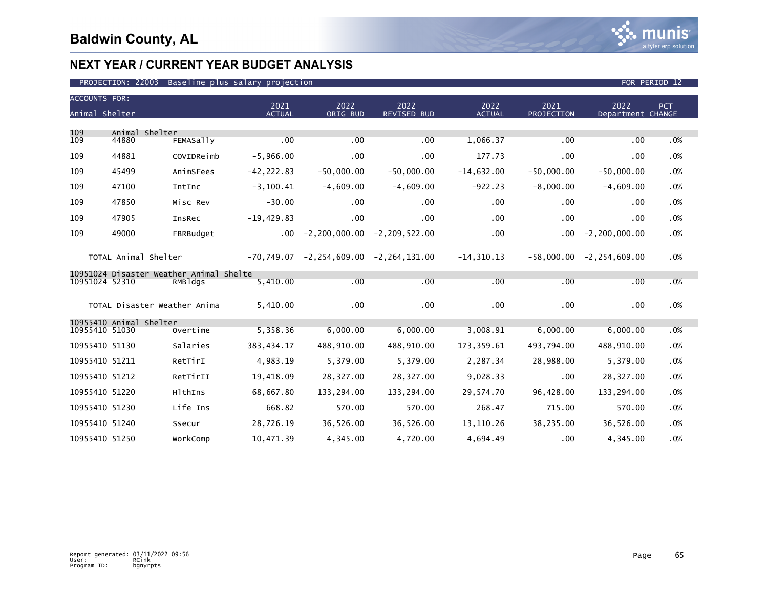| <b>ACCOUNTS FOR:</b><br>Animal Shelter |                         |                                         | 2021<br><b>ACTUAL</b> | 2022<br>ORIG BUD                      | 2022<br><b>REVISED BUD</b>                        | 2022<br><b>ACTUAL</b> | 2021<br>PROJECTION | 2022<br>Department CHANGE  | PCT |
|----------------------------------------|-------------------------|-----------------------------------------|-----------------------|---------------------------------------|---------------------------------------------------|-----------------------|--------------------|----------------------------|-----|
|                                        |                         |                                         |                       |                                       |                                                   |                       |                    |                            |     |
| 109<br>109                             | Animal Shelter<br>44880 | <b>FEMASally</b>                        | .00                   | .00                                   | .00                                               | 1,066.37              | .00                | .00                        | .0% |
| 109                                    | 44881                   | COVIDReimb                              | $-5,966.00$           | .00                                   | $.00 \,$                                          | 177.73                | .00                | .00                        | .0% |
| 109                                    | 45499                   | AnimSFees                               | $-42, 222.83$         | $-50,000.00$                          | $-50,000.00$                                      | $-14,632.00$          | $-50,000.00$       | $-50,000.00$               | .0% |
| 109                                    | 47100                   | IntInc                                  | $-3, 100.41$          | $-4,609.00$                           | $-4,609.00$                                       | $-922.23$             | $-8,000.00$        | $-4,609.00$                | .0% |
| 109                                    | 47850                   | Misc Rev                                | $-30.00$              | .00                                   | $.00 \,$                                          | .00                   | $.00 \,$           | .00                        | .0% |
| 109                                    | 47905                   | InsRec                                  | $-19,429.83$          | .00                                   | .00 <sub>1</sub>                                  | .00                   | .00                | .00                        | .0% |
| 109                                    | 49000                   | FBRBudget                               |                       | $.00 -2, 200, 000.00 -2, 209, 522.00$ |                                                   | .00                   | $.00 \,$           | $-2, 200, 000.00$          | .0% |
|                                        | TOTAL Animal Shelter    |                                         |                       |                                       | $-70, 749.07$ $-2, 254, 609.00$ $-2, 264, 131.00$ | -14,310.13            |                    | $-58,000.00 -2,254,609.00$ | .0% |
|                                        |                         | 10951024 Disaster Weather Animal Shelte |                       |                                       |                                                   |                       |                    |                            |     |
| 10951024 52310                         |                         | RMBldgs                                 | 5,410.00              | .00                                   | .00                                               | .00                   | .00                | .00                        | .0% |
|                                        |                         | TOTAL Disaster Weather Anima            | 5,410.00              | .00                                   | .00 <sub>1</sub>                                  | .00 <sub>1</sub>      | .00                | .00                        | .0% |
|                                        | 10955410 Animal Shelter |                                         |                       |                                       |                                                   |                       |                    |                            |     |
| 10955410 51030                         |                         | Overtime                                | 5,358.36              | 6,000.00                              | 6,000.00                                          | 3,008.91              | 6,000.00           | 6,000.00                   | .0% |
| 10955410 51130                         |                         | Salaries                                | 383,434.17            | 488,910.00                            | 488,910.00                                        | 173,359.61            | 493,794.00         | 488,910.00                 | .0% |
| 10955410 51211                         |                         | RetTirI                                 | 4,983.19              | 5,379.00                              | 5,379.00                                          | 2,287.34              | 28,988.00          | 5,379.00                   | .0% |
| 10955410 51212                         |                         | RetTirII                                | 19,418.09             | 28,327.00                             | 28,327.00                                         | 9,028.33              | .00                | 28,327.00                  | .0% |
| 10955410 51220                         |                         | HlthIns                                 | 68,667.80             | 133,294.00                            | 133,294.00                                        | 29,574.70             | 96,428.00          | 133,294.00                 | .0% |
| 10955410 51230                         |                         | Life Ins                                | 668.82                | 570.00                                | 570.00                                            | 268.47                | 715.00             | 570.00                     | .0% |
| 10955410 51240                         |                         | Ssecur                                  | 28,726.19             | 36,526.00                             | 36,526.00                                         | 13,110.26             | 38,235.00          | 36,526.00                  | .0% |
| 10955410 51250                         |                         | WorkComp                                | 10,471.39             | 4,345.00                              | 4,720.00                                          | 4,694.49              | .00                | 4,345.00                   | .0% |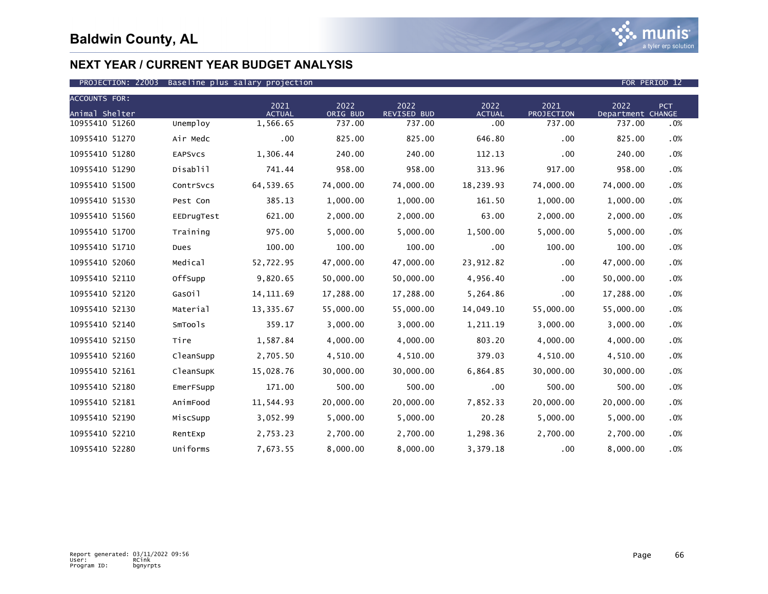

| <b>ACCOUNTS FOR:</b> |                |                       |                  |                            |                       |                    |                           |     |
|----------------------|----------------|-----------------------|------------------|----------------------------|-----------------------|--------------------|---------------------------|-----|
| Animal Shelter       |                | 2021<br><b>ACTUAL</b> | 2022<br>ORIG BUD | 2022<br><b>REVISED BUD</b> | 2022<br><b>ACTUAL</b> | 2021<br>PROJECTION | 2022<br>Department CHANGE | PCT |
| 10955410 51260       | Unemploy       | 1,566.65              | 737.00           | 737.00                     | .00                   | 737.00             | 737.00                    | .0% |
| 10955410 51270       | Air Medc       | .00                   | 825.00           | 825.00                     | 646.80                | .00                | 825.00                    | .0% |
| 10955410 51280       | <b>EAPSVCS</b> | 1,306.44              | 240.00           | 240.00                     | 112.13                | .00                | 240.00                    | .0% |
| 10955410 51290       | Disablil       | 741.44                | 958.00           | 958.00                     | 313.96                | 917.00             | 958.00                    | .0% |
| 10955410 51500       | ContrSvcs      | 64,539.65             | 74,000.00        | 74,000.00                  | 18,239.93             | 74,000.00          | 74,000.00                 | .0% |
| 10955410 51530       | Pest Con       | 385.13                | 1,000.00         | 1,000.00                   | 161.50                | 1,000.00           | 1,000.00                  | .0% |
| 10955410 51560       | EEDrugTest     | 621.00                | 2,000.00         | 2,000.00                   | 63.00                 | 2,000.00           | 2,000.00                  | .0% |
| 10955410 51700       | Training       | 975.00                | 5,000.00         | 5,000.00                   | 1,500.00              | 5,000.00           | 5,000.00                  | .0% |
| 10955410 51710       | Dues           | 100.00                | 100.00           | 100.00                     | .00                   | 100.00             | 100.00                    | .0% |
| 10955410 52060       | Medical        | 52,722.95             | 47,000.00        | 47,000.00                  | 23,912.82             | .00                | 47,000.00                 | .0% |
| 10955410 52110       | OffSupp        | 9,820.65              | 50,000.00        | 50,000.00                  | 4,956.40              | .00                | 50,000.00                 | .0% |
| 10955410 52120       | GasOil         | 14, 111.69            | 17,288.00        | 17,288.00                  | 5,264.86              | .00                | 17,288.00                 | .0% |
| 10955410 52130       | Material       | 13,335.67             | 55,000.00        | 55,000.00                  | 14,049.10             | 55,000.00          | 55,000.00                 | .0% |
| 10955410 52140       | SmTools        | 359.17                | 3,000.00         | 3,000.00                   | 1,211.19              | 3,000.00           | 3,000.00                  | .0% |
| 10955410 52150       | Tire           | 1,587.84              | 4,000.00         | 4,000.00                   | 803.20                | 4,000.00           | 4,000.00                  | .0% |
| 10955410 52160       | CleanSupp      | 2,705.50              | 4,510.00         | 4,510.00                   | 379.03                | 4,510.00           | 4,510.00                  | .0% |
| 10955410 52161       | CleanSupK      | 15,028.76             | 30,000.00        | 30,000.00                  | 6,864.85              | 30,000.00          | 30,000.00                 | .0% |
| 10955410 52180       | EmerFSupp      | 171.00                | 500.00           | 500.00                     | .00                   | 500.00             | 500.00                    | .0% |
| 10955410 52181       | AnimFood       | 11,544.93             | 20,000.00        | 20,000.00                  | 7,852.33              | 20,000.00          | 20,000.00                 | .0% |
| 10955410 52190       | MiscSupp       | 3,052.99              | 5,000.00         | 5,000.00                   | 20.28                 | 5,000.00           | 5,000.00                  | .0% |
| 10955410 52210       | RentExp        | 2,753.23              | 2,700.00         | 2,700.00                   | 1,298.36              | 2,700.00           | 2,700.00                  | .0% |
| 10955410 52280       | Uniforms       | 7,673.55              | 8,000.00         | 8,000.00                   | 3,379.18              | .00                | 8,000.00                  | .0% |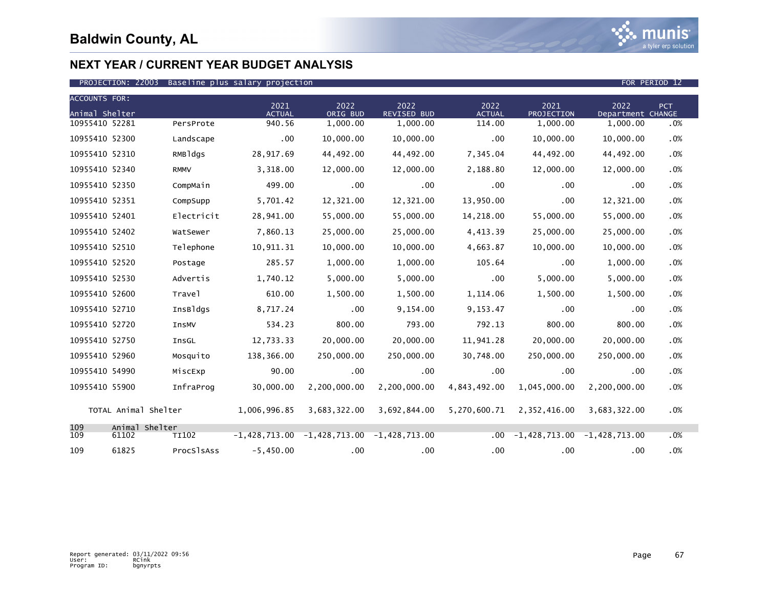

| <b>ACCOUNTS FOR:</b> |                         |              |                       |                                                 |                            |                       |                                 |                           |      |
|----------------------|-------------------------|--------------|-----------------------|-------------------------------------------------|----------------------------|-----------------------|---------------------------------|---------------------------|------|
| Animal Shelter       |                         |              | 2021<br><b>ACTUAL</b> | 2022<br>ORIG BUD                                | 2022<br><b>REVISED BUD</b> | 2022<br><b>ACTUAL</b> | 2021<br>PROJECTION              | 2022<br>Department CHANGE | PCT. |
| 10955410 52281       |                         | PersProte    | 940.56                | 1,000.00                                        | 1,000.00                   | 114.00                | 1,000.00                        | 1,000.00                  | .0%  |
| 10955410 52300       |                         | Landscape    | $.00 \,$              | 10,000.00                                       | 10,000.00                  | .00                   | 10,000.00                       | 10,000.00                 | .0%  |
| 10955410 52310       |                         | RMBldgs      | 28,917.69             | 44,492.00                                       | 44,492.00                  | 7,345.04              | 44,492.00                       | 44,492.00                 | .0%  |
| 10955410 52340       |                         | <b>RMMV</b>  | 3,318.00              | 12,000.00                                       | 12,000.00                  | 2,188.80              | 12,000.00                       | 12,000.00                 | .0%  |
| 10955410 52350       |                         | CompMain     | 499.00                | .00                                             | $.00 \,$                   | .00                   | .00                             | $.00 \,$                  | .0%  |
| 10955410 52351       |                         | CompSupp     | 5,701.42              | 12,321.00                                       | 12,321.00                  | 13,950.00             | .00                             | 12,321.00                 | .0%  |
| 10955410 52401       |                         | Electricit   | 28,941.00             | 55,000.00                                       | 55,000.00                  | 14,218.00             | 55,000.00                       | 55,000.00                 | .0%  |
| 10955410 52402       |                         | WatSewer     | 7,860.13              | 25,000.00                                       | 25,000.00                  | 4,413.39              | 25,000.00                       | 25,000.00                 | .0%  |
| 10955410 52510       |                         | Telephone    | 10,911.31             | 10,000.00                                       | 10,000.00                  | 4,663.87              | 10,000.00                       | 10,000.00                 | .0%  |
| 10955410 52520       |                         | Postage      | 285.57                | 1,000.00                                        | 1,000.00                   | 105.64                | .00                             | 1,000.00                  | .0%  |
| 10955410 52530       |                         | Advertis     | 1,740.12              | 5,000.00                                        | 5,000.00                   | .00                   | 5,000.00                        | 5,000.00                  | .0%  |
| 10955410 52600       |                         | Travel       | 610.00                | 1,500.00                                        | 1,500.00                   | 1,114.06              | 1,500.00                        | 1,500.00                  | .0%  |
| 10955410 52710       |                         | InsBldgs     | 8,717.24              | .00                                             | 9,154.00                   | 9,153.47              | .00                             | .00                       | .0%  |
| 10955410 52720       |                         | InsMV        | 534.23                | 800.00                                          | 793.00                     | 792.13                | 800.00                          | 800.00                    | .0%  |
| 10955410 52750       |                         | InsGL        | 12,733.33             | 20,000.00                                       | 20,000.00                  | 11,941.28             | 20,000.00                       | 20,000.00                 | .0%  |
| 10955410 52960       |                         | Mosquito     | 138,366.00            | 250,000.00                                      | 250,000.00                 | 30,748.00             | 250,000.00                      | 250,000.00                | .0%  |
| 10955410 54990       |                         | MiscExp      | 90.00                 | .00                                             | $.00 \,$                   | .00                   | .00                             | .00                       | .0%  |
| 10955410 55900       |                         | InfraProg    | 30,000.00             | 2,200,000.00                                    | 2,200,000.00               | 4,843,492.00          | 1,045,000.00                    | 2,200,000.00              | .0%  |
|                      | TOTAL Animal Shelter    |              | 1,006,996.85          | 3,683,322.00                                    | 3,692,844.00               | 5,270,600.71          | 2,352,416.00                    | 3,683,322.00              | .0%  |
| 109<br>109           | Animal Shelter<br>61102 | <b>TI102</b> |                       | $-1,428,713.00$ $-1,428,713.00$ $-1,428,713.00$ |                            | .00.                  | $-1,428,713.00$ $-1,428,713.00$ |                           | .0%  |
| 109                  | 61825                   | ProcSlsAss   | $-5,450.00$           | $.00 \,$                                        | $.00 \,$                   | $.00 \,$              | .00                             | .00                       | .0%  |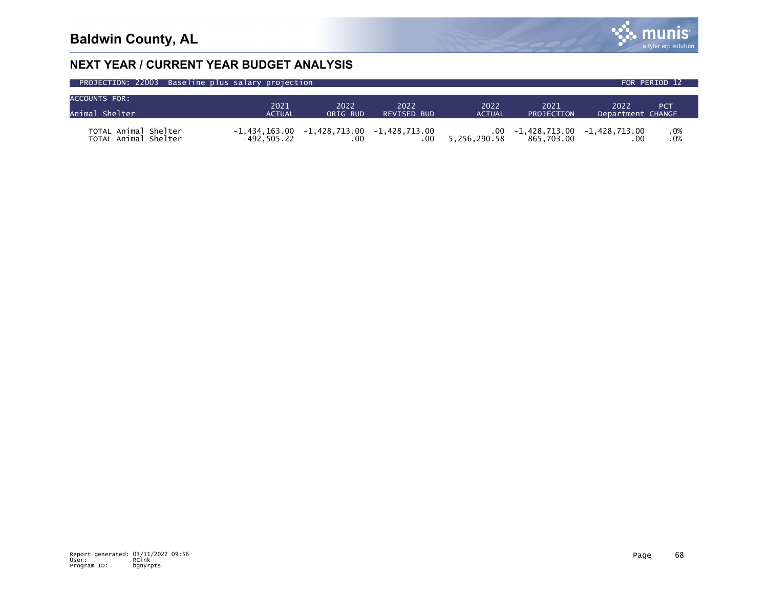

| PROJECTION: 22003 Baseline plus salary projection |                                 |          |                                 |                     |                                               |                   | FOR PERIOD 12   |  |
|---------------------------------------------------|---------------------------------|----------|---------------------------------|---------------------|-----------------------------------------------|-------------------|-----------------|--|
| <b>ACCOUNTS FOR:</b>                              | 2021                            | 2022     | 2022                            | 2022                | 2021                                          | 2022              |                 |  |
| Animal Shelter                                    | <b>ACTUAL</b>                   | ORIG BUD | <b>REVISED BUD</b>              | <b>ACTUAL</b>       | PROJECTION                                    | Department CHANGE | PC <sub>1</sub> |  |
| TOTAL Animal Shelter<br>TOTAL Animal Shelter      | -1.434.163.00<br>$-492, 505.22$ |          | $-1,428,713.00$ $-1,428,713.00$ | .00<br>5,256,290.58 | $-1,428,713.00$ $-1,428,713.00$<br>865,703.00 |                   | .0%<br>.0%      |  |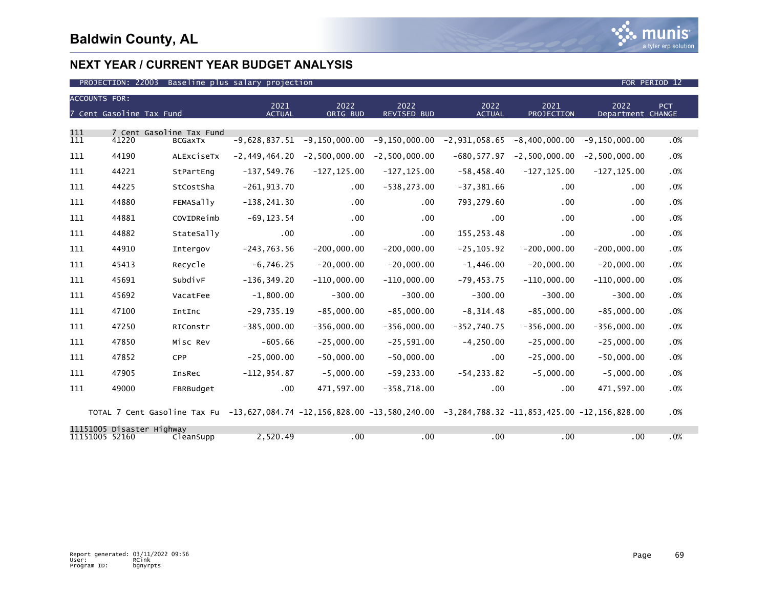

| <b>ACCOUNTS FOR:</b><br>7 Cent Gasoline Tax Fund |       | 2021<br><b>ACTUAL</b>                      | 2022<br>ORIG BUD                                                                                                      | 2022<br><b>REVISED BUD</b> | 2022<br><b>ACTUAL</b> | 2021<br><b>PROJECTION</b> | 2022<br>Department CHANGE | PCT                           |     |
|--------------------------------------------------|-------|--------------------------------------------|-----------------------------------------------------------------------------------------------------------------------|----------------------------|-----------------------|---------------------------|---------------------------|-------------------------------|-----|
| 111<br>111                                       | 41220 | 7 Cent Gasoline Tax Fund<br><b>BCGAXTX</b> | $-9,628,837.51$                                                                                                       | $-9,150,000.00$            | $-9,150,000.00$       | $-2,931,058.65$           | $-8,400,000.00$           | $-9, 150, 000.00$             | .0% |
| 111                                              | 44190 | ALEXCISETX                                 | $-2,449,464.20$                                                                                                       | $-2,500,000.00$            | $-2,500,000.00$       | $-680, 577.97$            |                           | $-2,500,000.00 -2,500,000.00$ | .0% |
| 111                                              | 44221 | StPartEng                                  | $-137,549.76$                                                                                                         | $-127, 125.00$             | $-127, 125.00$        | $-58,458.40$              | $-127, 125.00$            | $-127, 125.00$                | .0% |
| 111                                              | 44225 | StCostSha                                  | $-261, 913.70$                                                                                                        | .00                        | $-538, 273.00$        | $-37, 381.66$             | $.00 \,$                  | .00                           | .0% |
| 111                                              | 44880 | <b>FEMASally</b>                           | $-138, 241.30$                                                                                                        | $.00 \times$               | $.00 \,$              | 793,279.60                | .00                       | .00                           | .0% |
| 111                                              | 44881 | COVIDReimb                                 | $-69, 123.54$                                                                                                         | .00                        | $.00 \,$              | .00                       | .00                       | .00                           | .0% |
| 111                                              | 44882 | StateSally                                 | $.00 \,$                                                                                                              | $.00 \,$                   | $.00 \ \,$            | 155,253.48                | .00                       | .00                           | .0% |
| 111                                              | 44910 | Intergov                                   | $-243,763.56$                                                                                                         | $-200,000.00$              | $-200,000.00$         | $-25, 105.92$             | $-200,000.00$             | $-200,000.00$                 | .0% |
| 111                                              | 45413 | Recycle                                    | $-6,746.25$                                                                                                           | $-20,000.00$               | $-20,000.00$          | $-1,446.00$               | $-20,000.00$              | $-20,000.00$                  | .0% |
| 111                                              | 45691 | SubdivF                                    | $-136, 349.20$                                                                                                        | $-110,000.00$              | $-110,000.00$         | $-79, 453.75$             | $-110,000.00$             | $-110,000.00$                 | .0% |
| 111                                              | 45692 | VacatFee                                   | $-1.800.00$                                                                                                           | $-300.00$                  | $-300.00$             | $-300.00$                 | $-300.00$                 | $-300.00$                     | .0% |
| 111                                              | 47100 | IntInc                                     | $-29,735.19$                                                                                                          | $-85,000.00$               | $-85,000.00$          | $-8, 314.48$              | $-85,000.00$              | $-85,000.00$                  | .0% |
| 111                                              | 47250 | RIConstr                                   | $-385.000.00$                                                                                                         | $-356,000.00$              | $-356,000.00$         | $-352,740.75$             | $-356,000.00$             | $-356,000.00$                 | .0% |
| 111                                              | 47850 | Misc Rev                                   | $-605.66$                                                                                                             | $-25,000.00$               | $-25,591.00$          | $-4, 250.00$              | $-25,000.00$              | $-25,000.00$                  | .0% |
| 111                                              | 47852 | <b>CPP</b>                                 | $-25,000.00$                                                                                                          | $-50,000.00$               | $-50,000.00$          | $.00 \,$                  | $-25,000.00$              | $-50,000.00$                  | .0% |
| 111                                              | 47905 | InsRec                                     | $-112, 954.87$                                                                                                        | $-5,000.00$                | $-59, 233.00$         | $-54, 233.82$             | $-5,000.00$               | $-5,000.00$                   | .0% |
| 111                                              | 49000 | FBRBudget                                  | $.00 \,$                                                                                                              | 471,597.00                 | $-358,718.00$         | $.00 \,$                  | $.00 \times$              | 471,597.00                    | .0% |
|                                                  |       |                                            | TOTAL 7 Cent Gasoline Tax Fu -13,627,084.74 -12,156,828.00 -13,580,240.00 -3,284,788.32 -11,853,425.00 -12,156,828.00 |                            |                       |                           |                           |                               | .0% |

|                | 11151005 Disaster Highway |           |         |     |      |     |     |    |     |
|----------------|---------------------------|-----------|---------|-----|------|-----|-----|----|-----|
| 11151005 52160 |                           | ∶leanSupp | .520.49 | .00 | . 00 | .00 | .00 | 00 | .0% |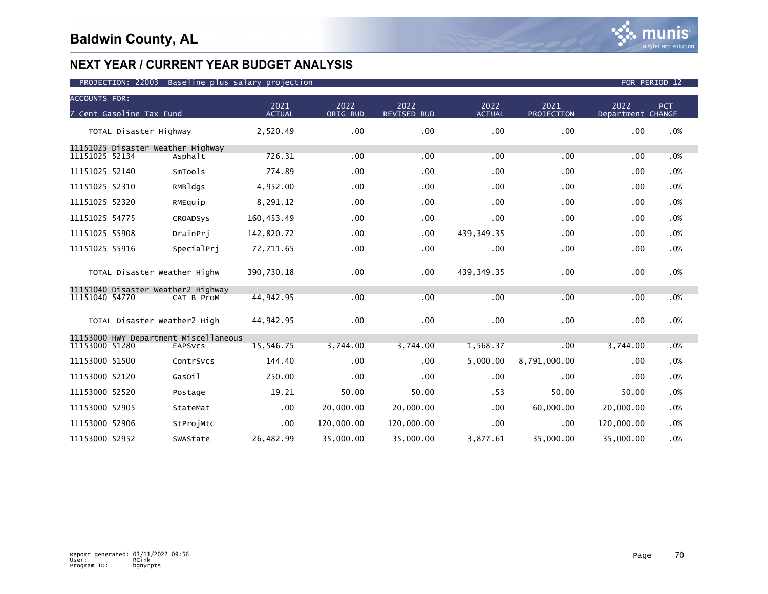| <b>ACCOUNTS FOR:</b><br>7 Cent Gasoline Tax Fund     |                 | 2021<br><b>ACTUAL</b> | 2022<br>ORIG BUD | 2022<br><b>REVISED BUD</b> | 2022<br><b>ACTUAL</b> | 2021<br>PROJECTION | 2022<br>Department CHANGE | PCT |
|------------------------------------------------------|-----------------|-----------------------|------------------|----------------------------|-----------------------|--------------------|---------------------------|-----|
|                                                      |                 |                       |                  |                            |                       |                    |                           |     |
| TOTAL Disaster Highway                               |                 | 2,520.49              | .00              | .00                        | .00                   | .00                | .00                       | .0% |
| 11151025 Disaster Weather Highway<br>11151025 52134  | Asphalt         | 726.31                | .00              | .00                        | .00                   | .00                | .00                       | .0% |
| 11151025 52140                                       | SmTools         | 774.89                | .00              | .00                        | .00                   | .00                | .00                       | .0% |
| 11151025 52310                                       | RMBldgs         | 4,952.00              | .00              | .00                        | .00                   | .00                | .00                       | .0% |
| 11151025 52320                                       | RMEquip         | 8,291.12              | .00              | .00                        | .00                   | .00                | .00                       | .0% |
| 11151025 54775                                       | <b>CROADSVS</b> | 160, 453.49           | .00              | .00                        | .00                   | .00                | .00                       | .0% |
| 11151025 55908                                       | DrainPri        | 142,820.72            | .00              | .00                        | 439, 349. 35          | .00                | .00                       | .0% |
| 11151025 55916                                       | SpecialPri      | 72,711.65             | .00              | .00                        | .00                   | $.00 \,$           | .00                       | .0% |
| TOTAL Disaster Weather Highw                         |                 | 390,730.18            | .00 <sub>1</sub> | .00                        | 439, 349. 35          | .00                | .00                       | .0% |
| 11151040 Disaster Weather2 Highway<br>11151040 54770 | CAT B ProM      | 44,942.95             | .00              | .00                        | .00                   | .00                | .00                       | .0% |
| TOTAL Disaster Weather2 High                         |                 | 44,942.95             | .00              | .00                        | .00                   | $.00 \,$           | .00                       | .0% |
| 11153000 HWY Department Miscellaneous                |                 |                       |                  |                            |                       |                    |                           |     |
| 11153000 51280                                       | <b>EAPSVCS</b>  | 15,546.75             | 3,744.00         | 3,744.00                   | 1,568.37              | .00                | 3,744.00                  | .0% |
| 11153000 51500                                       | ContrSvcs       | 144.40                | .00              | .00                        | 5,000.00              | 8,791,000.00       | .00                       | .0% |
| 11153000 52120                                       | GasOil          | 250.00                | .00              | .00                        | .00                   | .00                | .00                       | .0% |
| 11153000 52520                                       | Postage         | 19.21                 | 50.00            | 50.00                      | .53                   | 50.00              | 50.00                     | .0% |
| 11153000 52905                                       | StateMat        | .00                   | 20,000.00        | 20,000.00                  | .00                   | 60,000.00          | 20,000.00                 | .0% |
| 11153000 52906                                       | StProjMtc       | $.00 \,$              | 120,000.00       | 120,000.00                 | .00                   | .00                | 120,000.00                | .0% |
| 11153000 52952                                       | SWAState        | 26,482.99             | 35,000.00        | 35,000.00                  | 3,877.61              | 35,000.00          | 35,000.00                 | .0% |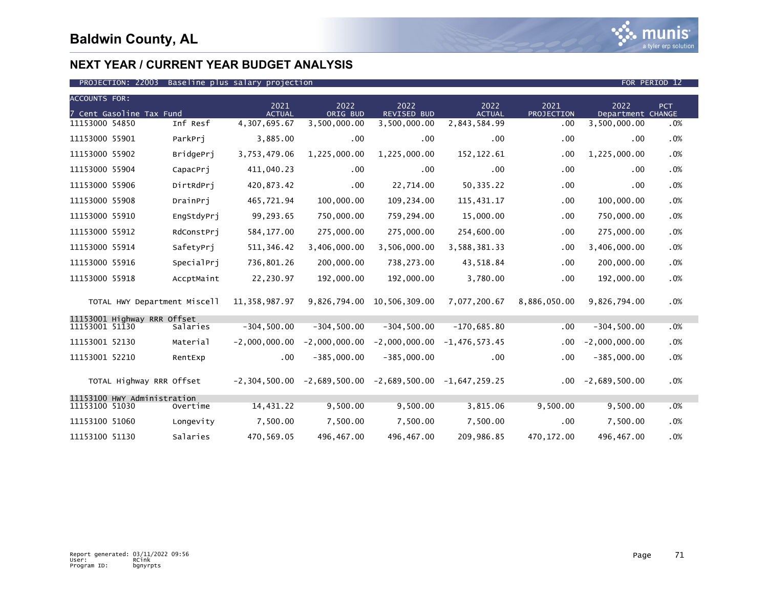| <b>ACCOUNTS FOR:</b><br>2021<br>2022<br>2022<br>2022<br>2021<br>2022<br><b>PCT</b> |                              |            |                 |                 |                                                                 |                 |              |                   |     |
|------------------------------------------------------------------------------------|------------------------------|------------|-----------------|-----------------|-----------------------------------------------------------------|-----------------|--------------|-------------------|-----|
|                                                                                    | 7 Cent Gasoline Tax Fund     |            | <b>ACTUAL</b>   | ORIG BUD        | REVISED BUD                                                     | <b>ACTUAL</b>   | PROJECTION   | Department CHANGE |     |
| 11153000 54850                                                                     |                              | Inf Resf   | 4,307,695.67    | 3,500,000.00    | 3,500,000.00                                                    | 2,843,584.99    | .00          | 3,500,000.00      | .0% |
| 11153000 55901                                                                     |                              | ParkPri    | 3,885.00        | .00             | .00.                                                            | .00             | .00          | .00               | .0% |
| 11153000 55902                                                                     |                              | BridgePrj  | 3,753,479.06    | 1,225,000.00    | 1,225,000.00                                                    | 152, 122.61     | .00          | 1,225,000.00      | .0% |
| 11153000 55904                                                                     |                              | CapacPri   | 411,040.23      | .00             | .00                                                             | .00             | .00          | .00               | .0% |
| 11153000 55906                                                                     |                              | DirtRdPrj  | 420,873.42      | .00             | 22,714.00                                                       | 50,335.22       | .00          | .00               | .0% |
| 11153000 55908                                                                     |                              | DrainPri   | 465,721.94      | 100,000.00      | 109,234.00                                                      | 115,431.17      | .00          | 100,000.00        | .0% |
| 11153000 55910                                                                     |                              | EngStdyPrj | 99,293.65       | 750,000.00      | 759,294.00                                                      | 15,000.00       | .00          | 750,000.00        | .0% |
| 11153000 55912                                                                     |                              | RdConstPri | 584, 177.00     | 275,000.00      | 275,000.00                                                      | 254,600.00      | .00          | 275,000.00        | .0% |
| 11153000 55914                                                                     |                              | SafetyPri  | 511, 346.42     | 3,406,000.00    | 3,506,000.00                                                    | 3,588,381.33    | $.00 \,$     | 3,406,000.00      | .0% |
| 11153000 55916                                                                     |                              | SpecialPri | 736,801.26      | 200,000.00      | 738,273.00                                                      | 43,518.84       | .00.         | 200,000.00        | .0% |
| 11153000 55918                                                                     |                              | AccptMaint | 22,230.97       | 192,000.00      | 192,000.00                                                      | 3,780.00        | .00          | 192,000.00        | .0% |
|                                                                                    | TOTAL HWY Department Miscell |            | 11, 358, 987.97 |                 | 9,826,794.00 10,506,309.00                                      | 7,077,200.67    | 8,886,050.00 | 9,826,794.00      | .0% |
| 11153001 Highway RRR Offset                                                        |                              |            |                 |                 |                                                                 |                 |              |                   |     |
| 11153001 51130                                                                     |                              | Salaries   | $-304, 500.00$  | $-304, 500.00$  | $-304, 500.00$                                                  | $-170,685.80$   | $.00 \,$     | $-304, 500.00$    | .0% |
| 11153001 52130                                                                     |                              | Material   | $-2,000,000.00$ | $-2,000,000.00$ | $-2,000,000.00$                                                 | $-1,476,573.45$ | $.00 \,$     | $-2,000,000.00$   | .0% |
| 11153001 52210                                                                     |                              | RentExp    | .00             | $-385,000.00$   | $-385,000.00$                                                   | .00             | .00          | $-385,000.00$     | .0% |
|                                                                                    | TOTAL Highway RRR Offset     |            |                 |                 | $-2,304,500.00$ $-2,689,500.00$ $-2,689,500.00$ $-1,647,259.25$ |                 | $.00 \,$     | $-2,689,500.00$   | .0% |
| 11153100 51030                                                                     | 11153100 HWY Administration  | Overtime   | 14,431.22       | 9,500.00        | 9,500.00                                                        | 3,815.06        | 9,500.00     | 9,500.00          | .0% |
| 11153100 51060                                                                     |                              | Longevity  | 7,500.00        | 7,500.00        | 7,500.00                                                        | 7,500.00        | .00          | 7,500.00          | .0% |
|                                                                                    |                              |            |                 |                 |                                                                 |                 |              |                   |     |
| 11153100 51130                                                                     |                              | Salaries   | 470,569.05      | 496,467.00      | 496,467.00                                                      | 209,986.85      | 470, 172.00  | 496,467.00        | .0% |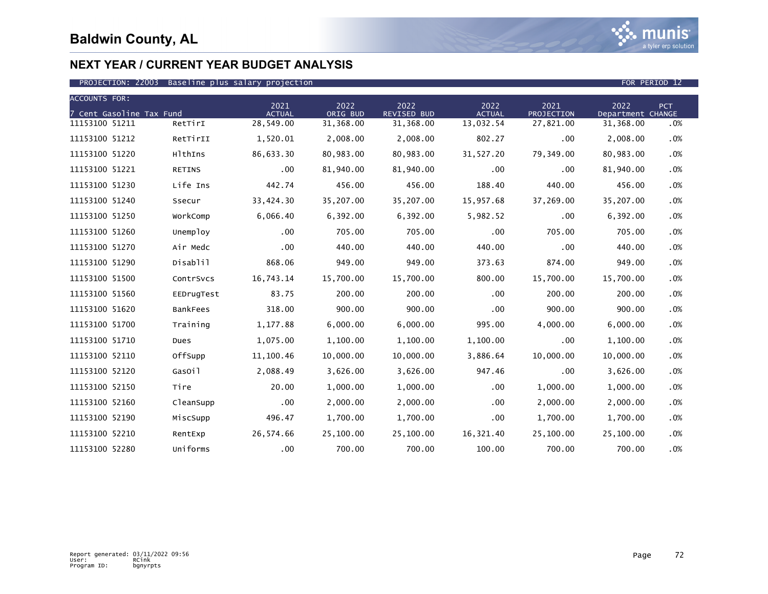

| <b>ACCOUNTS FOR:</b>     |                 |                       |                  |                            |                       |                    |                           |     |
|--------------------------|-----------------|-----------------------|------------------|----------------------------|-----------------------|--------------------|---------------------------|-----|
| 7 Cent Gasoline Tax Fund |                 | 2021<br><b>ACTUAL</b> | 2022<br>ORIG BUD | 2022<br><b>REVISED BUD</b> | 2022<br><b>ACTUAL</b> | 2021<br>PROJECTION | 2022<br>Department CHANGE | PCT |
| 11153100 51211           | RetTirI         | 28,549.00             | 31,368.00        | 31,368.00                  | 13,032.54             | 27,821.00          | 31,368.00                 | .0% |
| 11153100 51212           | RetTirII        | 1,520.01              | 2,008.00         | 2,008.00                   | 802.27                | .00                | 2,008.00                  | .0% |
| 11153100 51220           | HlthIns         | 86,633.30             | 80,983.00        | 80,983.00                  | 31,527.20             | 79,349.00          | 80,983.00                 | .0% |
| 11153100 51221           | <b>RETINS</b>   | .00                   | 81,940.00        | 81,940.00                  | .00                   | .00                | 81,940.00                 | .0% |
| 11153100 51230           | Life Ins        | 442.74                | 456.00           | 456.00                     | 188.40                | 440.00             | 456.00                    | .0% |
| 11153100 51240           | Ssecur          | 33,424.30             | 35,207.00        | 35,207.00                  | 15,957.68             | 37,269.00          | 35,207.00                 | .0% |
| 11153100 51250           | WorkComp        | 6,066.40              | 6,392.00         | 6,392.00                   | 5,982.52              | .00                | 6,392.00                  | .0% |
| 11153100 51260           | Unemploy        | .00                   | 705.00           | 705.00                     | .00                   | 705.00             | 705.00                    | .0% |
| 11153100 51270           | Air Medc        | .00                   | 440.00           | 440.00                     | 440.00                | .00                | 440.00                    | .0% |
| 11153100 51290           | Disablil        | 868.06                | 949.00           | 949.00                     | 373.63                | 874.00             | 949.00                    | .0% |
| 11153100 51500           | ContrSvcs       | 16,743.14             | 15,700.00        | 15,700.00                  | 800.00                | 15,700.00          | 15,700.00                 | .0% |
| 11153100 51560           | EEDrugTest      | 83.75                 | 200.00           | 200.00                     | $.00 \,$              | 200.00             | 200.00                    | .0% |
| 11153100 51620           | <b>BankFees</b> | 318.00                | 900.00           | 900.00                     | .00                   | 900.00             | 900.00                    | .0% |
| 11153100 51700           | Training        | 1,177.88              | 6,000.00         | 6,000.00                   | 995.00                | 4,000.00           | 6,000.00                  | .0% |
| 11153100 51710           | Dues            | 1,075.00              | 1,100.00         | 1,100.00                   | 1,100.00              | .00                | 1,100.00                  | .0% |
| 11153100 52110           | OffSupp         | 11,100.46             | 10,000.00        | 10,000.00                  | 3,886.64              | 10,000.00          | 10,000.00                 | .0% |
| 11153100 52120           | GasOil          | 2,088.49              | 3,626.00         | 3,626.00                   | 947.46                | .00                | 3,626.00                  | .0% |
| 11153100 52150           | Tire            | 20.00                 | 1,000.00         | 1,000.00                   | .00                   | 1,000.00           | 1,000.00                  | .0% |
| 11153100 52160           | CleanSupp       | .00                   | 2,000.00         | 2,000.00                   | .00                   | 2,000.00           | 2,000.00                  | .0% |
| 11153100 52190           | MiscSupp        | 496.47                | 1,700.00         | 1,700.00                   | .00                   | 1,700.00           | 1,700.00                  | .0% |
| 11153100 52210           | RentExp         | 26,574.66             | 25,100.00        | 25,100.00                  | 16,321.40             | 25,100.00          | 25,100.00                 | .0% |
| 11153100 52280           | Uniforms        | .00                   | 700.00           | 700.00                     | 100.00                | 700.00             | 700.00                    | .0% |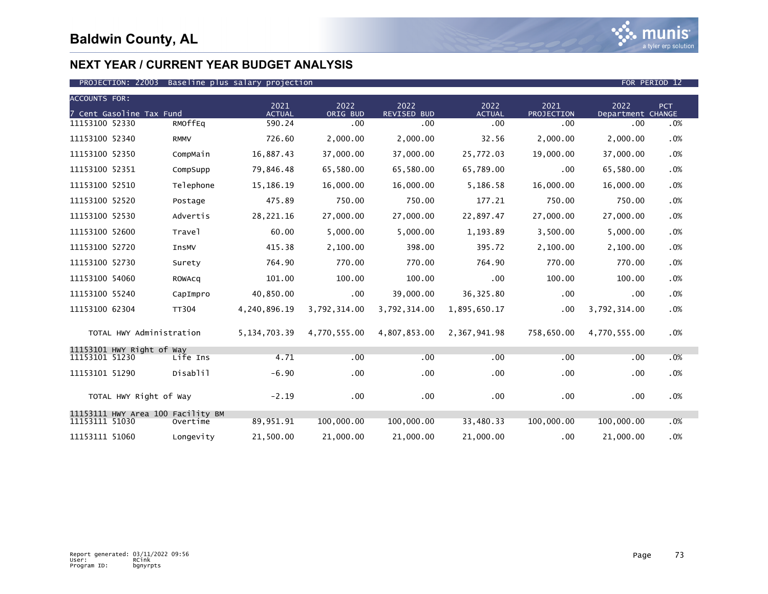

| <b>ACCOUNTS FOR:</b> |                                   |              |                       |                  |                     |                       |                    |                           |     |
|----------------------|-----------------------------------|--------------|-----------------------|------------------|---------------------|-----------------------|--------------------|---------------------------|-----|
|                      | 7 Cent Gasoline Tax Fund          |              | 2021<br><b>ACTUAL</b> | 2022<br>ORIG BUD | 2022<br>REVISED BUD | 2022<br><b>ACTUAL</b> | 2021<br>PROJECTION | 2022<br>Department CHANGE | PCT |
| 11153100 52330       |                                   | RMOffEq      | 590.24                | .00 <sub>1</sub> | .00 <sub>1</sub>    | .00                   | .00                | $.00 \,$                  | .0% |
| 11153100 52340       |                                   | <b>RMMV</b>  | 726.60                | 2,000.00         | 2,000.00            | 32.56                 | 2,000.00           | 2,000.00                  | .0% |
| 11153100 52350       |                                   | CompMain     | 16,887.43             | 37,000.00        | 37,000.00           | 25,772.03             | 19,000.00          | 37,000.00                 | .0% |
| 11153100 52351       |                                   | CompSupp     | 79,846.48             | 65,580.00        | 65,580.00           | 65,789.00             | .00                | 65,580.00                 | .0% |
| 11153100 52510       |                                   | Telephone    | 15,186.19             | 16,000.00        | 16,000.00           | 5,186.58              | 16,000.00          | 16,000.00                 | .0% |
| 11153100 52520       |                                   | Postage      | 475.89                | 750.00           | 750.00              | 177.21                | 750.00             | 750.00                    | .0% |
| 11153100 52530       |                                   | Advertis     | 28,221.16             | 27,000.00        | 27,000.00           | 22,897.47             | 27,000.00          | 27,000.00                 | .0% |
| 11153100 52600       |                                   | Travel       | 60.00                 | 5,000.00         | 5,000.00            | 1,193.89              | 3,500.00           | 5,000.00                  | .0% |
| 11153100 52720       |                                   | InsMV        | 415.38                | 2,100.00         | 398.00              | 395.72                | 2,100.00           | 2,100.00                  | .0% |
| 11153100 52730       |                                   | Surety       | 764.90                | 770.00           | 770.00              | 764.90                | 770.00             | 770.00                    | .0% |
| 11153100 54060       |                                   | ROWACQ       | 101.00                | 100.00           | 100.00              | $.00 \,$              | 100.00             | 100.00                    | .0% |
| 11153100 55240       |                                   | CapImpro     | 40,850.00             | $.00 \,$         | 39,000.00           | 36, 325.80            | .00                | .00                       | .0% |
| 11153100 62304       |                                   | <b>TT304</b> | 4,240,896.19          | 3,792,314.00     | 3,792,314.00        | 1,895,650.17          | .00                | 3,792,314.00              | .0% |
|                      | TOTAL HWY Administration          |              | 5, 134, 703. 39       | 4,770,555.00     | 4,807,853.00        | 2,367,941.98          | 758,650.00         | 4,770,555.00              | .0% |
| 11153101 51230       | 11153101 HWY Right of Way         | Life Ins     | 4.71                  | .00              | .00                 | .00                   | .00                | .00                       | .0% |
|                      |                                   |              |                       |                  |                     |                       |                    |                           |     |
| 11153101 51290       |                                   | Disablil     | $-6.90$               | .00              | .00.                | .00                   | .00.               | .00                       | .0% |
|                      | TOTAL HWY Right of Way            |              | $-2.19$               | .00              | $.00 \,$            | .00                   | .00                | .00                       | .0% |
| 11153111 51030       | 11153111 HWY Area 100 Facility BM | Overtime     | 89,951.91             | 100,000.00       | 100,000.00          | 33,480.33             | 100,000.00         | 100,000.00                | .0% |
| 11153111 51060       |                                   | Longevity    | 21,500.00             | 21,000.00        | 21,000.00           | 21,000.00             | .00                | 21,000.00                 | .0% |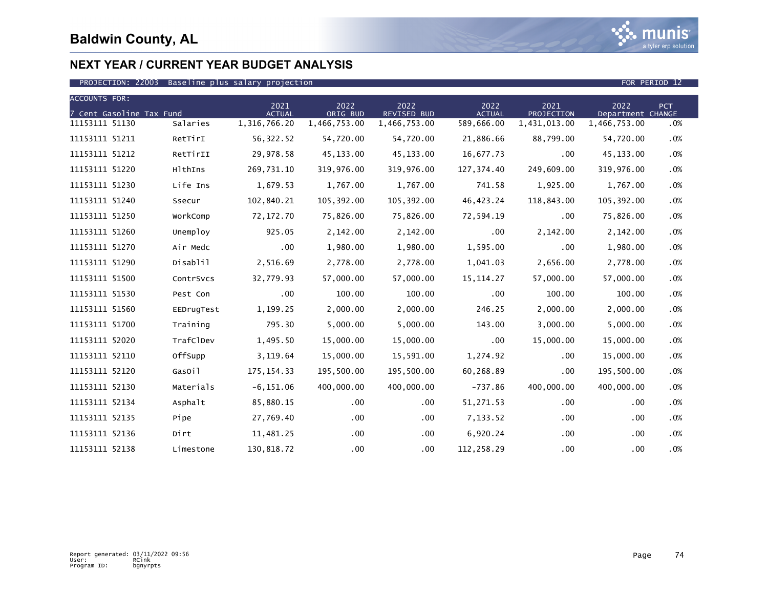

| <b>ACCOUNTS FOR:</b>     |            |                       |                  |                            |                       |                    |                           |        |
|--------------------------|------------|-----------------------|------------------|----------------------------|-----------------------|--------------------|---------------------------|--------|
| 7 Cent Gasoline Tax Fund |            | 2021<br><b>ACTUAL</b> | 2022<br>ORIG BUD | 2022<br><b>REVISED BUD</b> | 2022<br><b>ACTUAL</b> | 2021<br>PROJECTION | 2022<br>Department CHANGE | PCT    |
| 11153111 51130           | Salaries   | 1,316,766.20          | 1,466,753.00     | 1,466,753.00               | 589,666.00            | 1,431,013.00       | 1,466,753.00              | .0%    |
| 11153111 51211           | RetTirI    | 56,322.52             | 54,720.00        | 54,720.00                  | 21,886.66             | 88,799.00          | 54,720.00                 | .0%    |
| 11153111 51212           | RetTirII   | 29,978.58             | 45,133.00        | 45,133.00                  | 16,677.73             | $.00 \,$           | 45,133.00                 | $.0\%$ |
| 11153111 51220           | HlthIns    | 269,731.10            | 319,976.00       | 319,976.00                 | 127,374.40            | 249,609.00         | 319,976.00                | .0%    |
| 11153111 51230           | Life Ins   | 1,679.53              | 1,767.00         | 1,767.00                   | 741.58                | 1,925.00           | 1,767.00                  | .0%    |
| 11153111 51240           | Ssecur     | 102,840.21            | 105,392.00       | 105,392.00                 | 46, 423. 24           | 118,843.00         | 105,392.00                | .0%    |
| 11153111 51250           | WorkComp   | 72,172.70             | 75,826.00        | 75,826.00                  | 72,594.19             | .00                | 75,826.00                 | .0%    |
| 11153111 51260           | Unemploy   | 925.05                | 2,142.00         | 2,142.00                   | $.00 \,$              | 2,142.00           | 2,142.00                  | $.0\%$ |
| 11153111 51270           | Air Medc   | $.00 \,$              | 1,980.00         | 1,980.00                   | 1,595.00              | .00                | 1,980.00                  | .0%    |
| 11153111 51290           | Disablil   | 2,516.69              | 2,778.00         | 2,778.00                   | 1,041.03              | 2,656.00           | 2,778.00                  | .0%    |
| 11153111 51500           | ContrSvcs  | 32,779.93             | 57,000.00        | 57,000.00                  | 15, 114. 27           | 57,000.00          | 57,000.00                 | $.0\%$ |
| 11153111 51530           | Pest Con   | .00                   | 100.00           | 100.00                     | .00                   | 100.00             | 100.00                    | .0%    |
| 11153111 51560           | EEDrugTest | 1,199.25              | 2,000.00         | 2,000.00                   | 246.25                | 2,000.00           | 2,000.00                  | .0%    |
| 11153111 51700           | Training   | 795.30                | 5,000.00         | 5,000.00                   | 143.00                | 3,000.00           | 5,000.00                  | .0%    |
| 11153111 52020           | TrafClDev  | 1,495.50              | 15,000.00        | 15,000.00                  | .00                   | 15,000.00          | 15,000.00                 | .0%    |
| 11153111 52110           | OffSupp    | 3,119.64              | 15,000.00        | 15,591.00                  | 1,274.92              | .00                | 15,000.00                 | $.0\%$ |
| 11153111 52120           | GasOil     | 175, 154.33           | 195,500.00       | 195,500.00                 | 60,268.89             | .00                | 195,500.00                | .0%    |
| 11153111 52130           | Materials  | $-6, 151.06$          | 400,000,00       | 400,000.00                 | $-737.86$             | 400,000.00         | 400,000.00                | .0%    |
| 11153111 52134           | Asphalt    | 85,880.15             | $.00 \,$         | .00.                       | 51,271.53             | .00.               | $.00 \,$                  | .0%    |
| 11153111 52135           | Pipe       | 27,769.40             | $.00 \,$         | $.00 \,$                   | 7,133.52              | .00                | .00                       | .0%    |
| 11153111 52136           | Dirt       | 11,481.25             | $.00 \,$         | $.00 \,$                   | 6,920.24              | .00.               | .00                       | .0%    |
| 11153111 52138           | Limestone  | 130,818.72            | .00              | .00 <sub>1</sub>           | 112,258.29            | .00                | .00                       | .0%    |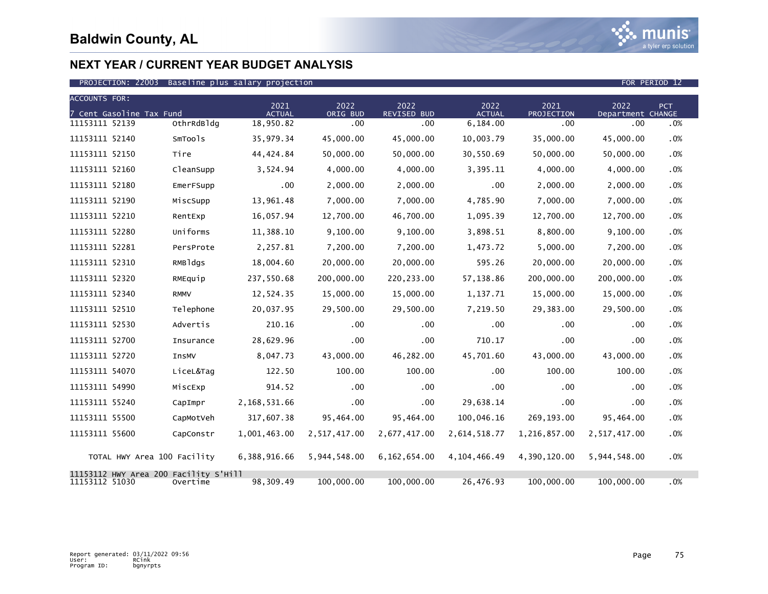

| <b>ACCOUNTS FOR:</b>        |                                          |                       |                  |                            |                       |                    |                           |            |  |
|-----------------------------|------------------------------------------|-----------------------|------------------|----------------------------|-----------------------|--------------------|---------------------------|------------|--|
| 7 Cent Gasoline Tax Fund    |                                          | 2021<br><b>ACTUAL</b> | 2022<br>ORIG BUD | 2022<br><b>REVISED BUD</b> | 2022<br><b>ACTUAL</b> | 2021<br>PROJECTION | 2022<br>Department CHANGE | <b>PCT</b> |  |
| 11153111 52139              | OthrRdBldg                               | 18,950.82             | .00              | .00                        | 6,184.00              | .00                | .00                       | .0%        |  |
| 11153111 52140              | SmTools                                  | 35,979.34             | 45,000.00        | 45,000.00                  | 10,003.79             | 35,000.00          | 45,000.00                 | .0%        |  |
| 11153111 52150              | Tire                                     | 44,424.84             | 50,000.00        | 50,000.00                  | 30,550.69             | 50,000.00          | 50,000.00                 | .0%        |  |
| 11153111 52160              | CleanSupp                                | 3,524.94              | 4,000.00         | 4,000.00                   | 3,395.11              | 4,000.00           | 4,000.00                  | .0%        |  |
| 11153111 52180              | EmerFSupp                                | $.00 \,$              | 2,000.00         | 2,000.00                   | $.00 \times$          | 2,000.00           | 2,000.00                  | .0%        |  |
| 11153111 52190              | MiscSupp                                 | 13.961.48             | 7.000.00         | 7.000.00                   | 4,785.90              | 7.000.00           | 7.000.00                  | .0%        |  |
| 11153111 52210              | RentExp                                  | 16,057.94             | 12,700.00        | 46,700.00                  | 1,095.39              | 12,700.00          | 12,700.00                 | .0%        |  |
| 11153111 52280              | Uniforms                                 | 11,388.10             | 9,100.00         | 9,100.00                   | 3,898.51              | 8,800.00           | 9,100.00                  | .0%        |  |
| 11153111 52281              | PersProte                                | 2,257.81              | 7,200.00         | 7,200.00                   | 1,473.72              | 5,000.00           | 7,200.00                  | .0%        |  |
| 11153111 52310              | RMBldgs                                  | 18,004.60             | 20,000.00        | 20,000.00                  | 595.26                | 20,000.00          | 20,000.00                 | .0%        |  |
| 11153111 52320              | RMEquip                                  | 237,550.68            | 200,000.00       | 220, 233.00                | 57,138.86             | 200,000.00         | 200,000.00                | .0%        |  |
| 11153111 52340              | <b>RMMV</b>                              | 12,524.35             | 15,000.00        | 15,000.00                  | 1,137.71              | 15,000.00          | 15,000.00                 | .0%        |  |
| 11153111 52510              | Telephone                                | 20,037.95             | 29,500.00        | 29,500.00                  | 7,219.50              | 29,383.00          | 29,500.00                 | .0%        |  |
| 11153111 52530              | Advertis                                 | 210.16                | .00              | $.00 \times$               | $.00 \times$          | .00                | .00                       | .0%        |  |
| 11153111 52700              | Insurance                                | 28,629.96             | .00              | .00                        | 710.17                | .00                | .00                       | .0%        |  |
| 11153111 52720              | InsMV                                    | 8,047.73              | 43,000.00        | 46,282.00                  | 45,701.60             | 43,000.00          | 43,000.00                 | .0%        |  |
| 11153111 54070              | LiceL&Tag                                | 122.50                | 100.00           | 100.00                     | .00                   | 100.00             | 100.00                    | .0%        |  |
| 11153111 54990              | MiscExp                                  | 914.52                | $.00 \times$     | .00                        | $.00 \,$              | .00                | .00                       | .0%        |  |
| 11153111 55240              | CapImpr                                  | 2,168,531.66          | .00              | .00                        | 29,638.14             | .00                | .00                       | .0%        |  |
| 11153111 55500              | CapMotVeh                                | 317,607.38            | 95,464.00        | 95,464.00                  | 100,046.16            | 269, 193.00        | 95,464.00                 | .0%        |  |
| 11153111 55600              | CapConstr                                | 1,001,463.00          | 2,517,417.00     | 2,677,417.00               | 2,614,518.77          | 1,216,857.00       | 2,517,417.00              | .0%        |  |
| TOTAL HWY Area 100 Facility |                                          | 6,388,916.66          | 5,944,548.00     | 6,162,654.00               | 4, 104, 466. 49       | 4,390,120.00       | 5,944,548.00              | .0%        |  |
| 11153112<br>11153112 51030  | HWY Area 200 Facility S'Hill<br>Overtime | 98,309.49             | 100,000.00       | 100,000.00                 | 26,476.93             | 100,000.00         | 100,000.00                | .0%        |  |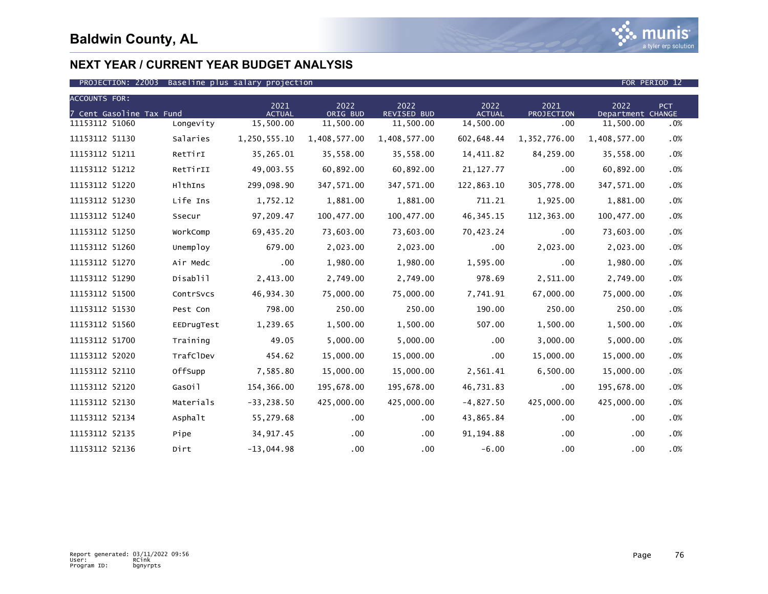

| <b>ACCOUNTS FOR:</b><br>7 Cent Gasoline Tax Fund |            | 2021<br><b>ACTUAL</b> | 2022<br>ORIG BUD | 2022<br>REVISED BUD | 2022<br><b>ACTUAL</b> | 2021<br>PROJECTION | 2022<br>Department CHANGE | <b>PCT</b> |
|--------------------------------------------------|------------|-----------------------|------------------|---------------------|-----------------------|--------------------|---------------------------|------------|
| 11153112 51060                                   | Longevity  | 15,500.00             | 11,500.00        | 11,500.00           | 14,500.00             | .00                | 11,500.00                 | .0%        |
| 11153112 51130                                   | Salaries   | 1,250,555.10          | 1,408,577.00     | 1,408,577.00        | 602,648.44            | 1,352,776.00       | 1,408,577.00              | .0%        |
| 11153112 51211                                   | RetTirI    | 35,265.01             | 35,558.00        | 35,558.00           | 14,411.82             | 84,259.00          | 35,558.00                 | .0%        |
| 11153112 51212                                   | RetTirII   | 49,003.55             | 60,892.00        | 60,892.00           | 21, 127.77            | .00                | 60,892.00                 | .0%        |
| 11153112 51220                                   | HlthIns    | 299,098.90            | 347,571.00       | 347,571.00          | 122,863.10            | 305,778.00         | 347,571.00                | .0%        |
| 11153112 51230                                   | Life Ins   | 1,752.12              | 1,881.00         | 1,881.00            | 711.21                | 1,925.00           | 1,881.00                  | $.0\%$     |
| 11153112 51240                                   | Ssecur     | 97,209.47             | 100,477.00       | 100,477.00          | 46, 345. 15           | 112,363.00         | 100,477.00                | .0%        |
| 11153112 51250                                   | WorkComp   | 69,435.20             | 73,603.00        | 73,603.00           | 70,423.24             | .00                | 73,603.00                 | .0%        |
| 11153112 51260                                   | Unemploy   | 679.00                | 2,023.00         | 2,023.00            | .00                   | 2,023.00           | 2,023.00                  | .0%        |
| 11153112 51270                                   | Air Medc   | $.00 \,$              | 1,980.00         | 1,980.00            | 1,595.00              | .00                | 1,980.00                  | .0%        |
| 11153112 51290                                   | Disablil   | 2,413.00              | 2,749.00         | 2,749.00            | 978.69                | 2,511.00           | 2,749.00                  | $.0\%$     |
| 11153112 51500                                   | ContrSvcs  | 46,934.30             | 75,000.00        | 75,000.00           | 7,741.91              | 67,000.00          | 75,000.00                 | .0%        |
| 11153112 51530                                   | Pest Con   | 798.00                | 250.00           | 250.00              | 190.00                | 250.00             | 250.00                    | .0%        |
| 11153112 51560                                   | EEDrugTest | 1,239.65              | 1,500.00         | 1,500.00            | 507.00                | 1,500.00           | 1,500.00                  | .0%        |
| 11153112 51700                                   | Training   | 49.05                 | 5,000.00         | 5,000.00            | .00                   | 3,000.00           | 5,000.00                  | .0%        |
| 11153112 52020                                   | TrafClDev  | 454.62                | 15,000.00        | 15,000.00           | .00                   | 15,000.00          | 15,000.00                 | .0%        |
| 11153112 52110                                   | OffSupp    | 7,585.80              | 15,000.00        | 15,000.00           | 2,561.41              | 6,500.00           | 15,000.00                 | .0%        |
| 11153112 52120                                   | GasOil     | 154,366.00            | 195,678.00       | 195,678.00          | 46,731.83             | .00                | 195,678.00                | .0%        |
| 11153112 52130                                   | Materials  | $-33, 238.50$         | 425,000.00       | 425,000.00          | $-4,827.50$           | 425,000.00         | 425,000.00                | $.0\%$     |
| 11153112 52134                                   | Asphalt    | 55,279.68             | $.00 \,$         | $.00 \,$            | 43,865.84             | $.00 \,$           | .00                       | .0%        |
| 11153112 52135                                   | Pipe       | 34, 917.45            | .00              | $.00 \,$            | 91, 194.88            | .00.               | .00                       | .0%        |
| 11153112 52136                                   | Dirt       | $-13,044.98$          | .00              | .00                 | $-6.00$               | .00                | .00                       | .0%        |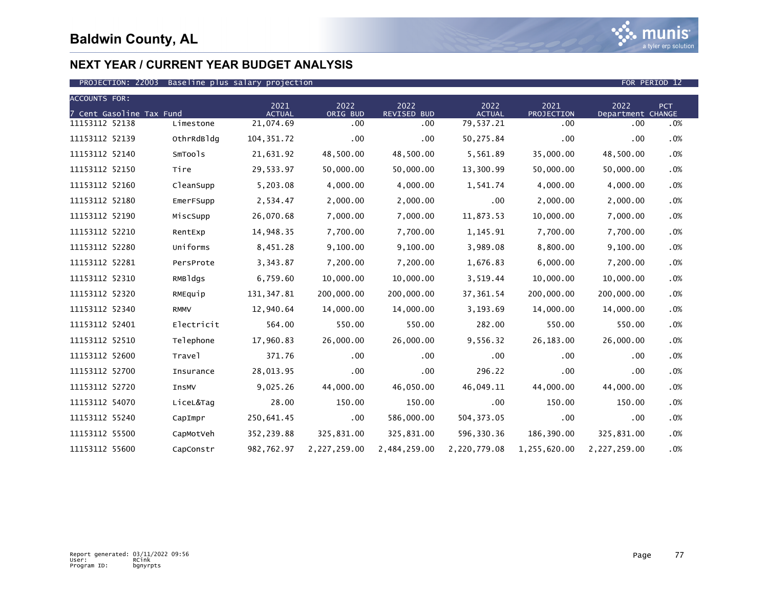

| <b>ACCOUNTS FOR:</b>     |             |                       |                  |                     |                       |                    |                           |            |
|--------------------------|-------------|-----------------------|------------------|---------------------|-----------------------|--------------------|---------------------------|------------|
| 7 Cent Gasoline Tax Fund |             | 2021<br><b>ACTUAL</b> | 2022<br>ORIG BUD | 2022<br>REVISED BUD | 2022<br><b>ACTUAL</b> | 2021<br>PROJECTION | 2022<br>Department CHANGE | <b>PCT</b> |
| 11153112 52138           | Limestone   | 21,074.69             | .00              | .00                 | 79,537.21             | .00                | .00                       | .0%        |
| 11153112 52139           | OthrRdBldg  | 104, 351.72           | .00              | .00                 | 50,275.84             | .00                | .00                       | .0%        |
| 11153112 52140           | SmTools     | 21,631.92             | 48,500.00        | 48,500.00           | 5,561.89              | 35,000.00          | 48,500.00                 | .0%        |
| 11153112 52150           | Tire        | 29,533.97             | 50,000.00        | 50,000.00           | 13,300.99             | 50,000.00          | 50,000.00                 | .0%        |
| 11153112 52160           | CleanSupp   | 5,203.08              | 4,000.00         | 4,000.00            | 1,541.74              | 4,000.00           | 4,000.00                  | .0%        |
| 11153112 52180           | EmerFSupp   | 2,534.47              | 2,000.00         | 2,000.00            | .00                   | 2,000.00           | 2,000.00                  | .0%        |
| 11153112 52190           | MiscSupp    | 26,070.68             | 7,000.00         | 7,000.00            | 11,873.53             | 10,000.00          | 7,000.00                  | .0%        |
| 11153112 52210           | RentExp     | 14,948.35             | 7,700.00         | 7,700.00            | 1,145.91              | 7,700.00           | 7,700.00                  | .0%        |
| 11153112 52280           | Uniforms    | 8,451.28              | 9,100.00         | 9,100.00            | 3,989.08              | 8,800.00           | 9,100.00                  | .0%        |
| 11153112 52281           | PersProte   | 3,343.87              | 7,200.00         | 7,200.00            | 1,676.83              | 6,000.00           | 7,200.00                  | .0%        |
| 11153112 52310           | RMBldgs     | 6,759.60              | 10,000.00        | 10,000.00           | 3,519.44              | 10,000.00          | 10,000.00                 | .0%        |
| 11153112 52320           | RMEquip     | 131, 347.81           | 200,000.00       | 200,000.00          | 37,361.54             | 200,000.00         | 200,000.00                | .0%        |
| 11153112 52340           | <b>RMMV</b> | 12,940.64             | 14,000.00        | 14,000.00           | 3,193.69              | 14,000.00          | 14,000.00                 | .0%        |
| 11153112 52401           | Electricit  | 564.00                | 550.00           | 550.00              | 282.00                | 550.00             | 550.00                    | .0%        |
| 11153112 52510           | Telephone   | 17,960.83             | 26,000.00        | 26,000.00           | 9,556.32              | 26,183.00          | 26,000.00                 | .0%        |
| 11153112 52600           | Travel      | 371.76                | .00              | .00                 | .00                   | .00                | .00                       | .0%        |
| 11153112 52700           | Insurance   | 28,013.95             | .00              | $.00 \,$            | 296.22                | .00                | .00                       | .0%        |
| 11153112 52720           | InsMV       | 9,025.26              | 44,000.00        | 46,050.00           | 46,049.11             | 44,000.00          | 44,000.00                 | .0%        |
| 11153112 54070           | LiceL&Tag   | 28.00                 | 150.00           | 150.00              | .00 <sub>1</sub>      | 150.00             | 150.00                    | .0%        |
| 11153112 55240           | CapImpr     | 250,641.45            | $.00 \,$         | 586,000.00          | 504, 373.05           | .00                | .00                       | .0%        |
| 11153112 55500           | CapMotVeh   | 352,239.88            | 325,831.00       | 325,831.00          | 596,330.36            | 186,390.00         | 325,831.00                | .0%        |
| 11153112 55600           | CapConstr   | 982,762.97            | 2,227,259.00     | 2,484,259.00        | 2,220,779.08          | 1,255,620.00       | 2,227,259.00              | .0%        |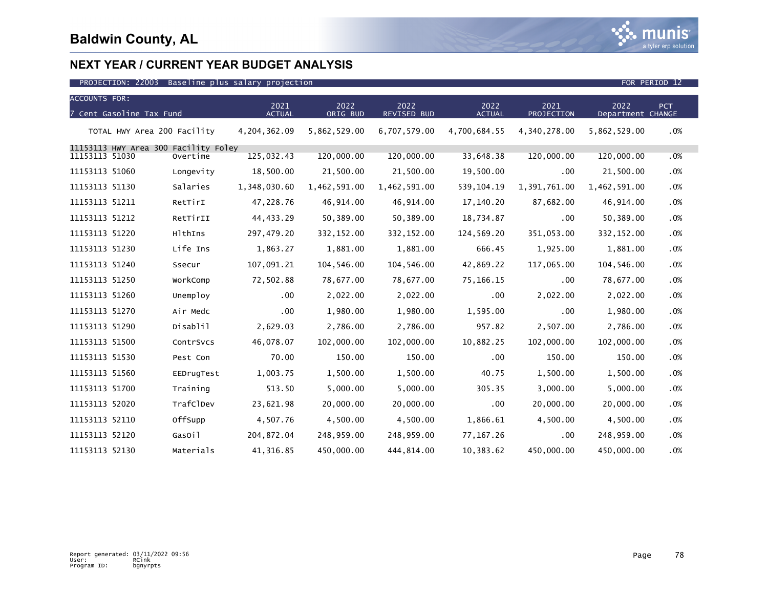

| <b>ACCOUNTS FOR:</b>                 |            |                       |                  |                            |                       |                    | 2022              |     |
|--------------------------------------|------------|-----------------------|------------------|----------------------------|-----------------------|--------------------|-------------------|-----|
| 7 Cent Gasoline Tax Fund             |            | 2021<br><b>ACTUAL</b> | 2022<br>ORIG BUD | 2022<br><b>REVISED BUD</b> | 2022<br><b>ACTUAL</b> | 2021<br>PROJECTION | Department CHANGE | PCT |
| TOTAL HWY Area 200 Facility          |            | 4,204,362.09          | 5,862,529.00     | 6,707,579.00               | 4,700,684.55          | 4,340,278.00       | 5,862,529.00      | .0% |
| 11153113 HWY Area 300 Facility Foley |            |                       |                  |                            |                       |                    |                   |     |
| 11153113 51030                       | Overtime   | 125,032.43            | 120,000.00       | 120,000.00                 | 33,648.38             | 120,000.00         | 120,000.00        | .0% |
| 11153113 51060                       | Longevity  | 18,500.00             | 21,500.00        | 21,500.00                  | 19,500.00             | .00.               | 21,500.00         | .0% |
| 11153113 51130                       | Salaries   | 1,348,030.60          | 1,462,591.00     | 1,462,591.00               | 539, 104. 19          | 1,391,761.00       | 1,462,591.00      | .0% |
| 11153113 51211                       | RetTirI    | 47,228.76             | 46,914.00        | 46,914.00                  | 17,140.20             | 87,682.00          | 46,914.00         | .0% |
| 11153113 51212                       | RetTirII   | 44,433.29             | 50,389.00        | 50,389.00                  | 18,734.87             | .00                | 50,389.00         | .0% |
| 11153113 51220                       | HlthIns    | 297,479.20            | 332,152.00       | 332,152.00                 | 124,569.20            | 351,053.00         | 332, 152.00       | .0% |
| 11153113 51230                       | Life Ins   | 1,863.27              | 1,881.00         | 1,881.00                   | 666.45                | 1,925.00           | 1,881.00          | .0% |
| 11153113 51240                       | Ssecur     | 107,091.21            | 104,546.00       | 104,546.00                 | 42,869.22             | 117,065.00         | 104,546.00        | .0% |
| 11153113 51250                       | WorkComp   | 72,502.88             | 78,677.00        | 78,677.00                  | 75,166.15             | .00                | 78,677.00         | .0% |
| 11153113 51260                       | Unemploy   | .00                   | 2,022.00         | 2,022.00                   | .00                   | 2,022.00           | 2,022.00          | .0% |
| 11153113 51270                       | Air Medc   | .00                   | 1,980.00         | 1,980.00                   | 1,595.00              | .00                | 1,980.00          | .0% |
| 11153113 51290                       | Disablil   | 2,629.03              | 2,786.00         | 2,786.00                   | 957.82                | 2,507.00           | 2,786.00          | .0% |
| 11153113 51500                       | ContrSvcs  | 46,078.07             | 102,000.00       | 102,000.00                 | 10,882.25             | 102,000.00         | 102,000.00        | .0% |
| 11153113 51530                       | Pest Con   | 70.00                 | 150.00           | 150.00                     | .00                   | 150.00             | 150.00            | .0% |
| 11153113 51560                       | EEDrugTest | 1,003.75              | 1,500.00         | 1,500.00                   | 40.75                 | 1,500.00           | 1,500.00          | .0% |
| 11153113 51700                       | Training   | 513.50                | 5,000.00         | 5,000.00                   | 305.35                | 3,000.00           | 5,000.00          | .0% |
| 11153113 52020                       | TrafClDev  | 23,621.98             | 20,000.00        | 20,000.00                  | .00                   | 20,000.00          | 20,000.00         | .0% |
| 11153113 52110                       | OffSupp    | 4,507.76              | 4,500.00         | 4,500.00                   | 1,866.61              | 4,500.00           | 4,500.00          | .0% |
| 11153113 52120                       | GasOil     | 204, 872.04           | 248,959.00       | 248,959.00                 | 77, 167. 26           | .00                | 248,959.00        | .0% |
| 11153113 52130                       | Materials  | 41,316.85             | 450,000.00       | 444,814.00                 | 10,383.62             | 450,000.00         | 450,000.00        | .0% |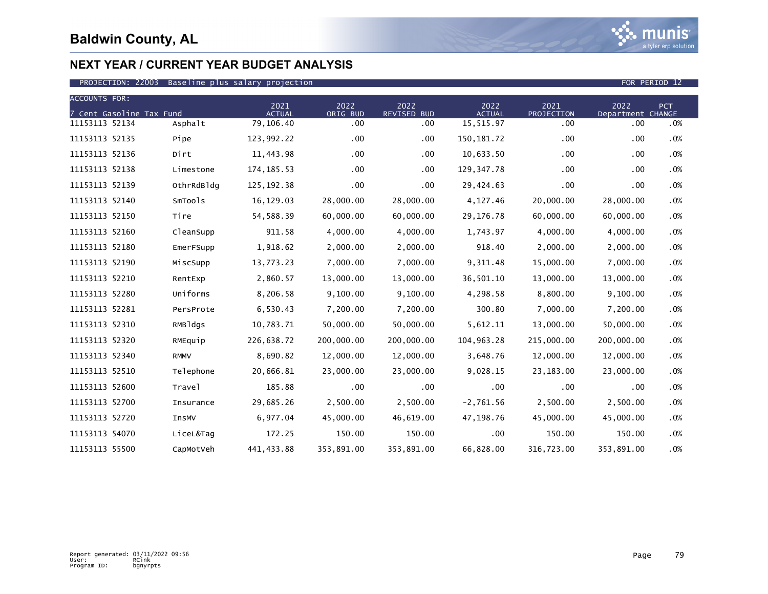| <b>ACCOUNTS FOR:</b>     |             | 2021          | 2022         | 2022               | 2022          | 2021       | 2022              | PCT    |
|--------------------------|-------------|---------------|--------------|--------------------|---------------|------------|-------------------|--------|
| 7 Cent Gasoline Tax Fund |             | <b>ACTUAL</b> | ORIG BUD     | <b>REVISED BUD</b> | <b>ACTUAL</b> | PROJECTION | Department CHANGE |        |
| 11153113 52134           | Asphalt     | 79,106.40     | .00          | $.00 \,$           | 15,515.97     | .00        | .00               | .0%    |
| 11153113 52135           | Pipe        | 123,992.22    | .00          | $.00 \,$           | 150, 181. 72  | .00        | .00               | .0%    |
| 11153113 52136           | Dirt        | 11,443.98     | $.00 \times$ | .00                | 10,633.50     | .00        | .00               | .0%    |
| 11153113 52138           | Limestone   | 174, 185. 53  | .00          | $.00 \,$           | 129, 347. 78  | .00        | .00               | .0%    |
| 11153113 52139           | OthrRdBldg  | 125, 192. 38  | $.00 \,$     | $.00 \,$           | 29,424.63     | .00        | .00               | .0%    |
| 11153113 52140           | SmTools     | 16,129.03     | 28,000.00    | 28,000.00          | 4,127.46      | 20,000.00  | 28,000.00         | .0%    |
| 11153113 52150           | Tire        | 54,588.39     | 60,000.00    | 60,000.00          | 29,176.78     | 60,000.00  | 60,000.00         | .0%    |
| 11153113 52160           | CleanSupp   | 911.58        | 4,000.00     | 4,000.00           | 1,743.97      | 4,000.00   | 4,000.00          | .0%    |
| 11153113 52180           | EmerFSupp   | 1,918.62      | 2,000.00     | 2,000.00           | 918.40        | 2,000.00   | 2,000.00          | .0%    |
| 11153113 52190           | MiscSupp    | 13,773.23     | 7,000.00     | 7,000.00           | 9,311.48      | 15,000.00  | 7,000.00          | .0%    |
| 11153113 52210           | RentExp     | 2,860.57      | 13,000.00    | 13,000.00          | 36,501.10     | 13,000.00  | 13,000.00         | .0%    |
| 11153113 52280           | Uniforms    | 8,206.58      | 9,100.00     | 9,100.00           | 4,298.58      | 8,800.00   | 9,100.00          | .0%    |
| 11153113 52281           | PersProte   | 6,530.43      | 7,200.00     | 7,200.00           | 300.80        | 7,000.00   | 7,200.00          | .0%    |
| 11153113 52310           | RMBldgs     | 10,783.71     | 50,000.00    | 50,000.00          | 5,612.11      | 13,000.00  | 50,000.00         | .0%    |
| 11153113 52320           | RMEquip     | 226,638.72    | 200,000.00   | 200,000.00         | 104,963.28    | 215,000.00 | 200,000.00        | .0%    |
| 11153113 52340           | <b>RMMV</b> | 8,690.82      | 12,000.00    | 12,000.00          | 3,648.76      | 12,000.00  | 12,000.00         | .0%    |
| 11153113 52510           | Telephone   | 20,666.81     | 23,000.00    | 23,000.00          | 9,028.15      | 23,183.00  | 23,000.00         | .0%    |
| 11153113 52600           | Travel      | 185.88        | .00          | $.00 \,$           | .00           | .00        | .00               | .0%    |
| 11153113 52700           | Insurance   | 29,685.26     | 2,500.00     | 2,500.00           | $-2,761.56$   | 2,500.00   | 2,500.00          | .0%    |
| 11153113 52720           | InsMV       | 6,977.04      | 45,000.00    | 46,619.00          | 47,198.76     | 45,000.00  | 45,000.00         | .0%    |
| 11153113 54070           | LiceL&Tag   | 172.25        | 150.00       | 150.00             | $.00 \,$      | 150.00     | 150.00            | $.0\%$ |
| 11153113 55500           | CapMotVeh   | 441,433.88    | 353,891.00   | 353,891.00         | 66,828.00     | 316,723.00 | 353,891.00        | .0%    |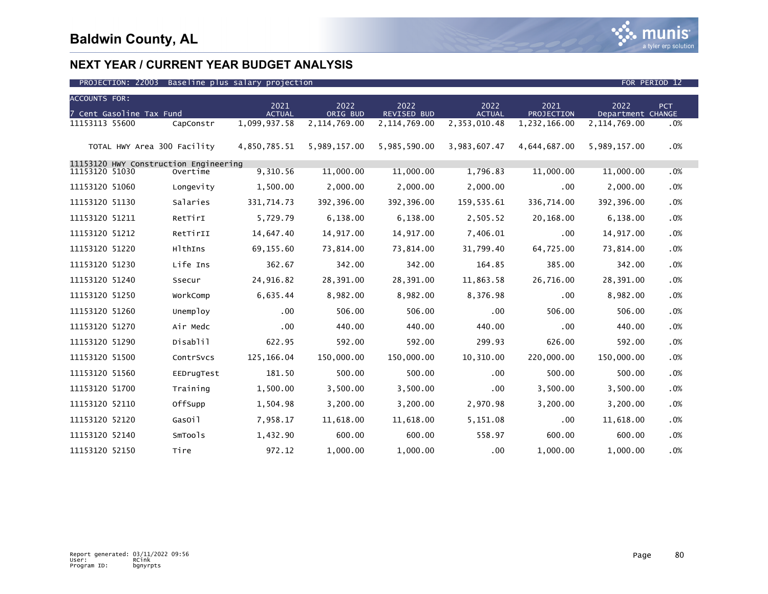

| <b>ACCOUNTS FOR:</b>                  |            |                       |                  |                            |                       |                    |                           |     |
|---------------------------------------|------------|-----------------------|------------------|----------------------------|-----------------------|--------------------|---------------------------|-----|
| 7 Cent Gasoline Tax Fund              |            | 2021<br><b>ACTUAL</b> | 2022<br>ORIG BUD | 2022<br><b>REVISED BUD</b> | 2022<br><b>ACTUAL</b> | 2021<br>PROJECTION | 2022<br>Department CHANGE | PCT |
| 11153113 55600                        | CapConstr  | 1,099,937.58          | 2,114,769.00     | 2,114,769.00               | 2,353,010.48          | 1,232,166.00       | 2, 114, 769.00            | .0% |
| TOTAL HWY Area 300 Facility           |            | 4,850,785.51          | 5,989,157.00     | 5,985,590.00               | 3,983,607.47          | 4,644,687.00       | 5,989,157.00              | .0% |
| 11153120 HWY Construction Engineering |            |                       |                  |                            |                       |                    |                           |     |
| 11153120 51030                        | Overtime   | 9,310.56              | 11,000.00        | 11,000.00                  | 1,796.83              | 11,000.00          | 11,000.00                 | .0% |
| 11153120 51060                        | Longevity  | 1,500.00              | 2,000.00         | 2,000.00                   | 2,000.00              | .00                | 2,000.00                  | .0% |
| 11153120 51130                        | Salaries   | 331,714.73            | 392,396.00       | 392,396.00                 | 159,535.61            | 336,714.00         | 392,396.00                | .0% |
| 11153120 51211                        | RetTirI    | 5,729.79              | 6,138.00         | 6,138.00                   | 2,505.52              | 20,168.00          | 6,138.00                  | .0% |
| 11153120 51212                        | RetTirII   | 14,647.40             | 14,917.00        | 14,917.00                  | 7,406.01              | .00                | 14,917.00                 | .0% |
| 11153120 51220                        | HlthIns    | 69,155.60             | 73,814.00        | 73,814.00                  | 31,799.40             | 64,725.00          | 73,814.00                 | .0% |
| 11153120 51230                        | Life Ins   | 362.67                | 342.00           | 342.00                     | 164.85                | 385.00             | 342.00                    | .0% |
| 11153120 51240                        | Ssecur     | 24,916.82             | 28,391.00        | 28,391.00                  | 11,863.58             | 26,716.00          | 28,391.00                 | .0% |
| 11153120 51250                        | WorkComp   | 6,635.44              | 8,982.00         | 8,982.00                   | 8,376.98              | .00                | 8,982.00                  | .0% |
| 11153120 51260                        | Unemploy   | $.00 \,$              | 506.00           | 506.00                     | .00                   | 506.00             | 506.00                    | .0% |
| 11153120 51270                        | Air Medc   | .00                   | 440.00           | 440.00                     | 440.00                | .00                | 440.00                    | .0% |
| 11153120 51290                        | Disablil   | 622.95                | 592.00           | 592.00                     | 299.93                | 626.00             | 592.00                    | .0% |
| 11153120 51500                        | ContrSvcs  | 125, 166.04           | 150,000.00       | 150,000.00                 | 10,310.00             | 220,000.00         | 150,000.00                | .0% |
| 11153120 51560                        | EEDrugTest | 181.50                | 500.00           | 500.00                     | .00                   | 500.00             | 500.00                    | .0% |
| 11153120 51700                        | Training   | 1,500.00              | 3,500.00         | 3,500.00                   | $.00 \,$              | 3,500.00           | 3,500.00                  | .0% |
| 11153120 52110                        | OffSupp    | 1,504.98              | 3,200.00         | 3,200.00                   | 2,970.98              | 3,200.00           | 3,200.00                  | .0% |
| 11153120 52120                        | GasOil     | 7,958.17              | 11,618.00        | 11,618.00                  | 5,151.08              | .00.               | 11,618.00                 | .0% |
| 11153120 52140                        | SmTools    | 1,432.90              | 600.00           | 600.00                     | 558.97                | 600.00             | 600.00                    | .0% |
| 11153120 52150                        | Tire       | 972.12                | 1,000.00         | 1,000.00                   | .00                   | 1,000.00           | 1,000.00                  | .0% |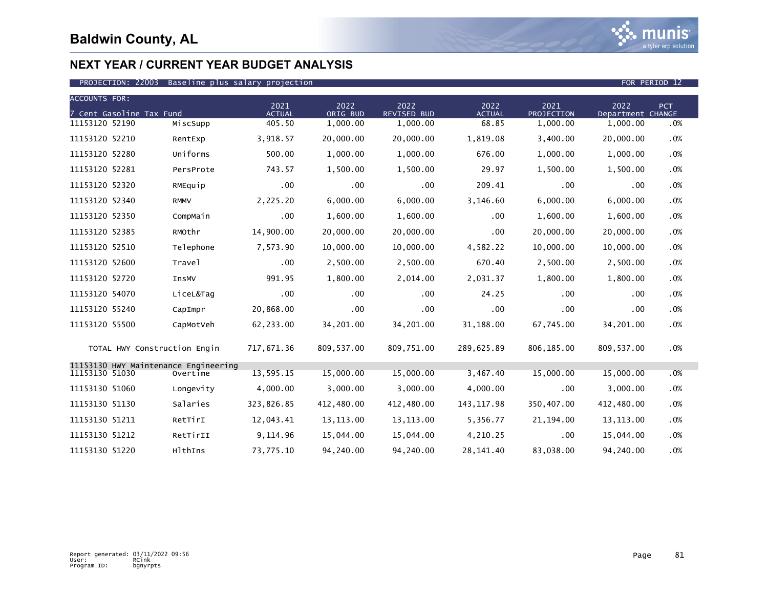

| <b>ACCOUNTS FOR:</b> |                              |                                                  |                       |                  |                            |                       |                    |                           |     |  |
|----------------------|------------------------------|--------------------------------------------------|-----------------------|------------------|----------------------------|-----------------------|--------------------|---------------------------|-----|--|
|                      | 7 Cent Gasoline Tax Fund     |                                                  | 2021<br><b>ACTUAL</b> | 2022<br>ORIG BUD | 2022<br><b>REVISED BUD</b> | 2022<br><b>ACTUAL</b> | 2021<br>PROJECTION | 2022<br>Department CHANGE | PCT |  |
| 11153120 52190       |                              | MiscSupp                                         | 405.50                | 1,000.00         | 1,000.00                   | 68.85                 | 1,000.00           | 1,000.00                  | .0% |  |
| 11153120 52210       |                              | RentExp                                          | 3,918.57              | 20,000.00        | 20,000.00                  | 1,819.08              | 3,400.00           | 20,000.00                 | .0% |  |
| 11153120 52280       |                              | Uniforms                                         | 500.00                | 1,000.00         | 1,000.00                   | 676.00                | 1,000.00           | 1,000.00                  | .0% |  |
| 11153120 52281       |                              | PersProte                                        | 743.57                | 1,500.00         | 1,500.00                   | 29.97                 | 1,500.00           | 1,500.00                  | .0% |  |
| 11153120 52320       |                              | RMEquip                                          | $.00 \,$              | .00              | $.00 \,$                   | 209.41                | .00.               | .00                       | .0% |  |
| 11153120 52340       |                              | <b>RMMV</b>                                      | 2,225.20              | 6.000.00         | 6,000.00                   | 3,146.60              | 6,000.00           | 6,000.00                  | .0% |  |
| 11153120 52350       |                              | CompMain                                         | $.00 \,$              | 1,600.00         | 1,600.00                   | $.00 \,$              | 1,600.00           | 1,600.00                  | .0% |  |
| 11153120 52385       |                              | RMOthr                                           | 14,900.00             | 20,000.00        | 20,000.00                  | .00                   | 20,000.00          | 20,000.00                 | .0% |  |
| 11153120 52510       |                              | Telephone                                        | 7,573.90              | 10,000.00        | 10,000.00                  | 4,582.22              | 10,000.00          | 10,000.00                 | .0% |  |
| 11153120 52600       |                              | Travel                                           | $.00 \,$              | 2,500.00         | 2,500.00                   | 670.40                | 2,500.00           | 2,500.00                  | .0% |  |
| 11153120 52720       |                              | <b>InsMV</b>                                     | 991.95                | 1,800.00         | 2,014.00                   | 2,031.37              | 1,800.00           | 1,800.00                  | .0% |  |
| 11153120 54070       |                              | LiceL&Tag                                        | .00                   | .00              | $.00 \times$               | 24.25                 | .00                | .00                       | .0% |  |
| 11153120 55240       |                              | CapImpr                                          | 20,868.00             | .00              | .00 <sub>1</sub>           | .00                   | .00                | .00                       | .0% |  |
| 11153120 55500       |                              | CapMotVeh                                        | 62,233.00             | 34,201.00        | 34,201.00                  | 31,188.00             | 67,745.00          | 34,201.00                 | .0% |  |
|                      | TOTAL HWY Construction Engin |                                                  | 717,671.36            | 809,537.00       | 809,751.00                 | 289,625.89            | 806,185.00         | 809,537.00                | .0% |  |
| 11153130 51030       |                              | 11153130 HWY Maintenance Engineering<br>Overtime | 13,595.15             | 15,000.00        | 15,000.00                  | 3,467.40              | 15,000.00          | 15,000.00                 | .0% |  |
| 11153130 51060       |                              | Longevity                                        | 4,000.00              | 3,000.00         | 3,000.00                   | 4,000.00              | .00                | 3,000.00                  | .0% |  |
| 11153130 51130       |                              | Salaries                                         | 323,826.85            | 412,480.00       | 412,480.00                 | 143, 117.98           | 350,407.00         | 412,480.00                | .0% |  |
| 11153130 51211       |                              | RetTirI                                          | 12,043.41             | 13, 113.00       | 13, 113.00                 | 5,356.77              | 21, 194.00         | 13, 113.00                | .0% |  |
| 11153130 51212       |                              | RetTirII                                         | 9,114.96              | 15,044.00        | 15,044.00                  | 4,210.25              | .00                | 15,044.00                 | .0% |  |
| 11153130 51220       |                              | HlthIns                                          | 73,775.10             | 94,240.00        | 94,240.00                  | 28, 141.40            | 83,038.00          | 94,240.00                 | .0% |  |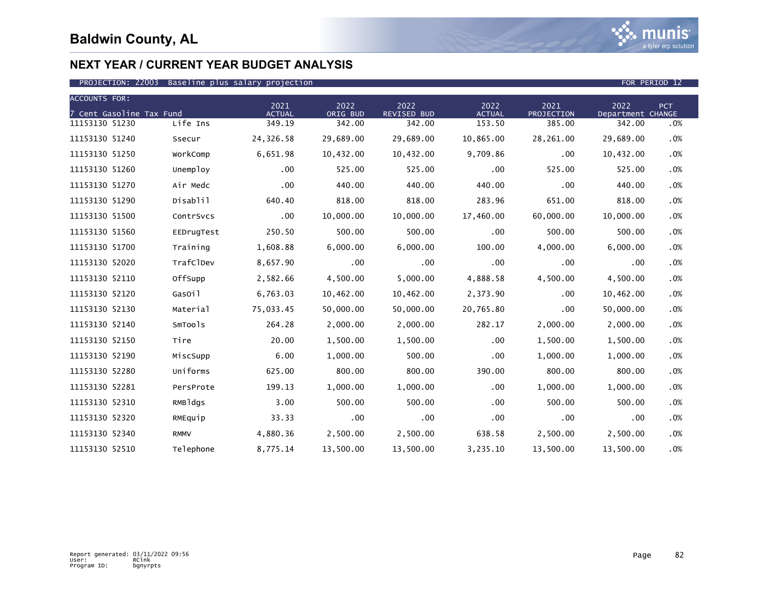

| <b>ACCOUNTS FOR:</b>     |             |                       |                  |                            |                       |                    |                           |        |
|--------------------------|-------------|-----------------------|------------------|----------------------------|-----------------------|--------------------|---------------------------|--------|
| 7 Cent Gasoline Tax Fund |             | 2021<br><b>ACTUAL</b> | 2022<br>ORIG BUD | 2022<br><b>REVISED BUD</b> | 2022<br><b>ACTUAL</b> | 2021<br>PROJECTION | 2022<br>Department CHANGE | PCT    |
| 11153130 51230           | Life Ins    | 349.19                | 342.00           | 342.00                     | 153.50                | 385.00             | 342.00                    | .0%    |
| 11153130 51240           | Ssecur      | 24,326.58             | 29,689.00        | 29,689.00                  | 10,865.00             | 28,261.00          | 29,689.00                 | .0%    |
| 11153130 51250           | WorkComp    | 6,651.98              | 10,432.00        | 10,432.00                  | 9,709.86              | .00                | 10,432.00                 | .0%    |
| 11153130 51260           | Unemploy    | $.00 \,$              | 525.00           | 525.00                     | .00                   | 525.00             | 525.00                    | .0%    |
| 11153130 51270           | Air Medc    | .00                   | 440.00           | 440.00                     | 440.00                | .00                | 440.00                    | .0%    |
| 11153130 51290           | Disablil    | 640.40                | 818.00           | 818.00                     | 283.96                | 651.00             | 818.00                    | .0%    |
| 11153130 51500           | ContrSvcs   | $.00 \,$              | 10,000.00        | 10,000.00                  | 17,460.00             | 60,000.00          | 10,000.00                 | .0%    |
| 11153130 51560           | EEDrugTest  | 250.50                | 500.00           | 500.00                     | $.00 \,$              | 500.00             | 500.00                    | .0%    |
| 11153130 51700           | Training    | 1,608.88              | 6,000.00         | 6,000.00                   | 100.00                | 4,000.00           | 6,000.00                  | .0%    |
| 11153130 52020           | TrafClDev   | 8,657.90              | .00              | $.00 \,$                   | .00                   | .00                | .00                       | .0%    |
| 11153130 52110           | OffSupp     | 2,582.66              | 4,500.00         | 5,000.00                   | 4,888.58              | 4,500.00           | 4,500.00                  | .0%    |
| 11153130 52120           | GasOil      | 6,763.03              | 10,462.00        | 10,462.00                  | 2,373.90              | .00                | 10,462.00                 | .0%    |
| 11153130 52130           | Material    | 75,033.45             | 50,000.00        | 50,000.00                  | 20,765.80             | .00                | 50,000.00                 | .0%    |
| 11153130 52140           | SmTools     | 264.28                | 2,000.00         | 2,000.00                   | 282.17                | 2,000.00           | 2,000.00                  | .0%    |
| 11153130 52150           | Tire        | 20.00                 | 1,500.00         | 1,500.00                   | .00                   | 1,500.00           | 1,500.00                  | .0%    |
| 11153130 52190           | MiscSupp    | 6.00                  | 1,000.00         | 500.00                     | .00                   | 1,000.00           | 1,000.00                  | .0%    |
| 11153130 52280           | Uniforms    | 625.00                | 800.00           | 800.00                     | 390.00                | 800.00             | 800.00                    | .0%    |
| 11153130 52281           | PersProte   | 199.13                | 1,000.00         | 1.000.00                   | $.00 \,$              | 1,000.00           | 1,000.00                  | .0%    |
| 11153130 52310           | RMBldgs     | 3.00                  | 500.00           | 500.00                     | .00                   | 500.00             | 500.00                    | .0%    |
| 11153130 52320           | RMEquip     | 33.33                 | .00              | .00                        | .00                   | .00                | .00                       | .0%    |
| 11153130 52340           | <b>RMMV</b> | 4,880.36              | 2,500.00         | 2,500.00                   | 638.58                | 2,500.00           | 2,500.00                  | $.0\%$ |
| 11153130 52510           | Telephone   | 8,775.14              | 13,500.00        | 13,500.00                  | 3,235.10              | 13,500.00          | 13,500.00                 | .0%    |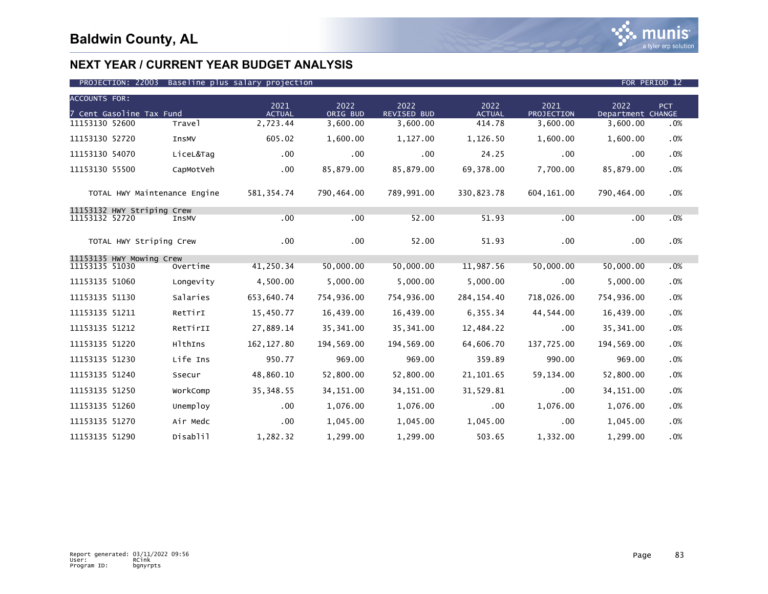

| <b>ACCOUNTS FOR:</b>                         |                              |                       |                  |                            |                       |                    |                           |            |  |
|----------------------------------------------|------------------------------|-----------------------|------------------|----------------------------|-----------------------|--------------------|---------------------------|------------|--|
| 7 Cent Gasoline Tax Fund                     |                              | 2021<br><b>ACTUAL</b> | 2022<br>ORIG BUD | 2022<br><b>REVISED BUD</b> | 2022<br><b>ACTUAL</b> | 2021<br>PROJECTION | 2022<br>Department CHANGE | <b>PCT</b> |  |
| 11153130 52600                               | Travel                       | 2,723.44              | 3,600.00         | 3,600.00                   | 414.78                | 3,600.00           | 3,600.00                  | .0%        |  |
| 11153130 52720                               | InsMV                        | 605.02                | 1,600.00         | 1,127.00                   | 1,126.50              | 1,600.00           | 1,600.00                  | .0%        |  |
| 11153130 54070                               | LiceL&Tag                    | .00                   | .00              | .00                        | 24.25                 | .00                | .00                       | .0%        |  |
| 11153130 55500                               | CapMotVeh                    | .00                   | 85,879.00        | 85,879.00                  | 69,378.00             | 7.700.00           | 85,879.00                 | .0%        |  |
|                                              | TOTAL HWY Maintenance Engine | 581, 354.74           | 790,464.00       | 789.991.00                 | 330,823.78            | 604,161.00         | 790,464.00                | .0%        |  |
| 11153132 HWY Striping Crew<br>11153132 52720 | InsMV                        | .00                   | .00              | 52.00                      | 51.93                 | .00                | .00                       | .0%        |  |
|                                              |                              |                       |                  |                            |                       |                    |                           |            |  |
|                                              | TOTAL HWY Striping Crew      | .00                   | .00              | 52.00                      | 51.93                 | .00                | .00                       | .0%        |  |
| 11153135 HWY Mowing Crew                     |                              |                       |                  |                            |                       |                    |                           |            |  |
| 11153135 51030                               | Overtime                     | 41,250.34             | 50,000.00        | 50,000.00                  | 11,987.56             | 50,000.00          | 50,000.00                 | .0%        |  |
| 11153135 51060                               | Longevity                    | 4,500.00              | 5,000.00         | 5,000.00                   | 5,000.00              | .00                | 5,000.00                  | .0%        |  |
| 11153135 51130                               | Salaries                     | 653,640.74            | 754,936.00       | 754,936.00                 | 284, 154.40           | 718,026.00         | 754,936.00                | .0%        |  |
| 11153135 51211                               | RetTirI                      | 15,450.77             | 16,439.00        | 16,439.00                  | 6,355.34              | 44,544.00          | 16,439.00                 | .0%        |  |
| 11153135 51212                               | RetTirII                     | 27,889.14             | 35,341.00        | 35,341.00                  | 12,484.22             | .00                | 35,341.00                 | .0%        |  |
| 11153135 51220                               | HlthIns                      | 162, 127.80           | 194,569.00       | 194,569.00                 | 64,606.70             | 137,725.00         | 194,569.00                | .0%        |  |
| 11153135 51230                               | Life Ins                     | 950.77                | 969.00           | 969.00                     | 359.89                | 990.00             | 969.00                    | .0%        |  |
| 11153135 51240                               | Ssecur                       | 48,860.10             | 52,800.00        | 52,800.00                  | 21, 101.65            | 59,134.00          | 52,800.00                 | .0%        |  |
| 11153135 51250                               | WorkComp                     | 35, 348.55            | 34, 151.00       | 34, 151.00                 | 31,529.81             | .00                | 34, 151.00                | .0%        |  |
| 11153135 51260                               | Unemploy                     | .00                   | 1,076.00         | 1,076.00                   | $.00 \,$              | 1,076.00           | 1,076.00                  | .0%        |  |
| 11153135 51270                               | Air Medc                     | .00                   | 1,045.00         | 1,045.00                   | 1,045.00              | .00                | 1,045.00                  | .0%        |  |
| 11153135 51290                               | Disablil                     | 1,282.32              | 1,299.00         | 1,299.00                   | 503.65                | 1,332.00           | 1,299.00                  | .0%        |  |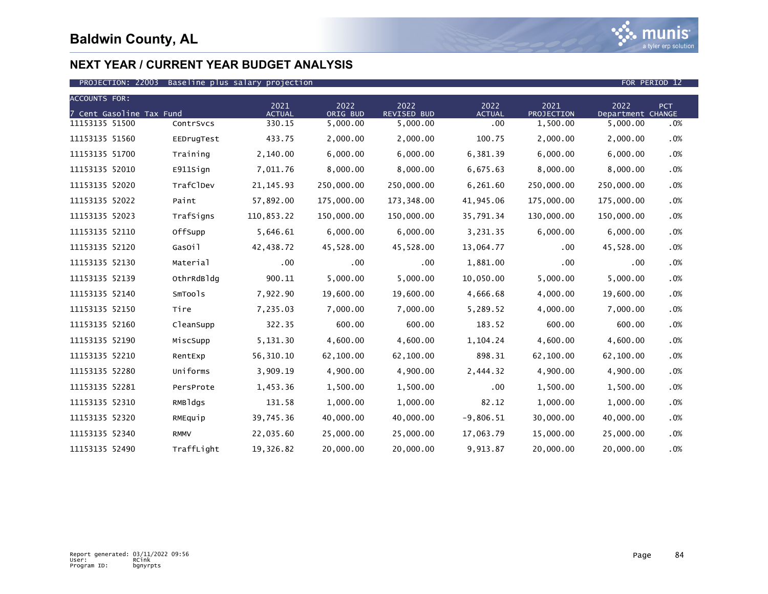

| <b>ACCOUNTS FOR:</b> |                          |             |                       |                  |                     |                       |                    |                           |            |
|----------------------|--------------------------|-------------|-----------------------|------------------|---------------------|-----------------------|--------------------|---------------------------|------------|
|                      | 7 Cent Gasoline Tax Fund |             | 2021<br><b>ACTUAL</b> | 2022<br>ORIG BUD | 2022<br>REVISED BUD | 2022<br><b>ACTUAL</b> | 2021<br>PROJECTION | 2022<br>Department CHANGE | <b>PCT</b> |
| 11153135 51500       |                          | ContrSvcs   | 330.15                | 5,000.00         | 5,000.00            | .00                   | 1,500.00           | 5,000.00                  | .0%        |
| 11153135 51560       |                          | EEDrugTest  | 433.75                | 2,000.00         | 2,000.00            | 100.75                | 2,000.00           | 2,000.00                  | .0%        |
| 11153135 51700       |                          | Training    | 2,140.00              | 6,000.00         | 6,000.00            | 6,381.39              | 6,000.00           | 6,000.00                  | .0%        |
| 11153135 52010       |                          | E911Sign    | 7,011.76              | 8,000.00         | 8,000.00            | 6,675.63              | 8,000.00           | 8,000.00                  | .0%        |
| 11153135 52020       |                          | TrafClDev   | 21, 145.93            | 250,000.00       | 250,000.00          | 6,261.60              | 250,000.00         | 250,000.00                | .0%        |
| 11153135 52022       |                          | Paint       | 57,892.00             | 175,000.00       | 173,348.00          | 41,945.06             | 175,000.00         | 175,000.00                | .0%        |
| 11153135 52023       |                          | TrafSigns   | 110,853.22            | 150,000.00       | 150,000.00          | 35,791.34             | 130,000.00         | 150,000.00                | .0%        |
| 11153135 52110       |                          | OffSupp     | 5,646.61              | 6,000.00         | 6,000.00            | 3,231.35              | 6,000.00           | 6,000.00                  | .0%        |
| 11153135 52120       |                          | GasOil      | 42,438.72             | 45,528.00        | 45,528.00           | 13,064.77             | .00                | 45,528.00                 | .0%        |
| 11153135 52130       |                          | Material    | .00                   | .00              | $.00 \times$        | 1,881.00              | .00                | .00                       | .0%        |
| 11153135 52139       |                          | OthrRdBldg  | 900.11                | 5,000.00         | 5,000.00            | 10,050.00             | 5,000.00           | 5,000.00                  | .0%        |
| 11153135 52140       |                          | SmTools     | 7,922.90              | 19,600.00        | 19,600.00           | 4,666.68              | 4,000.00           | 19,600.00                 | .0%        |
| 11153135 52150       |                          | Tire        | 7,235.03              | 7,000.00         | 7,000.00            | 5,289.52              | 4,000.00           | 7,000.00                  | .0%        |
| 11153135 52160       |                          | CleanSupp   | 322.35                | 600.00           | 600.00              | 183.52                | 600.00             | 600.00                    | .0%        |
| 11153135 52190       |                          | MiscSupp    | 5,131.30              | 4,600.00         | 4,600.00            | 1,104.24              | 4,600.00           | 4,600.00                  | .0%        |
| 11153135 52210       |                          | RentExp     | 56, 310.10            | 62,100.00        | 62,100.00           | 898.31                | 62,100.00          | 62,100.00                 | .0%        |
| 11153135 52280       |                          | Uniforms    | 3,909.19              | 4,900.00         | 4,900.00            | 2,444.32              | 4,900.00           | 4,900.00                  | .0%        |
| 11153135 52281       |                          | PersProte   | 1,453.36              | 1,500.00         | 1,500.00            | .00                   | 1,500.00           | 1,500.00                  | .0%        |
| 11153135 52310       |                          | RMBldgs     | 131.58                | 1,000.00         | 1,000.00            | 82.12                 | 1,000.00           | 1,000.00                  | .0%        |
| 11153135 52320       |                          | RMEquip     | 39,745.36             | 40,000.00        | 40,000.00           | $-9,806.51$           | 30,000.00          | 40,000.00                 | .0%        |
| 11153135 52340       |                          | <b>RMMV</b> | 22,035.60             | 25,000.00        | 25,000.00           | 17,063.79             | 15,000.00          | 25,000.00                 | .0%        |
| 11153135 52490       |                          | TraffLight  | 19,326.82             | 20,000.00        | 20,000.00           | 9,913.87              | 20,000.00          | 20,000.00                 | .0%        |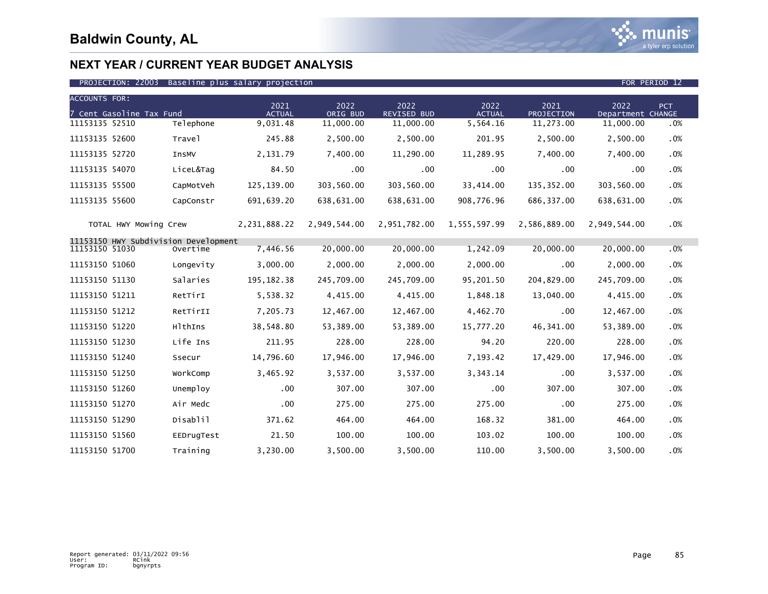

| <b>ACCOUNTS FOR:</b>                 |            |                       |                  |                            |                       |                    |                           |     |
|--------------------------------------|------------|-----------------------|------------------|----------------------------|-----------------------|--------------------|---------------------------|-----|
| 7 Cent Gasoline Tax Fund             |            | 2021<br><b>ACTUAL</b> | 2022<br>ORIG BUD | 2022<br><b>REVISED BUD</b> | 2022<br><b>ACTUAL</b> | 2021<br>PROJECTION | 2022<br>Department CHANGE | PCT |
| 11153135 52510                       | Telephone  | 9,031.48              | 11,000.00        | 11,000.00                  | 5,564.16              | 11,273.00          | 11,000.00                 | .0% |
| 11153135 52600                       | Travel     | 245.88                | 2,500.00         | 2,500.00                   | 201.95                | 2,500.00           | 2,500.00                  | .0% |
| 11153135 52720                       | InsMV      | 2,131.79              | 7,400.00         | 11,290.00                  | 11,289.95             | 7,400.00           | 7.400.00                  | .0% |
| 11153135 54070                       | LiceL&Tag  | 84.50                 | $.00 \,$         | .00.                       | .00                   | .00                | .00                       | .0% |
| 11153135 55500                       | CapMotVeh  | 125,139.00            | 303,560.00       | 303,560.00                 | 33,414.00             | 135,352.00         | 303,560.00                | .0% |
| 11153135 55600                       | CapConstr  | 691,639.20            | 638,631.00       | 638,631.00                 | 908,776.96            | 686,337.00         | 638,631.00                | .0% |
| TOTAL HWY Mowing Crew                |            | 2,231,888.22          | 2,949,544.00     | 2,951,782.00               | 1,555,597.99          | 2,586,889.00       | 2,949,544.00              | .0% |
| 11153150 HWY Subdivision Development |            |                       |                  |                            |                       |                    |                           |     |
| 11153150 51030                       | Overtime   | 7,446.56              | 20,000.00        | 20,000.00                  | 1,242.09              | 20,000.00          | 20,000.00                 | .0% |
| 11153150 51060                       | Longevity  | 3,000.00              | 2,000.00         | 2,000.00                   | 2,000.00              | .00                | 2,000.00                  | .0% |
| 11153150 51130                       | Salaries   | 195, 182. 38          | 245,709.00       | 245,709.00                 | 95,201.50             | 204,829.00         | 245,709.00                | .0% |
| 11153150 51211                       | RetTirI    | 5,538.32              | 4,415.00         | 4,415.00                   | 1,848.18              | 13,040.00          | 4,415.00                  | .0% |
| 11153150 51212                       | RetTirII   | 7,205.73              | 12,467.00        | 12,467.00                  | 4,462.70              | .00                | 12,467.00                 | .0% |
| 11153150 51220                       | HlthIns    | 38,548.80             | 53,389.00        | 53,389.00                  | 15,777.20             | 46,341.00          | 53,389.00                 | .0% |
| 11153150 51230                       | Life Ins   | 211.95                | 228.00           | 228.00                     | 94.20                 | 220.00             | 228.00                    | .0% |
| 11153150 51240                       | Ssecur     | 14,796.60             | 17,946.00        | 17,946.00                  | 7,193.42              | 17,429.00          | 17,946.00                 | .0% |
| 11153150 51250                       | WorkComp   | 3,465.92              | 3,537.00         | 3,537.00                   | 3,343.14              | .00                | 3,537.00                  | .0% |
| 11153150 51260                       | Unemploy   | $.00 \,$              | 307.00           | 307.00                     | .00                   | 307.00             | 307.00                    | .0% |
| 11153150 51270                       | Air Medc   | $.00 \,$              | 275.00           | 275.00                     | 275.00                | .00                | 275.00                    | .0% |
| 11153150 51290                       | Disablil   | 371.62                | 464.00           | 464.00                     | 168.32                | 381.00             | 464.00                    | .0% |
| 11153150 51560                       | EEDrugTest | 21.50                 | 100.00           | 100.00                     | 103.02                | 100.00             | 100.00                    | .0% |
| 11153150 51700                       | Training   | 3,230.00              | 3,500.00         | 3,500.00                   | 110.00                | 3,500.00           | 3,500.00                  | .0% |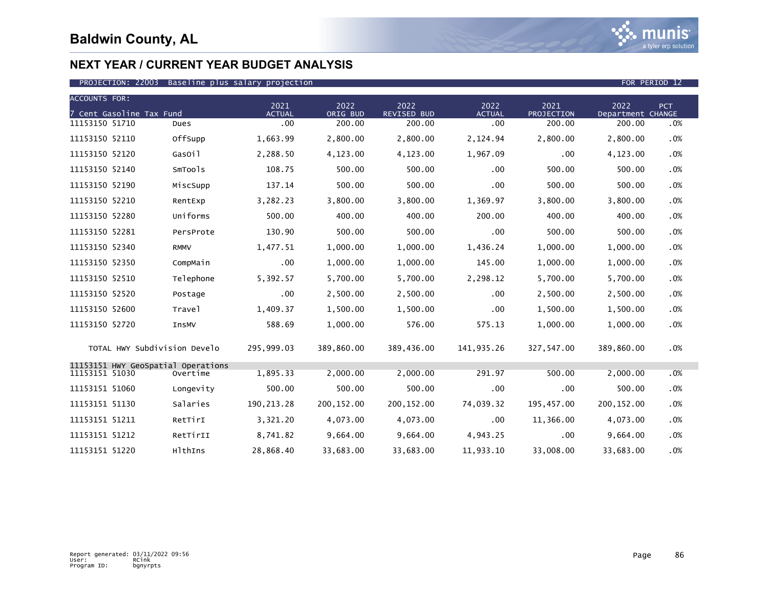

|                | <b>ACCOUNTS FOR:</b>         |                                                |                       |                  |                            |                       |                    |                           |     |  |
|----------------|------------------------------|------------------------------------------------|-----------------------|------------------|----------------------------|-----------------------|--------------------|---------------------------|-----|--|
|                | 7 Cent Gasoline Tax Fund     |                                                | 2021<br><b>ACTUAL</b> | 2022<br>ORIG BUD | 2022<br><b>REVISED BUD</b> | 2022<br><b>ACTUAL</b> | 2021<br>PROJECTION | 2022<br>Department CHANGE | PCT |  |
| 11153150 51710 |                              | Dues                                           | .00                   | 200.00           | 200.00                     | .00                   | 200.00             | 200.00                    | .0% |  |
| 11153150 52110 |                              | OffSupp                                        | 1,663.99              | 2,800.00         | 2,800.00                   | 2,124.94              | 2.800.00           | 2,800.00                  | .0% |  |
| 11153150 52120 |                              | GasOil                                         | 2,288.50              | 4,123.00         | 4,123.00                   | 1,967.09              | .00                | 4,123.00                  | .0% |  |
| 11153150 52140 |                              | SmTools                                        | 108.75                | 500.00           | 500.00                     | .00.                  | 500.00             | 500.00                    | .0% |  |
| 11153150 52190 |                              | MiscSupp                                       | 137.14                | 500.00           | 500.00                     | $.00 \times$          | 500.00             | 500.00                    | .0% |  |
| 11153150 52210 |                              | RentExp                                        | 3,282.23              | 3,800.00         | 3,800.00                   | 1,369.97              | 3,800.00           | 3,800.00                  | .0% |  |
| 11153150 52280 |                              | Uniforms                                       | 500.00                | 400.00           | 400.00                     | 200.00                | 400.00             | 400.00                    | .0% |  |
| 11153150 52281 |                              | PersProte                                      | 130.90                | 500.00           | 500.00                     | .00                   | 500.00             | 500.00                    | .0% |  |
| 11153150 52340 |                              | <b>RMMV</b>                                    | 1,477.51              | 1,000.00         | 1,000.00                   | 1,436.24              | 1,000.00           | 1,000.00                  | .0% |  |
| 11153150 52350 |                              | CompMain                                       | $.00 \,$              | 1,000.00         | 1,000.00                   | 145.00                | 1,000.00           | 1,000.00                  | .0% |  |
| 11153150 52510 |                              | Telephone                                      | 5,392.57              | 5,700.00         | 5,700.00                   | 2,298.12              | 5,700.00           | 5,700.00                  | .0% |  |
| 11153150 52520 |                              | Postage                                        | $.00 \,$              | 2,500.00         | 2,500.00                   | .00                   | 2,500.00           | 2,500.00                  | .0% |  |
| 11153150 52600 |                              | Travel                                         | 1,409.37              | 1,500.00         | 1,500.00                   | .00                   | 1,500.00           | 1,500.00                  | .0% |  |
| 11153150 52720 |                              | InsMV                                          | 588.69                | 1,000.00         | 576.00                     | 575.13                | 1,000.00           | 1,000.00                  | .0% |  |
|                | TOTAL HWY Subdivision Develo |                                                | 295,999.03            | 389,860.00       | 389,436.00                 | 141,935.26            | 327,547.00         | 389,860.00                | .0% |  |
| 11153151 51030 |                              | 11153151 HWY GeoSpatial Operations<br>Overtime | 1,895.33              | 2,000.00         | 2.000.00                   | 291.97                | 500.00             | 2,000.00                  | .0% |  |
| 11153151 51060 |                              | Longevity                                      | 500.00                | 500.00           | 500.00                     | .00                   | .00                | 500.00                    | .0% |  |
| 11153151 51130 |                              | Salaries                                       | 190, 213.28           | 200, 152.00      | 200, 152.00                | 74,039.32             | 195,457.00         | 200, 152.00               | .0% |  |
| 11153151 51211 |                              | RetTirI                                        | 3,321.20              | 4,073.00         | 4,073.00                   | .00                   | 11,366.00          | 4,073.00                  | .0% |  |
| 11153151 51212 |                              | RetTirII                                       | 8,741.82              | 9,664.00         | 9,664.00                   | 4,943.25              | .00                | 9,664.00                  | .0% |  |
| 11153151 51220 |                              | HlthIns                                        | 28,868.40             | 33,683.00        | 33,683.00                  | 11,933.10             | 33,008.00          | 33,683.00                 | .0% |  |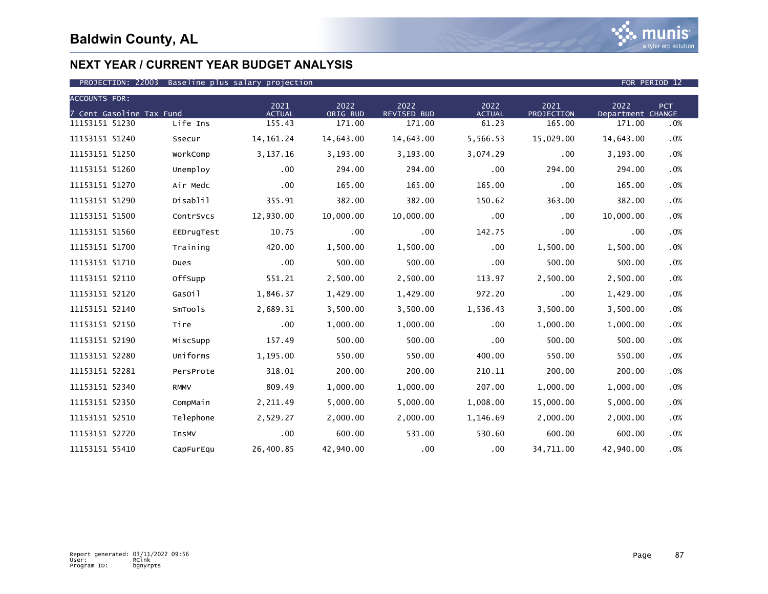

| <b>ACCOUNTS FOR:</b>     |              | 2021          | 2022      | 2022               | 2022          | 2021       | 2022              | <b>PCT</b> |
|--------------------------|--------------|---------------|-----------|--------------------|---------------|------------|-------------------|------------|
| 7 Cent Gasoline Tax Fund |              | <b>ACTUAL</b> | ORIG BUD  | <b>REVISED BUD</b> | <b>ACTUAL</b> | PROJECTION | Department CHANGE |            |
| 11153151 51230           | Life Ins     | 155.43        | 171.00    | 171.00             | 61.23         | 165.00     | 171.00            | .0%        |
| 11153151 51240           | Ssecur       | 14, 161. 24   | 14,643.00 | 14,643.00          | 5,566.53      | 15,029.00  | 14,643.00         | .0%        |
| 11153151 51250           | WorkComp     | 3,137.16      | 3,193.00  | 3,193.00           | 3,074.29      | .00        | 3,193.00          | .0%        |
| 11153151 51260           | Unemploy     | $.00 \,$      | 294.00    | 294.00             | .00           | 294.00     | 294.00            | .0%        |
| 11153151 51270           | Air Medc     | .00           | 165.00    | 165.00             | 165.00        | .00        | 165.00            | .0%        |
| 11153151 51290           | Disablil     | 355.91        | 382.00    | 382.00             | 150.62        | 363.00     | 382.00            | .0%        |
| 11153151 51500           | ContrSvcs    | 12,930.00     | 10,000.00 | 10,000.00          | .00           | .00        | 10,000.00         | .0%        |
| 11153151 51560           | EEDrugTest   | 10.75         | .00       | .00                | 142.75        | .00        | .00               | .0%        |
| 11153151 51700           | Training     | 420.00        | 1,500.00  | 1,500.00           | .00           | 1,500.00   | 1,500.00          | .0%        |
| 11153151 51710           | Dues         | .00           | 500.00    | 500.00             | .00           | 500.00     | 500.00            | .0%        |
| 11153151 52110           | OffSupp      | 551.21        | 2,500.00  | 2,500.00           | 113.97        | 2,500.00   | 2,500.00          | .0%        |
| 11153151 52120           | GasOil       | 1,846.37      | 1,429.00  | 1,429.00           | 972.20        | .00        | 1,429.00          | .0%        |
| 11153151 52140           | SmTools      | 2,689.31      | 3,500.00  | 3,500.00           | 1,536.43      | 3,500.00   | 3,500.00          | .0%        |
| 11153151 52150           | Tire         | $.00 \,$      | 1,000.00  | 1,000.00           | .00           | 1,000.00   | 1,000.00          | .0%        |
| 11153151 52190           | MiscSupp     | 157.49        | 500.00    | 500.00             | .00           | 500.00     | 500.00            | .0%        |
| 11153151 52280           | Uniforms     | 1,195.00      | 550.00    | 550.00             | 400.00        | 550.00     | 550.00            | .0%        |
| 11153151 52281           | PersProte    | 318.01        | 200.00    | 200.00             | 210.11        | 200.00     | 200.00            | .0%        |
| 11153151 52340           | <b>RMMV</b>  | 809.49        | 1,000.00  | 1,000.00           | 207.00        | 1,000.00   | 1,000.00          | .0%        |
| 11153151 52350           | CompMain     | 2,211.49      | 5,000.00  | 5,000.00           | 1,008.00      | 15,000.00  | 5,000.00          | .0%        |
| 11153151 52510           | Telephone    | 2,529.27      | 2,000.00  | 2,000.00           | 1,146.69      | 2,000.00   | 2,000.00          | .0%        |
| 11153151 52720           | <b>InsMV</b> | .00           | 600.00    | 531.00             | 530.60        | 600.00     | 600.00            | .0%        |
| 11153151 55410           | CapFurEqu    | 26,400.85     | 42,940.00 | .00                | .00           | 34,711.00  | 42,940.00         | .0%        |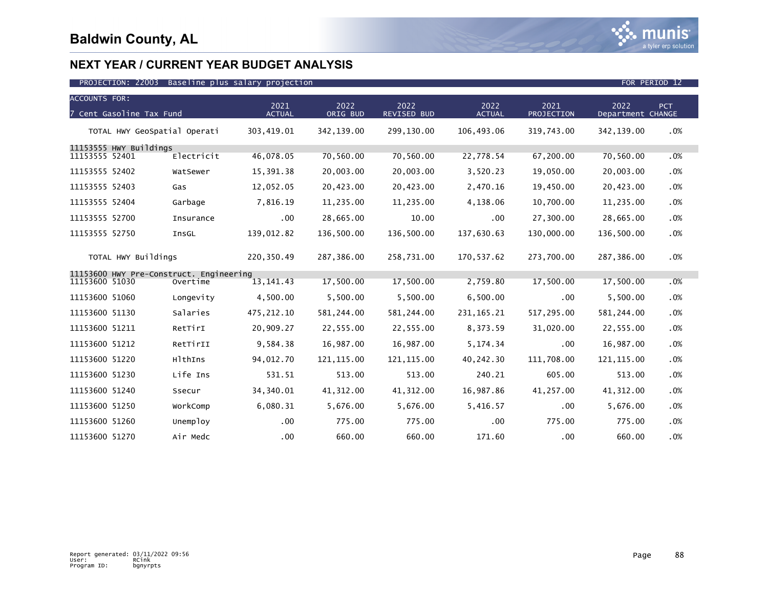

| <b>ACCOUNTS FOR:</b>         |                          |                                         |                       |                  |                     |                       |                    |                           |        |
|------------------------------|--------------------------|-----------------------------------------|-----------------------|------------------|---------------------|-----------------------|--------------------|---------------------------|--------|
|                              | 7 Cent Gasoline Tax Fund |                                         | 2021<br><b>ACTUAL</b> | 2022<br>ORIG BUD | 2022<br>REVISED BUD | 2022<br><b>ACTUAL</b> | 2021<br>PROJECTION | 2022<br>Department CHANGE | PCT.   |
| TOTAL HWY GeoSpatial Operati |                          | 303,419.01                              | 342,139.00            | 299,130.00       | 106,493.06          | 319,743.00            | 342,139.00         | .0%                       |        |
|                              | 11153555 HWY Buildings   |                                         |                       |                  |                     |                       |                    |                           |        |
| 11153555 52401               |                          | Electricit                              | 46,078.05             | 70,560.00        | 70,560.00           | 22,778.54             | 67,200.00          | 70,560.00                 | .0%    |
| 11153555 52402               |                          | WatSewer                                | 15,391.38             | 20,003.00        | 20,003.00           | 3,520.23              | 19,050.00          | 20,003.00                 | .0%    |
| 11153555 52403               |                          | Gas                                     | 12,052.05             | 20,423.00        | 20,423.00           | 2,470.16              | 19,450.00          | 20,423.00                 | .0%    |
| 11153555 52404               |                          | Garbage                                 | 7,816.19              | 11,235.00        | 11,235.00           | 4,138.06              | 10,700.00          | 11,235.00                 | .0%    |
| 11153555 52700               |                          | Insurance                               | $.00 \times$          | 28,665.00        | 10.00               | .00                   | 27,300.00          | 28,665.00                 | .0%    |
| 11153555 52750               |                          | InsGL                                   | 139,012.82            | 136,500.00       | 136,500.00          | 137,630.63            | 130,000.00         | 136,500.00                | .0%    |
|                              | TOTAL HWY Buildings      |                                         | 220,350.49            | 287,386.00       | 258,731.00          | 170,537.62            | 273,700.00         | 287,386.00                | .0%    |
|                              |                          | 11153600 HWY Pre-Construct. Engineering |                       |                  |                     |                       |                    |                           |        |
| 11153600 51030               |                          | Overtime                                | 13, 141. 43           | 17,500.00        | 17,500.00           | 2,759.80              | 17,500.00          | 17,500.00                 | .0%    |
| 11153600 51060               |                          | Longevity                               | 4,500.00              | 5,500.00         | 5,500.00            | 6,500.00              | .00                | 5,500.00                  | .0%    |
| 11153600 51130               |                          | Salaries                                | 475, 212.10           | 581,244.00       | 581, 244.00         | 231, 165. 21          | 517,295.00         | 581,244.00                | .0%    |
| 11153600 51211               |                          | RetTirI                                 | 20,909.27             | 22,555.00        | 22,555.00           | 8,373.59              | 31,020.00          | 22,555.00                 | .0%    |
| 11153600 51212               |                          | RetTirII                                | 9,584.38              | 16,987.00        | 16,987.00           | 5,174.34              | .00                | 16,987.00                 | .0%    |
| 11153600 51220               |                          | HlthIns                                 | 94,012.70             | 121, 115.00      | 121, 115.00         | 40,242.30             | 111,708.00         | 121, 115.00               | .0%    |
| 11153600 51230               |                          | Life Ins                                | 531.51                | 513.00           | 513.00              | 240.21                | 605.00             | 513.00                    | .0%    |
| 11153600 51240               |                          | Ssecur                                  | 34,340.01             | 41, 312.00       | 41, 312.00          | 16,987.86             | 41,257.00          | 41, 312.00                | .0%    |
| 11153600 51250               |                          | WorkComp                                | 6,080.31              | 5,676.00         | 5,676.00            | 5,416.57              | .00                | 5,676.00                  | $.0\%$ |
| 11153600 51260               |                          | Unemploy                                | $.00 \,$              | 775.00           | 775.00              | .00                   | 775.00             | 775.00                    | .0%    |
| 11153600 51270               |                          | Air Medc                                | .00                   | 660.00           | 660.00              | 171.60                | .00                | 660.00                    | $.0\%$ |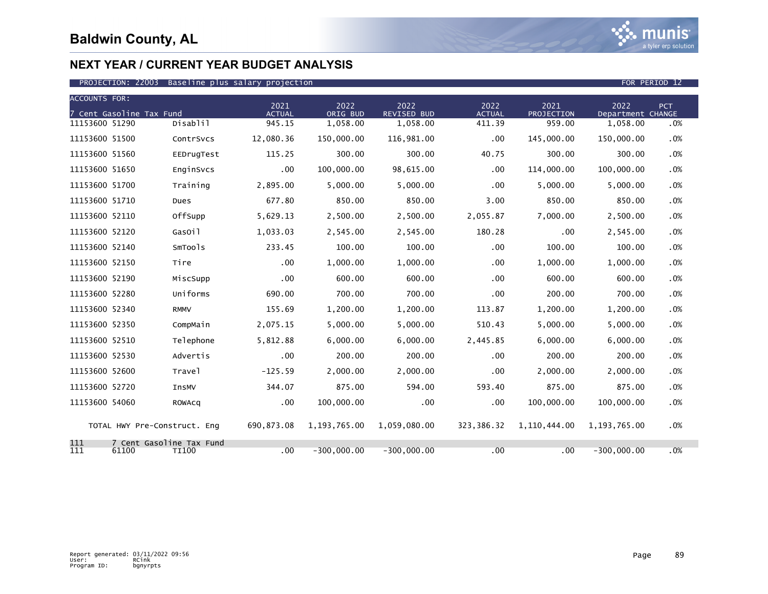

| <b>ACCOUNTS FOR:</b> |                                   |              |                       |                  |                            |                       |                    |                           |     |
|----------------------|-----------------------------------|--------------|-----------------------|------------------|----------------------------|-----------------------|--------------------|---------------------------|-----|
|                      | 7 Cent Gasoline Tax Fund          |              | 2021<br><b>ACTUAL</b> | 2022<br>ORIG BUD | 2022<br><b>REVISED BUD</b> | 2022<br><b>ACTUAL</b> | 2021<br>PROJECTION | 2022<br>Department CHANGE | PCT |
| 11153600 51290       |                                   | Disablil     | 945.15                | 1,058.00         | 1,058.00                   | 411.39                | 959.00             | 1,058.00                  | .0% |
| 11153600 51500       |                                   | ContrSvcs    | 12,080.36             | 150,000.00       | 116,981.00                 | $.00 \,$              | 145,000.00         | 150,000.00                | .0% |
| 11153600 51560       |                                   | EEDrugTest   | 115.25                | 300.00           | 300.00                     | 40.75                 | 300.00             | 300.00                    | .0% |
| 11153600 51650       |                                   | EnginSvcs    | .00                   | 100,000.00       | 98,615.00                  | $.00 \,$              | 114,000.00         | 100,000.00                | .0% |
| 11153600 51700       |                                   | Training     | 2,895.00              | 5,000.00         | 5,000.00                   | .00                   | 5,000.00           | 5,000.00                  | .0% |
| 11153600 51710       |                                   | Dues         | 677.80                | 850.00           | 850.00                     | 3.00                  | 850.00             | 850.00                    | .0% |
| 11153600 52110       |                                   | OffSupp      | 5,629.13              | 2,500.00         | 2,500.00                   | 2,055.87              | 7,000.00           | 2,500.00                  | .0% |
| 11153600 52120       |                                   | GasOil       | 1,033.03              | 2,545.00         | 2,545.00                   | 180.28                | .00                | 2,545.00                  | .0% |
| 11153600 52140       |                                   | SmTools      | 233.45                | 100.00           | 100.00                     | $.00 \times$          | 100.00             | 100.00                    | .0% |
| 11153600 52150       |                                   | Tire         | .00                   | 1,000.00         | 1,000.00                   | $.00 \,$              | 1,000.00           | 1,000.00                  | .0% |
| 11153600 52190       |                                   | MiscSupp     | .00                   | 600.00           | 600.00                     | $.00 \times$          | 600.00             | 600.00                    | .0% |
| 11153600 52280       |                                   | Uniforms     | 690.00                | 700.00           | 700.00                     | $.00 \times$          | 200.00             | 700.00                    | .0% |
| 11153600 52340       |                                   | <b>RMMV</b>  | 155.69                | 1,200.00         | 1.200.00                   | 113.87                | 1,200.00           | 1.200.00                  | .0% |
| 11153600 52350       |                                   | CompMain     | 2,075.15              | 5,000.00         | 5,000.00                   | 510.43                | 5,000.00           | 5,000.00                  | .0% |
| 11153600 52510       |                                   | Telephone    | 5,812.88              | 6,000.00         | 6,000.00                   | 2,445.85              | 6,000.00           | 6,000.00                  | .0% |
| 11153600 52530       |                                   | Advertis     | .00                   | 200.00           | 200.00                     | $.00 \times$          | 200.00             | 200.00                    | .0% |
| 11153600 52600       |                                   | Travel       | $-125.59$             | 2,000.00         | 2,000.00                   | $.00 \times$          | 2,000.00           | 2,000.00                  | .0% |
| 11153600 52720       |                                   | InsMV        | 344.07                | 875.00           | 594.00                     | 593.40                | 875.00             | 875.00                    | .0% |
| 11153600 54060       |                                   | ROWACQ       | $.00 \,$              | 100,000.00       | $.00 \,$                   | $.00 \times$          | 100,000.00         | 100,000.00                | .0% |
|                      | TOTAL HWY Pre-Construct. Eng      |              | 690,873.08            | 1,193,765.00     | 1,059,080.00               | 323,386.32            | 1,110,444.00       | 1, 193, 765, 00           | .0% |
| 111<br>111           | 7 Cent Gasoline Tax Fund<br>61100 | <b>TI100</b> | .00                   | $-300,000.00$    | $-300,000.00$              | .00                   | .00                | $-300,000.00$             | .0% |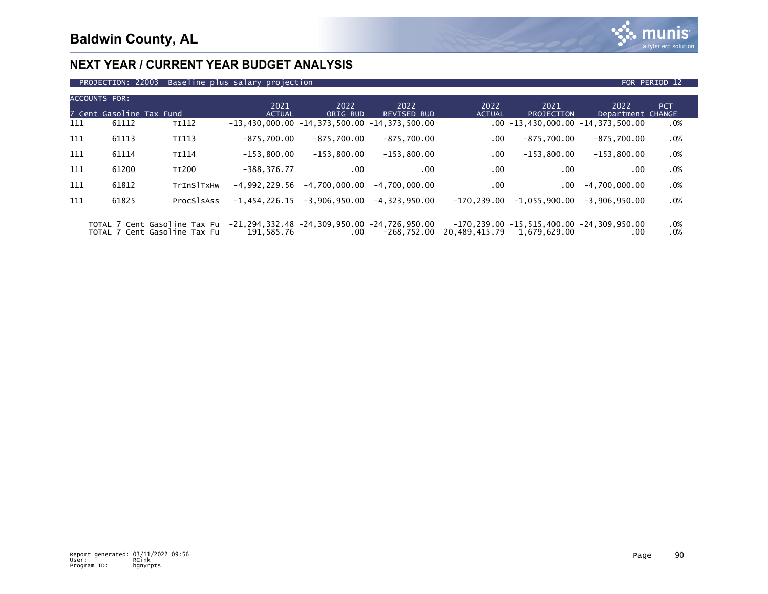

| PROJECTION: 22003 Baseline plus salary projection | FOR PERIOD 12 |
|---------------------------------------------------|---------------|

|     | <b>ACCOUNTS FOR:</b><br>7 Cent Gasoline Tax Fund |              | 2021<br><b>ACTUAL</b>                          | 2022<br>ORIG BUD | 2022<br><b>REVISED BUD</b> | 2022<br><b>ACTUAL</b> | 2021<br><b>PROJECTION</b>                                                 | 2022<br>Department CHANGE             | <b>PCT</b> |
|-----|--------------------------------------------------|--------------|------------------------------------------------|------------------|----------------------------|-----------------------|---------------------------------------------------------------------------|---------------------------------------|------------|
| 111 | 61112                                            | TI112        | $-13,430,000.00 -14,373,500.00 -14,373,500.00$ |                  |                            |                       |                                                                           | $.00 - 13,430,000.00 - 14,373,500.00$ | $.0\%$     |
| 111 | 61113                                            | <b>TI113</b> | $-875.700.00$                                  | $-875.700.00$    | $-875,700.00$              | $.00 \,$              | $-875.700.00$                                                             | $-875.700.00$                         | .0%        |
| 111 | 61114                                            | TI114        | $-153,800.00$                                  | $-153.800.00$    | $-153.800.00$              | $.00 \,$              | $-153.800.00$                                                             | $-153,800.00$                         | .0%        |
| 111 | 61200                                            | <b>TI200</b> | $-388.376.77$                                  | .00              | .00                        | .00                   | .00                                                                       | .00                                   | $.0\%$     |
| 111 | 61812                                            | TrInSITXHW   | $-4.992.229.56$                                | $-4.700.000.00$  | $-4,700,000.00$            | $.00 \,$              | .00                                                                       | $-4,700,000.00$                       | .0%        |
| 111 | 61825                                            | ProcSlsAss   | $-1,454,226.15$                                | $-3,906,950.00$  | $-4.323.950.00$            | $-170.239.00$         | $-1,055,900.00$                                                           | $-3.906.950.00$                       | .0%        |
|     |                                                  | ____         |                                                |                  |                            |                       | $\overline{a}$ and an $\overline{a}$ are inn an $\overline{a}$ and are an |                                       |            |

 TOTAL 7 Cent Gasoline Tax Fu -21,294,332.48 -24,309,950.00 -24,726,950.00 -170,239.00 -15,515,400.00 -24,309,950.00 .0% TOTAL 7 Cent Gasoline Tax Fu 191,585.76 .00 -268,752.00 20,489,415.79 1,679,629.00 .00 .0%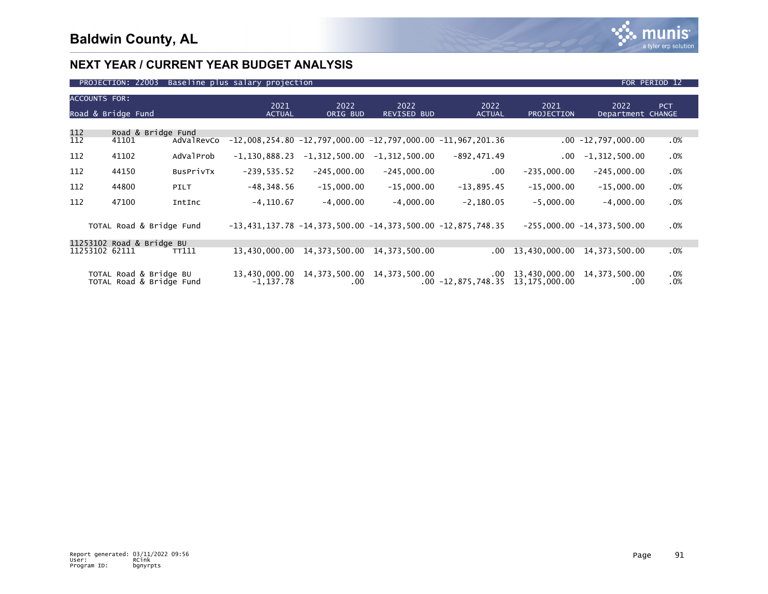

#### PROJECTION: 22003 Baseline plus salary projection FOR PERIOD 12 and 20 April 2014 12:00 FOR PERIOD 12 ACCOUNTS FOR: 2021 2022 2022 2022 2021 2022 PCT Road & Bridge Fund **ACTUAL ACTUAL ORIG BUD REVISED BUD** ACTUAL PROJECTION Department CHANGE 112 Road & Bridge Fund  $-12,008,254.80$   $-12,797,000.00$   $-12,797,000.00$   $-11,967,201.36$  .00  $-12,797,000.00$  .00  $-18,797,000.00$ 112 112 41102 AdValProb -1,130,888.23 -1,312,500.00 -1,312,500.00 -892,471.49 .00 -1,312,500.00 .0% 112 112 44150 BusPrivTx -239,535.52 -245,000.00 -245,000.00 .00 -235,000.00 -245,000.00 .0% 112 112 44800 PILT -48,348.56 -15,000.00 -15,000.00 -13,895.45 -15,000.00 -15,000.00 .0% 112 112 47100 IntInc -4,110.67 -4,000.00 -4,000.00 -2,180.05 -5,000.00 -4,000.00 .0%

| TOTAL Road & Bridge Fund                           |       |           |                                           |     | $-13,431,137.78$ $-14,373,500.00$ $-14,373,500.00$ $-12,875,748.35$ |                                              | $-255,000.00 -14,373,500.00$ | .0%        |
|----------------------------------------------------|-------|-----------|-------------------------------------------|-----|---------------------------------------------------------------------|----------------------------------------------|------------------------------|------------|
| 11253102 Road & Bridge BU<br>11253102 62111        | TT111 |           | 13,430,000.00 14,373,500.00 14,373,500.00 |     |                                                                     | 00 13,430,000 00 14,373,500 00               |                              | .0%        |
| TOTAL Road & Bridge BU<br>TOTAL Road & Bridge Fund |       | -1.137.78 | 13,430,000.00 14,373,500.00 14,373,500.00 | .00 | $.00 - 12,875,748.35$ $13,175,000.00$                               | $00 \quad 13,430,000.00 \quad 14,373,500.00$ |                              | .0%<br>.0% |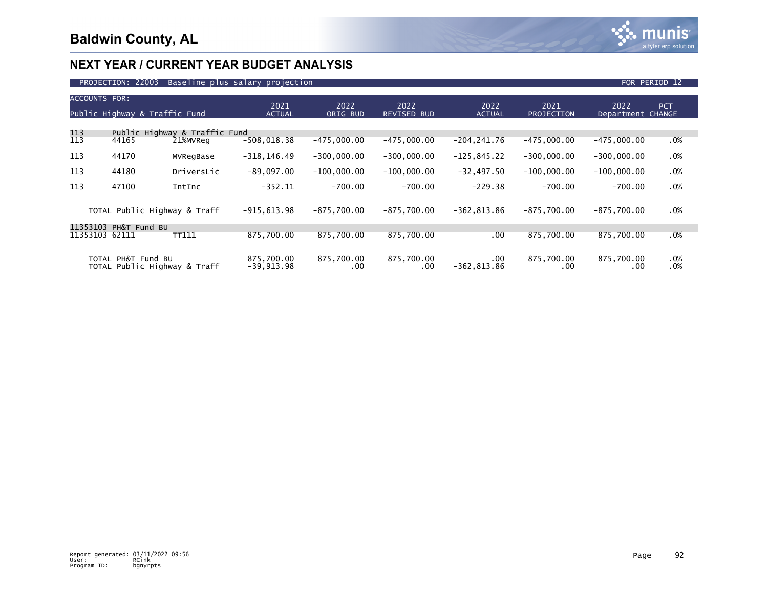

| <b>ACCOUNTS FOR:</b><br>Public Highway & Traffic Fund |                              |                                           | 2021<br><b>ACTUAL</b>      | 2022<br>ORIG BUD  | 2022<br><b>REVISED BUD</b> | 2022<br><b>ACTUAL</b>      | 2021<br><b>PROJECTION</b> | 2022<br>Department CHANGE | <b>PCT</b> |
|-------------------------------------------------------|------------------------------|-------------------------------------------|----------------------------|-------------------|----------------------------|----------------------------|---------------------------|---------------------------|------------|
|                                                       |                              |                                           |                            |                   |                            |                            |                           |                           |            |
| 113<br>113                                            | 44165                        | Public Highway & Traffic Fund<br>21%MVReg | $-508,018.38$              | $-475,000.00$     | $-475,000.00$              | $-204, 241.76$             | $-475,000.00$             | $-475,000.00$             | .0%        |
| 113                                                   | 44170                        | MVRegBase                                 | $-318, 146.49$             | $-300,000.00$     | $-300,000.00$              | $-125, 845.22$             | $-300,000.00$             | $-300,000.00$             | .0%        |
| 113                                                   | 44180                        | DriversLic                                | $-89,097.00$               | $-100,000.00$     | $-100,000.00$              | $-32,497.50$               | $-100,000.00$             | $-100,000.00$             | .0%        |
| 113                                                   | 47100                        | IntInc                                    | $-352.11$                  | $-700.00$         | $-700.00$                  | $-229.38$                  | $-700.00$                 | $-700.00$                 | .0%        |
|                                                       | TOTAL Public Highway & Traff |                                           | $-915,613.98$              | $-875,700.00$     | $-875,700.00$              | $-362, 813.86$             | $-875.700.00$             | $-875,700.00$             | .0%        |
| 11353103                                              | PH&T Fund BU                 |                                           |                            |                   |                            |                            |                           |                           |            |
| 11353103                                              | 62111                        | <b>TT111</b>                              | 875.700.00                 | 875.700.00        | 875,700.00                 | .00.                       | 875,700.00                | 875,700.00                | .0%        |
| TOTAL PH&T Fund BU<br>TOTAL Public Highway & Traff    |                              |                                           | 875,700.00<br>$-39,913.98$ | 875,700.00<br>.00 | 875,700.00<br>.00.         | $.00 \,$<br>$-362, 813.86$ | 875,700.00<br>.00         | 875,700.00<br>.00         | .0%<br>.0% |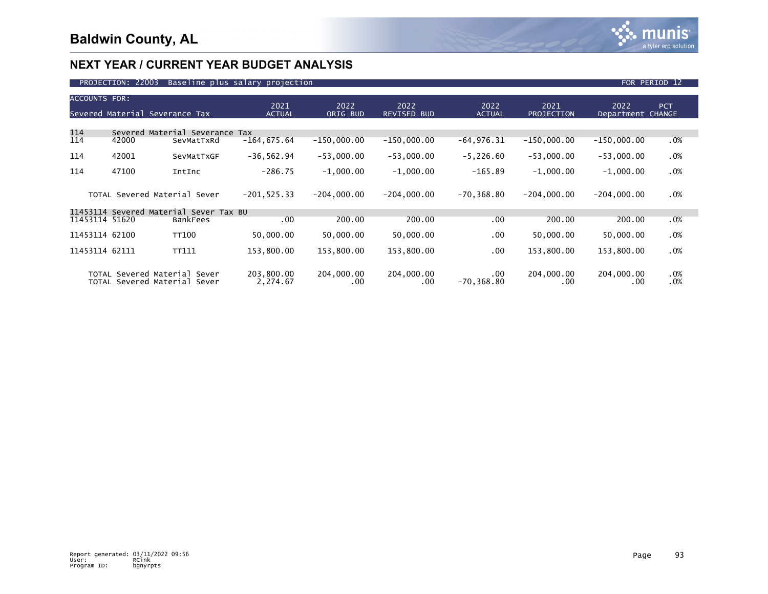

| <b>ACCOUNTS FOR:</b><br>Severed Material Severance Tax |                                                              | 2021<br><b>ACTUAL</b>                  | 2022<br>ORIG BUD       | 2022<br><b>REVISED BUD</b> | 2022<br><b>ACTUAL</b>  | 2021<br><b>PROJECTION</b> | 2022<br>Department CHANGE | <b>PCT</b>             |            |
|--------------------------------------------------------|--------------------------------------------------------------|----------------------------------------|------------------------|----------------------------|------------------------|---------------------------|---------------------------|------------------------|------------|
|                                                        |                                                              |                                        |                        |                            |                        |                           |                           |                        |            |
| 114                                                    |                                                              | Severed Material Severance             | Tax                    |                            |                        |                           |                           |                        |            |
| 114                                                    | 42000                                                        | SevMatTxRd                             | $-164, 675.64$         | $-150,000.00$              | $-150,000.00$          | $-64,976.31$              | $-150,000.00$             | $-150,000.00$          | .0%        |
| 114                                                    | 42001                                                        | SevMatTxGF                             | $-36, 562.94$          | $-53,000.00$               | $-53,000.00$           | $-5,226.60$               | $-53,000.00$              | $-53,000.00$           | .0%        |
| 114                                                    | 47100                                                        | IntInc                                 | $-286.75$              | $-1,000.00$                | $-1,000.00$            | $-165.89$                 | $-1,000.00$               | $-1,000.00$            | .0%        |
|                                                        | TOTAL Severed Material Sever                                 |                                        | $-201, 525.33$         | $-204,000.00$              | $-204,000.00$          | $-70, 368.80$             | $-204,000.00$             | $-204,000.00$          | .0%        |
|                                                        |                                                              | 11453114 Severed Material Sever Tax BU |                        |                            |                        |                           |                           |                        |            |
| 11453114 51620                                         |                                                              | <b>BankFees</b>                        | .00                    | 200.00                     | 200.00                 | .00                       | 200.00                    | 200.00                 | .0%        |
| 11453114 62100                                         |                                                              | <b>TT100</b>                           | 50,000.00              | 50,000.00                  | 50,000.00              | $.00 \,$                  | 50,000.00                 | 50,000.00              | .0%        |
| 11453114 62111                                         |                                                              | TT111                                  | 153,800.00             | 153,800.00                 | 153,800.00             | $.00 \,$                  | 153,800.00                | 153,800.00             | .0%        |
|                                                        | TOTAL Severed Material Sever<br>TOTAL Severed Material Sever |                                        | 203,800.00<br>2,274.67 | 204,000.00<br>.00.         | 204,000.00<br>$.00 \,$ | $.00 \,$<br>$-70, 368.80$ | 204,000.00<br>.00         | 204,000.00<br>$.00 \,$ | .0%<br>.0% |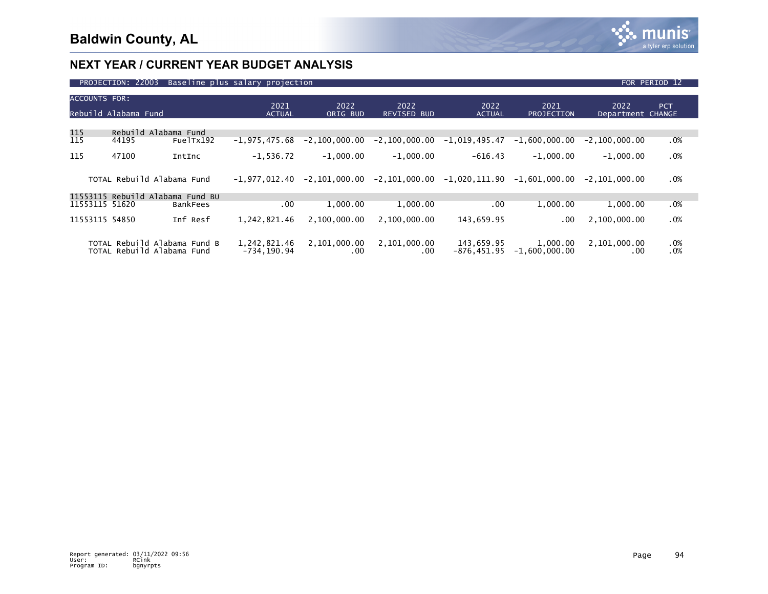

| PROJECTION: 22003<br>Baseline plus salary projection |                            |                                  |                                |                      |                            |                                   |                             |                           | FOR PERIOD 12 |
|------------------------------------------------------|----------------------------|----------------------------------|--------------------------------|----------------------|----------------------------|-----------------------------------|-----------------------------|---------------------------|---------------|
| <b>ACCOUNTS FOR:</b>                                 | Rebuild Alabama Fund       |                                  | 2021<br><b>ACTUAL</b>          | 2022<br>ORIG BUD     | 2022<br><b>REVISED BUD</b> | 2022<br><b>ACTUAL</b>             | 2021<br><b>PROJECTION</b>   | 2022<br>Department CHANGE | <b>PCT</b>    |
| 115                                                  | Rebuild Alabama Fund       |                                  |                                |                      |                            |                                   |                             |                           |               |
| 115                                                  | 44195                      | FuelTx192                        | $-1.975.475.68$                | $-2,100,000.00$      | $-2,100,000.00$            | -1,019,495.47                     | $-1.600.000.00$             | $-2, 100, 000.00$         | .0%           |
| 115                                                  | 47100                      | IntInc                           | $-1,536.72$                    | $-1,000.00$          | $-1,000.00$                | $-616.43$                         | $-1.000.00$                 | $-1,000.00$               | .0%           |
|                                                      | TOTAL Rebuild Alabama Fund |                                  | -1.977.012.40                  | -2.101.000.00        |                            | $-2, 101, 000.00 -1, 020, 111.90$ | -1.601.000.00               | $-2.101.000.00$           | .0%           |
|                                                      |                            | 11553115 Rebuild Alabama Fund BU |                                |                      |                            |                                   |                             |                           |               |
| 11553115 51620                                       |                            | BankFees                         | .00                            | 1.000.00             | 1,000.00                   | .00                               | 1,000.00                    | 1,000.00                  | $.0\%$        |
| 11553115 54850                                       |                            | Inf Resf                         | 1,242,821.46                   | 2,100,000.00         | 2.100.000.00               | 143,659.95                        | .00                         | 2,100,000.00              | .0%           |
|                                                      | TOTAL Rebuild Alabama Fund | TOTAL Rebuild Alabama Fund B     | 1,242,821.46<br>$-734, 190.94$ | 2,101,000.00<br>.00. | 2,101,000.00<br>.00        | 143,659.95<br>-876,451.95         | 1,000.00<br>$-1,600,000.00$ | 2,101,000.00<br>.00       | $.0\%$<br>.0% |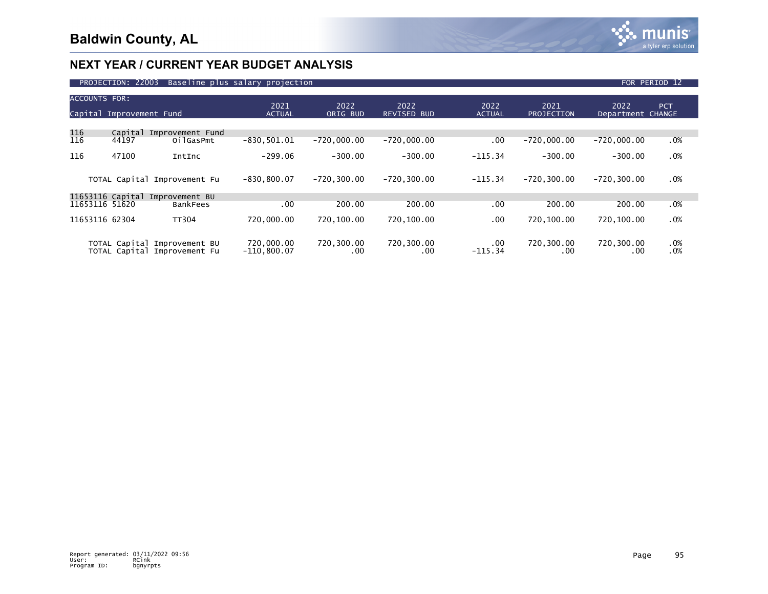

| PROJECTION: 22003<br>Baseline plus salary projection<br>FOR PERIOD 12 |                          |                                                |                             |                   |                            |                       |                           |                           |            |  |  |
|-----------------------------------------------------------------------|--------------------------|------------------------------------------------|-----------------------------|-------------------|----------------------------|-----------------------|---------------------------|---------------------------|------------|--|--|
| <b>ACCOUNTS FOR:</b>                                                  | Capital Improvement Fund |                                                | 2021<br><b>ACTUAL</b>       | 2022<br>ORIG BUD  | 2022<br><b>REVISED BUD</b> | 2022<br><b>ACTUAL</b> | 2021<br><b>PROJECTION</b> | 2022<br>Department CHANGE | <b>PCT</b> |  |  |
| 116<br>116                                                            | Capital<br>44197         | Improvement Fund<br>OilGasPmt                  | $-830, 501.01$              | $-720,000.00$     | $-720,000.00$              | .00                   | $-720,000.00$             | $-720,000.00$             | .0%        |  |  |
| 116                                                                   | 47100                    | IntInc                                         | $-299.06$                   | $-300.00$         | $-300.00$                  | $-115.34$             | $-300.00$                 | $-300.00$                 | .0%        |  |  |
|                                                                       |                          | TOTAL Capital Improvement Fu                   | $-830, 800.07$              | $-720.300.00$     | $-720, 300.00$             | $-115.34$             | $-720.300.00$             | $-720.300.00$             | .0%        |  |  |
|                                                                       | 11653116 Capital         | Improvement BU                                 |                             |                   |                            |                       |                           |                           |            |  |  |
| 11653116 51620                                                        |                          | BankFees                                       | .00                         | 200.00            | 200.00                     | .00                   | 200.00                    | 200.00                    | $.0\%$     |  |  |
| 11653116 62304                                                        |                          | <b>TT304</b>                                   | 720,000.00                  | 720,100.00        | 720,100.00                 | .00                   | 720,100.00                | 720,100.00                | .0%        |  |  |
|                                                                       | TOTAL Capital            | Improvement BU<br>TOTAL Capital Improvement Fu | 720,000.00<br>$-110,800.07$ | 720,300.00<br>.00 | 720,300.00<br>.00          | .00<br>$-115.34$      | 720,300.00<br>.00         | 720,300.00<br>.00         | .0%<br>.0% |  |  |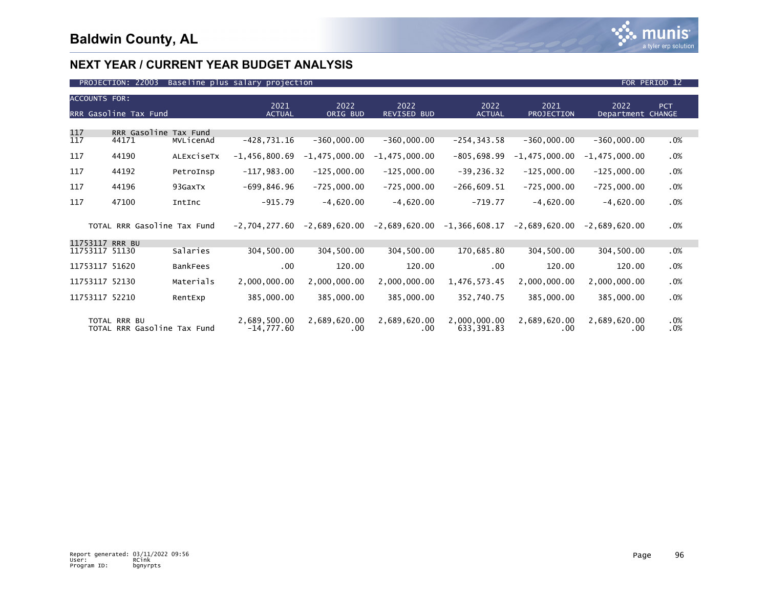

| <b>ACCOUNTS FOR:</b>       | RRR Gasoline Tax Fund                       |                 | 2021<br><b>ACTUAL</b>        | 2022<br>ORIG BUD    | 2022<br><b>REVISED BUD</b> | 2022<br><b>ACTUAL</b>      | 2021<br><b>PROJECTION</b> | 2022<br>Department CHANGE | PCT        |
|----------------------------|---------------------------------------------|-----------------|------------------------------|---------------------|----------------------------|----------------------------|---------------------------|---------------------------|------------|
| 117<br>117                 | RRR Gasoline Tax Fund<br>44171              | MVLicenAd       | $-428,731.16$                | $-360,000.00$       | $-360,000.00$              | $-254, 343.58$             | $-360,000.00$             | $-360,000.00$             | .0%        |
| 117                        | 44190                                       | ALEXCISETX      | $-1,456,800.69$              | $-1,475,000.00$     | $-1,475,000.00$            | $-805,698.99$              | $-1,475,000.00$           | $-1,475,000.00$           | .0%        |
| 117                        | 44192                                       | PetroInsp       | $-117,983.00$                | $-125,000.00$       | $-125,000.00$              | $-39, 236.32$              | $-125,000.00$             | $-125,000.00$             | .0%        |
| 117                        | 44196                                       | 93GaxTx         | $-699, 846.96$               | $-725,000.00$       | $-725,000.00$              | $-266,609.51$              | $-725,000.00$             | $-725,000.00$             | .0%        |
| 117                        | 47100                                       | IntInc          | $-915.79$                    | $-4,620.00$         | $-4,620.00$                | $-719.77$                  | $-4,620.00$               | $-4,620.00$               | .0%        |
|                            | TOTAL RRR Gasoline Tax Fund                 |                 | $-2,704,277.60$              | -2,689,620.00       | -2,689,620.00              | $-1,366,608.17$            | -2,689,620.00             | -2,689,620.00             | $.0\%$     |
| 11753117<br>11753117 51130 | <b>RRR BU</b>                               | Salaries        | 304,500.00                   | 304,500.00          | 304,500.00                 | 170,685.80                 | 304,500.00                | 304,500.00                | $.0\%$     |
| 11753117 51620             |                                             | <b>BankFees</b> | $.00 \,$                     | 120.00              | 120.00                     | $.00 \,$                   | 120.00                    | 120.00                    | .0%        |
| 11753117 52130             |                                             | Materials       | 2,000,000.00                 | 2,000,000.00        | 2,000,000.00               | 1,476,573.45               | 2,000,000.00              | 2,000,000.00              | .0%        |
| 11753117 52210             |                                             | RentExp         | 385,000.00                   | 385,000.00          | 385,000.00                 | 352,740.75                 | 385,000.00                | 385,000.00                | .0%        |
|                            | TOTAL RRR BU<br>TOTAL RRR Gasoline Tax Fund |                 | 2,689,500.00<br>$-14,777.60$ | 2,689,620.00<br>.00 | 2,689,620.00<br>.00.       | 2,000,000.00<br>633,391.83 | 2,689,620.00<br>$.00 \,$  | 2,689,620.00<br>.00       | .0%<br>.0% |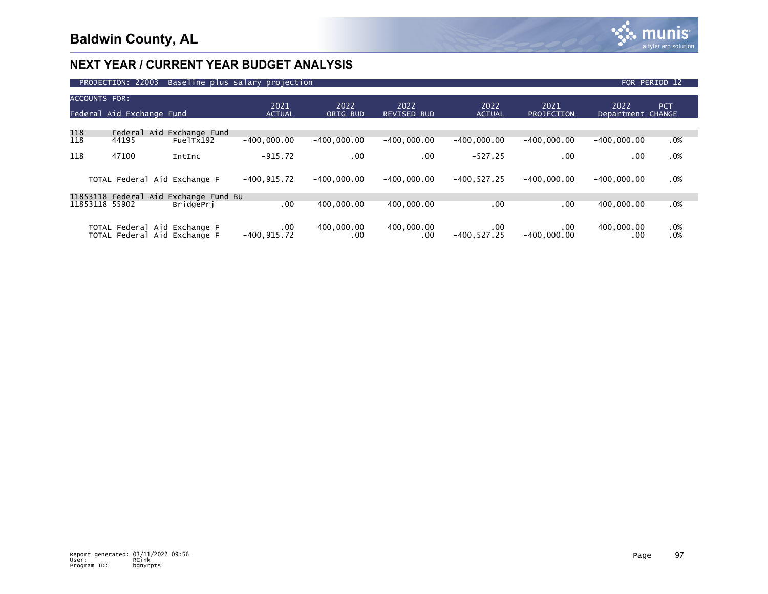

|                      | PROJECTION: 22003                                            | Baseline plus salary projection                           |                       |                   |                            |                           |                           |                           | FOR PERIOD 12 |
|----------------------|--------------------------------------------------------------|-----------------------------------------------------------|-----------------------|-------------------|----------------------------|---------------------------|---------------------------|---------------------------|---------------|
| <b>ACCOUNTS FOR:</b> | Federal Aid Exchange Fund                                    |                                                           | 2021<br><b>ACTUAL</b> | 2022<br>ORIG BUD  | 2022<br><b>REVISED BUD</b> | 2022<br><b>ACTUAL</b>     | 2021<br><b>PROJECTION</b> | 2022<br>Department CHANGE | <b>PCT</b>    |
| 118<br>118           | Aid<br>Federal<br>44195                                      | Exchange Fund<br>FuelTx192                                | $-400.000.00$         | $-400.000.00$     | $-400.000.00$              | $-400.000.00$             | $-400.000.00$             | $-400.000.00$             | .0%           |
| 118                  | 47100                                                        | IntInc                                                    | $-915.72$             | .00               | .00.                       | $-527.25$                 | .00                       | $.00 \,$                  | .0%           |
|                      | TOTAL Federal Aid Exchange F                                 |                                                           | $-400, 915.72$        | $-400.000.00$     | $-400.000.00$              | $-400.527.25$             | $-400.000.00$             | $-400.000.00$             | .0%           |
| 11853118 55902       |                                                              | 11853118 Federal Aid Exchange Fund BU<br><b>BridgePri</b> | .00                   | 400,000,00        | 400,000,00                 | .00                       | .00                       | 400,000,00                | .0%           |
|                      | TOTAL Federal Aid Exchange F<br>TOTAL Federal Aid Exchange F |                                                           | .00<br>$-400, 915.72$ | 400,000.00<br>.00 | 400,000.00<br>.00          | $.00 \,$<br>$-400.527.25$ | .00.<br>$-400.000.00$     | 400,000.00<br>.00         | .0%<br>.0%    |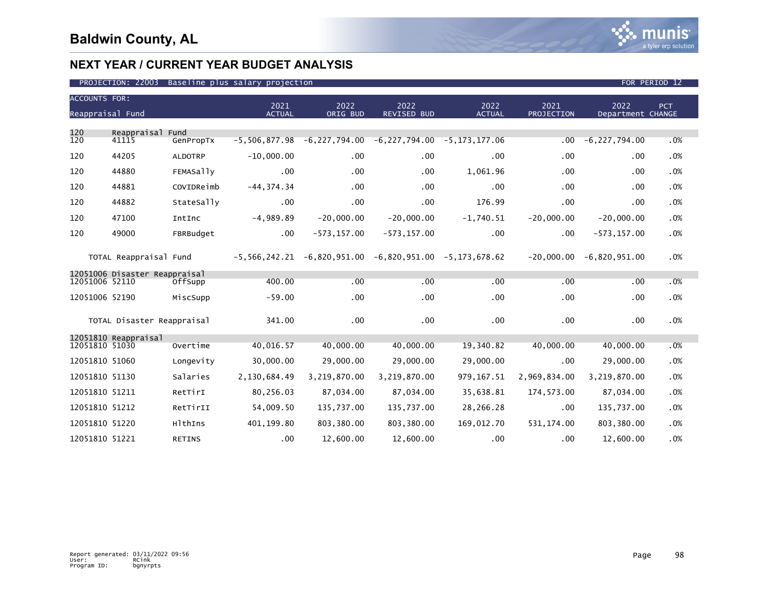

| <b>ACCOUNTS FOR:</b><br>Reappraisal Fund |                               |                  | 2021<br><b>ACTUAL</b> | 2022<br>ORIG BUD | 2022<br>REVISED BUD                                   | 2022<br><b>ACTUAL</b> | 2021<br><b>PROJECTION</b> | 2022<br>Department CHANGE | PCT |
|------------------------------------------|-------------------------------|------------------|-----------------------|------------------|-------------------------------------------------------|-----------------------|---------------------------|---------------------------|-----|
| 120                                      | Reappraisal Fund              |                  |                       |                  |                                                       |                       |                           |                           |     |
| 120                                      | 41115                         | GenPropTx        | $-5,506,877.98$       |                  | $-6, 227, 794.00$ $-6, 227, 794.00$ $-5, 173, 177.06$ |                       | $.00 \,$                  | $-6, 227, 794.00$         | .0% |
| 120                                      | 44205                         | <b>ALDOTRP</b>   | $-10,000.00$          | .00              | .00                                                   | $.00 \times$          | .00                       | .00                       | .0% |
| 120                                      | 44880                         | <b>FEMASally</b> | .00                   | .00              | .00                                                   | 1,061.96              | .00                       | .00                       | .0% |
| 120                                      | 44881                         | COVIDReimb       | $-44, 374.34$         | .00              | .00                                                   | $.00 \,$              | .00                       | .00                       | .0% |
| 120                                      | 44882                         | StateSally       | $.00 \,$              | .00              | .00 <sub>1</sub>                                      | 176.99                | .00                       | .00                       | .0% |
| 120                                      | 47100                         | IntInc           | $-4,989.89$           | $-20,000.00$     | $-20,000.00$                                          | $-1,740.51$           | $-20,000.00$              | $-20,000.00$              | .0% |
| 120                                      | 49000                         | FBRBudget        | $.00 \,$              | $-573, 157.00$   | $-573, 157.00$                                        | $.00 \,$              | .00                       | $-573, 157.00$            | .0% |
|                                          | TOTAL Reappraisal Fund        |                  | $-5,566,242.21$       |                  | $-6,820,951.00 -6,820,951.00 -5,173,678.62$           |                       | $-20,000.00$              | $-6,820,951.00$           | .0% |
|                                          | 12051006 Disaster Reappraisal |                  |                       |                  |                                                       |                       |                           |                           |     |
| 12051006 52110                           |                               | OffSupp          | 400.00                | .00              | .00                                                   | .00                   | .00                       | .00                       | .0% |
| 12051006 52190                           |                               | MiscSupp         | $-59.00$              | .00              | $.00 \,$                                              | $.00 \,$              | .00                       | .00                       | .0% |
|                                          | TOTAL Disaster Reappraisal    |                  | 341.00                | .00              | .00                                                   | $.00 \times$          | .00                       | .00                       | .0% |
| 12051810 51030                           | 12051810 Reappraisal          | Overtime         | 40,016.57             | 40,000.00        | 40,000.00                                             | 19,340.82             | 40,000.00                 | 40,000.00                 | .0% |
|                                          |                               |                  |                       |                  |                                                       |                       |                           |                           |     |
| 12051810 51060                           |                               | Longevity        | 30,000.00             | 29,000.00        | 29,000.00                                             | 29,000.00             | .00                       | 29,000.00                 | .0% |
| 12051810 51130                           |                               | Salaries         | 2,130,684.49          | 3,219,870.00     | 3,219,870.00                                          | 979, 167.51           | 2,969,834.00              | 3,219,870.00              | .0% |
| 12051810 51211                           |                               | RetTirI          | 80,256.03             | 87,034.00        | 87,034.00                                             | 35,638.81             | 174,573.00                | 87,034.00                 | .0% |
| 12051810 51212                           |                               | RetTirII         | 54,009.50             | 135,737.00       | 135,737.00                                            | 28,266.28             | .00                       | 135,737.00                | .0% |
| 12051810 51220                           |                               | HlthIns          | 401,199.80            | 803,380.00       | 803,380.00                                            | 169,012.70            | 531, 174.00               | 803,380.00                | .0% |
| 12051810 51221                           |                               | <b>RETINS</b>    | $.00 \,$              | 12,600.00        | 12,600.00                                             | $.00 \,$              | .00                       | 12,600.00                 | .0% |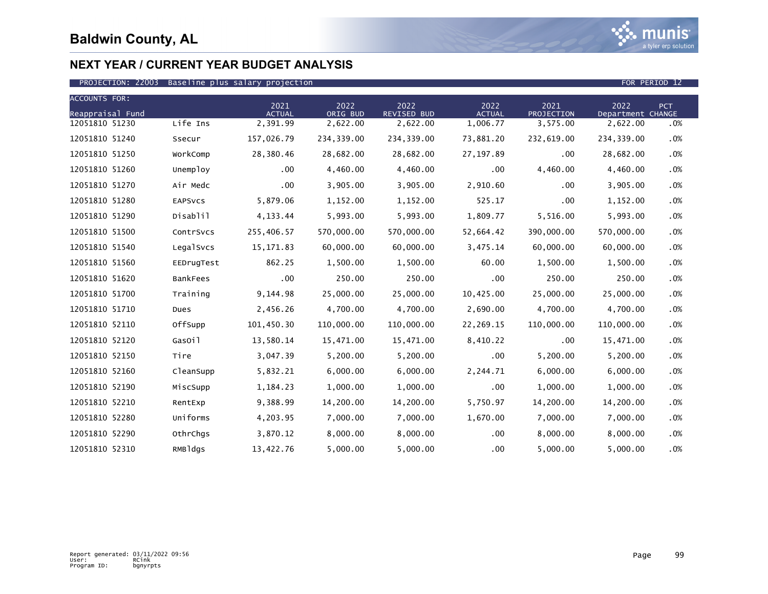

| <b>ACCOUNTS FOR:</b> |                 |                       |                  |                            |                       |                    |                           |            |
|----------------------|-----------------|-----------------------|------------------|----------------------------|-----------------------|--------------------|---------------------------|------------|
| Reappraisal Fund     |                 | 2021<br><b>ACTUAL</b> | 2022<br>ORIG BUD | 2022<br><b>REVISED BUD</b> | 2022<br><b>ACTUAL</b> | 2021<br>PROJECTION | 2022<br>Department CHANGE | <b>PCT</b> |
| 12051810 51230       | Life Ins        | 2,391.99              | 2,622.00         | 2,622.00                   | 1,006.77              | 3,575.00           | 2,622.00                  | .0%        |
| 12051810 51240       | Ssecur          | 157,026.79            | 234,339.00       | 234, 339.00                | 73,881.20             | 232,619.00         | 234,339.00                | .0%        |
| 12051810 51250       | WorkComp        | 28,380.46             | 28,682.00        | 28,682.00                  | 27, 197.89            | .00                | 28,682.00                 | .0%        |
| 12051810 51260       | Unemploy        | $.00 \,$              | 4,460.00         | 4,460.00                   | $.00 \,$              | 4,460.00           | 4,460.00                  | .0%        |
| 12051810 51270       | Air Medc        | .00                   | 3,905.00         | 3,905.00                   | 2,910.60              | .00                | 3,905.00                  | .0%        |
| 12051810 51280       | <b>EAPSVCS</b>  | 5,879.06              | 1,152.00         | 1,152.00                   | 525.17                | .00                | 1,152.00                  | .0%        |
| 12051810 51290       | Disablil        | 4, 133.44             | 5,993.00         | 5,993.00                   | 1,809.77              | 5,516.00           | 5,993.00                  | .0%        |
| 12051810 51500       | ContrSvcs       | 255,406.57            | 570,000.00       | 570,000.00                 | 52,664.42             | 390,000.00         | 570,000.00                | .0%        |
| 12051810 51540       | LegalSvcs       | 15, 171.83            | 60,000.00        | 60,000.00                  | 3,475.14              | 60,000.00          | 60,000.00                 | .0%        |
| 12051810 51560       | EEDrugTest      | 862.25                | 1,500.00         | 1,500.00                   | 60.00                 | 1,500.00           | 1,500.00                  | .0%        |
| 12051810 51620       | <b>BankFees</b> | .00                   | 250.00           | 250.00                     | .00                   | 250.00             | 250.00                    | .0%        |
| 12051810 51700       | Training        | 9,144.98              | 25,000.00        | 25,000.00                  | 10,425.00             | 25,000.00          | 25,000.00                 | .0%        |
| 12051810 51710       | Dues            | 2,456.26              | 4,700.00         | 4,700.00                   | 2,690.00              | 4,700.00           | 4,700.00                  | .0%        |
| 12051810 52110       | OffSupp         | 101,450.30            | 110,000.00       | 110,000.00                 | 22,269.15             | 110,000.00         | 110,000.00                | .0%        |
| 12051810 52120       | GasOil          | 13,580.14             | 15,471.00        | 15,471.00                  | 8,410.22              | .00                | 15,471.00                 | .0%        |
| 12051810 52150       | Tire            | 3,047.39              | 5,200.00         | 5,200.00                   | $.00 \,$              | 5,200.00           | 5,200.00                  | .0%        |
| 12051810 52160       | CleanSupp       | 5,832.21              | 6,000.00         | 6,000.00                   | 2,244.71              | 6,000.00           | 6,000.00                  | .0%        |
| 12051810 52190       | MiscSupp        | 1,184.23              | 1,000.00         | 1,000.00                   | .00                   | 1,000.00           | 1,000.00                  | .0%        |
| 12051810 52210       | RentExp         | 9,388.99              | 14,200.00        | 14,200.00                  | 5,750.97              | 14,200.00          | 14,200.00                 | $.0\%$     |
| 12051810 52280       | Uniforms        | 4,203.95              | 7,000.00         | 7,000.00                   | 1,670.00              | 7,000.00           | 7,000.00                  | .0%        |
| 12051810 52290       | OthrChqs        | 3,870.12              | 8,000.00         | 8,000.00                   | .00                   | 8,000.00           | 8,000.00                  | .0%        |
| 12051810 52310       | RMBldgs         | 13,422.76             | 5,000.00         | 5,000.00                   | .00                   | 5,000.00           | 5,000.00                  | .0%        |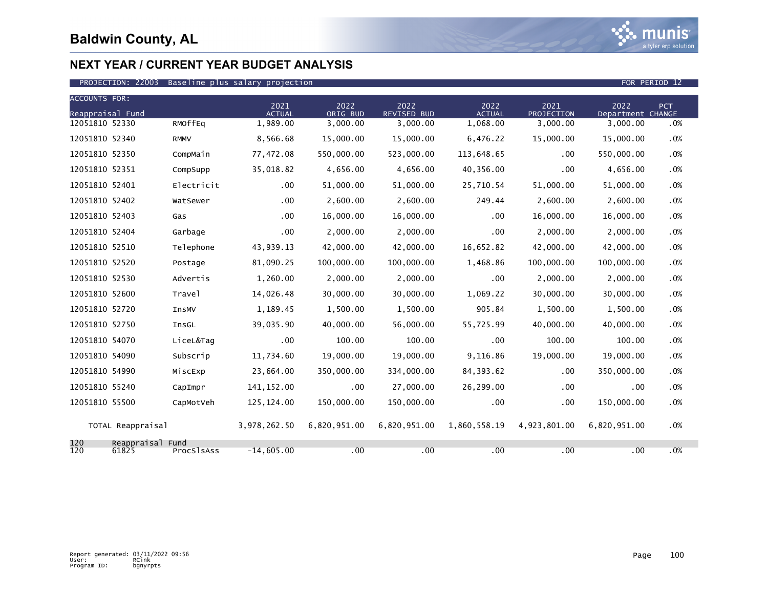

| <b>ACCOUNTS FOR:</b> |                           |                    |                       |                  |                            |                       |                    |                           |        |
|----------------------|---------------------------|--------------------|-----------------------|------------------|----------------------------|-----------------------|--------------------|---------------------------|--------|
| Reappraisal Fund     |                           |                    | 2021<br><b>ACTUAL</b> | 2022<br>ORIG BUD | 2022<br><b>REVISED BUD</b> | 2022<br><b>ACTUAL</b> | 2021<br>PROJECTION | 2022<br>Department CHANGE | PCT    |
| 12051810 52330       |                           | RMOffEq            | 1,989.00              | 3,000.00         | 3,000.00                   | 1,068.00              | 3,000.00           | 3,000.00                  | .0%    |
| 12051810 52340       |                           | <b>RMMV</b>        | 8,566.68              | 15,000.00        | 15,000.00                  | 6,476.22              | 15,000.00          | 15,000.00                 | .0%    |
| 12051810 52350       |                           | CompMain           | 77,472.08             | 550,000,00       | 523,000,00                 | 113,648.65            | .00                | 550.000.00                | .0%    |
| 12051810 52351       |                           | CompSupp           | 35,018.82             | 4,656.00         | 4,656.00                   | 40,356.00             | .00                | 4,656.00                  | .0%    |
| 12051810 52401       |                           | Electricit         | .00                   | 51,000.00        | 51,000.00                  | 25,710.54             | 51,000.00          | 51,000.00                 | .0%    |
| 12051810 52402       |                           | WatSewer           | .00                   | 2,600.00         | 2,600.00                   | 249.44                | 2,600.00           | 2,600.00                  | $.0\%$ |
| 12051810 52403       |                           | Gas                | .00                   | 16,000.00        | 16,000.00                  | $.00 \times$          | 16,000.00          | 16,000.00                 | .0%    |
| 12051810 52404       |                           | Garbage            | .00                   | 2.000.00         | 2,000.00                   | .00                   | 2,000.00           | 2,000.00                  | .0%    |
| 12051810 52510       |                           | Telephone          | 43,939.13             | 42,000.00        | 42,000.00                  | 16.652.82             | 42,000.00          | 42,000.00                 | .0%    |
| 12051810 52520       |                           | Postage            | 81,090.25             | 100,000.00       | 100,000.00                 | 1,468.86              | 100,000.00         | 100,000.00                | $.0\%$ |
| 12051810 52530       |                           | Advertis           | 1,260.00              | 2,000.00         | 2,000.00                   | .00                   | 2,000.00           | 2,000.00                  | .0%    |
| 12051810 52600       |                           | Trave <sup>1</sup> | 14,026.48             | 30,000.00        | 30,000.00                  | 1.069.22              | 30,000.00          | 30,000.00                 | $.0\%$ |
| 12051810 52720       |                           | <b>InsMV</b>       | 1,189.45              | 1,500.00         | 1,500.00                   | 905.84                | 1,500.00           | 1,500.00                  | .0%    |
| 12051810 52750       |                           | InsGL              | 39,035.90             | 40,000.00        | 56,000.00                  | 55,725.99             | 40,000.00          | 40,000.00                 | .0%    |
| 12051810 54070       |                           | LiceL&Tag          | .00                   | 100.00           | 100.00                     | $.00 \times$          | 100.00             | 100.00                    | .0%    |
| 12051810 54090       |                           | Subscrip           | 11,734.60             | 19,000.00        | 19,000.00                  | 9,116.86              | 19,000.00          | 19,000.00                 | $.0\%$ |
| 12051810 54990       |                           | MiscExp            | 23,664.00             | 350,000.00       | 334,000.00                 | 84, 393.62            | .00                | 350,000.00                | $.0\%$ |
| 12051810 55240       |                           | CapImpr            | 141, 152.00           | .00              | 27,000.00                  | 26,299.00             | .00                | .00                       | .0%    |
| 12051810 55500       |                           | CapMotVeh          | 125, 124.00           | 150,000.00       | 150,000.00                 | $.00 \,$              | .00                | 150,000.00                | $.0\%$ |
|                      | TOTAL Reappraisal         |                    | 3,978,262.50          | 6,820,951.00     | 6,820,951.00               | 1,860,558.19          | 4,923,801.00       | 6,820,951.00              | $.0\%$ |
| 120<br>120           | Reappraisal Fund<br>61825 | ProcSlsAss         | $-14,605.00$          | .00              | .00                        | .00                   | .00                | .00                       | .0%    |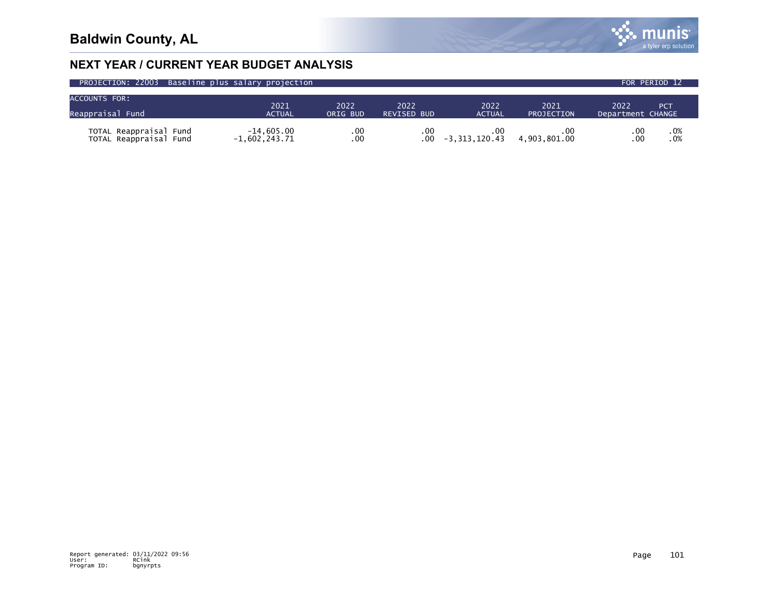

| PROJECTION: 22003 Baseline plus salary projection |                                 |            |                    |                                |                      | FOR PERIOD 12'           |
|---------------------------------------------------|---------------------------------|------------|--------------------|--------------------------------|----------------------|--------------------------|
| <b>ACCOUNTS FOR:</b>                              |                                 |            |                    |                                |                      |                          |
|                                                   | 2021                            | 2022       | 2022               | 2022                           | 2021                 | 2022<br><b>PCT</b>       |
| Reappraisal Fund                                  | <b>ACTUAL</b>                   | ORIG BUD   | <b>REVISED BUD</b> | <b>ACTUAL</b>                  | <b>PROJECTION</b>    | Department CHANGE        |
| TOTAL Reappraisal Fund<br>TOTAL Reappraisal Fund  | $-14.605.00$<br>$-1,602,243.71$ | .00<br>.00 | $.00 \,$<br>.00    | $.00 \cdot$<br>$-3.313.120.43$ | . 00<br>4.903.801.00 | .0%<br>.00<br>.0%<br>.00 |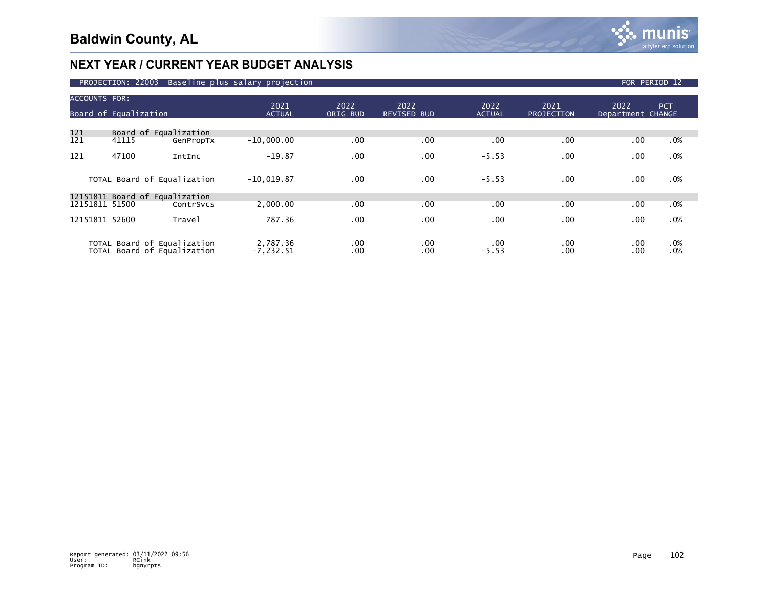|                                | PROJECTION: 22003                                    |                     | Baseline plus salary projection    |                    |                            |                       |                           |                           | FOR PERIOD 12     |
|--------------------------------|------------------------------------------------------|---------------------|------------------------------------|--------------------|----------------------------|-----------------------|---------------------------|---------------------------|-------------------|
| <b>ACCOUNTS FOR:</b>           | Board of Equalization                                |                     | 2021<br><b>ACTUAL</b>              | 2022<br>ORIG BUD   | 2022<br><b>REVISED BUD</b> | 2022<br><b>ACTUAL</b> | 2021<br><b>PROJECTION</b> | 2022<br>Department CHANGE | <b>PCT</b>        |
| 121<br>121<br>121              | Board of Equalization<br>41115<br>47100              | GenPropTx<br>IntInc | $-10,000.00$<br>$-19.87$           | .00<br>.00         | .00<br>.00                 | .00<br>$-5.53$        | .00<br>.00                | .00<br>.00                | .0%<br>.0%        |
|                                | TOTAL Board of Equalization                          |                     | $-10,019.87$                       | .00                | .00                        | $-5.53$               | .00                       | .00                       | .0%               |
| 12151811 51500                 | 12151811 Board of Equalization                       | ContrSvcs           | 2,000.00                           | .00                | .00                        | .00                   | .00                       | .00                       | .0%               |
| 12151811 52600<br><b>TOTAL</b> | TOTAL Board of Equalization<br>Board of Equalization | Trave1              | 787.36<br>2,787.36<br>$-7, 232.51$ | .00<br>.00.<br>.00 | .00<br>.00<br>.00          | .00<br>.00<br>$-5.53$ | .00<br>.00<br>.00         | .00<br>.00<br>.00         | .0%<br>.0%<br>.0% |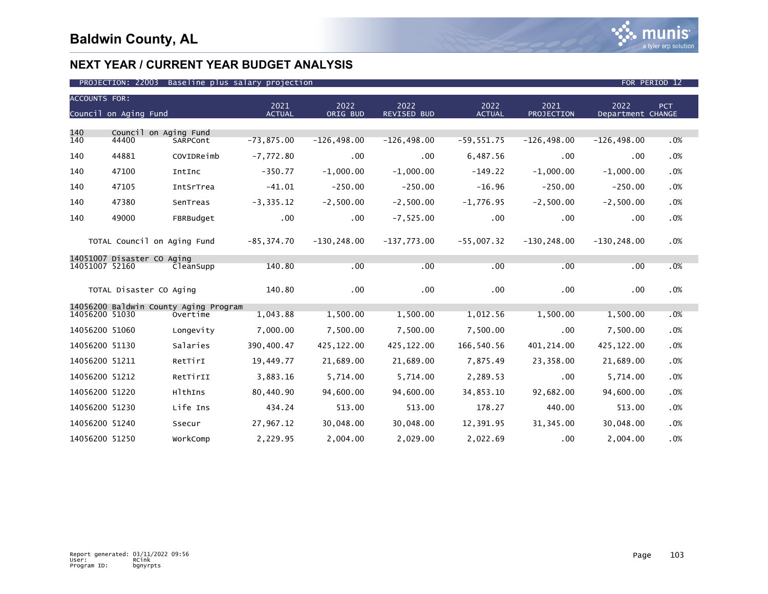

| <b>ACCOUNTS FOR:</b> |                             |                                       |                       |                  |                     |                       |                    |                           |     |
|----------------------|-----------------------------|---------------------------------------|-----------------------|------------------|---------------------|-----------------------|--------------------|---------------------------|-----|
|                      | Council on Aging Fund       |                                       | 2021<br><b>ACTUAL</b> | 2022<br>ORIG BUD | 2022<br>REVISED BUD | 2022<br><b>ACTUAL</b> | 2021<br>PROJECTION | 2022<br>Department CHANGE | PCT |
| 140                  | Council on Aging Fund       |                                       |                       |                  |                     |                       |                    |                           |     |
| 140                  | 44400                       | SARPCont                              | $-73,875.00$          | $-126, 498.00$   | $-126, 498.00$      | $-59,551.75$          | $-126, 498.00$     | $-126, 498.00$            | .0% |
| 140                  | 44881                       | COVIDReimb                            | $-7,772.80$           | $.00 \,$         | $.00 \times$        | 6,487.56              | .00                | .00                       | .0% |
| 140                  | 47100                       | IntInc                                | $-350.77$             | $-1.000.00$      | $-1.000.00$         | $-149.22$             | $-1,000.00$        | $-1,000.00$               | .0% |
| 140                  | 47105                       | IntSrTrea                             | $-41.01$              | $-250.00$        | $-250.00$           | $-16.96$              | $-250.00$          | $-250.00$                 | .0% |
| 140                  | 47380                       | SenTreas                              | $-3, 335.12$          | $-2,500.00$      | $-2,500.00$         | $-1,776.95$           | $-2,500.00$        | $-2,500.00$               | .0% |
| 140                  | 49000                       | FBRBudget                             | .00                   | .00              | $-7,525.00$         | .00                   | .00                | .00                       | .0% |
|                      | TOTAL Council on Aging Fund |                                       | $-85, 374.70$         | $-130, 248.00$   | $-137,773.00$       | $-55,007.32$          | $-130, 248.00$     | $-130, 248.00$            | .0% |
| 14051007 52160       | 14051007 Disaster CO Aging  | CleanSupp                             | 140.80                | .00              | .00                 | .00                   | .00                | .00                       | .0% |
|                      | TOTAL Disaster CO Aging     |                                       | 140.80                | $.00 \times$     | .00                 | .00                   | .00                | .00                       | .0% |
|                      |                             | 14056200 Baldwin County Aging Program |                       |                  |                     |                       |                    |                           |     |
| 14056200 51030       |                             | Overtime                              | 1,043.88              | 1,500.00         | 1,500.00            | 1,012.56              | 1,500.00           | 1,500.00                  | .0% |
| 14056200 51060       |                             | Longevity                             | 7,000.00              | 7,500.00         | 7,500.00            | 7,500.00              | .00                | 7,500.00                  | .0% |
| 14056200 51130       |                             | Salaries                              | 390,400.47            | 425, 122.00      | 425,122.00          | 166,540.56            | 401, 214.00        | 425,122.00                | .0% |
| 14056200 51211       |                             | RetTirI                               | 19,449.77             | 21,689.00        | 21,689.00           | 7,875.49              | 23,358.00          | 21,689.00                 | .0% |
| 14056200 51212       |                             | RetTirII                              | 3,883.16              | 5,714.00         | 5,714.00            | 2,289.53              | .00                | 5,714.00                  | .0% |
| 14056200 51220       |                             | HlthIns                               | 80,440.90             | 94,600.00        | 94,600.00           | 34,853.10             | 92,682.00          | 94,600.00                 | .0% |
| 14056200 51230       |                             | Life Ins                              | 434.24                | 513.00           | 513.00              | 178.27                | 440.00             | 513.00                    | .0% |
| 14056200 51240       |                             | Ssecur                                | 27,967.12             | 30,048.00        | 30,048.00           | 12,391.95             | 31, 345.00         | 30,048.00                 | .0% |
| 14056200 51250       |                             | WorkComp                              | 2,229.95              | 2,004.00         | 2,029.00            | 2,022.69              | .00                | 2,004.00                  | .0% |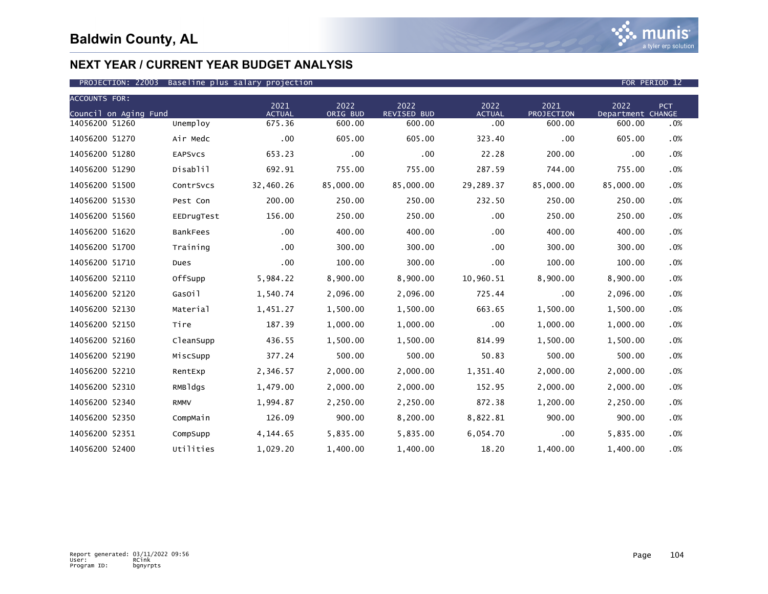| <b>ACCOUNTS FOR:</b>  |                |                       |                  |                            |                       |                    |                           |            |
|-----------------------|----------------|-----------------------|------------------|----------------------------|-----------------------|--------------------|---------------------------|------------|
| Council on Aging Fund |                | 2021<br><b>ACTUAL</b> | 2022<br>ORIG BUD | 2022<br><b>REVISED BUD</b> | 2022<br><b>ACTUAL</b> | 2021<br>PROJECTION | 2022<br>Department CHANGE | <b>PCT</b> |
| 14056200 51260        | Unemploy       | 675.36                | 600.00           | 600.00                     | .00                   | 600.00             | 600.00                    | .0%        |
| 14056200 51270        | Air Medc       | .00                   | 605.00           | 605.00                     | 323.40                | .00                | 605.00                    | .0%        |
| 14056200 51280        | <b>EAPSVCS</b> | 653.23                | .00              | .00                        | 22.28                 | 200.00             | .00                       | .0%        |
| 14056200 51290        | Disablil       | 692.91                | 755.00           | 755.00                     | 287.59                | 744.00             | 755.00                    | .0%        |
| 14056200 51500        | ContrSvcs      | 32,460.26             | 85,000.00        | 85,000.00                  | 29,289.37             | 85,000.00          | 85,000.00                 | .0%        |
| 14056200 51530        | Pest Con       | 200.00                | 250.00           | 250.00                     | 232.50                | 250.00             | 250.00                    | .0%        |
| 14056200 51560        | EEDrugTest     | 156.00                | 250.00           | 250.00                     | $.00 \,$              | 250.00             | 250.00                    | .0%        |
| 14056200 51620        | BankFees       | .00                   | 400.00           | 400.00                     | $.00 \,$              | 400.00             | 400.00                    | .0%        |
| 14056200 51700        | Training       | .00                   | 300.00           | 300.00                     | $.00 \,$              | 300.00             | 300.00                    | .0%        |
| 14056200 51710        | Dues           | .00                   | 100.00           | 300.00                     | .00                   | 100.00             | 100.00                    | .0%        |
| 14056200 52110        | OffSupp        | 5,984.22              | 8,900.00         | 8,900.00                   | 10,960.51             | 8,900.00           | 8,900.00                  | .0%        |
| 14056200 52120        | GasOil         | 1,540.74              | 2,096.00         | 2,096.00                   | 725.44                | .00                | 2,096.00                  | .0%        |
| 14056200 52130        | Material       | 1,451.27              | 1,500.00         | 1,500.00                   | 663.65                | 1,500.00           | 1,500.00                  | .0%        |
| 14056200 52150        | Tire           | 187.39                | 1,000.00         | 1,000.00                   | .00                   | 1,000.00           | 1,000.00                  | .0%        |
| 14056200 52160        | CleanSupp      | 436.55                | 1,500.00         | 1,500.00                   | 814.99                | 1,500.00           | 1,500.00                  | .0%        |
| 14056200 52190        | MiscSupp       | 377.24                | 500.00           | 500.00                     | 50.83                 | 500.00             | 500.00                    | .0%        |
| 14056200 52210        | RentExp        | 2,346.57              | 2,000.00         | 2,000.00                   | 1,351.40              | 2,000.00           | 2,000.00                  | .0%        |
| 14056200 52310        | RMBldgs        | 1,479.00              | 2,000.00         | 2,000.00                   | 152.95                | 2,000.00           | 2,000.00                  | .0%        |
| 14056200 52340        | <b>RMMV</b>    | 1,994.87              | 2,250.00         | 2,250.00                   | 872.38                | 1,200.00           | 2,250.00                  | .0%        |
| 14056200 52350        | CompMain       | 126.09                | 900.00           | 8,200.00                   | 8,822.81              | 900.00             | 900.00                    | .0%        |
| 14056200 52351        | CompSupp       | 4,144.65              | 5,835.00         | 5,835.00                   | 6,054.70              | .00                | 5,835.00                  | .0%        |
| 14056200 52400        | Utilities      | 1,029.20              | 1,400.00         | 1,400.00                   | 18.20                 | 1,400.00           | 1,400.00                  | .0%        |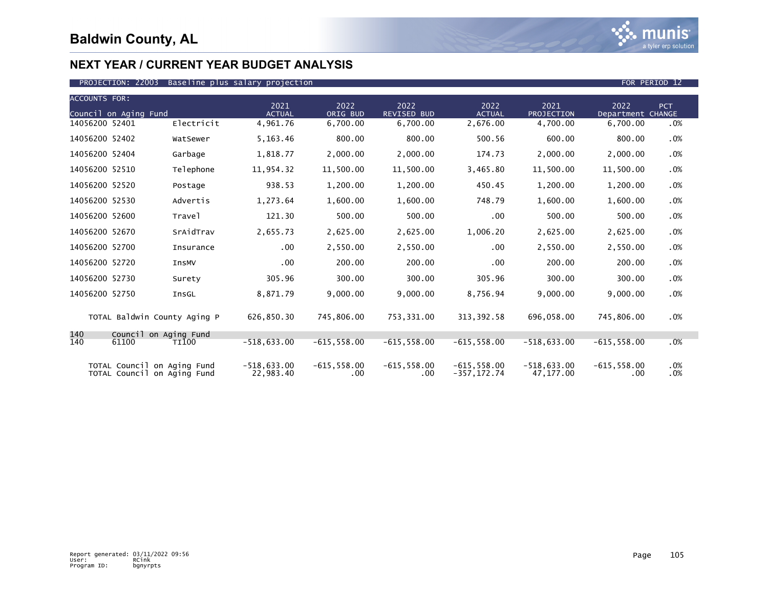

| <b>ACCOUNTS FOR:</b>  |                                                            |                            |                       |                            |                                  |                            |                            |            |
|-----------------------|------------------------------------------------------------|----------------------------|-----------------------|----------------------------|----------------------------------|----------------------------|----------------------------|------------|
| Council on Aging Fund |                                                            | 2021<br><b>ACTUAL</b>      | 2022<br>ORIG BUD      | 2022<br><b>REVISED BUD</b> | 2022<br><b>ACTUAL</b>            | 2021<br>PROJECTION         | 2022<br>Department CHANGE  | <b>PCT</b> |
| 14056200 52401        | Electricit                                                 | 4,961.76                   | 6,700.00              | 6,700.00                   | 2,676.00                         | 4,700.00                   | 6,700.00                   | .0%        |
| 14056200 52402        | WatSewer                                                   | 5,163.46                   | 800.00                | 800.00                     | 500.56                           | 600.00                     | 800.00                     | .0%        |
| 14056200 52404        | Garbage                                                    | 1,818.77                   | 2,000.00              | 2,000.00                   | 174.73                           | 2,000.00                   | 2,000.00                   | .0%        |
| 14056200 52510        | Telephone                                                  | 11,954.32                  | 11,500.00             | 11,500.00                  | 3,465.80                         | 11,500.00                  | 11,500.00                  | .0%        |
| 14056200 52520        | Postage                                                    | 938.53                     | 1,200.00              | 1,200.00                   | 450.45                           | 1,200.00                   | 1,200.00                   | .0%        |
| 14056200 52530        | Advertis                                                   | 1,273.64                   | 1,600.00              | 1,600.00                   | 748.79                           | 1,600.00                   | 1,600.00                   | .0%        |
| 14056200 52600        | Travel                                                     | 121.30                     | 500.00                | 500.00                     | .00                              | 500.00                     | 500.00                     | .0%        |
| 14056200 52670        | SrAidTrav                                                  | 2,655.73                   | 2,625.00              | 2,625.00                   | 1,006.20                         | 2,625.00                   | 2,625.00                   | .0%        |
| 14056200 52700        | <b>Insurance</b>                                           | .00                        | 2,550.00              | 2,550.00                   | $.00 \times$                     | 2,550.00                   | 2,550.00                   | .0%        |
| 14056200 52720        | <b>InsMV</b>                                               | .00                        | 200.00                | 200.00                     | $.00 \times$                     | 200.00                     | 200.00                     | .0%        |
| 14056200 52730        | Surety                                                     | 305.96                     | 300.00                | 300.00                     | 305.96                           | 300.00                     | 300.00                     | .0%        |
| 14056200 52750        | InsGL                                                      | 8,871.79                   | 9,000.00              | 9,000.00                   | 8,756.94                         | 9,000.00                   | 9,000.00                   | .0%        |
|                       | TOTAL Baldwin County Aging P                               | 626,850.30                 | 745,806.00            | 753,331.00                 | 313, 392.58                      | 696,058.00                 | 745,806.00                 | .0%        |
| 140                   | Council on Aging Fund                                      |                            |                       |                            |                                  |                            |                            |            |
| 140<br>61100          | TI100                                                      | $-518,633.00$              | $-615, 558.00$        | $-615, 558.00$             | $-615.558.00$                    | $-518.633.00$              | $-615, 558.00$             | .0%        |
|                       | TOTAL Council on Aging Fund<br>TOTAL Council on Aging Fund | $-518,633.00$<br>22,983.40 | $-615, 558.00$<br>.00 | $-615, 558.00$<br>.00      | $-615, 558.00$<br>$-357, 172.74$ | $-518,633.00$<br>47,177.00 | $-615, 558.00$<br>$.00 \,$ | .0%<br>.0% |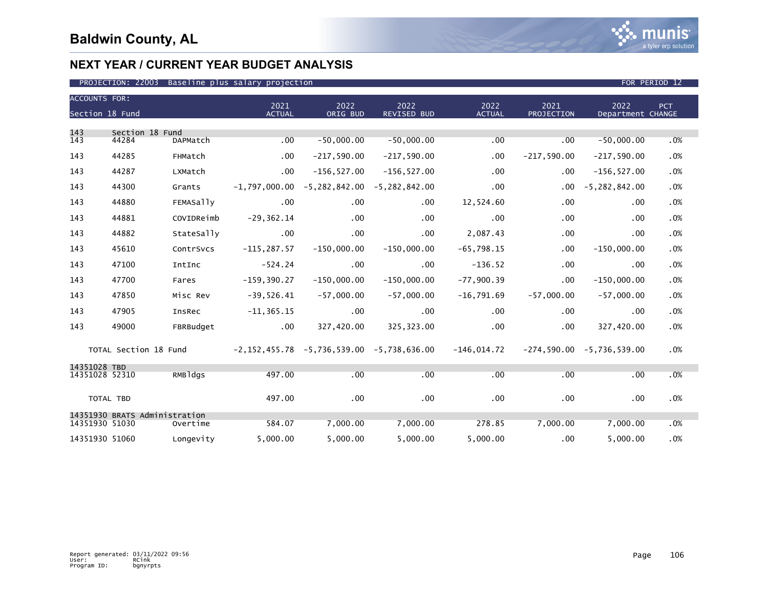

| <b>ACCOUNTS FOR:</b>           |                               |                  | 2021           | 2022                                        | 2022                                                  | 2022          | 2021                                        | 2022              | PCT |
|--------------------------------|-------------------------------|------------------|----------------|---------------------------------------------|-------------------------------------------------------|---------------|---------------------------------------------|-------------------|-----|
| Section 18 Fund                |                               |                  | <b>ACTUAL</b>  | ORIG BUD                                    | REVISED BUD                                           | <b>ACTUAL</b> | PROJECTION                                  | Department CHANGE |     |
| 143<br>143                     | Section 18 Fund<br>44284      | DAPMatch         | .00            | $-50,000.00$                                | $-50,000.00$                                          | .00           | $.00 \,$                                    | $-50,000.00$      | .0% |
| 143                            | 44285                         | FHMatch          | $.00 \,$       | $-217,590.00$                               | $-217,590.00$                                         | $.00 \,$      | $-217,590.00$                               | $-217,590.00$     | .0% |
| 143                            | 44287                         | LXMatch          | $.00 \,$       | $-156, 527.00$                              | $-156, 527.00$                                        | $.00 \,$      | $.00 \,$                                    | $-156, 527.00$    | .0% |
| 143                            | 44300                         | Grants           |                | $-1,797,000.00 -5,282,842.00 -5,282,842.00$ |                                                       | $.00 \,$      | $.00 \,$                                    | $-5, 282, 842.00$ | .0% |
| 143                            | 44880                         | <b>FEMASally</b> | .00            | $.00 \times$                                | .00 <sub>1</sub>                                      | 12,524.60     | $.00 \,$                                    | .00               | .0% |
| 143                            | 44881                         | COVIDReimb       | $-29, 362.14$  | $.00 \times$                                | .00 <sub>1</sub>                                      | .00           | $.00 \,$                                    | .00               | .0% |
| 143                            | 44882                         | StateSally       | .00            | $.00 \,$                                    | $.00 \,$                                              | 2,087.43      | $.00 \,$                                    | .00               | .0% |
| 143                            | 45610                         | ContrSvcs        | $-115, 287.57$ | $-150,000.00$                               | $-150,000.00$                                         | $-65,798.15$  | $.00 \,$                                    | $-150,000.00$     | .0% |
| 143                            | 47100                         | IntInc           | $-524.24$      | .00                                         | $.00 \cdot$                                           | $-136.52$     | $.00 \,$                                    | .00               | .0% |
| 143                            | 47700                         | Fares            | $-159, 390.27$ | $-150,000.00$                               | $-150,000.00$                                         | $-77,900.39$  | $.00 \,$                                    | $-150,000.00$     | .0% |
| 143                            | 47850                         | Misc Rev         | $-39,526.41$   | $-57,000.00$                                | $-57,000.00$                                          | $-16,791.69$  | $-57,000.00$                                | $-57,000.00$      | .0% |
| 143                            | 47905                         | <b>InsRec</b>    | $-11, 365.15$  | $.00 \,$                                    | .00                                                   | $.00 \,$      | $.00 \,$                                    | .00               | .0% |
| 143                            | 49000                         | FBRBudget        | .00            | 327,420.00                                  | 325,323.00                                            | $.00 \,$      | $.00 \,$                                    | 327,420.00        | .0% |
|                                | TOTAL Section 18 Fund         |                  |                |                                             | $-2, 152, 455.78$ $-5, 736, 539.00$ $-5, 738, 636.00$ |               | $-146,014.72$ $-274,590.00$ $-5,736,539.00$ |                   | .0% |
| 14351028 TBD<br>14351028 52310 |                               | RMBldgs          | 497.00         | .00                                         | .00                                                   | .00           | .00                                         | .00               | .0% |
|                                | TOTAL TBD                     |                  | 497.00         | $.00 \times$                                | $.00 \times$                                          | .00           | $.00 \,$                                    | .00               | .0% |
| 14351930 51030                 | 14351930 BRATS Administration | Overtime         | 584.07         | 7,000.00                                    | 7,000.00                                              | 278.85        | 7.000.00                                    | 7,000.00          | .0% |
| 14351930 51060                 |                               | Longevity        | 5,000.00       | 5,000.00                                    | 5,000.00                                              | 5,000.00      | $.00 \,$                                    | 5,000.00          | .0% |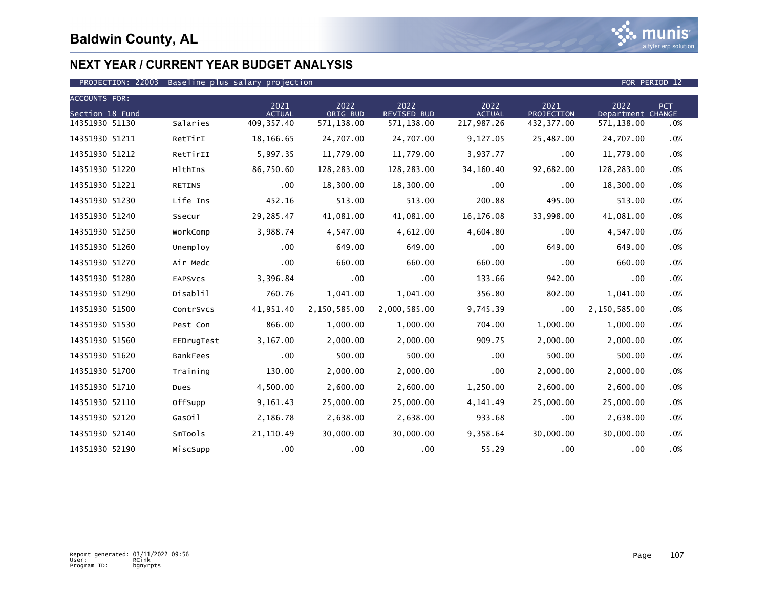

| <b>ACCOUNTS FOR:</b> |                 |                       |                  |                            |                       |                    |                           |            |
|----------------------|-----------------|-----------------------|------------------|----------------------------|-----------------------|--------------------|---------------------------|------------|
| Section 18 Fund      |                 | 2021<br><b>ACTUAL</b> | 2022<br>ORIG BUD | 2022<br><b>REVISED BUD</b> | 2022<br><b>ACTUAL</b> | 2021<br>PROJECTION | 2022<br>Department CHANGE | <b>PCT</b> |
| 14351930 51130       | Salaries        | 409, 357.40           | 571,138.00       | 571,138.00                 | 217,987.26            | 432, 377.00        | 571,138.00                | .0%        |
| 14351930 51211       | RetTirI         | 18,166.65             | 24,707.00        | 24,707.00                  | 9,127.05              | 25,487.00          | 24,707.00                 | .0%        |
| 14351930 51212       | RetTirII        | 5,997.35              | 11,779.00        | 11,779.00                  | 3,937.77              | .00                | 11,779.00                 | .0%        |
| 14351930 51220       | HlthIns         | 86,750.60             | 128,283.00       | 128,283.00                 | 34,160.40             | 92,682.00          | 128,283.00                | .0%        |
| 14351930 51221       | <b>RETINS</b>   | .00                   | 18,300.00        | 18,300.00                  | .00                   | .00                | 18,300.00                 | .0%        |
| 14351930 51230       | Life Ins        | 452.16                | 513.00           | 513.00                     | 200.88                | 495.00             | 513.00                    | .0%        |
| 14351930 51240       | Ssecur          | 29,285.47             | 41,081.00        | 41,081.00                  | 16,176.08             | 33,998.00          | 41,081.00                 | .0%        |
| 14351930 51250       | WorkComp        | 3,988.74              | 4,547.00         | 4,612.00                   | 4,604.80              | .00                | 4,547.00                  | .0%        |
| 14351930 51260       | Unemploy        | .00                   | 649.00           | 649.00                     | .00                   | 649.00             | 649.00                    | .0%        |
| 14351930 51270       | Air Medc        | .00                   | 660.00           | 660.00                     | 660.00                | .00                | 660.00                    | .0%        |
| 14351930 51280       | <b>EAPSVCS</b>  | 3,396.84              | .00              | $.00 \times$               | 133.66                | 942.00             | .00                       | .0%        |
| 14351930 51290       | Disablil        | 760.76                | 1,041.00         | 1,041.00                   | 356.80                | 802.00             | 1,041.00                  | .0%        |
| 14351930 51500       | ContrSvcs       | 41,951.40             | 2,150,585.00     | 2,000,585.00               | 9,745.39              | .00                | 2,150,585.00              | .0%        |
| 14351930 51530       | Pest Con        | 866.00                | 1,000.00         | 1,000.00                   | 704.00                | 1,000.00           | 1,000.00                  | .0%        |
| 14351930 51560       | EEDrugTest      | 3,167.00              | 2,000.00         | 2,000.00                   | 909.75                | 2,000.00           | 2,000.00                  | .0%        |
| 14351930 51620       | <b>BankFees</b> | $.00 \,$              | 500.00           | 500.00                     | .00                   | 500.00             | 500.00                    | .0%        |
| 14351930 51700       | Training        | 130.00                | 2,000.00         | 2,000.00                   | .00                   | 2,000.00           | 2,000.00                  | .0%        |
| 14351930 51710       | Dues            | 4,500.00              | 2,600.00         | 2.600.00                   | 1,250.00              | 2,600.00           | 2.600.00                  | .0%        |
| 14351930 52110       | OffSupp         | 9,161.43              | 25,000.00        | 25,000.00                  | 4,141.49              | 25,000.00          | 25,000.00                 | .0%        |
| 14351930 52120       | GasOil          | 2,186.78              | 2,638.00         | 2,638.00                   | 933.68                | .00                | 2,638.00                  | .0%        |
| 14351930 52140       | SmTools         | 21,110.49             | 30,000.00        | 30,000.00                  | 9,358.64              | 30,000.00          | 30,000,00                 | .0%        |
| 14351930 52190       | MiscSupp        | .00                   | $.00 \,$         | $.00 \,$                   | 55.29                 | .00                | .00                       | .0%        |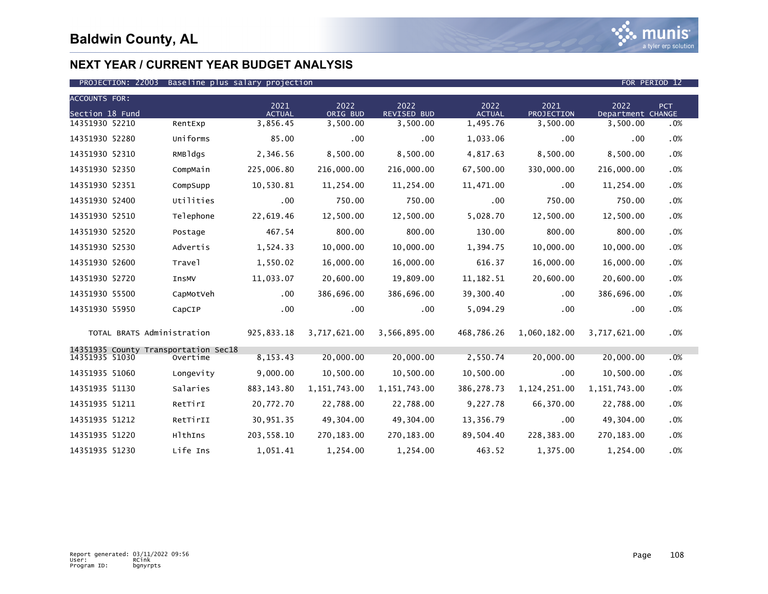

| <b>ACCOUNTS FOR:</b> |                                                  |                       |                  |                            |                       |                    |                           |            |
|----------------------|--------------------------------------------------|-----------------------|------------------|----------------------------|-----------------------|--------------------|---------------------------|------------|
| Section 18 Fund      |                                                  | 2021<br><b>ACTUAL</b> | 2022<br>ORIG BUD | 2022<br><b>REVISED BUD</b> | 2022<br><b>ACTUAL</b> | 2021<br>PROJECTION | 2022<br>Department CHANGE | <b>PCT</b> |
| 14351930 52210       | RentExp                                          | 3,856.45              | 3,500.00         | 3,500.00                   | 1,495.76              | 3,500.00           | 3,500.00                  | .0%        |
| 14351930 52280       | Uniforms                                         | 85.00                 | .00              | $.00 \times$               | 1,033.06              | .00                | .00                       | .0%        |
| 14351930 52310       | RMBldgs                                          | 2,346.56              | 8,500.00         | 8,500.00                   | 4,817.63              | 8,500.00           | 8,500.00                  | .0%        |
| 14351930 52350       | CompMain                                         | 225,006.80            | 216,000.00       | 216,000.00                 | 67,500.00             | 330,000.00         | 216,000.00                | .0%        |
| 14351930 52351       | CompSupp                                         | 10,530.81             | 11,254.00        | 11,254.00                  | 11,471.00             | .00                | 11,254.00                 | .0%        |
| 14351930 52400       | Utilities                                        | .00                   | 750.00           | 750.00                     | .00                   | 750.00             | 750.00                    | .0%        |
| 14351930 52510       | Telephone                                        | 22,619.46             | 12,500.00        | 12,500.00                  | 5,028.70              | 12,500.00          | 12,500.00                 | .0%        |
| 14351930 52520       | Postage                                          | 467.54                | 800.00           | 800.00                     | 130.00                | 800.00             | 800.00                    | .0%        |
| 14351930 52530       | Advertis                                         | 1,524.33              | 10,000.00        | 10,000.00                  | 1,394.75              | 10,000.00          | 10,000.00                 | .0%        |
| 14351930 52600       | Travel                                           | 1,550.02              | 16,000.00        | 16,000.00                  | 616.37                | 16,000.00          | 16,000.00                 | .0%        |
| 14351930 52720       | InsMV                                            | 11,033.07             | 20,600.00        | 19,809.00                  | 11, 182.51            | 20,600.00          | 20,600.00                 | .0%        |
| 14351930 55500       | CapMotVeh                                        | .00                   | 386,696.00       | 386,696.00                 | 39,300.40             | .00                | 386,696.00                | .0%        |
| 14351930 55950       | CapCIP                                           | .00                   | .00              | .00                        | 5,094.29              | .00                | .00                       | .0%        |
|                      | TOTAL BRATS Administration                       | 925,833.18            | 3,717,621.00     | 3,566,895.00               | 468,786.26            | 1,060,182.00       | 3,717,621.00              | .0%        |
| 14351935 51030       | 14351935 County Transportation Sec18<br>Overtime | 8, 153. 43            | 20,000.00        | 20,000.00                  | 2,550.74              | 20,000.00          | 20,000.00                 | .0%        |
|                      |                                                  |                       |                  |                            |                       |                    |                           |            |
| 14351935 51060       | Longevity                                        | 9,000.00              | 10,500.00        | 10,500.00                  | 10,500.00             | .00                | 10,500.00                 | .0%        |
| 14351935 51130       | Salaries                                         | 883, 143.80           | 1, 151, 743.00   | 1, 151, 743.00             | 386,278.73            | 1,124,251.00       | 1, 151, 743.00            | .0%        |
| 14351935 51211       | RetTirI                                          | 20,772.70             | 22,788.00        | 22,788.00                  | 9,227.78              | 66,370.00          | 22,788.00                 | .0%        |
| 14351935 51212       | RetTirII                                         | 30,951.35             | 49,304.00        | 49,304.00                  | 13,356.79             | .00                | 49,304.00                 | .0%        |
| 14351935 51220       | HlthIns                                          | 203, 558.10           | 270,183.00       | 270, 183.00                | 89,504.40             | 228,383.00         | 270, 183.00               | .0%        |
| 14351935 51230       | Life Ins                                         | 1,051.41              | 1,254.00         | 1,254.00                   | 463.52                | 1,375.00           | 1,254.00                  | .0%        |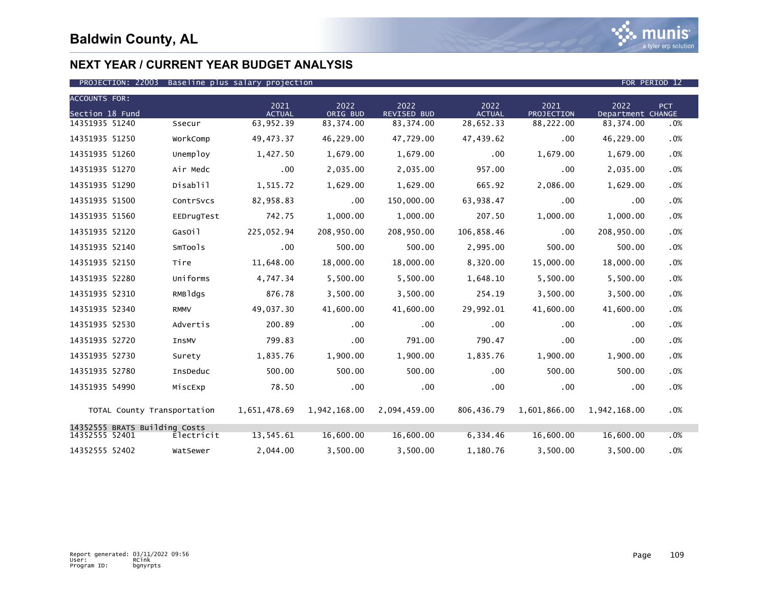

| <b>ACCOUNTS FOR:</b><br>Section 18 Fund         |              | 2021<br><b>ACTUAL</b> | 2022<br>ORIG BUD | 2022<br><b>REVISED BUD</b> | 2022<br><b>ACTUAL</b> | 2021<br>PROJECTION | 2022<br>Department CHANGE | <b>PCT</b> |
|-------------------------------------------------|--------------|-----------------------|------------------|----------------------------|-----------------------|--------------------|---------------------------|------------|
| 14351935 51240                                  | Ssecur       | 63,952.39             | 83, 374.00       | 83,374.00                  | 28,652.33             | 88,222.00          | 83, 374.00                | .0%        |
| 14351935 51250                                  | WorkComp     | 49,473.37             | 46,229.00        | 47,729.00                  | 47,439.62             | .00                | 46,229.00                 | .0%        |
| 14351935 51260                                  | Unemploy     | 1,427.50              | 1,679.00         | 1,679.00                   | .00                   | 1,679.00           | 1,679.00                  | .0%        |
| 14351935 51270                                  | Air Medc     | .00                   | 2,035.00         | 2,035.00                   | 957.00                | .00                | 2,035.00                  | .0%        |
| 14351935 51290                                  | Disablil     | 1,515.72              | 1,629.00         | 1,629.00                   | 665.92                | 2,086.00           | 1,629.00                  | .0%        |
| 14351935 51500                                  | ContrSvcs    | 82,958.83             | $.00 \,$         | 150,000.00                 | 63,938.47             | .00                | .00                       | .0%        |
| 14351935 51560                                  | EEDrugTest   | 742.75                | 1,000.00         | 1,000.00                   | 207.50                | 1,000.00           | 1,000.00                  | .0%        |
| 14351935 52120                                  | GasOil       | 225,052.94            | 208,950.00       | 208,950.00                 | 106,858.46            | .00                | 208,950.00                | .0%        |
| 14351935 52140                                  | SmTools      | .00                   | 500.00           | 500.00                     | 2,995.00              | 500.00             | 500.00                    | .0%        |
| 14351935 52150                                  | Tire         | 11,648.00             | 18,000.00        | 18,000.00                  | 8,320.00              | 15,000.00          | 18,000.00                 | .0%        |
| 14351935 52280                                  | Uniforms     | 4,747.34              | 5,500.00         | 5,500.00                   | 1,648.10              | 5,500.00           | 5,500.00                  | .0%        |
| 14351935 52310                                  | RMBldgs      | 876.78                | 3,500.00         | 3,500.00                   | 254.19                | 3,500.00           | 3,500.00                  | .0%        |
| 14351935 52340                                  | <b>RMMV</b>  | 49,037.30             | 41,600.00        | 41,600.00                  | 29,992.01             | 41,600.00          | 41,600.00                 | .0%        |
| 14351935 52530                                  | Advertis     | 200.89                | $.00 \,$         | .00                        | .00                   | .00                | .00                       | .0%        |
| 14351935 52720                                  | <b>InsMV</b> | 799.83                | $.00 \,$         | 791.00                     | 790.47                | .00                | .00                       | .0%        |
| 14351935 52730                                  | Surety       | 1,835.76              | 1,900.00         | 1,900.00                   | 1,835.76              | 1,900.00           | 1,900.00                  | .0%        |
| 14351935 52780                                  | InsDeduc     | 500.00                | 500.00           | 500.00                     | .00                   | 500.00             | 500.00                    | .0%        |
| 14351935 54990                                  | MiscExp      | 78.50                 | $.00 \times$     | .00                        | .00                   | .00                | .00                       | .0%        |
| TOTAL County Transportation                     |              | 1,651,478.69          | 1,942,168.00     | 2,094,459.00               | 806,436.79            | 1,601,866.00       | 1,942,168.00              | .0%        |
| 14352555 BRATS Building Costs<br>14352555 52401 | Electricit   | 13,545.61             | 16,600.00        | 16,600.00                  | 6,334.46              | 16,600.00          | 16,600.00                 | .0%        |
| 14352555 52402                                  | WatSewer     | 2,044.00              | 3,500.00         | 3,500.00                   | 1,180.76              | 3,500.00           | 3,500.00                  | .0%        |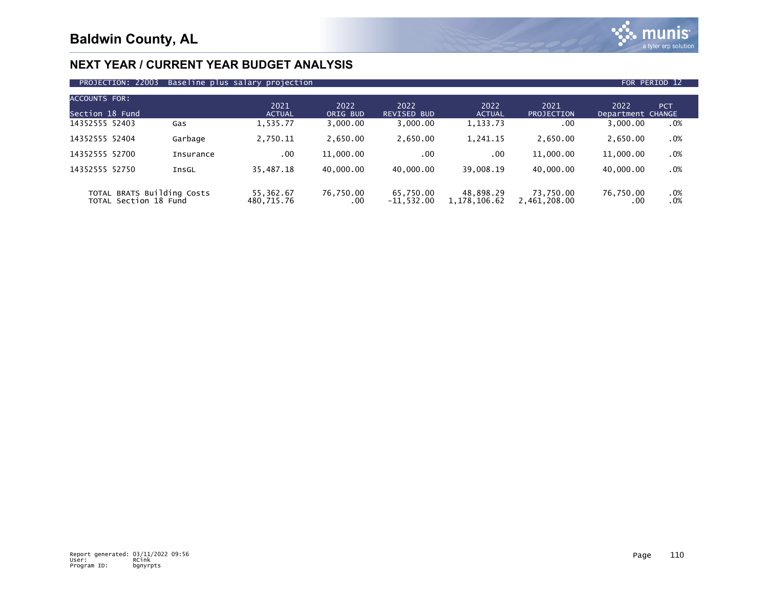

| PROJECTION: 22003 Baseline plus salary projection |  | FOR PERIOD 12 |  |
|---------------------------------------------------|--|---------------|--|
|                                                   |  |               |  |

| ACCOUNTS FOR:                                       |           |                         |                  |                            |                           |                           |                           |            |
|-----------------------------------------------------|-----------|-------------------------|------------------|----------------------------|---------------------------|---------------------------|---------------------------|------------|
| Section 18 Fund                                     |           | 2021<br><b>ACTUAL</b>   | 2022<br>ORIG BUD | 2022<br><b>REVISED BUD</b> | 2022<br><b>ACTUAL</b>     | 2021<br>PROJECTION        | 2022<br>Department CHANGE | <b>PCT</b> |
| 14352555 52403                                      | Gas       | 1,535.77                | 3,000.00         | 3,000.00                   | 1,133.73                  | .00                       | 3,000.00                  | .0%        |
| 14352555 52404                                      | Garbage   | 2,750.11                | 2.650.00         | 2,650.00                   | 1,241.15                  | 2.650.00                  | 2,650.00                  | .0%        |
| 14352555 52700                                      | Insurance | .00                     | 11,000.00        | .00                        | .00                       | 11,000.00                 | 11,000.00                 | .0%        |
| 14352555 52750                                      | InsGL     | 35,487.18               | 40.000.00        | 40.000.00                  | 39.008.19                 | 40.000.00                 | 40.000.00                 | .0%        |
| TOTAL BRATS Building Costs<br>TOTAL Section 18 Fund |           | 55,362.67<br>480,715.76 | 76,750.00<br>.00 | 65,750.00<br>$-11.532.00$  | 48,898.29<br>1,178,106.62 | 73,750.00<br>2,461,208.00 | 76,750.00<br>.00          | .0%<br>.0% |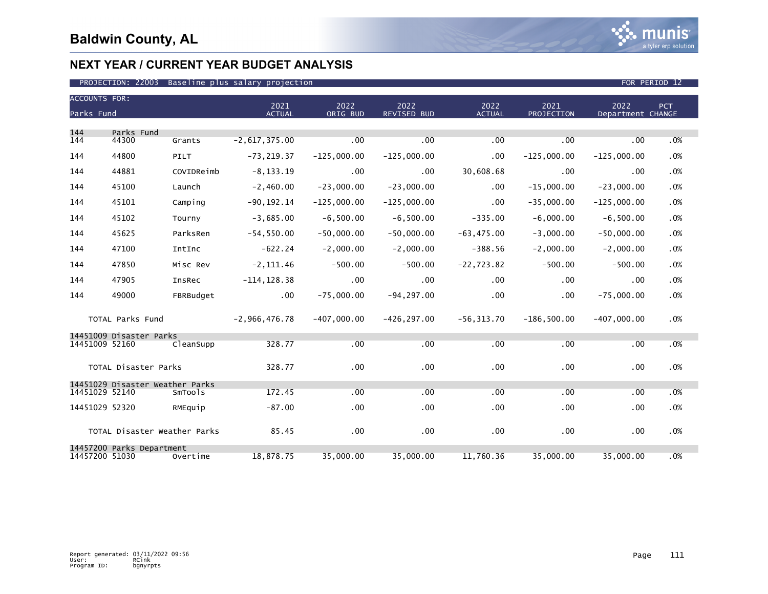| <b>ACCOUNTS FOR:</b> |                                 |                              |                 |               |                    |                  |               |                   |     |
|----------------------|---------------------------------|------------------------------|-----------------|---------------|--------------------|------------------|---------------|-------------------|-----|
|                      |                                 |                              | 2021            | 2022          | 2022               | 2022             | 2021          | 2022              | PCT |
| Parks Fund           |                                 |                              | <b>ACTUAL</b>   | ORIG BUD      | <b>REVISED BUD</b> | <b>ACTUAL</b>    | PROJECTION    | Department CHANGE |     |
| 144                  | Parks Fund                      |                              |                 |               |                    |                  |               |                   |     |
| 144                  | 44300                           | Grants                       | $-2,617,375.00$ | .00           | .00                | .00              | .00           | .00               | .0% |
| 144                  | 44800                           | PILT                         | $-73, 219.37$   | $-125,000.00$ | $-125,000.00$      | $.00 \,$         | $-125,000.00$ | $-125,000.00$     | .0% |
| 144                  | 44881                           | COVIDReimb                   | $-8, 133.19$    | .00           | .00                | 30,608.68        | .00           | .00               | .0% |
| 144                  | 45100                           | Launch                       | $-2,460.00$     | $-23,000.00$  | $-23,000.00$       | $.00 \times$     | $-15,000.00$  | $-23,000.00$      | .0% |
| 144                  | 45101                           | Camping                      | $-90, 192.14$   | $-125.000.00$ | $-125,000.00$      | .00              | $-35,000.00$  | $-125,000.00$     | .0% |
| 144                  | 45102                           | Tourny                       | $-3,685.00$     | $-6,500.00$   | $-6,500.00$        | $-335.00$        | $-6,000.00$   | $-6,500.00$       | .0% |
| 144                  | 45625                           | ParksRen                     | $-54,550.00$    | $-50,000.00$  | $-50,000.00$       | $-63, 475.00$    | $-3.000.00$   | $-50,000.00$      | .0% |
| 144                  | 47100                           | IntInc                       | $-622.24$       | $-2,000.00$   | $-2,000.00$        | $-388.56$        | $-2,000.00$   | $-2,000.00$       | .0% |
| 144                  | 47850                           | Misc Rev                     | $-2, 111.46$    | $-500.00$     | $-500.00$          | $-22,723.82$     | $-500.00$     | $-500.00$         | .0% |
| 144                  | 47905                           | InsRec                       | $-114, 128.38$  | .00           | $.00 \times$       | .00              | .00           | .00               | .0% |
| 144                  | 49000                           | FBRBudget                    | $.00 \,$        | $-75,000.00$  | $-94, 297.00$      | $.00 \,$         | .00           | $-75,000.00$      | .0% |
|                      | TOTAL Parks Fund                |                              | $-2,966,476.78$ | $-407,000.00$ | $-426, 297.00$     | $-56, 313.70$    | $-186,500.00$ | $-407,000.00$     | .0% |
|                      | 14451009 Disaster Parks         |                              |                 |               |                    |                  |               |                   |     |
| 14451009 52160       |                                 | CleanSupp                    | 328.77          | .00           | .00                | .00              | .00           | .00               | .0% |
|                      | TOTAL Disaster Parks            |                              | 328.77          | .00           | .00                | $.00 \,$         | .00           | .00               | .0% |
|                      | 14451029 Disaster Weather Parks |                              |                 |               |                    |                  |               |                   |     |
| 14451029 52140       |                                 | SmTools                      | 172.45          | .00           | .00                | .00              | .00           | .00               | .0% |
| 14451029 52320       |                                 | RMEquip                      | $-87.00$        | .00           | $.00 \,$           | .00              | .00           | $.00 \,$          | .0% |
|                      |                                 | TOTAL Disaster Weather Parks | 85.45           | .00           | $.00 \,$           | .00 <sub>1</sub> | .00           | .00               | .0% |
| 14457200 51030       | 14457200 Parks Department       | Overtime                     | 18,878.75       | 35,000.00     | 35,000.00          | 11,760.36        | 35,000.00     | 35,000.00         | .0% |
|                      |                                 |                              |                 |               |                    |                  |               |                   |     |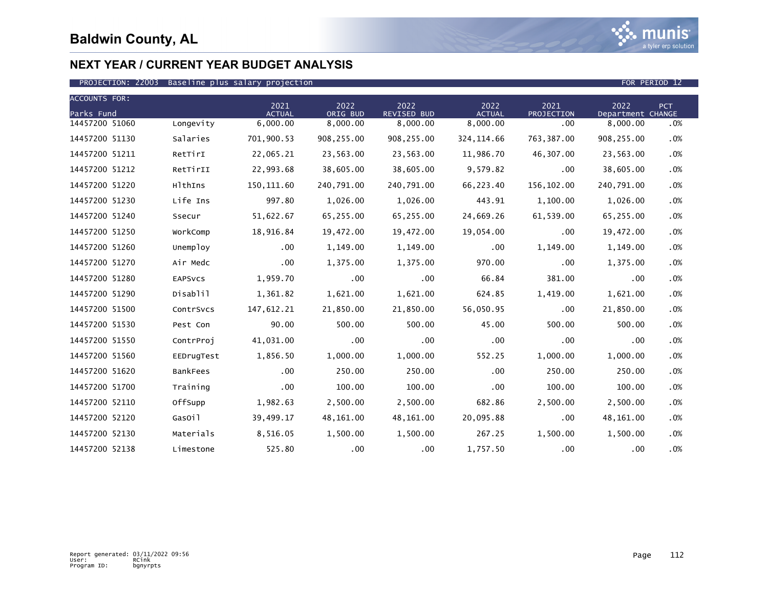

| <b>ACCOUNTS FOR:</b> |                |                       |                  |                            |                       |                    |                           |            |
|----------------------|----------------|-----------------------|------------------|----------------------------|-----------------------|--------------------|---------------------------|------------|
| Parks Fund           |                | 2021<br><b>ACTUAL</b> | 2022<br>ORIG BUD | 2022<br><b>REVISED BUD</b> | 2022<br><b>ACTUAL</b> | 2021<br>PROJECTION | 2022<br>Department CHANGE | <b>PCT</b> |
| 14457200 51060       | Longevity      | 6,000.00              | 8,000.00         | 8,000.00                   | 8,000.00              | .00                | 8,000.00                  | .0%        |
| 14457200 51130       | Salaries       | 701,900.53            | 908,255.00       | 908,255.00                 | 324, 114.66           | 763, 387.00        | 908,255.00                | .0%        |
| 14457200 51211       | RetTirI        | 22,065.21             | 23,563.00        | 23,563.00                  | 11,986.70             | 46,307.00          | 23,563.00                 | .0%        |
| 14457200 51212       | RetTirII       | 22,993.68             | 38,605.00        | 38,605.00                  | 9,579.82              | .00                | 38,605.00                 | .0%        |
| 14457200 51220       | HlthIns        | 150, 111.60           | 240,791.00       | 240,791.00                 | 66,223.40             | 156,102.00         | 240,791.00                | .0%        |
| 14457200 51230       | Life Ins       | 997.80                | 1,026.00         | 1,026.00                   | 443.91                | 1,100.00           | 1,026.00                  | .0%        |
| 14457200 51240       | Ssecur         | 51,622.67             | 65,255.00        | 65,255.00                  | 24,669.26             | 61,539.00          | 65,255.00                 | .0%        |
| 14457200 51250       | WorkComp       | 18,916.84             | 19,472.00        | 19,472.00                  | 19,054.00             | .00                | 19,472.00                 | .0%        |
| 14457200 51260       | Unemploy       | .00                   | 1,149.00         | 1,149.00                   | .00                   | 1,149.00           | 1,149.00                  | .0%        |
| 14457200 51270       | Air Medc       | .00                   | 1,375.00         | 1,375.00                   | 970.00                | .00                | 1,375.00                  | .0%        |
| 14457200 51280       | <b>EAPSVCS</b> | 1,959.70              | .00              | $.00 \,$                   | 66.84                 | 381.00             | .00                       | .0%        |
| 14457200 51290       | Disablil       | 1,361.82              | 1,621.00         | 1,621.00                   | 624.85                | 1,419.00           | 1,621.00                  | .0%        |
| 14457200 51500       | ContrSvcs      | 147,612.21            | 21,850.00        | 21,850.00                  | 56,050.95             | .00                | 21,850.00                 | .0%        |
| 14457200 51530       | Pest Con       | 90.00                 | 500.00           | 500.00                     | 45.00                 | 500.00             | 500.00                    | .0%        |
| 14457200 51550       | ContrProj      | 41,031.00             | .00              | $.00 \,$                   | .00                   | .00                | .00                       | .0%        |
| 14457200 51560       | EEDrugTest     | 1,856.50              | 1,000.00         | 1,000.00                   | 552.25                | 1,000.00           | 1,000.00                  | .0%        |
| 14457200 51620       | BankFees       | .00                   | 250.00           | 250.00                     | .00                   | 250.00             | 250.00                    | .0%        |
| 14457200 51700       | Training       | .00                   | 100.00           | 100.00                     | .00 <sub>1</sub>      | 100.00             | 100.00                    | .0%        |
| 14457200 52110       | OffSupp        | 1,982.63              | 2,500.00         | 2,500.00                   | 682.86                | 2,500.00           | 2,500.00                  | .0%        |
| 14457200 52120       | GasOil         | 39,499.17             | 48,161.00        | 48,161.00                  | 20,095.88             | .00                | 48,161.00                 | .0%        |
| 14457200 52130       | Materials      | 8,516.05              | 1,500.00         | 1,500.00                   | 267.25                | 1,500.00           | 1,500.00                  | .0%        |
| 14457200 52138       | Limestone      | 525.80                | .00              | $.00 \,$                   | 1,757.50              | .00                | .00                       | .0%        |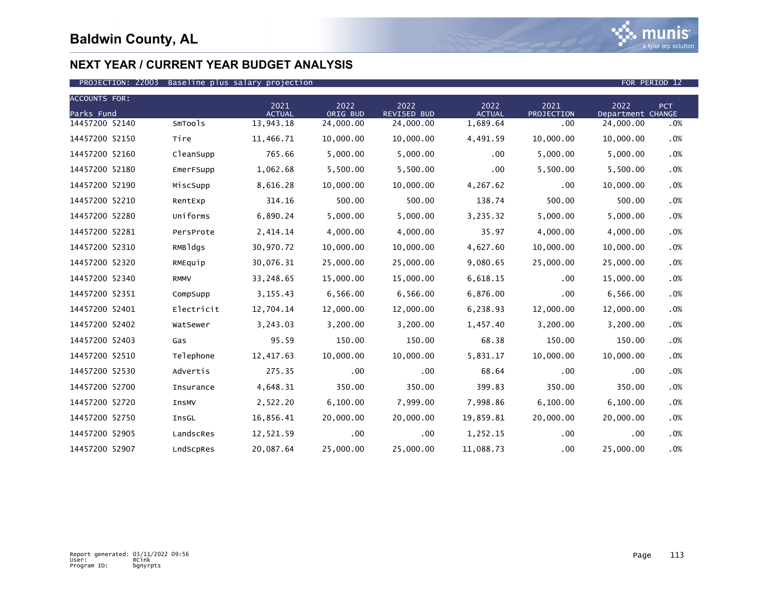

| <b>ACCOUNTS FOR:</b> |             |                       |                  |                            |                       |                    |                           |            |
|----------------------|-------------|-----------------------|------------------|----------------------------|-----------------------|--------------------|---------------------------|------------|
| Parks Fund           |             | 2021<br><b>ACTUAL</b> | 2022<br>ORIG BUD | 2022<br><b>REVISED BUD</b> | 2022<br><b>ACTUAL</b> | 2021<br>PROJECTION | 2022<br>Department CHANGE | <b>PCT</b> |
| 14457200 52140       | SmTools     | 13,943.18             | 24,000.00        | 24,000.00                  | 1,689.64              | $.00 \,$           | 24,000.00                 | .0%        |
| 14457200 52150       | Tire        | 11,466.71             | 10,000.00        | 10,000.00                  | 4,491.59              | 10,000.00          | 10,000.00                 | .0%        |
| 14457200 52160       | CleanSupp   | 765.66                | 5,000.00         | 5,000.00                   | $.00 \,$              | 5,000.00           | 5,000.00                  | .0%        |
| 14457200 52180       | EmerFSupp   | 1,062.68              | 5,500.00         | 5,500.00                   | .00                   | 5,500.00           | 5,500.00                  | .0%        |
| 14457200 52190       | MiscSupp    | 8,616.28              | 10,000.00        | 10,000.00                  | 4,267.62              | .00                | 10,000.00                 | .0%        |
| 14457200 52210       | RentExp     | 314.16                | 500.00           | 500.00                     | 138.74                | 500.00             | 500.00                    | .0%        |
| 14457200 52280       | Uniforms    | 6,890.24              | 5,000.00         | 5,000.00                   | 3,235.32              | 5,000.00           | 5,000.00                  | .0%        |
| 14457200 52281       | PersProte   | 2,414.14              | 4,000.00         | 4,000.00                   | 35.97                 | 4,000.00           | 4,000.00                  | .0%        |
| 14457200 52310       | RMBldgs     | 30,970.72             | 10,000.00        | 10,000.00                  | 4,627.60              | 10,000.00          | 10,000.00                 | .0%        |
| 14457200 52320       | RMEquip     | 30,076.31             | 25,000.00        | 25,000.00                  | 9,080.65              | 25,000.00          | 25,000.00                 | .0%        |
| 14457200 52340       | <b>RMMV</b> | 33,248.65             | 15,000.00        | 15,000.00                  | 6,618.15              | .00                | 15,000.00                 | .0%        |
| 14457200 52351       | CompSupp    | 3, 155.43             | 6,566.00         | 6,566.00                   | 6,876.00              | .00                | 6,566.00                  | .0%        |
| 14457200 52401       | Electricit  | 12,704.14             | 12,000.00        | 12,000.00                  | 6,238.93              | 12,000.00          | 12,000.00                 | .0%        |
| 14457200 52402       | WatSewer    | 3,243.03              | 3,200.00         | 3,200.00                   | 1,457.40              | 3,200.00           | 3,200.00                  | .0%        |
| 14457200 52403       | Gas         | 95.59                 | 150.00           | 150.00                     | 68.38                 | 150.00             | 150.00                    | .0%        |
| 14457200 52510       | Telephone   | 12,417.63             | 10,000,00        | 10,000.00                  | 5,831.17              | 10,000.00          | 10,000.00                 | .0%        |
| 14457200 52530       | Advertis    | 275.35                | .00              | .00                        | 68.64                 | .00                | .00                       | .0%        |
| 14457200 52700       | Insurance   | 4,648.31              | 350.00           | 350.00                     | 399.83                | 350.00             | 350.00                    | .0%        |
| 14457200 52720       | InsMV       | 2,522.20              | 6,100.00         | 7,999.00                   | 7,998.86              | 6,100.00           | 6,100.00                  | .0%        |
| 14457200 52750       | InsGL       | 16,856.41             | 20,000.00        | 20,000.00                  | 19,859.81             | 20,000.00          | 20,000.00                 | .0%        |
| 14457200 52905       | LandscRes   | 12,521.59             | .00.             | $.00 \,$                   | 1,252.15              | .00                | .00                       | $.0\%$     |
| 14457200 52907       | LndScpRes   | 20,087.64             | 25,000.00        | 25,000.00                  | 11,088.73             | .00                | 25,000.00                 | .0%        |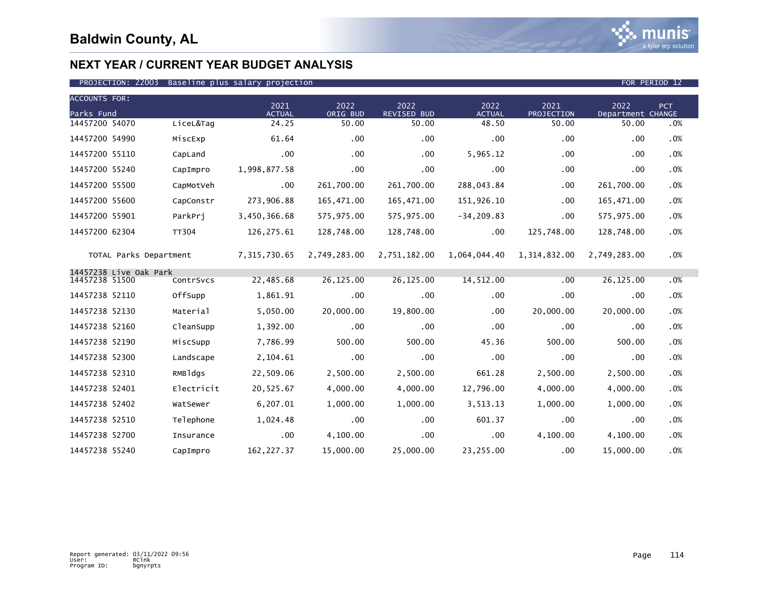| <b>ACCOUNTS FOR:</b>   |              |                       |                  |                            |                       |                    |                           |     |
|------------------------|--------------|-----------------------|------------------|----------------------------|-----------------------|--------------------|---------------------------|-----|
| Parks Fund             |              | 2021<br><b>ACTUAL</b> | 2022<br>ORIG BUD | 2022<br><b>REVISED BUD</b> | 2022<br><b>ACTUAL</b> | 2021<br>PROJECTION | 2022<br>Department CHANGE | PCT |
| 14457200 54070         | LiceL&Tag    | 24.25                 | 50.00            | 50.00                      | 48.50                 | 50.00              | 50.00                     | .0% |
| 14457200 54990         | MiscExp      | 61.64                 | .00              | .00                        | .00                   | .00                | .00                       | .0% |
| 14457200 55110         | CapLand      | .00                   | .00              | $.00 \,$                   | 5,965.12              | .00                | .00                       | .0% |
| 14457200 55240         | CapImpro     | 1,998,877.58          | .00              | $.00 \,$                   | .00                   | .00                | .00                       | .0% |
| 14457200 55500         | CapMotVeh    | $.00 \,$              | 261,700.00       | 261,700.00                 | 288,043.84            | .00                | 261,700.00                | .0% |
| 14457200 55600         | CapConstr    | 273,906.88            | 165,471.00       | 165,471.00                 | 151,926.10            | .00                | 165,471.00                | .0% |
| 14457200 55901         | ParkPri      | 3,450,366.68          | 575,975.00       | 575,975.00                 | $-34, 209.83$         | .00                | 575,975.00                | .0% |
| 14457200 62304         | <b>TT304</b> | 126,275.61            | 128,748.00       | 128,748.00                 | .00                   | 125,748.00         | 128,748.00                | .0% |
| TOTAL Parks Department |              | 7,315,730.65          | 2,749,283.00     | 2,751,182.00               | 1,064,044.40          | 1,314,832.00       | 2,749,283.00              | .0% |
| 14457238 Live Oak Park |              | 22,485.68             | 26,125.00        |                            |                       | .00                |                           | .0% |
| 14457238 51500         | ContrSvcs    |                       |                  | 26,125.00                  | 14,512.00             |                    | 26,125.00                 |     |
| 14457238 52110         | OffSupp      | 1,861.91              | .00              | $.00 \times$               | .00                   | .00                | $.00 \,$                  | .0% |
| 14457238 52130         | Material     | 5,050.00              | 20,000.00        | 19,800.00                  | $.00 \,$              | 20,000.00          | 20,000.00                 | .0% |
| 14457238 52160         | CleanSupp    | 1,392.00              | .00              | .00                        | .00                   | .00                | .00                       | .0% |
| 14457238 52190         | MiscSupp     | 7,786.99              | 500.00           | 500.00                     | 45.36                 | 500.00             | 500.00                    | .0% |
| 14457238 52300         | Landscape    | 2,104.61              | .00              | $.00 \times$               | .00                   | .00                | .00                       | .0% |
| 14457238 52310         | RMBldgs      | 22,509.06             | 2,500.00         | 2,500.00                   | 661.28                | 2,500.00           | 2,500.00                  | .0% |
| 14457238 52401         | Electricit   | 20,525.67             | 4,000.00         | 4,000.00                   | 12,796.00             | 4,000.00           | 4,000.00                  | .0% |
| 14457238 52402         | WatSewer     | 6,207.01              | 1,000.00         | 1,000.00                   | 3,513.13              | 1,000.00           | 1,000.00                  | .0% |
| 14457238 52510         | Telephone    | 1,024.48              | .00              | $.00 \,$                   | 601.37                | .00                | .00                       | .0% |
| 14457238 52700         | Insurance    | .00                   | 4,100.00         | $.00 \,$                   | .00                   | 4,100.00           | 4,100.00                  | .0% |
| 14457238 55240         | CapImpro     | 162, 227.37           | 15,000.00        | 25,000.00                  | 23,255.00             | .00                | 15,000.00                 | .0% |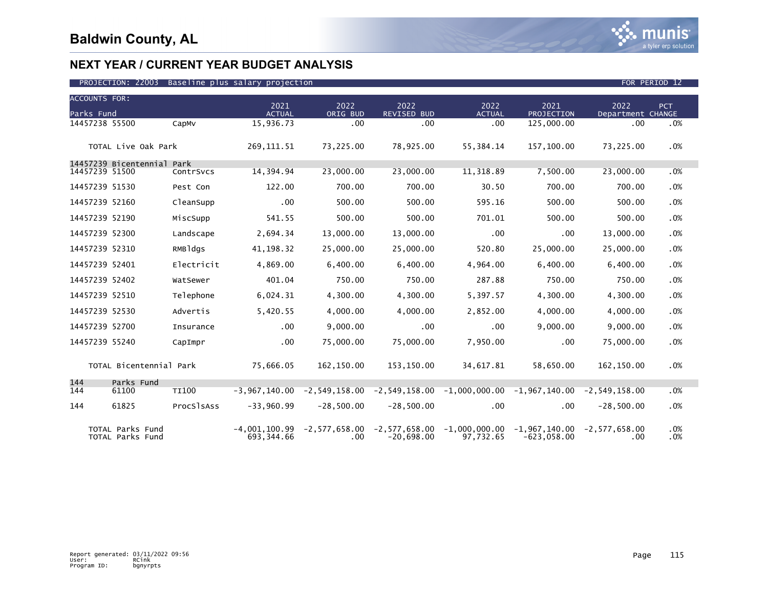

| <b>ACCOUNTS FOR:</b> |                                      |              |                               |                             |                     |                                                                                 |                                  |                           |            |
|----------------------|--------------------------------------|--------------|-------------------------------|-----------------------------|---------------------|---------------------------------------------------------------------------------|----------------------------------|---------------------------|------------|
| Parks Fund           |                                      |              | 2021<br><b>ACTUAL</b>         | 2022<br>ORIG BUD            | 2022<br>REVISED BUD | 2022<br><b>ACTUAL</b>                                                           | 2021<br>PROJECTION               | 2022<br>Department CHANGE | PCT        |
| 14457238 55500       |                                      | CapMv        | 15,936.73                     | .00                         | $.00 \,$            | .00                                                                             | 125,000.00                       | .00                       | .0%        |
|                      |                                      |              |                               |                             |                     |                                                                                 |                                  |                           |            |
|                      | TOTAL Live Oak Park                  |              | 269, 111.51                   | 73,225.00                   | 78,925.00           | 55,384.14                                                                       | 157,100.00                       | 73,225.00                 | .0%        |
|                      | 14457239 Bicentennial Park           |              |                               |                             |                     |                                                                                 |                                  |                           |            |
| 14457239 51500       |                                      | ContrSvcs    | 14,394.94                     | 23,000.00                   | 23,000.00           | 11,318.89                                                                       | 7,500.00                         | 23,000.00                 | .0%        |
| 14457239 51530       |                                      | Pest Con     | 122.00                        | 700.00                      | 700.00              | 30.50                                                                           | 700.00                           | 700.00                    | .0%        |
| 14457239 52160       |                                      | CleanSupp    | .00                           | 500.00                      | 500.00              | 595.16                                                                          | 500.00                           | 500.00                    | .0%        |
| 14457239 52190       |                                      | MiscSupp     | 541.55                        | 500.00                      | 500.00              | 701.01                                                                          | 500.00                           | 500.00                    | .0%        |
| 14457239 52300       |                                      | Landscape    | 2,694.34                      | 13,000.00                   | 13,000.00           | .00                                                                             | .00                              | 13,000.00                 | .0%        |
| 14457239 52310       |                                      | RMBldgs      | 41, 198. 32                   | 25,000.00                   | 25,000.00           | 520.80                                                                          | 25,000.00                        | 25,000.00                 | .0%        |
| 14457239 52401       |                                      | Electricit   | 4,869.00                      | 6,400.00                    | 6,400.00            | 4,964.00                                                                        | 6,400.00                         | 6,400.00                  | .0%        |
| 14457239 52402       |                                      | WatSewer     | 401.04                        | 750.00                      | 750.00              | 287.88                                                                          | 750.00                           | 750.00                    | .0%        |
| 14457239 52510       |                                      | Telephone    | 6,024.31                      | 4,300.00                    | 4,300.00            | 5,397.57                                                                        | 4,300.00                         | 4,300.00                  | .0%        |
| 14457239 52530       |                                      | Advertis     | 5,420.55                      | 4,000.00                    | 4,000.00            | 2,852.00                                                                        | 4,000.00                         | 4,000.00                  | .0%        |
| 14457239 52700       |                                      | Insurance    | .00                           | 9,000.00                    | .00                 | .00                                                                             | 9,000.00                         | 9,000.00                  | .0%        |
| 14457239 55240       |                                      | CapImpr      | $.00 \,$                      | 75,000.00                   | 75,000.00           | 7,950.00                                                                        | .00                              | 75,000.00                 | .0%        |
|                      | TOTAL Bicentennial Park              |              | 75,666.05                     | 162,150.00                  | 153,150.00          | 34,617.81                                                                       | 58,650.00                        | 162,150.00                | .0%        |
|                      |                                      |              |                               |                             |                     |                                                                                 |                                  |                           |            |
| 144<br>144           | Parks Fund<br>61100                  | <b>TI100</b> | $-3.967.140.00$               |                             |                     | $-2,549,158.00$ $-2,549,158.00$ $-1,000,000.00$ $-1,967,140.00$ $-2,549,158.00$ |                                  |                           | .0%        |
| 144                  | 61825                                | ProcSlsAss   | $-33,960.99$                  | $-28,500.00$                | $-28,500.00$        | .00                                                                             | .00                              | $-28,500.00$              | .0%        |
|                      |                                      |              |                               |                             |                     |                                                                                 |                                  |                           |            |
|                      | TOTAL Parks Fund<br>TOTAL Parks Fund |              | $-4,001,100.99$<br>693.344.66 | $-2,577,658.00$<br>$.00 \,$ | $-20,698.00$        | $-2,577,658.00 -1,000,000.00$<br>97.732.65                                      | $-1,967,140.00$<br>$-623.058.00$ | $-2,577,658.00$<br>.00    | .0%<br>.0% |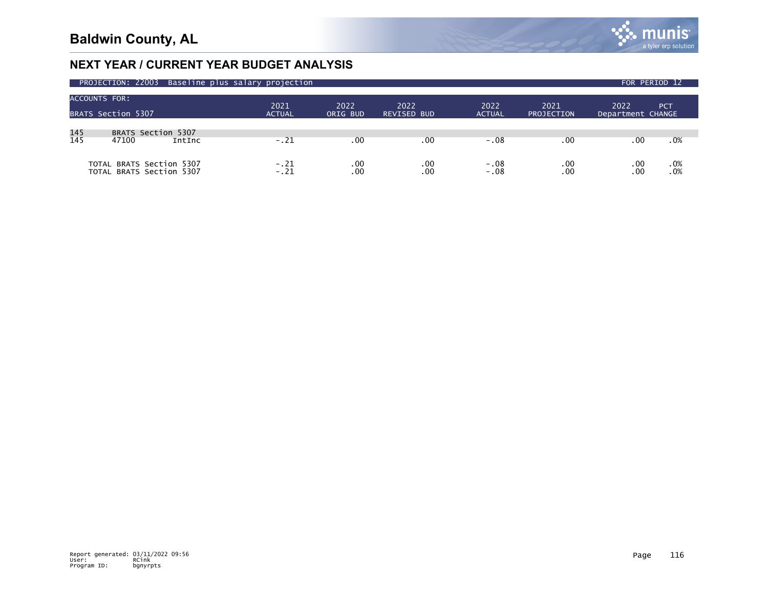

| PROJECTION: 22003 Baseline plus salary projection |                                                |                       |                                      |                     |                       |                           |                           |            |  |
|---------------------------------------------------|------------------------------------------------|-----------------------|--------------------------------------|---------------------|-----------------------|---------------------------|---------------------------|------------|--|
| <b>ACCOUNTS FOR:</b>                              | BRATS Section 5307                             | 2021<br><b>ACTUAL</b> | 2022<br>ORIG BUD                     | 2022<br>REVISED BUD | 2022<br><b>ACTUAL</b> | 2021<br><b>PROJECTION</b> | 2022<br>Department CHANGE | PCT        |  |
| 145<br>145                                        | BRATS Section 5307<br>47100<br>IntInc          | $-.21$                | $.00 \,$                             | .00                 | -.08                  | .00                       | .00                       | .0%        |  |
| <b>TOTAL</b>                                      | BRATS Section 5307<br>TOTAL BRATS Section 5307 | $-.21$<br>$-.21$      | .00 <sub>1</sub><br>.00 <sub>1</sub> | .00<br>.00          | $-.08$<br>$-.08$      | .00<br>.00                | .00<br>.00                | .0%<br>.0% |  |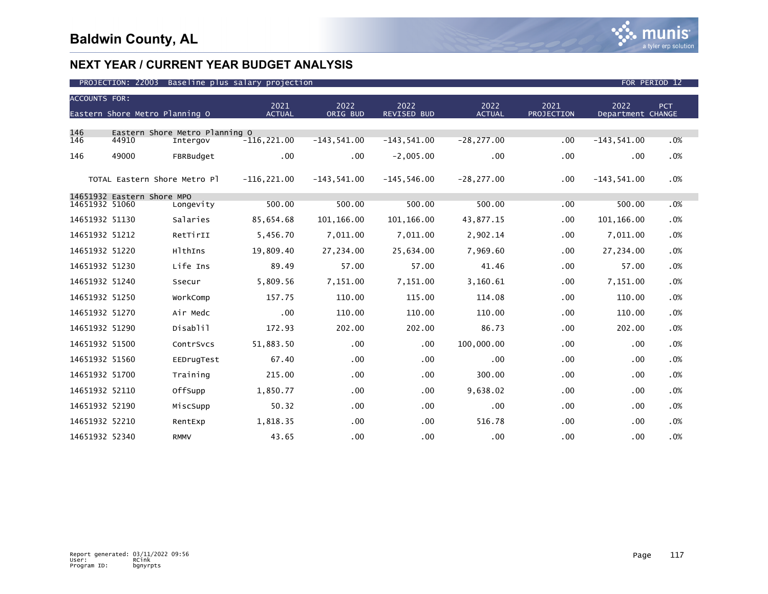### PROJECTION: 22003 Baseline plus salary projection FOR PERIOD 12

| <b>ACCOUNTS FOR:</b> | Eastern Shore Metro Planning O |                                            | 2021<br><b>ACTUAL</b> | 2022<br>ORIG BUD | 2022<br><b>REVISED BUD</b> | 2022<br><b>ACTUAL</b> | 2021<br>PROJECTION | 2022<br>Department CHANGE | <b>PCT</b> |
|----------------------|--------------------------------|--------------------------------------------|-----------------------|------------------|----------------------------|-----------------------|--------------------|---------------------------|------------|
|                      |                                |                                            |                       |                  |                            |                       |                    |                           |            |
| 146<br>146           | 44910                          | Eastern Shore Metro Planning O<br>Intergov | $-116, 221.00$        | $-143,541.00$    | $-143.541.00$              | $-28, 277.00$         | .00                | $-143,541.00$             | .0%        |
| 146                  | 49000                          | FBRBudget                                  | $.00 \,$              | $.00 \,$         | $-2,005.00$                | $.00 \,$              | .00                | .00                       | .0%        |
|                      | TOTAL Eastern Shore Metro Pl   |                                            | $-116, 221.00$        | $-143,541.00$    | $-145, 546.00$             | $-28, 277.00$         | .00                | $-143,541.00$             | .0%        |
| 14651932 51060       | 14651932 Eastern Shore MPO     |                                            | 500.00                | 500.00           | 500.00                     | 500.00                | .00                | 500.00                    | .0%        |
|                      |                                | Longevity                                  |                       |                  |                            |                       |                    |                           |            |
| 14651932 51130       |                                | Salaries                                   | 85,654.68             | 101,166.00       | 101, 166.00                | 43,877.15             | .00                | 101,166.00                | .0%        |
| 14651932 51212       |                                | RetTirII                                   | 5,456.70              | 7,011.00         | 7,011.00                   | 2,902.14              | .00                | 7,011.00                  | .0%        |
| 14651932 51220       |                                | HlthIns                                    | 19,809.40             | 27,234.00        | 25,634.00                  | 7,969.60              | .00                | 27,234.00                 | .0%        |
| 14651932 51230       |                                | Life Ins                                   | 89.49                 | 57.00            | 57.00                      | 41.46                 | .00                | 57.00                     | .0%        |
| 14651932 51240       |                                | Ssecur                                     | 5,809.56              | 7,151.00         | 7,151.00                   | 3,160.61              | .00                | 7,151.00                  | .0%        |
| 14651932 51250       |                                | WorkComp                                   | 157.75                | 110.00           | 115.00                     | 114.08                | .00                | 110.00                    | .0%        |
| 14651932 51270       |                                | Air Medc                                   | .00                   | 110.00           | 110.00                     | 110.00                | .00                | 110.00                    | .0%        |
| 14651932 51290       |                                | Disablil                                   | 172.93                | 202.00           | 202.00                     | 86.73                 | .00                | 202.00                    | .0%        |
| 14651932 51500       |                                | ContrSvcs                                  | 51,883.50             | .00 <sub>1</sub> | .00                        | 100,000.00            | .00                | .00 <sub>1</sub>          | .0%        |
| 14651932 51560       |                                | EEDrugTest                                 | 67.40                 | .00              | .00                        | .00                   | .00                | .00                       | .0%        |
| 14651932 51700       |                                | Training                                   | 215.00                | $.00 \times$     | .00                        | 300.00                | .00                | $.00 \,$                  | .0%        |
| 14651932 52110       |                                | OffSupp                                    | 1,850.77              | .00              | .00                        | 9,638.02              | .00                | .00                       | .0%        |
| 14651932 52190       |                                | MiscSupp                                   | 50.32                 | .00              | .00                        | .00                   | .00                | .00                       | .0%        |
| 14651932 52210       |                                | RentExp                                    | 1,818.35              | .00              | .00                        | 516.78                | .00                | .00                       | .0%        |
| 14651932 52340       |                                | <b>RMMV</b>                                | 43.65                 | .00              | .00                        | .00                   | .00                | .00                       | .0%        |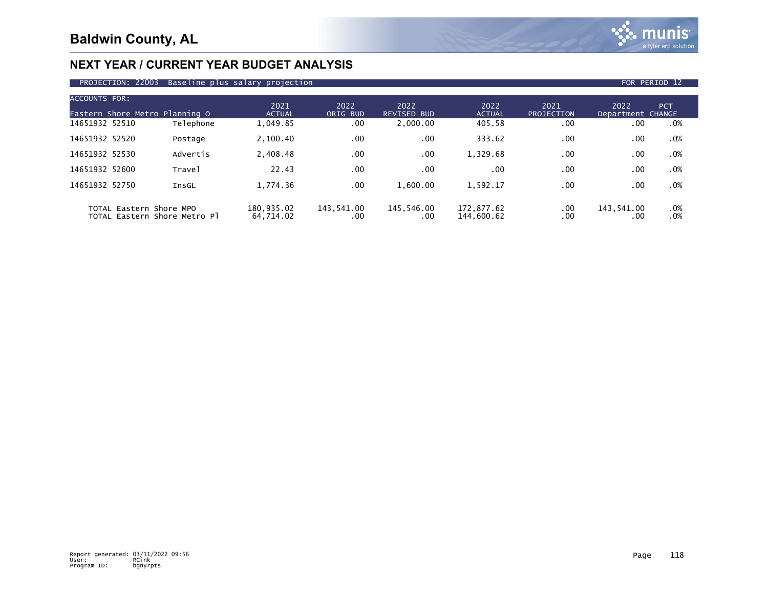

### PROJECTION: 22003 Baseline plus salary projection FOR PERIOD 12

| <b>ACCOUNTS FOR:</b><br>Eastern Shore Metro Planning O |                              | 2021<br><b>ACTUAL</b>   | 2022<br>ORIG BUD  | 2022<br><b>REVISED BUD</b> | 2022<br><b>ACTUAL</b>    | 2021<br>PROJECTION | 2022<br>Department CHANGE | PCT.       |
|--------------------------------------------------------|------------------------------|-------------------------|-------------------|----------------------------|--------------------------|--------------------|---------------------------|------------|
| 14651932 52510                                         | Telephone                    | 1,049.85                | $.00 \times$      | 2,000.00                   | 405.58                   | .00                | .00                       | .0%        |
| 14651932 52520                                         | Postage                      | 2,100.40                | .00               | .00                        | 333.62                   | .00                | .00                       | .0%        |
| 14651932 52530                                         | Advertis                     | 2,408.48                | .00               | .00                        | 1,329.68                 | .00                | .00                       | .0%        |
| 14651932 52600                                         | Trave <sub>1</sub>           | 22.43                   | .00               | .00                        | .00                      | .00.               | .00                       | .0%        |
| 14651932 52750                                         | InsGL                        | 1,774.36                | .00               | 1,600.00                   | 1,592.17                 | .00                | .00                       | .0%        |
| TOTAL Eastern Shore MPO                                | TOTAL Eastern Shore Metro Pl | 180,935.02<br>64,714.02 | 143,541.00<br>.00 | 145,546.00<br>.00          | 172.877.62<br>144,600.62 | .00<br>.00         | 143,541.00<br>.00         | .0%<br>.0% |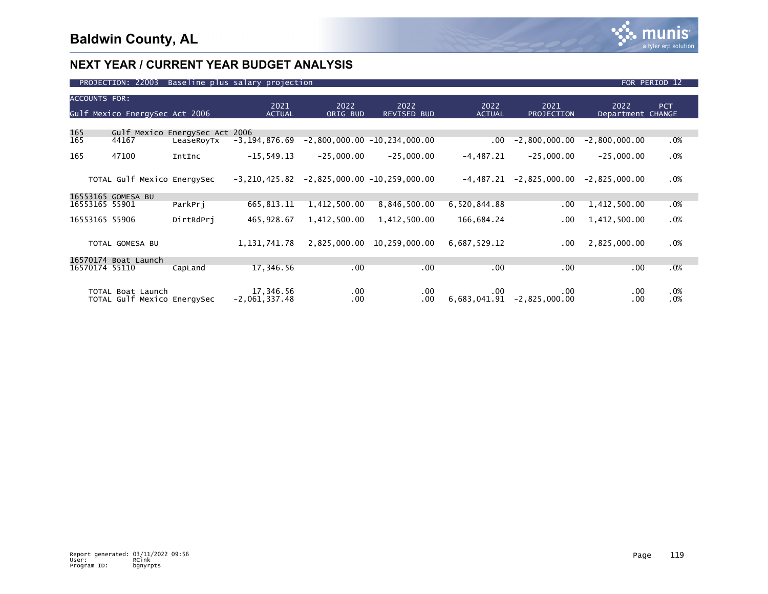

| PROJECTION: 22003 Baseline plus salary projection | FOR PERIOD 12 |  |  |
|---------------------------------------------------|---------------|--|--|
|---------------------------------------------------|---------------|--|--|

| <b>ACCOUNTS FOR:</b> | Gulf Mexico EnergySec Act 2006                   |                    | 2021<br><b>ACTUAL</b>        | 2022<br>ORIG BUD | 2022<br><b>REVISED BUD</b>     | 2022<br><b>ACTUAL</b> | 2021<br>PROJECTION     | 2022<br>Department CHANGE | <b>PCT</b>    |
|----------------------|--------------------------------------------------|--------------------|------------------------------|------------------|--------------------------------|-----------------------|------------------------|---------------------------|---------------|
|                      |                                                  |                    |                              |                  |                                |                       |                        |                           |               |
| 165                  | Gulf Mexico                                      | EnergySec Act 2006 |                              |                  |                                |                       |                        |                           |               |
| 165                  | 44167                                            | LeaseRoyTx         | $-3, 194, 876.69$            |                  | $-2,800,000.00 -10,234,000.00$ | .00                   | $-2,800,000.00$        | $-2,800,000.00$           | $.0\%$        |
| 165                  | 47100                                            | IntInc             | $-15,549.13$                 | $-25,000.00$     | $-25,000.00$                   | $-4,487.21$           | $-25,000.00$           | $-25,000.00$              | $.0\%$        |
|                      | TOTAL Gulf Mexico EnergySec                      |                    | $-3, 210, 425.82$            |                  | $-2,825,000.00 -10,259,000.00$ | $-4,487.21$           | $-2,825,000.00$        | $-2,825,000.00$           | $.0\%$        |
|                      | 16553165 GOMESA BU                               |                    |                              |                  |                                |                       |                        |                           |               |
| 16553165 55901       |                                                  | ParkPri            | 665,813.11                   | 1,412,500.00     | 8,846,500.00                   | 6,520,844.88          | $.00 \,$               | 1,412,500.00              | $.0\%$        |
| 16553165 55906       |                                                  | DirtRdPri          | 465,928.67                   | 1,412,500.00     | 1,412,500.00                   | 166,684.24            | $.00 \,$               | 1,412,500.00              | $.0\%$        |
|                      | TOTAL GOMESA BU                                  |                    | 1, 131, 741. 78              | 2,825,000.00     | 10,259,000.00                  | 6,687,529.12          | .00.                   | 2,825,000.00              | .0%           |
|                      | 16570174 Boat Launch                             |                    |                              |                  |                                |                       |                        |                           |               |
| 16570174 55110       |                                                  | CapLand            | 17,346.56                    | $.00 \times$     | $.00 \times$                   | .00                   | .00.                   | .00                       | $.0\%$        |
|                      | TOTAL Boat Launch<br>TOTAL Gulf Mexico EnergySec |                    | 17,346.56<br>$-2,061,337.48$ | $.00 \,$<br>.00. | $.00 \,$<br>.00                | .00.<br>6,683,041.91  | .00<br>$-2,825,000.00$ | .00<br>.00                | $.0\%$<br>.0% |
|                      |                                                  |                    |                              |                  |                                |                       |                        |                           |               |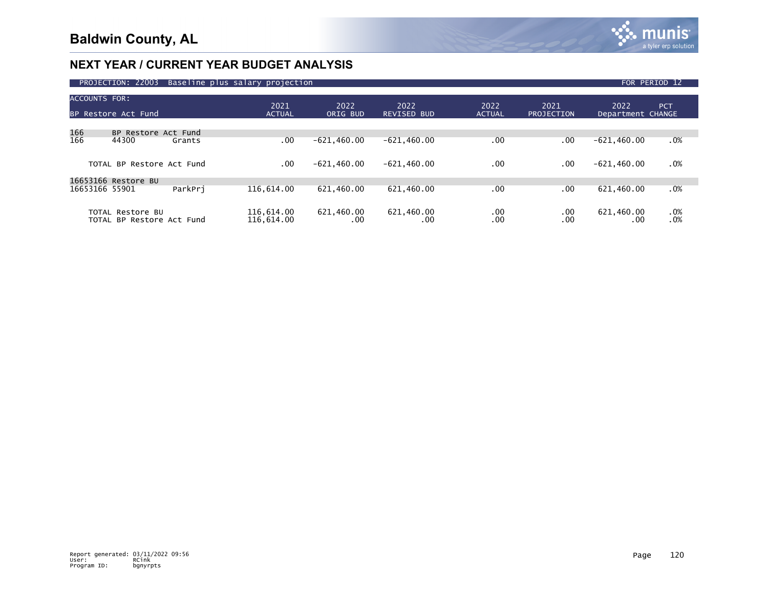

|                      | PROJECTION: 22003                             |         | Baseline plus salary projection |                   |                            |                       |                           |                           | FOR PERIOD 12      |
|----------------------|-----------------------------------------------|---------|---------------------------------|-------------------|----------------------------|-----------------------|---------------------------|---------------------------|--------------------|
| <b>ACCOUNTS FOR:</b> | BP Restore Act Fund                           |         | 2021<br><b>ACTUAL</b>           | 2022<br>ORIG BUD  | 2022<br><b>REVISED BUD</b> | 2022<br><b>ACTUAL</b> | 2021<br><b>PROJECTION</b> | 2022<br>Department CHANGE | <b>PCT</b>         |
|                      | BP Restore Act Fund                           |         |                                 |                   |                            |                       |                           |                           |                    |
| 166<br>166           | 44300                                         | Grants  | .00                             | $-621.460.00$     | $-621, 460.00$             | .00                   | .00.                      | $-621,460.00$             | $.0\%$             |
|                      | TOTAL BP Restore Act Fund                     |         | .00                             | $-621,460.00$     | $-621,460.00$              | .00                   | .00                       | $-621,460.00$             | .0%                |
|                      | 16653166 Restore BU                           |         |                                 |                   |                            |                       |                           |                           |                    |
| 16653166 55901       |                                               | ParkPri | 116,614.00                      | 621,460.00        | 621,460.00                 | .00                   | $.00 \,$                  | 621,460.00                | .0%                |
|                      | TOTAL Restore BU<br>TOTAL BP Restore Act Fund |         | 116,614.00<br>116,614.00        | 621,460.00<br>.00 | 621,460.00<br>.00          | .00<br>.00            | .00<br>.00                | 621,460.00<br>$.00 \,$    | $\substack{.0\%0}$ |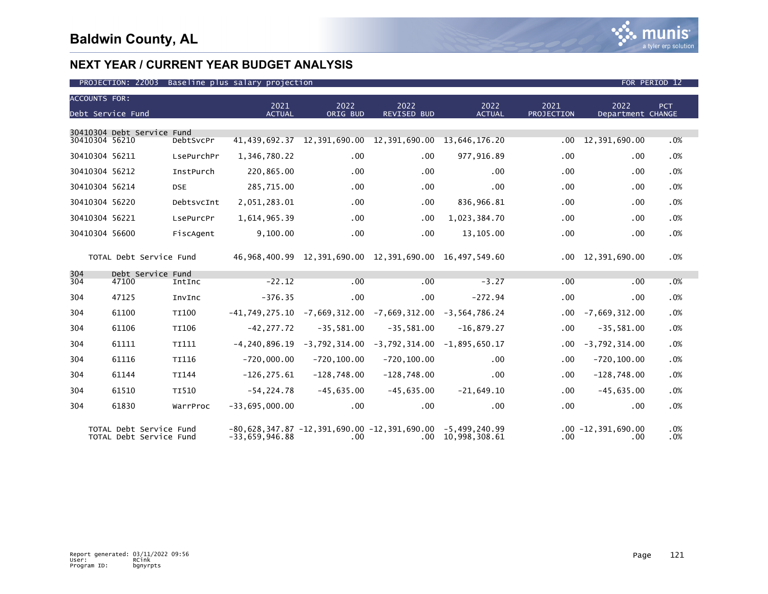

| <b>ACCOUNTS FOR:</b> |                                                    |              |                                                                    |                 |                                                                 |                                              |                   |                                |            |
|----------------------|----------------------------------------------------|--------------|--------------------------------------------------------------------|-----------------|-----------------------------------------------------------------|----------------------------------------------|-------------------|--------------------------------|------------|
|                      |                                                    |              | 2021                                                               | 2022            | 2022                                                            | 2022                                         | 2021              | 2022                           | <b>PCT</b> |
|                      | Debt Service Fund                                  |              | <b>ACTUAL</b>                                                      | ORIG BUD        | <b>REVISED BUD</b>                                              | <b>ACTUAL</b>                                | <b>PROJECTION</b> | Department CHANGE              |            |
|                      | 30410304 Debt Service Fund                         |              |                                                                    |                 |                                                                 |                                              |                   |                                |            |
| 30410304 56210       |                                                    | DebtSvcPr    |                                                                    |                 | 41, 439, 692.37 12, 391, 690.00 12, 391, 690.00 13, 646, 176.20 |                                              | .00               | 12,391,690.00                  | .0%        |
| 30410304 56211       |                                                    | LsePurchPr   | 1,346,780.22                                                       | .00             | $.00 \,$                                                        | 977,916.89                                   | .00               | .00                            | .0%        |
| 30410304 56212       |                                                    | InstPurch    | 220,865.00                                                         | .00             | $.00 \,$                                                        | .00                                          | .00               | .00                            | .0%        |
| 30410304 56214       |                                                    | <b>DSE</b>   | 285,715.00                                                         | .00             | $.00 \times$                                                    | $.00 \,$                                     | .00               | .00                            | .0%        |
| 30410304 56220       |                                                    | DebtsvcInt   | 2,051,283.01                                                       | .00             | $.00 \,$                                                        | 836,966.81                                   | .00               | .00                            | .0%        |
| 30410304 56221       |                                                    | LsePurcPr    | 1,614,965.39                                                       | $.00 \,$        | .00.                                                            | 1,023,384.70                                 | .00               | .00                            | .0%        |
| 30410304 56600       |                                                    | FiscAgent    | 9,100.00                                                           | .00             | .00                                                             | 13,105.00                                    | .00               | .00                            | .0%        |
|                      |                                                    |              |                                                                    |                 |                                                                 |                                              |                   |                                |            |
|                      | TOTAL Debt Service Fund                            |              |                                                                    |                 | 46,968,400.99 12,391,690.00 12,391,690.00 16,497,549.60         |                                              |                   | $.00 \quad 12,391,690.00$      | .0%        |
| 304                  | Debt Service Fund                                  |              |                                                                    |                 |                                                                 |                                              |                   |                                |            |
| 304                  | 47100                                              | IntInc       | $-22.12$                                                           | .00             | .00                                                             | $-3.27$                                      | .00               | .00                            | .0%        |
| 304                  | 47125                                              | InvInc       | $-376.35$                                                          | $.00 \times$    | $.00 \,$                                                        | $-272.94$                                    | .00               | .00                            | .0%        |
| 304                  | 61100                                              | TI100        | $-41,749,275.10$                                                   | -7,669,312.00   | -7,669,312.00                                                   | $-3,564,786.24$                              | .00 <sub>1</sub>  | $-7,669,312.00$                | .0%        |
| 304                  | 61106                                              | <b>TI106</b> | $-42.277.72$                                                       | $-35,581.00$    | $-35,581.00$                                                    | $-16.879.27$                                 | .00               | $-35,581.00$                   | .0%        |
| 304                  | 61111                                              | TI111        | $-4, 240, 896.19$                                                  | $-3,792,314.00$ | $-3,792,314.00$                                                 | $-1,895,650.17$                              | $.00 \,$          | $-3,792,314.00$                | .0%        |
| 304                  | 61116                                              | TI116        | $-720,000.00$                                                      | $-720, 100.00$  | $-720, 100.00$                                                  | $.00 \,$                                     | .00               | $-720, 100.00$                 | .0%        |
| 304                  | 61144                                              | <b>TI144</b> | $-126, 275.61$                                                     | $-128,748.00$   | $-128,748.00$                                                   | $.00 \times$                                 | .00               | $-128,748.00$                  | .0%        |
| 304                  | 61510                                              | TI510        | $-54, 224.78$                                                      | $-45,635.00$    | $-45,635.00$                                                    | $-21,649.10$                                 | $.00 \,$          | $-45,635.00$                   | .0%        |
| 304                  | 61830                                              | WarrProc     | $-33,695,000.00$                                                   | $.00 \,$        | .00                                                             | $.00 \times$                                 | .00               | .00                            | .0%        |
|                      |                                                    |              |                                                                    |                 |                                                                 |                                              |                   |                                |            |
|                      | TOTAL Debt Service Fund<br>TOTAL Debt Service Fund |              | $-80,628,347.87 -12,391,690.00 -12,391,690.00$<br>$-33.659.946.88$ | $.00 \,$        |                                                                 | $-5,499,240.99$<br>$.00 \quad 10,998,308.61$ | $.00 \,$          | $.00 - 12, 391, 690.00$<br>.00 | .0%<br>.0% |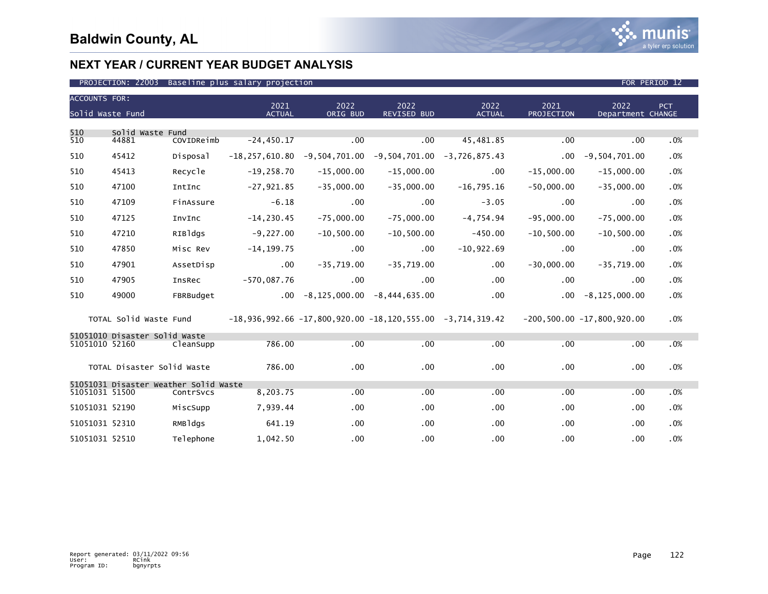

| <b>ACCOUNTS FOR:</b> |                                       |            |                                                                                   |                                       |                                                                              |                       |                    |                                 |      |  |
|----------------------|---------------------------------------|------------|-----------------------------------------------------------------------------------|---------------------------------------|------------------------------------------------------------------------------|-----------------------|--------------------|---------------------------------|------|--|
|                      | Solid Waste Fund                      |            | 2021<br><b>ACTUAL</b>                                                             | 2022<br>ORIG BUD                      | 2022<br><b>REVISED BUD</b>                                                   | 2022<br><b>ACTUAL</b> | 2021<br>PROJECTION | 2022<br>Department CHANGE       | PCT. |  |
|                      |                                       |            |                                                                                   |                                       |                                                                              |                       |                    |                                 |      |  |
| 510<br>510           | Solid Waste Fund<br>44881             | COVIDReimb | $-24, 450.17$                                                                     | .00                                   | .00                                                                          | 45,481.85             | .00                | .00                             | .0%  |  |
| 510                  | 45412                                 | Disposal   |                                                                                   |                                       | $-18, 257, 610, 80$ $-9, 504, 701, 00$ $-9, 504, 701, 00$ $-3, 726, 875, 43$ |                       | $.00 \,$           | $-9,504,701.00$                 | .0%  |  |
| 510                  | 45413                                 | Recycle    | $-19,258.70$                                                                      | $-15,000.00$                          | $-15,000.00$                                                                 | $.00 \,$              | $-15,000.00$       | $-15,000.00$                    | .0%  |  |
| 510                  | 47100                                 | IntInc     | $-27,921.85$                                                                      | $-35,000.00$                          | $-35,000.00$                                                                 | $-16,795.16$          | $-50,000.00$       | $-35,000.00$                    | .0%  |  |
| 510                  | 47109                                 | FinAssure  | $-6.18$                                                                           | $.00 \,$                              | $.00 \,$                                                                     | $-3.05$               | $.00 \,$           | .00                             | .0%  |  |
| 510                  | 47125                                 | InvInc     | $-14, 230.45$                                                                     | $-75,000.00$                          | $-75,000.00$                                                                 | $-4.754.94$           | $-95,000.00$       | $-75,000.00$                    | .0%  |  |
| 510                  | 47210                                 | RIBldgs    | $-9,227.00$                                                                       | $-10,500.00$                          | $-10,500.00$                                                                 | $-450.00$             | $-10,500.00$       | $-10,500.00$                    | .0%  |  |
| 510                  | 47850                                 | Misc Rev   | $-14, 199.75$                                                                     | $.00 \,$                              | $.00 \,$                                                                     | $-10,922.69$          | .00                | .00                             | .0%  |  |
| 510                  | 47901                                 | AssetDisp  | $.00 \,$                                                                          | $-35,719.00$                          | $-35,719.00$                                                                 | $.00 \times$          | $-30,000.00$       | $-35,719.00$                    | .0%  |  |
| 510                  | 47905                                 | InsRec     | $-570,087.76$                                                                     | $.00 \,$                              | $.00 \cdot$                                                                  | $.00 \,$              | $.00 \,$           | $.00 \,$                        | .0%  |  |
| 510                  | 49000                                 | FBRBudget  |                                                                                   | $-0.00 - 8,125,000.00 - 8,444,635.00$ |                                                                              | $.00 \,$              |                    | $.00 - 8, 125, 000.00$          | .0%  |  |
|                      |                                       |            | TOTAL Solid Waste Fund -18,936,992.66 -17,800,920.00 -18,120,555.00 -3,714,319.42 |                                       |                                                                              |                       |                    | $-200, 500.00 -17, 800, 920.00$ | .0%  |  |
|                      | 51051010 Disaster Solid Waste         |            |                                                                                   |                                       |                                                                              |                       |                    |                                 |      |  |
| 51051010 52160       |                                       | CleanSupp  | 786.00                                                                            | .00                                   | .00                                                                          | .00                   | .00                | .00                             | .0%  |  |
|                      | TOTAL Disaster Solid Waste            |            | 786.00                                                                            | .00                                   | .00 <sub>1</sub>                                                             | .00                   | .00                | .00                             | .0%  |  |
|                      | 51051031 Disaster Weather Solid Waste |            |                                                                                   |                                       |                                                                              |                       |                    |                                 |      |  |
| 51051031 51500       |                                       | ContrSvcs  | 8,203.75                                                                          | .00                                   | .00                                                                          | .00                   | .00                | .00                             | .0%  |  |
| 51051031 52190       |                                       | MiscSupp   | 7,939.44                                                                          | .00                                   | $.00 \,$                                                                     | $.00 \,$              | .00                | $.00 \,$                        | .0%  |  |
| 51051031 52310       |                                       | RMBldgs    | 641.19                                                                            | .00                                   | $.00 \,$                                                                     | $.00 \,$              | .00                | $.00 \,$                        | .0%  |  |
| 51051031 52510       |                                       | Telephone  | 1.042.50                                                                          | .00 <sub>1</sub>                      | .00 <sub>1</sub>                                                             | $.00 \,$              | .00                | .00 <sub>1</sub>                | .0%  |  |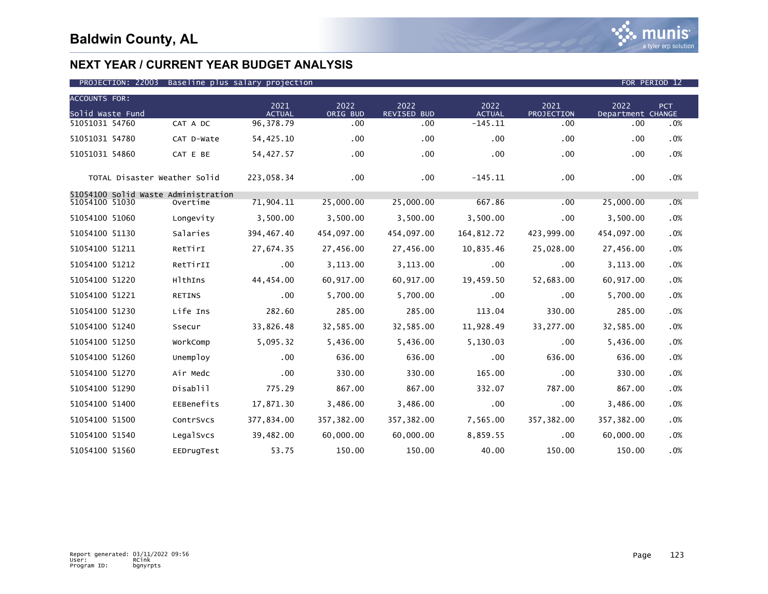### PROJECTION: 22003 Baseline plus salary projection FOR PERIOD 12

| <b>ACCOUNTS FOR:</b>                |               |                       |                  |                     |                       |                    |                           |            |
|-------------------------------------|---------------|-----------------------|------------------|---------------------|-----------------------|--------------------|---------------------------|------------|
| Solid Waste Fund                    |               | 2021<br><b>ACTUAL</b> | 2022<br>ORIG BUD | 2022<br>REVISED BUD | 2022<br><b>ACTUAL</b> | 2021<br>PROJECTION | 2022<br>Department CHANGE | <b>PCT</b> |
| 51051031 54760                      | CAT A DC      | 96, 378.79            | .00              | .00                 | $-145.11$             | .00                | .00                       | .0%        |
| 51051031 54780                      | CAT D-Wate    | 54,425.10             | .00              | .00                 | .00                   | .00                | .00                       | .0%        |
| 51051031 54860                      | CAT E BE      | 54,427.57             | $.00 \times$     | .00                 | .00                   | .00                | .00                       | .0%        |
| TOTAL Disaster Weather Solid        |               | 223,058.34            | .00              | $.00 \,$            | $-145.11$             | .00                | .00                       | .0%        |
| 51054100 Solid Waste Administration |               |                       |                  |                     |                       |                    |                           |            |
| 51054100 51030                      | Overtime      | 71,904.11             | 25,000.00        | 25,000.00           | 667.86                | .00                | 25,000.00                 | $.0\%$     |
| 51054100 51060                      | Longevity     | 3,500.00              | 3,500.00         | 3,500.00            | 3,500.00              | .00                | 3,500.00                  | .0%        |
| 51054100 51130                      | Salaries      | 394, 467.40           | 454,097.00       | 454,097.00          | 164,812.72            | 423,999.00         | 454,097.00                | .0%        |
| 51054100 51211                      | RetTirI       | 27,674.35             | 27,456.00        | 27,456.00           | 10,835.46             | 25,028.00          | 27,456.00                 | .0%        |
| 51054100 51212                      | RetTirII      | .00                   | 3,113.00         | 3,113.00            | .00                   | .00                | 3,113.00                  | .0%        |
| 51054100 51220                      | HlthIns       | 44,454.00             | 60,917.00        | 60,917.00           | 19,459.50             | 52,683.00          | 60,917.00                 | .0%        |
| 51054100 51221                      | <b>RETINS</b> | $.00 \,$              | 5,700.00         | 5,700.00            | .00                   | .00                | 5,700.00                  | .0%        |
| 51054100 51230                      | Life Ins      | 282.60                | 285.00           | 285.00              | 113.04                | 330.00             | 285.00                    | .0%        |
| 51054100 51240                      | Ssecur        | 33,826.48             | 32,585.00        | 32,585.00           | 11,928.49             | 33,277.00          | 32,585.00                 | .0%        |
| 51054100 51250                      | WorkComp      | 5,095.32              | 5,436.00         | 5,436.00            | 5,130.03              | .00                | 5,436.00                  | .0%        |
| 51054100 51260                      | Unemploy      | .00                   | 636.00           | 636.00              | .00                   | 636.00             | 636.00                    | .0%        |
| 51054100 51270                      | Air Medc      | .00                   | 330.00           | 330.00              | 165.00                | .00                | 330.00                    | .0%        |
| 51054100 51290                      | Disablil      | 775.29                | 867.00           | 867.00              | 332.07                | 787.00             | 867.00                    | .0%        |
| 51054100 51400                      | EEBenefits    | 17,871.30             | 3,486.00         | 3,486.00            | .00                   | .00                | 3,486.00                  | .0%        |
| 51054100 51500                      | ContrSvcs     | 377,834.00            | 357, 382.00      | 357,382.00          | 7,565.00              | 357, 382.00        | 357,382.00                | .0%        |
| 51054100 51540                      | LegalSvcs     | 39,482.00             | 60,000.00        | 60,000.00           | 8,859.55              | .00                | 60,000.00                 | .0%        |
| 51054100 51560                      | EEDrugTest    | 53.75                 | 150.00           | 150.00              | 40.00                 | 150.00             | 150.00                    | .0%        |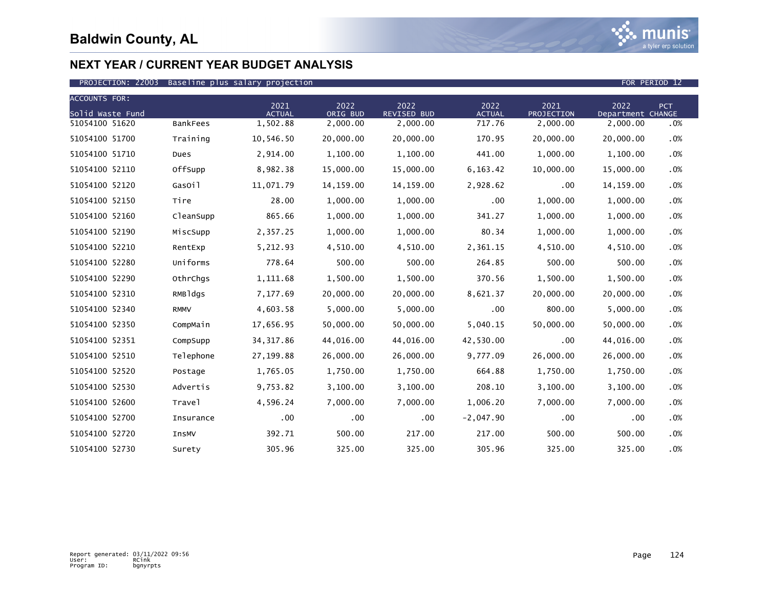

| <b>ACCOUNTS FOR:</b> |                 | 2021          | 2022       | 2022               | 2022          | 2021       | 2022              | <b>PCT</b> |
|----------------------|-----------------|---------------|------------|--------------------|---------------|------------|-------------------|------------|
| Solid Waste Fund     |                 | <b>ACTUAL</b> | ORIG BUD   | <b>REVISED BUD</b> | <b>ACTUAL</b> | PROJECTION | Department CHANGE |            |
| 51054100 51620       | <b>BankFees</b> | 1,502.88      | 2,000.00   | 2,000.00           | 717.76        | 2,000.00   | 2,000.00          | .0%        |
| 51054100 51700       | Training        | 10,546.50     | 20,000.00  | 20,000.00          | 170.95        | 20,000.00  | 20,000.00         | .0%        |
| 51054100 51710       | Dues            | 2,914.00      | 1,100.00   | 1,100.00           | 441.00        | 1,000.00   | 1,100.00          | .0%        |
| 51054100 52110       | OffSupp         | 8,982.38      | 15,000.00  | 15,000.00          | 6,163.42      | 10,000.00  | 15,000.00         | .0%        |
| 51054100 52120       | GasOil          | 11,071.79     | 14, 159.00 | 14,159.00          | 2,928.62      | .00        | 14,159.00         | .0%        |
| 51054100 52150       | Tire            | 28.00         | 1,000.00   | 1,000.00           | .00           | 1,000.00   | 1,000.00          | .0%        |
| 51054100 52160       | CleanSupp       | 865.66        | 1,000.00   | 1,000.00           | 341.27        | 1,000.00   | 1,000.00          | .0%        |
| 51054100 52190       | MiscSupp        | 2,357.25      | 1,000.00   | 1,000.00           | 80.34         | 1,000.00   | 1,000.00          | .0%        |
| 51054100 52210       | RentExp         | 5,212.93      | 4,510.00   | 4,510.00           | 2,361.15      | 4,510.00   | 4,510.00          | .0%        |
| 51054100 52280       | Uniforms        | 778.64        | 500.00     | 500.00             | 264.85        | 500.00     | 500.00            | .0%        |
| 51054100 52290       | OthrChqs        | 1,111.68      | 1,500.00   | 1,500.00           | 370.56        | 1,500.00   | 1,500.00          | .0%        |
| 51054100 52310       | RMBldgs         | 7,177.69      | 20,000.00  | 20,000.00          | 8,621.37      | 20,000.00  | 20,000.00         | .0%        |
| 51054100 52340       | <b>RMMV</b>     | 4,603.58      | 5,000.00   | 5,000.00           | .00           | 800.00     | 5,000.00          | $.0\%$     |
| 51054100 52350       | CompMain        | 17,656.95     | 50,000.00  | 50,000.00          | 5,040.15      | 50,000.00  | 50,000.00         | .0%        |
| 51054100 52351       | CompSupp        | 34, 317.86    | 44,016.00  | 44,016.00          | 42,530.00     | .00        | 44,016.00         | .0%        |
| 51054100 52510       | Telephone       | 27,199.88     | 26,000.00  | 26,000.00          | 9,777.09      | 26,000.00  | 26,000.00         | .0%        |
| 51054100 52520       | Postage         | 1,765.05      | 1,750.00   | 1,750.00           | 664.88        | 1,750.00   | 1,750.00          | .0%        |
| 51054100 52530       | Advertis        | 9,753.82      | 3,100.00   | 3,100.00           | 208.10        | 3,100.00   | 3,100.00          | .0%        |
| 51054100 52600       | Travel          | 4,596.24      | 7,000.00   | 7,000.00           | 1,006.20      | 7,000.00   | 7,000.00          | .0%        |
| 51054100 52700       | Insurance       | .00           | .00.       | $.00 \,$           | $-2,047.90$   | .00        | .00               | .0%        |
| 51054100 52720       | InsMV           | 392.71        | 500.00     | 217.00             | 217.00        | 500.00     | 500.00            | .0%        |
| 51054100 52730       | Surety          | 305.96        | 325.00     | 325.00             | 305.96        | 325.00     | 325.00            | .0%        |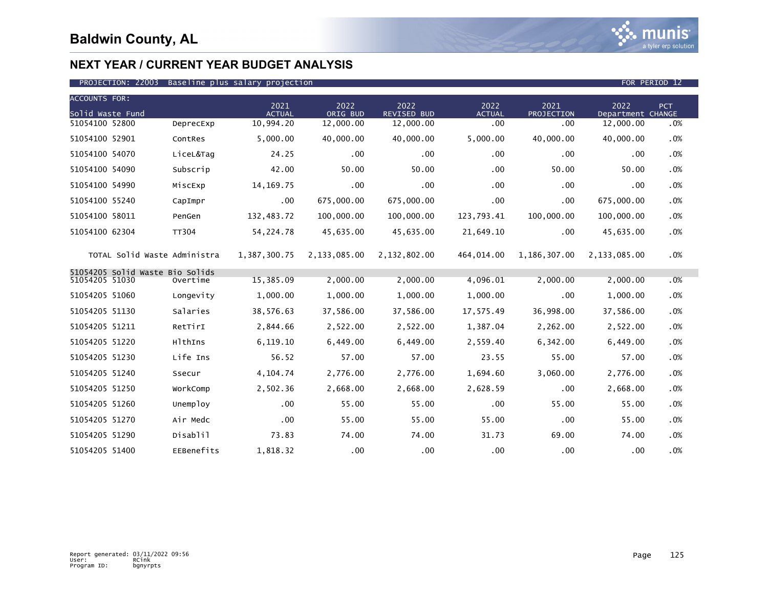

### PROJECTION: 22003 Baseline plus salary projection FOR PERIOD 12

| <b>ACCOUNTS FOR:</b>                              |              |                       |                  |                            |                       |                    |                           |            |
|---------------------------------------------------|--------------|-----------------------|------------------|----------------------------|-----------------------|--------------------|---------------------------|------------|
| Solid Waste Fund                                  |              | 2021<br><b>ACTUAL</b> | 2022<br>ORIG BUD | 2022<br><b>REVISED BUD</b> | 2022<br><b>ACTUAL</b> | 2021<br>PROJECTION | 2022<br>Department CHANGE | <b>PCT</b> |
| 51054100 52800                                    | DeprecExp    | 10,994.20             | 12,000.00        | 12,000.00                  | .00                   | .00                | 12,000.00                 | .0%        |
| 51054100 52901                                    | ContRes      | 5.000.00              | 40,000,00        | 40.000.00                  | 5.000.00              | 40,000.00          | 40.000.00                 | .0%        |
| 51054100 54070                                    | LiceL&Tag    | 24.25                 | .00              | .00                        | $.00 \times$          | .00                | $.00 \,$                  | .0%        |
| 51054100 54090                                    | Subscrip     | 42.00                 | 50.00            | 50.00                      | $.00 \,$              | 50.00              | 50.00                     | .0%        |
| 51054100 54990                                    | MiscExp      | 14, 169. 75           | .00              | .00                        | .00                   | .00                | .00                       | .0%        |
| 51054100 55240                                    | CapImpr      | $.00 \,$              | 675,000.00       | 675,000.00                 | .00                   | .00                | 675,000.00                | .0%        |
| 51054100 58011                                    | PenGen       | 132,483.72            | 100,000.00       | 100,000.00                 | 123,793.41            | 100,000.00         | 100,000.00                | .0%        |
| 51054100 62304                                    | <b>TT304</b> | 54, 224. 78           | 45,635.00        | 45,635.00                  | 21,649.10             | .00                | 45,635.00                 | .0%        |
| TOTAL Solid Waste Administra                      |              | 1,387,300.75          | 2,133,085.00     | 2,132,802.00               | 464,014.00            | 1,186,307.00       | 2,133,085.00              | .0%        |
| 51054205 Solid Waste Bio Solids<br>51054205 51030 | Overtime     | 15,385.09             | 2.000.00         | 2,000.00                   | 4,096.01              | 2,000.00           | 2,000.00                  | .0%        |
| 51054205 51060                                    | Longevity    | 1,000.00              | 1,000.00         | 1,000.00                   | 1,000.00              | .00                | 1,000.00                  | .0%        |
| 51054205 51130                                    | Salaries     | 38,576.63             | 37,586.00        | 37,586.00                  | 17,575.49             | 36,998.00          | 37,586.00                 | .0%        |
| 51054205 51211                                    | RetTirI      | 2,844.66              | 2,522.00         | 2,522.00                   | 1,387.04              | 2,262.00           | 2,522.00                  | .0%        |
| 51054205 51220                                    | HlthIns      | 6,119.10              | 6,449.00         | 6,449.00                   | 2,559.40              | 6,342.00           | 6,449.00                  | .0%        |
| 51054205 51230                                    | Life Ins     | 56.52                 | 57.00            | 57.00                      | 23.55                 | 55.00              | 57.00                     | .0%        |
| 51054205 51240                                    | Ssecur       | 4,104.74              | 2,776.00         | 2,776.00                   | 1,694.60              | 3,060.00           | 2,776.00                  | .0%        |
| 51054205 51250                                    | WorkComp     | 2,502.36              | 2,668.00         | 2,668.00                   | 2,628.59              | .00                | 2,668.00                  | .0%        |
| 51054205 51260                                    | Unemploy     | $.00 \,$              | 55.00            | 55.00                      | .00                   | 55.00              | 55.00                     | .0%        |
| 51054205 51270                                    | Air Medc     | .00                   | 55.00            | 55.00                      | 55.00                 | .00                | 55.00                     | .0%        |
| 51054205 51290                                    | Disablil     | 73.83                 | 74.00            | 74.00                      | 31.73                 | 69.00              | 74.00                     | .0%        |
| 51054205 51400                                    | EEBenefits   | 1,818.32              | .00              | .00                        | .00                   | .00                | .00                       | .0%        |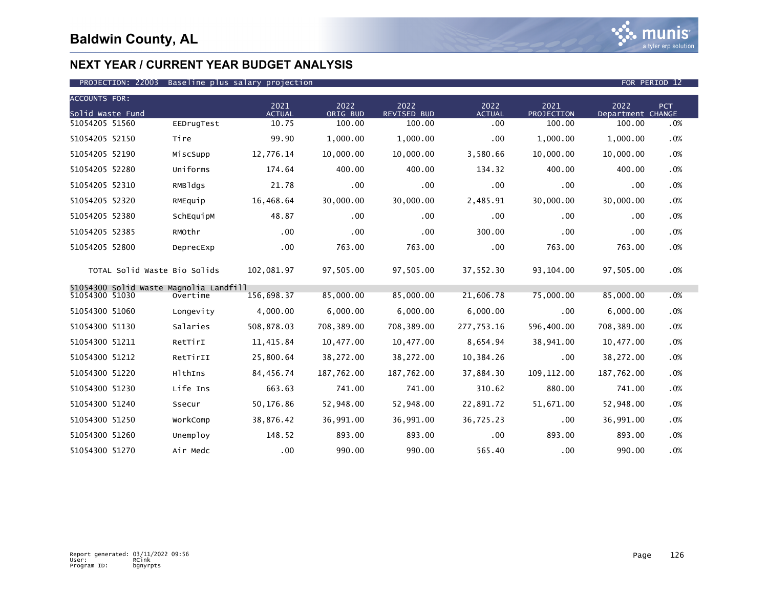

### PROJECTION: 22003 Baseline plus salary projection FOR PERIOD 12

| <b>ACCOUNTS FOR:</b>                   |            |                       |                  |                            |                       |                           |                           |        |
|----------------------------------------|------------|-----------------------|------------------|----------------------------|-----------------------|---------------------------|---------------------------|--------|
| Solid Waste Fund                       |            | 2021<br><b>ACTUAL</b> | 2022<br>ORIG BUD | 2022<br><b>REVISED BUD</b> | 2022<br><b>ACTUAL</b> | 2021<br><b>PROJECTION</b> | 2022<br>Department CHANGE | PCT    |
| 51054205 51560                         | EEDrugTest | 10.75                 | 100.00           | 100.00                     | .00                   | 100.00                    | 100.00                    | .0%    |
| 51054205 52150                         | Tire       | 99.90                 | 1,000.00         | 1,000.00                   | .00                   | 1,000.00                  | 1,000.00                  | .0%    |
| 51054205 52190                         | MiscSupp   | 12,776.14             | 10,000.00        | 10,000.00                  | 3,580.66              | 10,000.00                 | 10,000.00                 | .0%    |
| 51054205 52280                         | Uniforms   | 174.64                | 400.00           | 400.00                     | 134.32                | 400.00                    | 400.00                    | .0%    |
| 51054205 52310                         | RMBldgs    | 21.78                 | $.00 \,$         | $.00 \,$                   | .00                   | .00                       | .00                       | .0%    |
| 51054205 52320                         | RMEquip    | 16,468.64             | 30,000.00        | 30,000.00                  | 2,485.91              | 30,000.00                 | 30,000.00                 | $.0\%$ |
| 51054205 52380                         | SchEquipM  | 48.87                 | .00              | $.00 \,$                   | .00                   | .00                       | $.00 \,$                  | .0%    |
| 51054205 52385                         | RMOthr     | .00                   | $.00 \times$     | .00 <sub>1</sub>           | 300.00                | .00                       | .00                       | .0%    |
| 51054205 52800                         | DeprecExp  | $.00 \,$              | 763.00           | 763.00                     | .00                   | 763.00                    | 763.00                    | .0%    |
| TOTAL Solid Waste Bio Solids           |            | 102,081.97            | 97,505.00        | 97,505.00                  | 37,552.30             | 93,104.00                 | 97,505.00                 | .0%    |
| 51054300 Solid Waste Magnolia Landfill | Overtime   |                       | 85,000.00        | 85,000.00                  | 21,606.78             | 75,000.00                 |                           | .0%    |
| 51054300 51030                         |            | 156,698.37            |                  |                            |                       |                           | 85,000.00                 |        |
| 51054300 51060                         | Longevity  | 4,000.00              | 6,000.00         | 6,000.00                   | 6,000.00              | .00                       | 6,000.00                  | .0%    |
| 51054300 51130                         | Salaries   | 508,878.03            | 708,389.00       | 708,389.00                 | 277,753.16            | 596,400.00                | 708,389.00                | .0%    |
| 51054300 51211                         | RetTirI    | 11,415.84             | 10,477.00        | 10,477.00                  | 8,654.94              | 38,941.00                 | 10,477.00                 | .0%    |
| 51054300 51212                         | RetTirII   | 25,800.64             | 38,272.00        | 38,272.00                  | 10,384.26             | .00                       | 38,272.00                 | .0%    |
| 51054300 51220                         | HlthIns    | 84,456.74             | 187,762.00       | 187,762.00                 | 37,884.30             | 109, 112.00               | 187,762.00                | .0%    |
| 51054300 51230                         | Life Ins   | 663.63                | 741.00           | 741.00                     | 310.62                | 880.00                    | 741.00                    | .0%    |
| 51054300 51240                         | Ssecur     | 50,176.86             | 52,948.00        | 52,948.00                  | 22,891.72             | 51,671.00                 | 52,948.00                 | .0%    |
| 51054300 51250                         | WorkComp   | 38,876.42             | 36,991.00        | 36,991.00                  | 36,725.23             | .00                       | 36,991.00                 | .0%    |
| 51054300 51260                         | Unemploy   | 148.52                | 893.00           | 893.00                     | .00                   | 893.00                    | 893.00                    | .0%    |
| 51054300 51270                         | Air Medc   | .00                   | 990.00           | 990.00                     | 565.40                | .00                       | 990.00                    | $.0\%$ |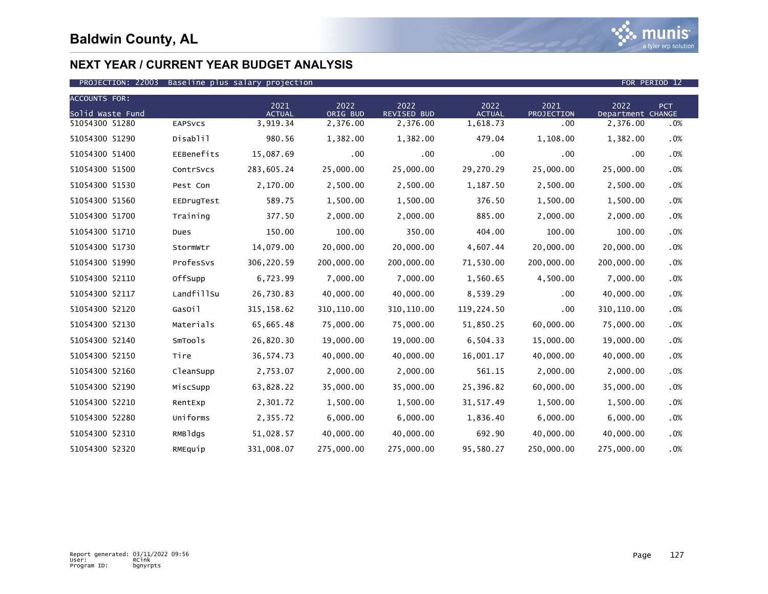

| <b>ACCOUNTS FOR:</b> |                |                       |                  |                            |                       |                    |                           |            |
|----------------------|----------------|-----------------------|------------------|----------------------------|-----------------------|--------------------|---------------------------|------------|
| Solid Waste Fund     |                | 2021<br><b>ACTUAL</b> | 2022<br>ORIG BUD | 2022<br><b>REVISED BUD</b> | 2022<br><b>ACTUAL</b> | 2021<br>PROJECTION | 2022<br>Department CHANGE | <b>PCT</b> |
| 51054300 51280       | <b>EAPSVCS</b> | 3,919.34              | 2,376.00         | 2,376.00                   | 1,618.73              | .00                | 2,376.00                  | .0%        |
| 51054300 51290       | Disablil       | 980.56                | 1,382.00         | 1,382.00                   | 479.04                | 1,108.00           | 1,382.00                  | .0%        |
| 51054300 51400       | EEBenefits     | 15,087.69             | .00              | .00                        | .00                   | .00                | .00                       | .0%        |
| 51054300 51500       | ContrSvcs      | 283,605.24            | 25,000.00        | 25,000.00                  | 29,270.29             | 25,000.00          | 25,000.00                 | .0%        |
| 51054300 51530       | Pest Con       | 2,170.00              | 2,500.00         | 2,500.00                   | 1,187.50              | 2,500.00           | 2,500.00                  | .0%        |
| 51054300 51560       | EEDrugTest     | 589.75                | 1,500.00         | 1,500.00                   | 376.50                | 1,500.00           | 1,500.00                  | .0%        |
| 51054300 51700       | Training       | 377.50                | 2,000.00         | 2,000.00                   | 885.00                | 2,000.00           | 2,000.00                  | .0%        |
| 51054300 51710       | Dues           | 150.00                | 100.00           | 350.00                     | 404.00                | 100.00             | 100.00                    | .0%        |
| 51054300 51730       | StormWtr       | 14,079.00             | 20,000.00        | 20,000.00                  | 4,607.44              | 20,000.00          | 20,000.00                 | .0%        |
| 51054300 51990       | ProfesSvs      | 306,220.59            | 200,000.00       | 200,000.00                 | 71,530.00             | 200,000.00         | 200,000.00                | .0%        |
| 51054300 52110       | OffSupp        | 6,723.99              | 7,000.00         | 7,000.00                   | 1,560.65              | 4,500.00           | 7,000.00                  | .0%        |
| 51054300 52117       | LandfillSu     | 26,730.83             | 40,000.00        | 40,000.00                  | 8,539.29              | .00                | 40,000.00                 | .0%        |
| 51054300 52120       | GasOil         | 315, 158.62           | 310, 110.00      | 310, 110.00                | 119,224.50            | .00                | 310, 110.00               | .0%        |
| 51054300 52130       | Materials      | 65,665.48             | 75,000.00        | 75,000.00                  | 51,850.25             | 60,000.00          | 75,000.00                 | $.0\%$     |
| 51054300 52140       | SmTools        | 26,820.30             | 19,000.00        | 19,000.00                  | 6,504.33              | 15,000.00          | 19,000.00                 | .0%        |
| 51054300 52150       | Tire           | 36, 574.73            | 40,000.00        | 40,000.00                  | 16,001.17             | 40,000.00          | 40,000.00                 | .0%        |
| 51054300 52160       | CleanSupp      | 2,753.07              | 2,000.00         | 2,000.00                   | 561.15                | 2,000.00           | 2,000.00                  | .0%        |
| 51054300 52190       | MiscSupp       | 63,828.22             | 35,000.00        | 35,000.00                  | 25,396.82             | 60,000.00          | 35,000.00                 | .0%        |
| 51054300 52210       | RentExp        | 2,301.72              | 1,500.00         | 1,500.00                   | 31, 517.49            | 1,500.00           | 1,500.00                  | $.0\%$     |
| 51054300 52280       | Uniforms       | 2,355.72              | 6,000.00         | 6,000.00                   | 1,836.40              | 6,000.00           | 6,000.00                  | .0%        |
| 51054300 52310       | RMBldgs        | 51,028.57             | 40,000.00        | 40,000.00                  | 692.90                | 40,000.00          | 40,000.00                 | .0%        |
| 51054300 52320       | RMEquip        | 331,008.07            | 275,000.00       | 275,000.00                 | 95,580.27             | 250,000.00         | 275,000.00                | .0%        |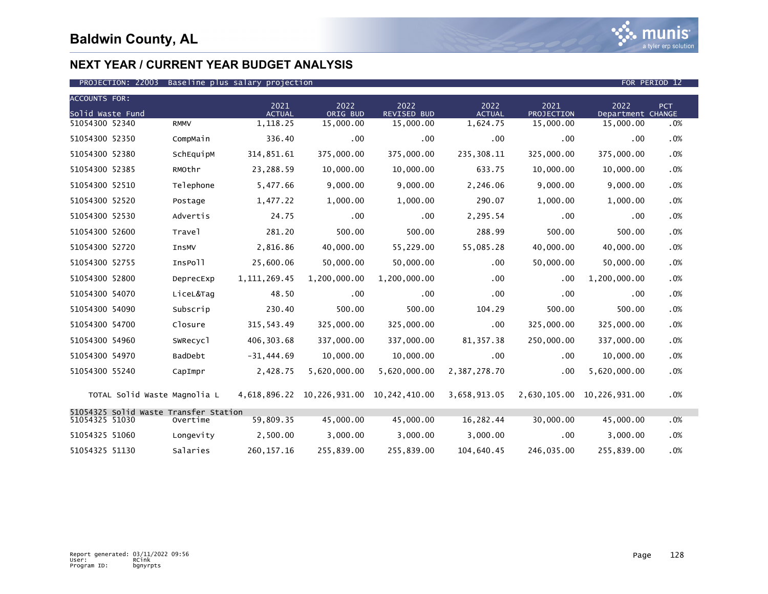

| <b>ACCOUNTS FOR:</b>                  |                      | 2021           | 2022         | 2022                                     | 2022          | 2021       | 2022                       |     |
|---------------------------------------|----------------------|----------------|--------------|------------------------------------------|---------------|------------|----------------------------|-----|
| Solid Waste Fund                      |                      | <b>ACTUAL</b>  | ORIG BUD     | <b>REVISED BUD</b>                       | <b>ACTUAL</b> | PROJECTION | Department CHANGE          | PCT |
| 51054300 52340                        | <b>RMMV</b>          | 1,118.25       | 15,000.00    | 15,000.00                                | 1,624.75      | 15,000.00  | 15,000.00                  | .0% |
| 51054300 52350                        | CompMain             | 336.40         | .00          | $.00 \times$                             | .00           | .00        | .00                        | .0% |
| 51054300 52380                        | SchEquipM            | 314,851.61     | 375,000.00   | 375,000.00                               | 235,308.11    | 325,000.00 | 375,000.00                 | .0% |
| 51054300 52385                        | RMOthr               | 23,288.59      | 10,000.00    | 10,000.00                                | 633.75        | 10,000.00  | 10,000.00                  | .0% |
| 51054300 52510                        | Telephone            | 5,477.66       | 9,000.00     | 9,000.00                                 | 2,246.06      | 9,000.00   | 9,000.00                   | .0% |
| 51054300 52520                        | Postage              | 1,477.22       | 1,000.00     | 1,000.00                                 | 290.07        | 1,000.00   | 1,000.00                   | .0% |
| 51054300 52530                        | Advertis             | 24.75          | .00          | .00                                      | 2,295.54      | .00        | .00                        | .0% |
| 51054300 52600                        | Travel               | 281.20         | 500.00       | 500.00                                   | 288.99        | 500.00     | 500.00                     | .0% |
| 51054300 52720                        | InsMV                | 2,816.86       | 40,000.00    | 55,229.00                                | 55,085.28     | 40,000.00  | 40,000.00                  | .0% |
| 51054300 52755                        | Inspoll              | 25,600.06      | 50,000.00    | 50,000.00                                | .00           | 50,000.00  | 50,000.00                  | .0% |
| 51054300 52800                        | DeprecExp            | 1, 111, 269.45 | 1,200,000.00 | 1,200,000.00                             | .00           | $.00 \,$   | 1,200,000.00               | .0% |
| 51054300 54070                        | LiceL&Tag            | 48.50          | $.00 \,$     | .00                                      | .00           | .00        | .00                        | .0% |
| 51054300 54090                        | Subscrip             | 230.40         | 500.00       | 500.00                                   | 104.29        | 500.00     | 500.00                     | .0% |
| 51054300 54700                        | Closure              | 315, 543.49    | 325,000.00   | 325,000.00                               | .00           | 325,000.00 | 325,000.00                 | .0% |
| 51054300 54960                        | SWRecyc <sub>1</sub> | 406,303.68     | 337,000.00   | 337,000.00                               | 81, 357.38    | 250,000.00 | 337,000.00                 | .0% |
| 51054300 54970                        | BadDebt              | $-31,444.69$   | 10,000.00    | 10,000.00                                | .00           | .00        | 10,000.00                  | .0% |
| 51054300 55240                        | CapImpr              | 2,428.75       | 5,620,000.00 | 5,620,000.00                             | 2,387,278.70  | .00        | 5,620,000.00               | .0% |
| TOTAL Solid Waste Magnolia L          |                      |                |              | 4,618,896.22 10,226,931.00 10,242,410.00 | 3,658,913.05  |            | 2,630,105.00 10,226,931.00 | .0% |
| 51054325 Solid Waste Transfer Station |                      |                |              |                                          |               |            |                            |     |
| 51054325 51030                        | Overtime             | 59,809.35      | 45,000.00    | 45,000.00                                | 16,282.44     | 30,000.00  | 45,000.00                  | .0% |
| 51054325 51060                        | Longevity            | 2,500.00       | 3,000.00     | 3,000.00                                 | 3,000.00      | .00        | 3,000.00                   | .0% |
| 51054325 51130                        | Salaries             | 260.157.16     | 255.839.00   | 255.839.00                               | 104.640.45    | 246.035.00 | 255.839.00                 | .0% |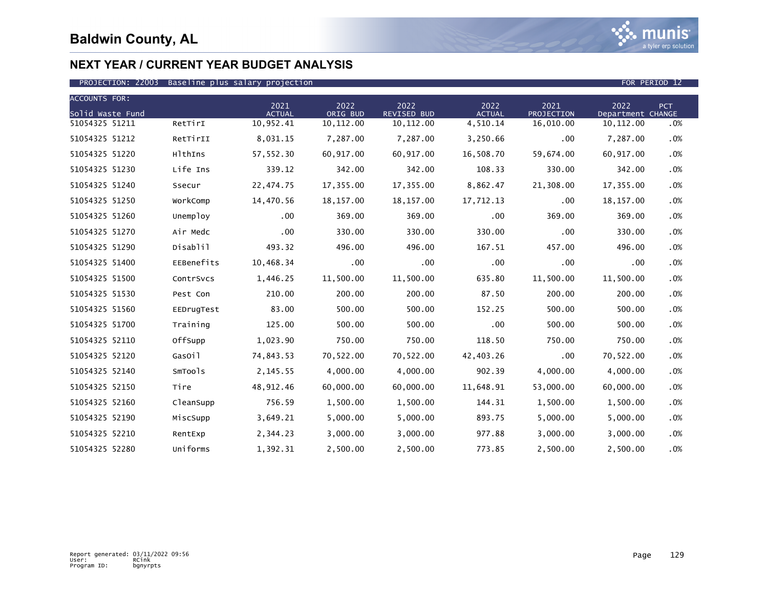

| <b>ACCOUNTS FOR:</b> |            |                       |                  |                            |                       |                           |                           |     |
|----------------------|------------|-----------------------|------------------|----------------------------|-----------------------|---------------------------|---------------------------|-----|
| Solid Waste Fund     |            | 2021<br><b>ACTUAL</b> | 2022<br>ORIG BUD | 2022<br><b>REVISED BUD</b> | 2022<br><b>ACTUAL</b> | 2021<br><b>PROJECTION</b> | 2022<br>Department CHANGE | PCT |
| 51054325 51211       | RetTirI    | 10,952.41             | 10, 112.00       | 10, 112.00                 | 4,510.14              | 16,010.00                 | 10, 112.00                | .0% |
| 51054325 51212       | RetTirII   | 8,031.15              | 7,287.00         | 7,287.00                   | 3,250.66              | .00                       | 7,287.00                  | .0% |
| 51054325 51220       | HlthIns    | 57,552.30             | 60,917.00        | 60,917.00                  | 16,508.70             | 59,674.00                 | 60,917.00                 | .0% |
| 51054325 51230       | Life Ins   | 339.12                | 342.00           | 342.00                     | 108.33                | 330.00                    | 342.00                    | .0% |
| 51054325 51240       | Ssecur     | 22,474.75             | 17,355.00        | 17,355.00                  | 8,862.47              | 21,308.00                 | 17,355.00                 | .0% |
| 51054325 51250       | WorkComp   | 14,470.56             | 18,157.00        | 18, 157.00                 | 17,712.13             | .00                       | 18, 157.00                | .0% |
| 51054325 51260       | Unemploy   | .00                   | 369.00           | 369.00                     | .00                   | 369.00                    | 369.00                    | .0% |
| 51054325 51270       | Air Medc   | .00                   | 330.00           | 330.00                     | 330.00                | .00                       | 330.00                    | .0% |
| 51054325 51290       | Disablil   | 493.32                | 496.00           | 496.00                     | 167.51                | 457.00                    | 496.00                    | .0% |
| 51054325 51400       | EEBenefits | 10,468.34             | .00              | $.00 \times$               | $.00 \,$              | .00                       | .00                       | .0% |
| 51054325 51500       | ContrSvcs  | 1,446.25              | 11,500.00        | 11,500.00                  | 635.80                | 11,500.00                 | 11,500.00                 | .0% |
| 51054325 51530       | Pest Con   | 210.00                | 200.00           | 200.00                     | 87.50                 | 200.00                    | 200.00                    | .0% |
| 51054325 51560       | EEDrugTest | 83.00                 | 500.00           | 500.00                     | 152.25                | 500.00                    | 500.00                    | .0% |
| 51054325 51700       | Training   | 125.00                | 500.00           | 500.00                     | $.00 \,$              | 500.00                    | 500.00                    | .0% |
| 51054325 52110       | OffSupp    | 1,023.90              | 750.00           | 750.00                     | 118.50                | 750.00                    | 750.00                    | .0% |
| 51054325 52120       | GasOil     | 74,843.53             | 70,522.00        | 70,522.00                  | 42,403.26             | .00                       | 70,522.00                 | .0% |
| 51054325 52140       | SmTools    | 2,145.55              | 4,000.00         | 4,000.00                   | 902.39                | 4,000.00                  | 4,000.00                  | .0% |
| 51054325 52150       | Tire       | 48,912.46             | 60,000.00        | 60,000.00                  | 11,648.91             | 53,000.00                 | 60,000.00                 | .0% |
| 51054325 52160       | CleanSupp  | 756.59                | 1,500.00         | 1,500.00                   | 144.31                | 1,500.00                  | 1,500.00                  | .0% |
| 51054325 52190       | MiscSupp   | 3,649.21              | 5,000.00         | 5,000.00                   | 893.75                | 5,000.00                  | 5,000.00                  | .0% |
| 51054325 52210       | RentExp    | 2,344.23              | 3,000.00         | 3,000.00                   | 977.88                | 3,000.00                  | 3,000.00                  | .0% |
| 51054325 52280       | Uniforms   | 1,392.31              | 2,500.00         | 2,500.00                   | 773.85                | 2,500.00                  | 2,500.00                  | .0% |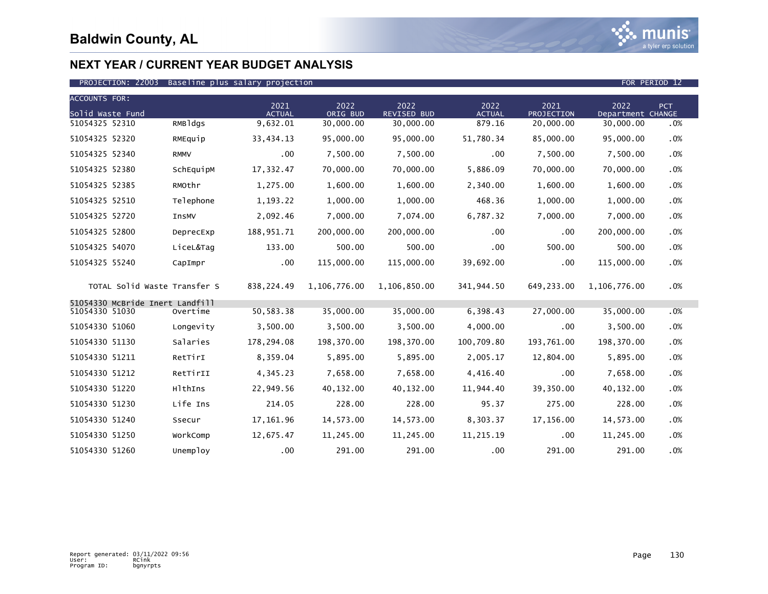

### PROJECTION: 22003 Baseline plus salary projection FOR PERIOD 12

| <b>ACCOUNTS FOR:</b>                              |             |                       |                  |                            |                       |                    |                           |     |
|---------------------------------------------------|-------------|-----------------------|------------------|----------------------------|-----------------------|--------------------|---------------------------|-----|
| Solid Waste Fund                                  |             | 2021<br><b>ACTUAL</b> | 2022<br>ORIG BUD | 2022<br><b>REVISED BUD</b> | 2022<br><b>ACTUAL</b> | 2021<br>PROJECTION | 2022<br>Department CHANGE | PCT |
| 51054325 52310                                    | RMBldgs     | 9,632.01              | 30,000.00        | 30,000.00                  | 879.16                | 20,000.00          | 30,000.00                 | .0% |
| 51054325 52320                                    | RMEquip     | 33,434.13             | 95,000.00        | 95,000.00                  | 51,780.34             | 85,000.00          | 95,000.00                 | .0% |
| 51054325 52340                                    | <b>RMMV</b> | .00                   | 7,500.00         | 7,500.00                   | .00                   | 7,500.00           | 7,500.00                  | .0% |
| 51054325 52380                                    | SchEquipM   | 17,332.47             | 70,000.00        | 70,000.00                  | 5,886.09              | 70,000.00          | 70,000.00                 | .0% |
| 51054325 52385                                    | RMOthr      | 1,275.00              | 1,600.00         | 1,600.00                   | 2,340.00              | 1,600.00           | 1,600.00                  | .0% |
| 51054325 52510                                    | Telephone   | 1,193.22              | 1,000.00         | 1,000.00                   | 468.36                | 1,000.00           | 1,000.00                  | .0% |
| 51054325 52720                                    | InsMV       | 2,092.46              | 7,000.00         | 7,074.00                   | 6,787.32              | 7,000.00           | 7,000.00                  | .0% |
| 51054325 52800                                    | DeprecExp   | 188,951.71            | 200,000.00       | 200,000.00                 | .00                   | .00                | 200,000.00                | .0% |
| 51054325 54070                                    | LiceL&Tag   | 133.00                | 500.00           | 500.00                     | .00                   | 500.00             | 500.00                    | .0% |
| 51054325 55240                                    | CapImpr     | .00                   | 115,000.00       | 115,000.00                 | 39,692.00             | .00                | 115,000.00                | .0% |
| TOTAL Solid Waste Transfer S                      |             | 838,224.49            | 1,106,776.00     | 1,106,850.00               | 341,944.50            | 649,233.00         | 1,106,776.00              | .0% |
| 51054330 McBride Inert Landfill<br>51054330 51030 | Overtime    | 50,583.38             | 35,000.00        | 35,000.00                  | 6,398.43              | 27,000.00          | 35,000.00                 | .0% |
| 51054330 51060                                    | Longevity   | 3,500.00              | 3,500.00         | 3,500.00                   | 4,000.00              | .00                | 3,500.00                  | .0% |
| 51054330 51130                                    | Salaries    | 178,294.08            | 198,370.00       | 198,370.00                 | 100,709.80            | 193,761.00         | 198,370.00                | .0% |
| 51054330 51211                                    | RetTirI     | 8,359.04              | 5,895.00         | 5,895.00                   | 2,005.17              | 12,804.00          | 5,895.00                  | .0% |
| 51054330 51212                                    | RetTirII    | 4,345.23              | 7,658.00         | 7,658.00                   | 4,416.40              | .00                | 7,658.00                  | .0% |
| 51054330 51220                                    | HlthIns     | 22,949.56             | 40,132.00        | 40,132.00                  | 11,944.40             | 39,350.00          | 40,132.00                 | .0% |
| 51054330 51230                                    | Life Ins    | 214.05                | 228.00           | 228.00                     | 95.37                 | 275.00             | 228.00                    | .0% |
| 51054330 51240                                    | Ssecur      | 17,161.96             | 14,573.00        | 14,573.00                  | 8,303.37              | 17,156.00          | 14,573.00                 | .0% |
| 51054330 51250                                    | WorkComp    | 12,675.47             | 11,245.00        | 11,245.00                  | 11,215.19             | .00                | 11,245.00                 | .0% |
| 51054330 51260                                    | Unemploy    | .00                   | 291.00           | 291.00                     | .00                   | 291.00             | 291.00                    | .0% |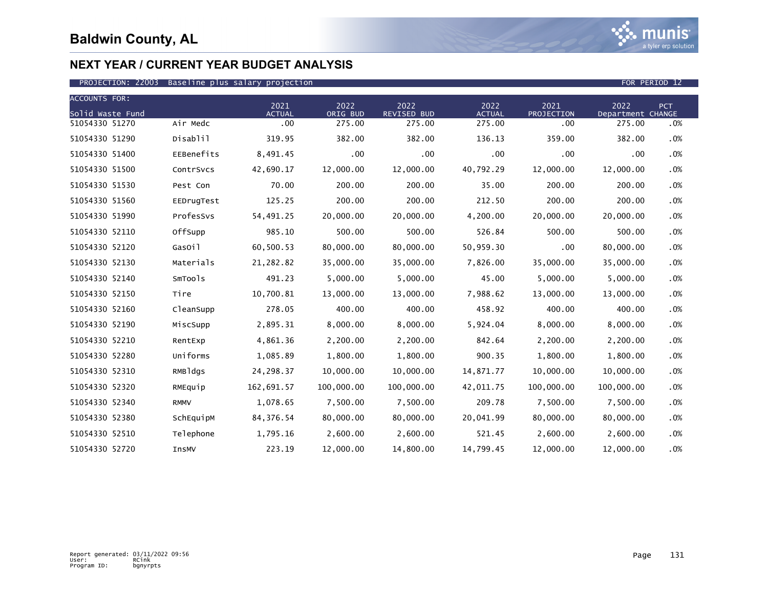

| <b>ACCOUNTS FOR:</b> |             |                       |                  |                            |                       |                    |                           |        |
|----------------------|-------------|-----------------------|------------------|----------------------------|-----------------------|--------------------|---------------------------|--------|
| Solid Waste Fund     |             | 2021<br><b>ACTUAL</b> | 2022<br>ORIG BUD | 2022<br><b>REVISED BUD</b> | 2022<br><b>ACTUAL</b> | 2021<br>PROJECTION | 2022<br>Department CHANGE | PCT    |
| 51054330 51270       | Air Medc    | $.00 \,$              | 275.00           | 275.00                     | 275.00                | .00                | 275.00                    | .0%    |
| 51054330 51290       | Disablil    | 319.95                | 382.00           | 382.00                     | 136.13                | 359.00             | 382.00                    | .0%    |
| 51054330 51400       | EEBenefits  | 8,491.45              | .00              | .00                        | .00                   | .00                | .00                       | .0%    |
| 51054330 51500       | ContrSvcs   | 42,690.17             | 12,000.00        | 12,000.00                  | 40,792.29             | 12,000.00          | 12,000.00                 | .0%    |
| 51054330 51530       | Pest Con    | 70.00                 | 200.00           | 200.00                     | 35.00                 | 200.00             | 200.00                    | .0%    |
| 51054330 51560       | EEDrugTest  | 125.25                | 200.00           | 200.00                     | 212.50                | 200.00             | 200.00                    | .0%    |
| 51054330 51990       | ProfesSvs   | 54,491.25             | 20,000.00        | 20,000.00                  | 4,200.00              | 20,000.00          | 20,000.00                 | .0%    |
| 51054330 52110       | OffSupp     | 985.10                | 500.00           | 500.00                     | 526.84                | 500.00             | 500.00                    | .0%    |
| 51054330 52120       | GasOil      | 60,500.53             | 80,000.00        | 80,000.00                  | 50,959.30             | .00                | 80,000.00                 | .0%    |
| 51054330 52130       | Materials   | 21,282.82             | 35,000.00        | 35,000.00                  | 7,826.00              | 35,000.00          | 35,000.00                 | .0%    |
| 51054330 52140       | SmTools     | 491.23                | 5,000.00         | 5,000.00                   | 45.00                 | 5,000.00           | 5,000.00                  | .0%    |
| 51054330 52150       | Tire        | 10,700.81             | 13,000.00        | 13,000.00                  | 7,988.62              | 13,000.00          | 13,000.00                 | .0%    |
| 51054330 52160       | CleanSupp   | 278.05                | 400.00           | 400.00                     | 458.92                | 400.00             | 400.00                    | .0%    |
| 51054330 52190       | MiscSupp    | 2,895.31              | 8,000.00         | 8,000.00                   | 5,924.04              | 8,000.00           | 8,000.00                  | .0%    |
| 51054330 52210       | RentExp     | 4,861.36              | 2,200.00         | 2,200.00                   | 842.64                | 2,200.00           | 2,200.00                  | .0%    |
| 51054330 52280       | Uniforms    | 1,085.89              | 1,800.00         | 1,800.00                   | 900.35                | 1,800.00           | 1,800.00                  | .0%    |
| 51054330 52310       | RMBldgs     | 24,298.37             | 10,000.00        | 10,000.00                  | 14,871.77             | 10,000.00          | 10,000.00                 | .0%    |
| 51054330 52320       | RMEquip     | 162,691.57            | 100,000.00       | 100,000.00                 | 42,011.75             | 100,000.00         | 100,000.00                | .0%    |
| 51054330 52340       | <b>RMMV</b> | 1,078.65              | 7,500.00         | 7,500.00                   | 209.78                | 7,500.00           | 7,500.00                  | $.0\%$ |
| 51054330 52380       | SchEquipM   | 84, 376.54            | 80,000.00        | 80,000.00                  | 20,041.99             | 80,000.00          | 80,000.00                 | .0%    |
| 51054330 52510       | Telephone   | 1,795.16              | 2,600.00         | 2,600.00                   | 521.45                | 2,600.00           | 2,600.00                  | $.0\%$ |
| 51054330 52720       | InsMV       | 223.19                | 12,000.00        | 14,800.00                  | 14,799.45             | 12,000.00          | 12,000.00                 | .0%    |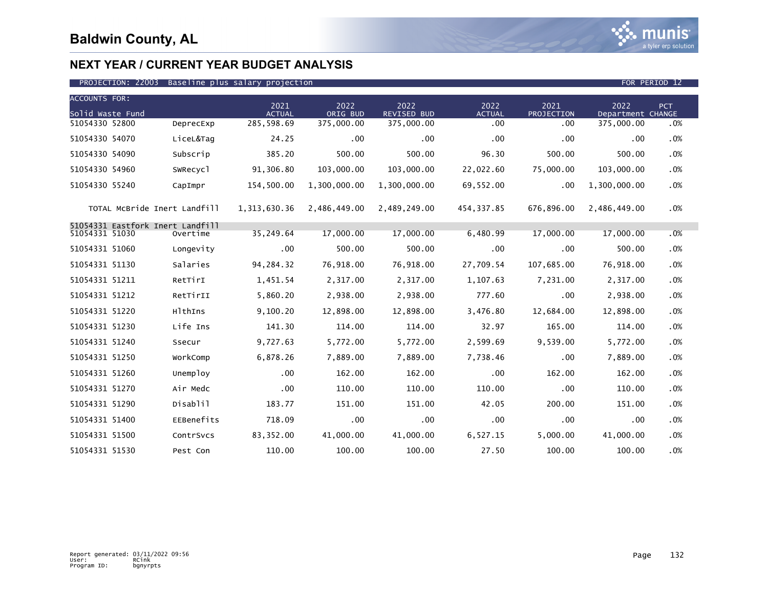

| <b>ACCOUNTS FOR:</b>             |                      |                       |                  |                            |                       |                    |                           |        |
|----------------------------------|----------------------|-----------------------|------------------|----------------------------|-----------------------|--------------------|---------------------------|--------|
| Solid Waste Fund                 |                      | 2021<br><b>ACTUAL</b> | 2022<br>ORIG BUD | 2022<br><b>REVISED BUD</b> | 2022<br><b>ACTUAL</b> | 2021<br>PROJECTION | 2022<br>Department CHANGE | PCT    |
| 51054330 52800                   | DeprecExp            | 285,598.69            | 375,000.00       | 375,000.00                 | .00                   | .00                | 375,000.00                | .0%    |
| 51054330 54070                   | LiceL&Tag            | 24.25                 | .00              | $.00 \times$               | .00                   | .00                | .00                       | .0%    |
| 51054330 54090                   | Subscrip             | 385.20                | 500.00           | 500.00                     | 96.30                 | 500.00             | 500.00                    | .0%    |
| 51054330 54960                   | SWRecyc <sub>1</sub> | 91,306.80             | 103,000.00       | 103,000.00                 | 22,022.60             | 75,000.00          | 103,000.00                | .0%    |
| 51054330 55240                   | CapImpr              | 154,500.00            | 1,300,000.00     | 1,300,000.00               | 69,552.00             | .00                | 1,300,000.00              | .0%    |
| TOTAL MCBride Inert Landfill     |                      | 1,313,630.36          | 2,486,449.00     | 2,489,249.00               | 454,337.85            | 676,896.00         | 2,486,449.00              | $.0\%$ |
| 51054331 Eastfork Inert Landfill |                      |                       |                  |                            |                       |                    |                           |        |
| 51054331 51030                   | Overtime             | 35,249.64             | 17,000.00        | 17,000,00                  | 6,480.99              | 17,000.00          | 17,000.00                 | .0%    |
| 51054331 51060                   | Longevity            | .00                   | 500.00           | 500.00                     | .00                   | .00                | 500.00                    | .0%    |
| 51054331 51130                   | Salaries             | 94, 284. 32           | 76,918.00        | 76,918.00                  | 27,709.54             | 107,685.00         | 76,918.00                 | .0%    |
| 51054331 51211                   | RetTirI              | 1,451.54              | 2,317.00         | 2,317.00                   | 1,107.63              | 7,231.00           | 2,317.00                  | .0%    |
| 51054331 51212                   | RetTirII             | 5,860.20              | 2,938.00         | 2,938.00                   | 777.60                | .00                | 2,938.00                  | .0%    |
| 51054331 51220                   | HlthIns              | 9,100.20              | 12,898.00        | 12,898.00                  | 3,476.80              | 12,684.00          | 12,898.00                 | .0%    |
| 51054331 51230                   | Life Ins             | 141.30                | 114.00           | 114.00                     | 32.97                 | 165.00             | 114.00                    | $.0\%$ |
| 51054331 51240                   | Ssecur               | 9,727.63              | 5,772.00         | 5,772.00                   | 2,599.69              | 9,539.00           | 5,772.00                  | .0%    |
| 51054331 51250                   | WorkComp             | 6,878.26              | 7,889.00         | 7,889.00                   | 7,738.46              | .00                | 7,889.00                  | .0%    |
| 51054331 51260                   | Unemploy             | .00                   | 162.00           | 162.00                     | .00                   | 162.00             | 162.00                    | .0%    |
| 51054331 51270                   | Air Medc             | .00                   | 110.00           | 110.00                     | 110.00                | .00                | 110.00                    | $.0\%$ |
| 51054331 51290                   | Disablil             | 183.77                | 151.00           | 151.00                     | 42.05                 | 200.00             | 151.00                    | .0%    |
| 51054331 51400                   | EEBenefits           | 718.09                | .00              | .00                        | .00                   | .00                | .00                       | .0%    |
| 51054331 51500                   | ContrSvcs            | 83,352.00             | 41,000.00        | 41,000,00                  | 6,527.15              | 5,000.00           | 41,000,00                 | .0%    |
| 51054331 51530                   | Pest Con             | 110.00                | 100.00           | 100.00                     | 27.50                 | 100.00             | 100.00                    | .0%    |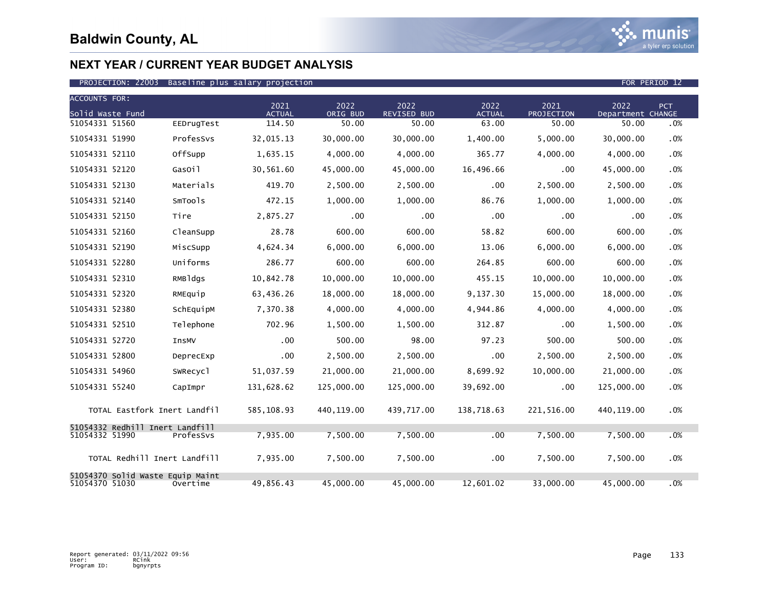

| <b>ACCOUNTS FOR:</b>                               |            | 2021                    | 2022              | 2022                        | 2022                   | 2021                | 2022                       | <b>PCT</b> |
|----------------------------------------------------|------------|-------------------------|-------------------|-----------------------------|------------------------|---------------------|----------------------------|------------|
| Solid Waste Fund<br>51054331 51560                 | EEDrugTest | <b>ACTUAL</b><br>114.50 | ORIG BUD<br>50.00 | <b>REVISED BUD</b><br>50.00 | <b>ACTUAL</b><br>63.00 | PROJECTION<br>50.00 | Department CHANGE<br>50.00 | .0%        |
| 51054331 51990                                     | ProfesSvs  | 32,015.13               | 30,000.00         | 30,000.00                   | 1,400.00               | 5,000.00            | 30,000.00                  | .0%        |
| 51054331 52110                                     | OffSupp    | 1,635.15                | 4,000.00          | 4,000.00                    | 365.77                 | 4,000.00            | 4,000.00                   | .0%        |
| 51054331 52120                                     | GasOil     | 30,561.60               | 45,000.00         | 45,000.00                   | 16,496.66              | .00                 | 45,000.00                  | .0%        |
| 51054331 52130                                     | Materials  | 419.70                  | 2,500.00          | 2,500.00                    | .00                    | 2,500.00            | 2,500.00                   | .0%        |
| 51054331 52140                                     | SmTools    | 472.15                  | 1.000.00          | 1,000.00                    | 86.76                  | 1,000.00            | 1,000.00                   | .0%        |
| 51054331 52150                                     | Tire       | 2,875.27                | .00               | .00                         | .00                    | .00                 | .00                        | .0%        |
| 51054331 52160                                     | CleanSupp  | 28.78                   | 600.00            | 600.00                      | 58.82                  | 600.00              | 600.00                     | .0%        |
| 51054331 52190                                     | MiscSupp   | 4,624.34                | 6,000.00          | 6,000.00                    | 13.06                  | 6,000.00            | 6,000.00                   | .0%        |
| 51054331 52280                                     | Uniforms   | 286.77                  | 600.00            | 600.00                      | 264.85                 | 600.00              | 600.00                     | .0%        |
| 51054331 52310                                     | RMBldgs    | 10,842.78               | 10,000.00         | 10,000.00                   | 455.15                 | 10.000.00           | 10,000.00                  | .0%        |
| 51054331 52320                                     | RMEquip    | 63,436.26               | 18,000.00         | 18,000.00                   | 9,137.30               | 15,000.00           | 18,000.00                  | .0%        |
| 51054331 52380                                     | SchEquipM  | 7,370.38                | 4,000.00          | 4,000.00                    | 4,944.86               | 4,000.00            | 4,000.00                   | .0%        |
| 51054331 52510                                     | Telephone  | 702.96                  | 1,500.00          | 1,500.00                    | 312.87                 | .00                 | 1,500.00                   | .0%        |
| 51054331 52720                                     | InsMV      | .00                     | 500.00            | 98.00                       | 97.23                  | 500.00              | 500.00                     | .0%        |
| 51054331 52800                                     | DeprecExp  | .00                     | 2,500.00          | 2,500.00                    | $.00 \,$               | 2,500.00            | 2,500.00                   | .0%        |
| 51054331 54960                                     | SWRecyc1   | 51,037.59               | 21,000.00         | 21,000.00                   | 8,699.92               | 10.000.00           | 21,000.00                  | .0%        |
| 51054331 55240                                     | CapImpr    | 131,628.62              | 125,000.00        | 125,000.00                  | 39,692.00              | .00                 | 125,000.00                 | .0%        |
| TOTAL Eastfork Inert Landfil                       |            | 585,108.93              | 440, 119.00       | 439,717.00                  | 138,718.63             | 221,516.00          | 440,119.00                 | .0%        |
| 51054332 Redhill Inert Landfill<br>51054332 51990  | ProfesSys  | 7.935.00                | 7.500.00          | 7.500.00                    | .00                    | 7.500.00            | 7.500.00                   | .0%        |
| TOTAL Redhill Inert Landfill                       |            | 7,935.00                | 7,500.00          | 7,500.00                    | .00                    | 7,500.00            | 7,500.00                   | .0%        |
| 51054370 Solid Waste Equip Maint<br>51054370 51030 | Overtime   | 49,856.43               | 45,000.00         | 45,000.00                   | 12,601.02              | 33,000.00           | 45,000.00                  | .0%        |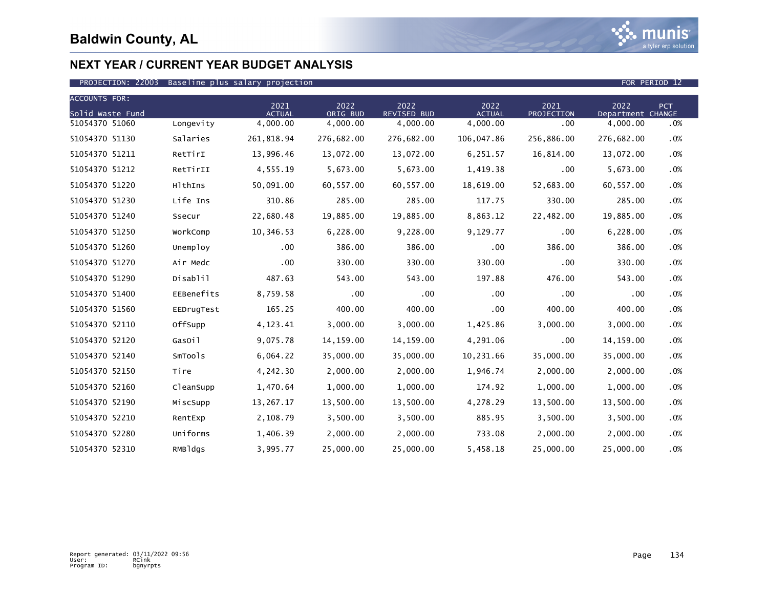

| <b>ACCOUNTS FOR:</b> |            |                       |                  |                            |                       |                    |                           |            |
|----------------------|------------|-----------------------|------------------|----------------------------|-----------------------|--------------------|---------------------------|------------|
| Solid Waste Fund     |            | 2021<br><b>ACTUAL</b> | 2022<br>ORIG BUD | 2022<br><b>REVISED BUD</b> | 2022<br><b>ACTUAL</b> | 2021<br>PROJECTION | 2022<br>Department CHANGE | <b>PCT</b> |
| 51054370 51060       | Longevity  | 4,000.00              | 4,000.00         | 4,000.00                   | 4,000.00              | .00                | 4,000.00                  | .0%        |
| 51054370 51130       | Salaries   | 261,818.94            | 276,682.00       | 276,682.00                 | 106,047.86            | 256,886.00         | 276,682.00                | .0%        |
| 51054370 51211       | RetTirI    | 13,996.46             | 13,072.00        | 13,072.00                  | 6,251.57              | 16,814.00          | 13,072.00                 | .0%        |
| 51054370 51212       | RetTirII   | 4,555.19              | 5,673.00         | 5,673.00                   | 1,419.38              | .00                | 5,673.00                  | .0%        |
| 51054370 51220       | HlthIns    | 50,091.00             | 60,557.00        | 60,557.00                  | 18,619.00             | 52,683.00          | 60,557.00                 | .0%        |
| 51054370 51230       | Life Ins   | 310.86                | 285.00           | 285.00                     | 117.75                | 330.00             | 285.00                    | .0%        |
| 51054370 51240       | Ssecur     | 22,680.48             | 19,885.00        | 19,885.00                  | 8,863.12              | 22,482.00          | 19,885.00                 | .0%        |
| 51054370 51250       | WorkComp   | 10,346.53             | 6,228.00         | 9,228.00                   | 9,129.77              | .00                | 6,228.00                  | .0%        |
| 51054370 51260       | Unemploy   | $.00 \,$              | 386.00           | 386.00                     | .00                   | 386.00             | 386.00                    | .0%        |
| 51054370 51270       | Air Medc   | $.00 \,$              | 330.00           | 330.00                     | 330.00                | .00                | 330.00                    | .0%        |
| 51054370 51290       | Disablil   | 487.63                | 543.00           | 543.00                     | 197.88                | 476.00             | 543.00                    | .0%        |
| 51054370 51400       | EEBenefits | 8,759.58              | $.00 \,$         | $.00 \times$               | .00                   | .00                | .00                       | .0%        |
| 51054370 51560       | EEDrugTest | 165.25                | 400.00           | 400.00                     | .00                   | 400.00             | 400.00                    | .0%        |
| 51054370 52110       | OffSupp    | 4,123.41              | 3,000.00         | 3,000.00                   | 1,425.86              | 3,000.00           | 3,000.00                  | .0%        |
| 51054370 52120       | GasOil     | 9,075.78              | 14, 159.00       | 14,159.00                  | 4,291.06              | .00                | 14,159.00                 | .0%        |
| 51054370 52140       | SmTools    | 6,064.22              | 35,000.00        | 35,000.00                  | 10,231.66             | 35,000.00          | 35,000.00                 | .0%        |
| 51054370 52150       | Tire       | 4,242.30              | 2,000.00         | 2,000.00                   | 1,946.74              | 2,000.00           | 2,000.00                  | .0%        |
| 51054370 52160       | CleanSupp  | 1,470.64              | 1,000.00         | 1,000.00                   | 174.92                | 1,000.00           | 1,000.00                  | .0%        |
| 51054370 52190       | MiscSupp   | 13,267.17             | 13,500.00        | 13,500.00                  | 4,278.29              | 13,500.00          | 13,500.00                 | .0%        |
| 51054370 52210       | RentExp    | 2,108.79              | 3,500.00         | 3,500.00                   | 885.95                | 3,500.00           | 3,500.00                  | .0%        |
| 51054370 52280       | Uniforms   | 1,406.39              | 2,000.00         | 2,000.00                   | 733.08                | 2,000.00           | 2,000.00                  | .0%        |
| 51054370 52310       | RMBldgs    | 3,995.77              | 25,000.00        | 25,000.00                  | 5,458.18              | 25,000.00          | 25,000.00                 | .0%        |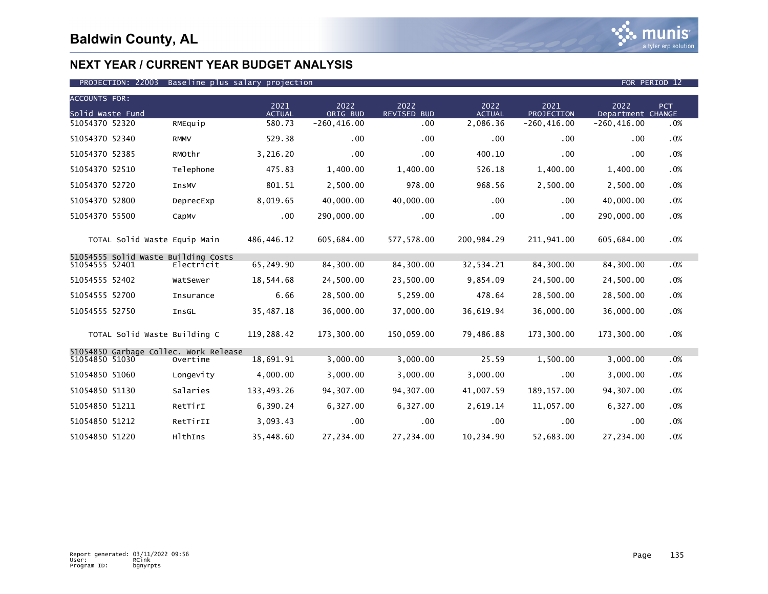

| <b>ACCOUNTS FOR:</b>                                    |             |                       |                  |                            |                       |                    |                           |     |
|---------------------------------------------------------|-------------|-----------------------|------------------|----------------------------|-----------------------|--------------------|---------------------------|-----|
| Solid Waste Fund                                        |             | 2021<br><b>ACTUAL</b> | 2022<br>ORIG BUD | 2022<br><b>REVISED BUD</b> | 2022<br><b>ACTUAL</b> | 2021<br>PROJECTION | 2022<br>Department CHANGE | PCT |
| 51054370 52320                                          | RMEquip     | 580.73                | $-260, 416.00$   | .00 <sub>1</sub>           | 2,086.36              | $-260, 416.00$     | $-260, 416.00$            | .0% |
| 51054370 52340                                          | <b>RMMV</b> | 529.38                | .00              | .00 <sub>1</sub>           | .00                   | .00                | .00                       | .0% |
| 51054370 52385                                          | RMOthr      | 3,216.20              | .00              | .00                        | 400.10                | .00                | .00                       | .0% |
| 51054370 52510                                          | Telephone   | 475.83                | 1,400.00         | 1,400.00                   | 526.18                | 1,400.00           | 1,400.00                  | .0% |
| 51054370 52720                                          | InsMV       | 801.51                | 2,500.00         | 978.00                     | 968.56                | 2,500.00           | 2,500.00                  | .0% |
| 51054370 52800                                          | DeprecExp   | 8,019.65              | 40,000.00        | 40,000.00                  | .00                   | .00                | 40,000.00                 | .0% |
| 51054370 55500                                          | CapMv       | .00                   | 290,000.00       | .00                        | .00                   | .00                | 290,000.00                | .0% |
| TOTAL Solid Waste Equip Main                            |             | 486,446.12            | 605,684.00       | 577,578.00                 | 200,984.29            | 211,941.00         | 605,684.00                | .0% |
| 51054555 Solid Waste Building Costs<br>51054555 52401   | Electricit  | 65,249.90             | 84,300.00        | 84,300.00                  | 32,534.21             | 84,300.00          | 84,300.00                 | .0% |
| 51054555 52402                                          | WatSewer    | 18,544.68             | 24,500.00        | 23,500.00                  | 9,854.09              | 24,500.00          | 24,500.00                 | .0% |
| 51054555 52700                                          | Insurance   | 6.66                  | 28,500.00        | 5,259.00                   | 478.64                | 28,500.00          | 28,500.00                 | .0% |
| 51054555 52750                                          | InsGL       | 35,487.18             | 36,000.00        | 37,000.00                  | 36,619.94             | 36,000.00          | 36,000.00                 | .0% |
| TOTAL Solid Waste Building C                            |             | 119.288.42            | 173.300.00       | 150.059.00                 | 79.486.88             | 173.300.00         | 173.300.00                | .0% |
| 51054850 Garbage Collec. Work Release<br>51054850 51030 | Overtime    | 18,691.91             | 3.000.00         | 3,000.00                   | 25.59                 | 1,500.00           | 3,000.00                  | .0% |
| 51054850 51060                                          | Longevity   | 4.000.00              | 3,000.00         | 3,000.00                   | 3,000.00              | .00                | 3.000.00                  | .0% |
| 51054850 51130                                          | Salaries    | 133,493.26            | 94,307.00        | 94,307.00                  | 41,007.59             | 189, 157.00        | 94,307.00                 | .0% |
| 51054850 51211                                          | RetTirI     | 6,390.24              | 6,327.00         | 6,327.00                   | 2,619.14              | 11,057.00          | 6,327.00                  | .0% |
| 51054850 51212                                          | RetTirII    | 3,093.43              | .00              | .00.                       | .00                   | .00                | .00                       | .0% |
| 51054850 51220                                          | HlthIns     | 35,448.60             | 27,234.00        | 27,234.00                  | 10,234.90             | 52,683.00          | 27,234.00                 | .0% |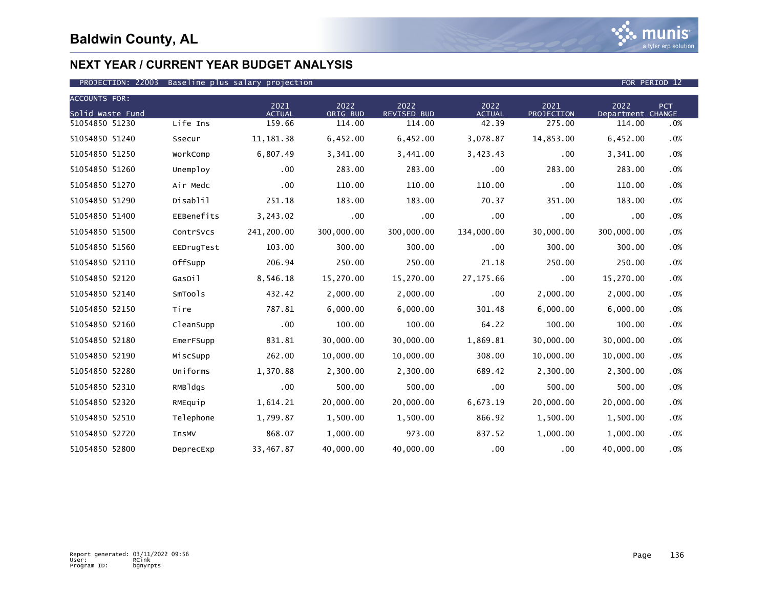

### PROJECTION: 22003 Baseline plus salary projection FOR PERIOD 12

| <b>ACCOUNTS FOR:</b> |              | 2021          | 2022       | 2022               | 2022          | 2021              | 2022              | PCT |
|----------------------|--------------|---------------|------------|--------------------|---------------|-------------------|-------------------|-----|
| Solid Waste Fund     |              | <b>ACTUAL</b> | ORIG BUD   | <b>REVISED BUD</b> | <b>ACTUAL</b> | <b>PROJECTION</b> | Department CHANGE |     |
| 51054850 51230       | Life Ins     | 159.66        | 114.00     | 114.00             | 42.39         | 275.00            | 114.00            | .0% |
| 51054850 51240       | Ssecur       | 11, 181. 38   | 6,452.00   | 6,452.00           | 3,078.87      | 14,853.00         | 6,452.00          | .0% |
| 51054850 51250       | WorkComp     | 6,807.49      | 3,341.00   | 3,441.00           | 3,423.43      | .00               | 3,341.00          | .0% |
| 51054850 51260       | Unemploy     | .00           | 283.00     | 283.00             | $.00 \,$      | 283.00            | 283.00            | .0% |
| 51054850 51270       | Air Medc     | .00           | 110.00     | 110.00             | 110.00        | .00.              | 110.00            | .0% |
| 51054850 51290       | Disablil     | 251.18        | 183.00     | 183.00             | 70.37         | 351.00            | 183.00            | .0% |
| 51054850 51400       | EEBenefits   | 3,243.02      | .00        | $.00 \times$       | $.00 \,$      | .00               | .00               | .0% |
| 51054850 51500       | ContrSvcs    | 241,200.00    | 300,000.00 | 300,000.00         | 134,000.00    | 30,000.00         | 300,000.00        | .0% |
| 51054850 51560       | EEDrugTest   | 103.00        | 300.00     | 300.00             | $.00 \times$  | 300.00            | 300.00            | .0% |
| 51054850 52110       | OffSupp      | 206.94        | 250.00     | 250.00             | 21.18         | 250.00            | 250.00            | .0% |
| 51054850 52120       | GasOil       | 8,546.18      | 15,270.00  | 15,270.00          | 27, 175.66    | .00               | 15,270.00         | .0% |
| 51054850 52140       | SmTools      | 432.42        | 2,000.00   | 2,000.00           | $.00 \,$      | 2,000.00          | 2,000.00          | .0% |
| 51054850 52150       | Tire         | 787.81        | 6,000.00   | 6,000.00           | 301.48        | 6,000.00          | 6,000.00          | .0% |
| 51054850 52160       | CleanSupp    | .00           | 100.00     | 100.00             | 64.22         | 100.00            | 100.00            | .0% |
| 51054850 52180       | EmerFSupp    | 831.81        | 30,000.00  | 30,000.00          | 1,869.81      | 30,000.00         | 30,000.00         | .0% |
| 51054850 52190       | MiscSupp     | 262.00        | 10,000.00  | 10,000.00          | 308.00        | 10,000.00         | 10,000.00         | .0% |
| 51054850 52280       | Uniforms     | 1,370.88      | 2,300.00   | 2,300.00           | 689.42        | 2,300.00          | 2,300.00          | .0% |
| 51054850 52310       | RMBldgs      | .00           | 500.00     | 500.00             | $.00 \,$      | 500.00            | 500.00            | .0% |
| 51054850 52320       | RMEquip      | 1,614.21      | 20,000.00  | 20,000.00          | 6,673.19      | 20,000.00         | 20,000.00         | .0% |
| 51054850 52510       | Telephone    | 1,799.87      | 1,500.00   | 1,500.00           | 866.92        | 1,500.00          | 1,500.00          | .0% |
| 51054850 52720       | <b>InsMV</b> | 868.07        | 1,000.00   | 973.00             | 837.52        | 1,000.00          | 1,000.00          | .0% |
| 51054850 52800       | DeprecExp    | 33,467.87     | 40,000.00  | 40,000.00          | $.00 \,$      | .00               | 40,000.00         | .0% |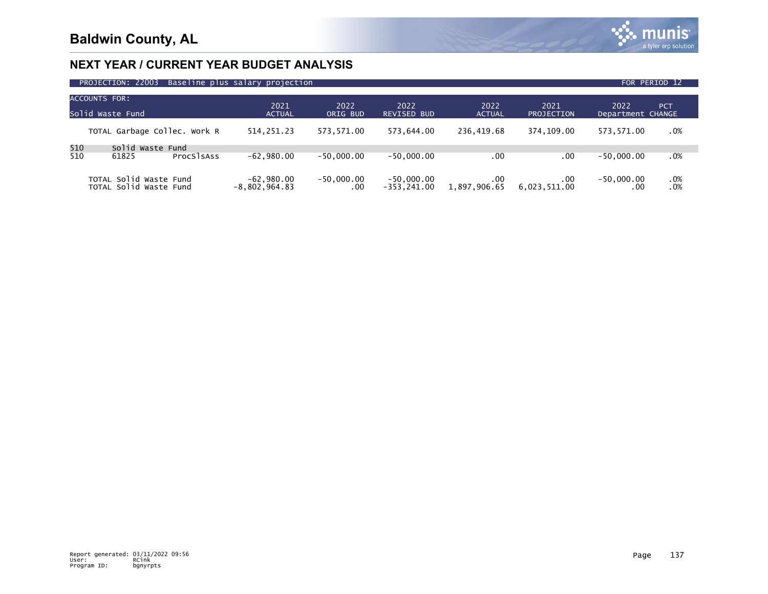

| PROJECTION: 22003<br>Baseline plus salary projection<br>FOR PERIOD 12 |                                 |                          |                               |                         |                           |                           |            |  |  |  |  |
|-----------------------------------------------------------------------|---------------------------------|--------------------------|-------------------------------|-------------------------|---------------------------|---------------------------|------------|--|--|--|--|
| <b>ACCOUNTS FOR:</b><br>Solid Waste Fund                              | 2021<br><b>ACTUAL</b>           | 2022<br>ORIG BUD         | 2022<br>REVISED BUD           | 2022<br><b>ACTUAL</b>   | 2021<br><b>PROJECTION</b> | 2022<br>Department CHANGE | <b>PCT</b> |  |  |  |  |
| TOTAL Garbage Collec. Work R                                          | 514,251.23                      | 573,571.00               | 573.644.00                    | 236.419.68              | 374.109.00                | 573.571.00                | .0%        |  |  |  |  |
| 510<br>Solid Waste Fund<br>510<br>61825<br>ProcSlsAss                 | $-62,980.00$                    | $-50.000.00$             | $-50.000.00$                  | .00                     | .00                       | $-50.000.00$              | .0%        |  |  |  |  |
| TOTAL Solid Waste Fund<br>TOTAL Solid Waste Fund                      | $-62,980.00$<br>$-8,802,964.83$ | $-50,000.00$<br>$.00 \,$ | $-50,000.00$<br>$-353.241.00$ | $.00\,$<br>1,897,906.65 | .00<br>6.023.511.00       | $-50,000.00$<br>.00       | .0%<br>.0% |  |  |  |  |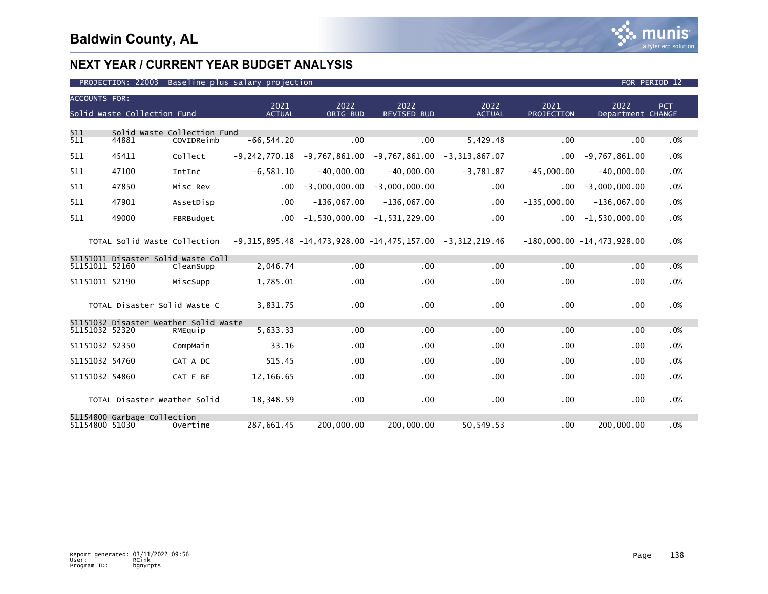

| <b>ACCOUNTS FOR:</b> | Solid Waste Collection Fund        |                                           | 2021<br><b>ACTUAL</b> | 2022<br>ORIG BUD | 2022<br><b>REVISED BUD</b>                                        | 2022<br><b>ACTUAL</b> | 2021<br>PROJECTION | 2022<br>Department CHANGE    | PCT. |
|----------------------|------------------------------------|-------------------------------------------|-----------------------|------------------|-------------------------------------------------------------------|-----------------------|--------------------|------------------------------|------|
|                      |                                    |                                           |                       |                  |                                                                   |                       |                    |                              |      |
| 511<br>511           | 44881                              | Solid Waste Collection Fund<br>COVIDReimb | $-66, 544.20$         | .00              | .00                                                               | 5,429.48              | .00                | .00                          | .0%  |
| 511                  | 45411                              | Collect                                   | $-9.242.770.18$       |                  | $-9,767,861.00$ $-9,767,861.00$                                   | $-3, 313, 867.07$     | $.00 \,$           | $-9,767,861.00$              | .0%  |
| 511                  | 47100                              | IntInc                                    | $-6,581.10$           | $-40,000.00$     | $-40,000.00$                                                      | $-3,781.87$           | $-45,000.00$       | $-40,000.00$                 | .0%  |
| 511                  | 47850                              | Misc Rev                                  | $.00 \,$              | $-3,000,000.00$  | $-3,000,000.00$                                                   | .00                   | $.00 \,$           | $-3,000,000.00$              | .0%  |
| 511                  | 47901                              | AssetDisp                                 | $.00 \,$              | $-136,067.00$    | $-136,067.00$                                                     | $.00 \,$              | $-135,000.00$      | $-136,067.00$                | .0%  |
| 511                  | 49000                              | FBRBudget                                 | $.00 \ \,$            |                  | $-1,530,000.00 -1,531,229.00$                                     | .00                   | $.00 \,$           | $-1,530,000.00$              | .0%  |
|                      | TOTAL Solid Waste Collection       |                                           |                       |                  | $-9,315,895.48$ $-14,473,928.00$ $-14,475,157.00$ $-3,312,219.46$ |                       |                    | $-180,000.00 -14,473,928.00$ | .0%  |
|                      | 51151011 Disaster Solid Waste Coll |                                           |                       |                  |                                                                   |                       |                    |                              |      |
| 51151011 52160       |                                    | CleanSupp                                 | 2,046.74              | .00              | .00.                                                              | .00                   | .00                | .00                          | .0%  |
| 51151011 52190       |                                    | MiscSupp                                  | 1,785.01              | .00              | $.00 \times$                                                      | .00                   | .00                | $.00 \,$                     | .0%  |
|                      | TOTAL Disaster Solid Waste C       |                                           | 3.831.75              | .00              | .00                                                               | .00                   | .00                | .00                          | .0%  |
|                      |                                    | 51151032 Disaster Weather Solid Waste     |                       |                  |                                                                   |                       |                    |                              |      |
| 51151032 52320       |                                    | RMEquip                                   | 5,633.33              | .00              | .00.                                                              | .00                   | .00                | .00                          | .0%  |
| 51151032 52350       |                                    | CompMain                                  | 33.16                 | .00              | .00                                                               | .00                   | .00                | .00                          | .0%  |
| 51151032 54760       |                                    | CAT A DC                                  | 515.45                | .00              | .00 <sub>1</sub>                                                  | .00                   | .00                | .00                          | .0%  |
| 51151032 54860       |                                    | CAT E BE                                  | 12,166.65             | $.00 \times$     | .00                                                               | .00                   | .00                | .00                          | .0%  |
|                      | TOTAL Disaster Weather Solid       |                                           | 18,348.59             | $.00 \times$     | .00                                                               | .00                   | .00                | .00                          | .0%  |
| 51154800 51030       | 51154800 Garbage Collection        | Overtime                                  | 287.661.45            | 200,000,00       | 200,000.00                                                        | 50.549.53             | .00                | 200,000.00                   | .0%  |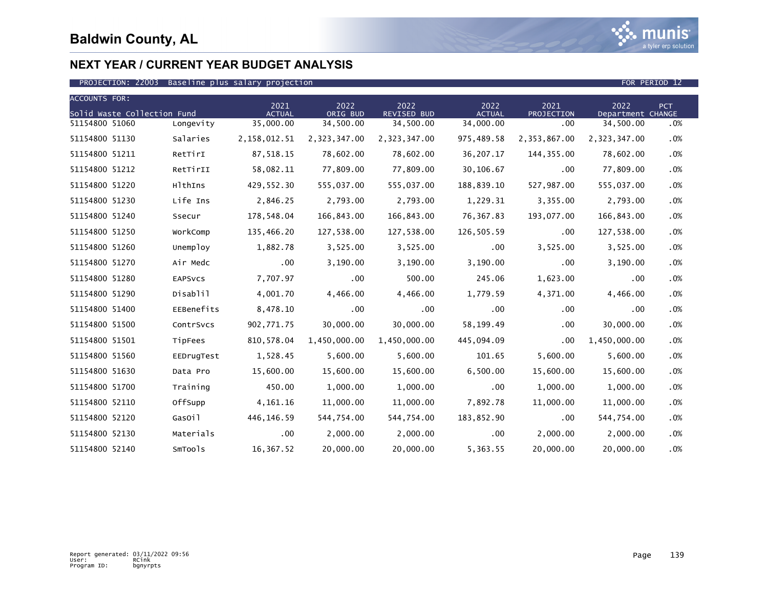

| <b>ACCOUNTS FOR:</b>        |                | 2021          | 2022         | 2022         | 2022          | 2021         | 2022              | PCT    |
|-----------------------------|----------------|---------------|--------------|--------------|---------------|--------------|-------------------|--------|
| Solid Waste Collection Fund |                | <b>ACTUAL</b> | ORIG BUD     | REVISED BUD  | <b>ACTUAL</b> | PROJECTION   | Department CHANGE |        |
| 51154800 51060              | Longevity      | 35,000.00     | 34,500.00    | 34,500.00    | 34,000.00     | .00          | 34,500.00         | .0%    |
| 51154800 51130              | Salaries       | 2,158,012.51  | 2,323,347.00 | 2,323,347.00 | 975,489.58    | 2,353,867.00 | 2,323,347.00      | .0%    |
| 51154800 51211              | RetTirI        | 87,518.15     | 78,602.00    | 78,602.00    | 36,207.17     | 144,355.00   | 78,602.00         | .0%    |
| 51154800 51212              | RetTirII       | 58,082.11     | 77,809.00    | 77,809.00    | 30,106.67     | .00          | 77,809.00         | .0%    |
| 51154800 51220              | HlthIns        | 429,552.30    | 555,037.00   | 555,037.00   | 188,839.10    | 527,987.00   | 555,037.00        | .0%    |
| 51154800 51230              | Life Ins       | 2,846.25      | 2,793.00     | 2,793.00     | 1,229.31      | 3,355.00     | 2,793.00          | .0%    |
| 51154800 51240              | Ssecur         | 178,548.04    | 166,843.00   | 166,843.00   | 76,367.83     | 193,077.00   | 166,843.00        | .0%    |
| 51154800 51250              | WorkComp       | 135,466.20    | 127,538.00   | 127,538.00   | 126,505.59    | .00          | 127,538.00        | .0%    |
| 51154800 51260              | Unemploy       | 1,882.78      | 3,525.00     | 3,525.00     | $.00 \,$      | 3,525.00     | 3,525.00          | .0%    |
| 51154800 51270              | Air Medc       | .00           | 3,190.00     | 3,190.00     | 3,190.00      | .00          | 3,190.00          | .0%    |
| 51154800 51280              | <b>EAPSVCS</b> | 7,707.97      | .00          | 500.00       | 245.06        | 1,623.00     | .00               | .0%    |
| 51154800 51290              | Disablil       | 4,001.70      | 4,466.00     | 4,466.00     | 1,779.59      | 4,371.00     | 4,466.00          | .0%    |
| 51154800 51400              | EEBenefits     | 8,478.10      | .00          | .00          | .00           | .00          | .00               | .0%    |
| 51154800 51500              | ContrSvcs      | 902,771.75    | 30,000.00    | 30,000.00    | 58,199.49     | .00          | 30,000.00         | .0%    |
| 51154800 51501              | TipFees        | 810,578.04    | 1,450,000.00 | 1,450,000.00 | 445,094.09    | $.00 \,$     | 1,450,000.00      | .0%    |
| 51154800 51560              | EEDrugTest     | 1,528.45      | 5,600.00     | 5,600.00     | 101.65        | 5,600.00     | 5,600.00          | .0%    |
| 51154800 51630              | Data Pro       | 15,600.00     | 15,600.00    | 15,600.00    | 6,500.00      | 15,600.00    | 15,600.00         | .0%    |
| 51154800 51700              | Training       | 450.00        | 1,000.00     | 1,000.00     | .00           | 1,000.00     | 1,000.00          | .0%    |
| 51154800 52110              | OffSupp        | 4, 161. 16    | 11,000.00    | 11,000.00    | 7,892.78      | 11,000.00    | 11,000.00         | .0%    |
| 51154800 52120              | GasOil         | 446,146.59    | 544,754.00   | 544,754.00   | 183,852.90    | .00          | 544,754.00        | .0%    |
| 51154800 52130              | Materials      | $.00 \,$      | 2,000.00     | 2,000.00     | $.00 \,$      | 2,000.00     | 2,000.00          | $.0\%$ |
| 51154800 52140              | SmTools        | 16,367.52     | 20,000.00    | 20,000.00    | 5,363.55      | 20,000.00    | 20,000.00         | .0%    |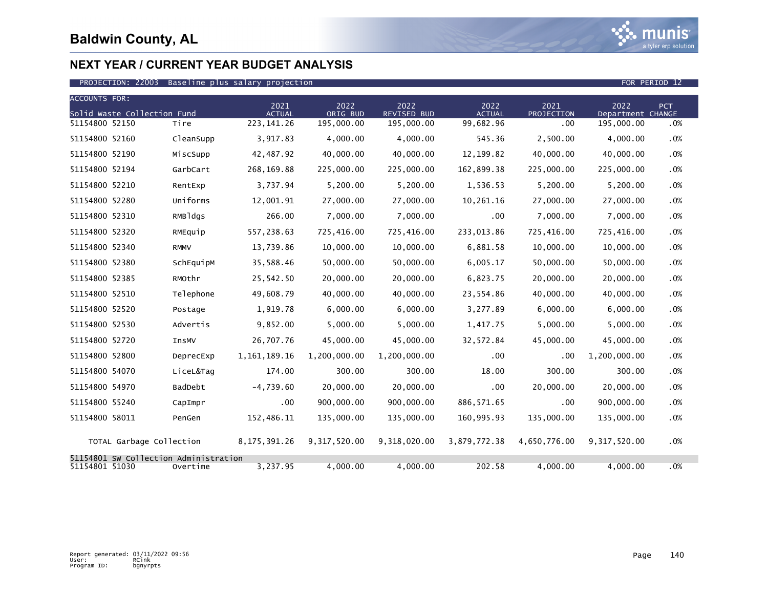

| <b>ACCOUNTS FOR:</b> |                             |                                                   |                       |                  |                            |                       |                    |                           |            |
|----------------------|-----------------------------|---------------------------------------------------|-----------------------|------------------|----------------------------|-----------------------|--------------------|---------------------------|------------|
|                      | Solid Waste Collection Fund |                                                   | 2021<br><b>ACTUAL</b> | 2022<br>ORIG BUD | 2022<br><b>REVISED BUD</b> | 2022<br><b>ACTUAL</b> | 2021<br>PROJECTION | 2022<br>Department CHANGE | <b>PCT</b> |
| 51154800 52150       |                             | Tire                                              | 223, 141. 26          | 195,000.00       | 195,000.00                 | 99,682.96             | .00                | 195,000.00                | .0%        |
| 51154800 52160       |                             | CleanSupp                                         | 3,917.83              | 4,000.00         | 4,000.00                   | 545.36                | 2,500.00           | 4,000.00                  | .0%        |
| 51154800 52190       |                             | MiscSupp                                          | 42,487.92             | 40,000.00        | 40,000.00                  | 12, 199.82            | 40,000.00          | 40,000.00                 | .0%        |
| 51154800 52194       |                             | GarbCart                                          | 268,169.88            | 225,000.00       | 225,000.00                 | 162,899.38            | 225,000.00         | 225,000.00                | .0%        |
| 51154800 52210       |                             | RentExp                                           | 3,737.94              | 5,200.00         | 5,200.00                   | 1,536.53              | 5,200.00           | 5,200.00                  | .0%        |
| 51154800 52280       |                             | Uniforms                                          | 12,001.91             | 27,000.00        | 27,000.00                  | 10,261.16             | 27,000.00          | 27,000.00                 | .0%        |
| 51154800 52310       |                             | RMBldgs                                           | 266.00                | 7,000.00         | 7,000.00                   | .00                   | 7,000.00           | 7,000.00                  | .0%        |
| 51154800 52320       |                             | RMEquip                                           | 557,238.63            | 725,416.00       | 725,416.00                 | 233,013.86            | 725,416.00         | 725,416.00                | .0%        |
| 51154800 52340       |                             | <b>RMMV</b>                                       | 13,739.86             | 10,000.00        | 10,000.00                  | 6,881.58              | 10,000.00          | 10,000.00                 | .0%        |
| 51154800 52380       |                             | SchEquipM                                         | 35,588.46             | 50,000.00        | 50,000.00                  | 6,005.17              | 50,000.00          | 50,000.00                 | .0%        |
| 51154800 52385       |                             | RMOthr                                            | 25,542.50             | 20,000.00        | 20,000.00                  | 6,823.75              | 20,000.00          | 20,000.00                 | .0%        |
| 51154800 52510       |                             | Telephone                                         | 49,608.79             | 40,000.00        | 40,000.00                  | 23,554.86             | 40,000.00          | 40,000.00                 | .0%        |
| 51154800 52520       |                             | Postage                                           | 1,919.78              | 6,000.00         | 6,000.00                   | 3,277.89              | 6,000.00           | 6,000.00                  | .0%        |
| 51154800 52530       |                             | Advertis                                          | 9,852.00              | 5,000.00         | 5,000.00                   | 1,417.75              | 5,000.00           | 5,000.00                  | .0%        |
| 51154800 52720       |                             | InsMV                                             | 26,707.76             | 45,000.00        | 45,000.00                  | 32,572.84             | 45,000.00          | 45,000.00                 | .0%        |
| 51154800 52800       |                             | DeprecExp                                         | 1, 161, 189. 16       | 1,200,000.00     | 1,200,000.00               | .00                   | .00                | 1,200,000.00              | .0%        |
| 51154800 54070       |                             | LiceL&Tag                                         | 174.00                | 300.00           | 300.00                     | 18.00                 | 300.00             | 300.00                    | .0%        |
| 51154800 54970       |                             | BadDebt                                           | $-4,739.60$           | 20,000.00        | 20,000.00                  | $.00 \,$              | 20,000.00          | 20,000.00                 | .0%        |
| 51154800 55240       |                             | CapImpr                                           | $.00 \,$              | 900,000.00       | 900,000.00                 | 886, 571.65           | .00                | 900,000.00                | .0%        |
| 51154800 58011       |                             | PenGen                                            | 152,486.11            | 135,000.00       | 135,000.00                 | 160,995.93            | 135,000.00         | 135,000.00                | .0%        |
|                      | TOTAL Garbage Collection    |                                                   | 8, 175, 391.26        | 9,317,520.00     | 9,318,020.00               | 3,879,772.38          | 4,650,776.00       | 9, 317, 520, 00           | .0%        |
| 51154801 51030       |                             | 51154801 SW Collection Administration<br>Overtime | 3,237.95              | 4,000.00         | 4.000.00                   | 202.58                | 4,000.00           | 4.000.00                  | .0%        |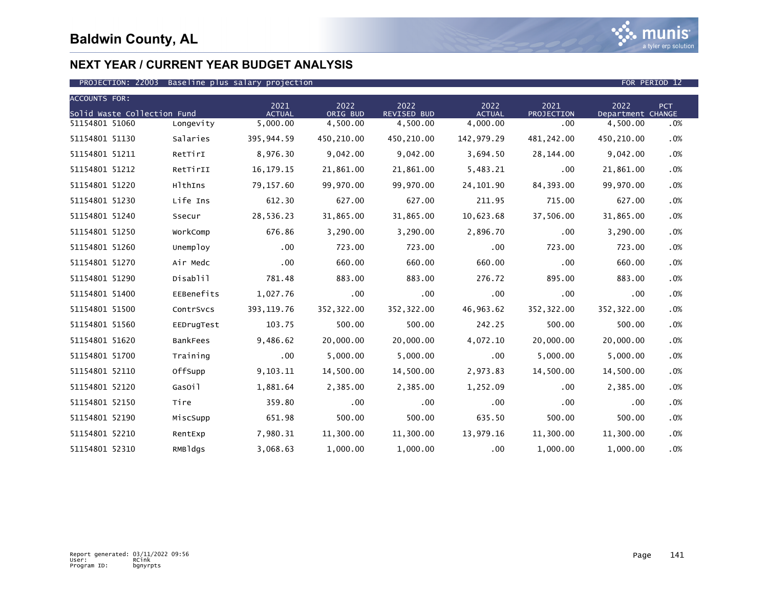

| <b>ACCOUNTS FOR:</b>        |            |                       |                  |                     |                       |                    |                           |     |
|-----------------------------|------------|-----------------------|------------------|---------------------|-----------------------|--------------------|---------------------------|-----|
| Solid Waste Collection Fund |            | 2021<br><b>ACTUAL</b> | 2022<br>ORIG BUD | 2022<br>REVISED BUD | 2022<br><b>ACTUAL</b> | 2021<br>PROJECTION | 2022<br>Department CHANGE | PCT |
| 51154801 51060              | Longevity  | 5,000.00              | 4,500.00         | 4,500.00            | 4,000.00              | .00                | 4,500.00                  | .0% |
| 51154801 51130              | Salaries   | 395,944.59            | 450,210.00       | 450,210.00          | 142,979.29            | 481, 242.00        | 450,210.00                | .0% |
| 51154801 51211              | RetTirI    | 8,976.30              | 9,042.00         | 9,042.00            | 3,694.50              | 28,144.00          | 9,042.00                  | .0% |
| 51154801 51212              | RetTirII   | 16, 179. 15           | 21,861.00        | 21,861.00           | 5,483.21              | .00                | 21,861.00                 | .0% |
| 51154801 51220              | HlthIns    | 79,157.60             | 99,970.00        | 99,970.00           | 24, 101.90            | 84,393.00          | 99,970.00                 | .0% |
| 51154801 51230              | Life Ins   | 612.30                | 627.00           | 627.00              | 211.95                | 715.00             | 627.00                    | .0% |
| 51154801 51240              | Ssecur     | 28,536.23             | 31,865.00        | 31,865.00           | 10,623.68             | 37,506.00          | 31,865.00                 | .0% |
| 51154801 51250              | WorkComp   | 676.86                | 3,290.00         | 3,290.00            | 2,896.70              | .00                | 3,290.00                  | .0% |
| 51154801 51260              | Unemploy   | .00                   | 723.00           | 723.00              | $.00 \,$              | 723.00             | 723.00                    | .0% |
| 51154801 51270              | Air Medc   | .00                   | 660.00           | 660.00              | 660.00                | .00                | 660.00                    | .0% |
| 51154801 51290              | Disablil   | 781.48                | 883.00           | 883.00              | 276.72                | 895.00             | 883.00                    | .0% |
| 51154801 51400              | EEBenefits | 1,027.76              | .00              | .00                 | $.00 \,$              | .00                | .00                       | .0% |
| 51154801 51500              | ContrSvcs  | 393, 119.76           | 352,322.00       | 352,322.00          | 46,963.62             | 352,322.00         | 352, 322.00               | .0% |
| 51154801 51560              | EEDrugTest | 103.75                | 500.00           | 500.00              | 242.25                | 500.00             | 500.00                    | .0% |
| 51154801 51620              | BankFees   | 9,486.62              | 20,000.00        | 20,000.00           | 4,072.10              | 20,000.00          | 20,000.00                 | .0% |
| 51154801 51700              | Training   | .00                   | 5,000.00         | 5,000.00            | .00                   | 5,000.00           | 5,000.00                  | .0% |
| 51154801 52110              | OffSupp    | 9,103.11              | 14,500.00        | 14,500.00           | 2,973.83              | 14,500.00          | 14,500.00                 | .0% |
| 51154801 52120              | GasOil     | 1,881.64              | 2,385.00         | 2,385.00            | 1,252.09              | .00                | 2,385.00                  | .0% |
| 51154801 52150              | Tire       | 359.80                | $.00 \cdot$      | .00                 | .00                   | .00                | .00                       | .0% |
| 51154801 52190              | MiscSupp   | 651.98                | 500.00           | 500.00              | 635.50                | 500.00             | 500.00                    | .0% |
| 51154801 52210              | RentExp    | 7,980.31              | 11,300.00        | 11,300.00           | 13,979.16             | 11,300.00          | 11,300.00                 | .0% |
| 51154801 52310              | RMBldgs    | 3,068.63              | 1,000.00         | 1,000.00            | .00                   | 1,000.00           | 1,000.00                  | .0% |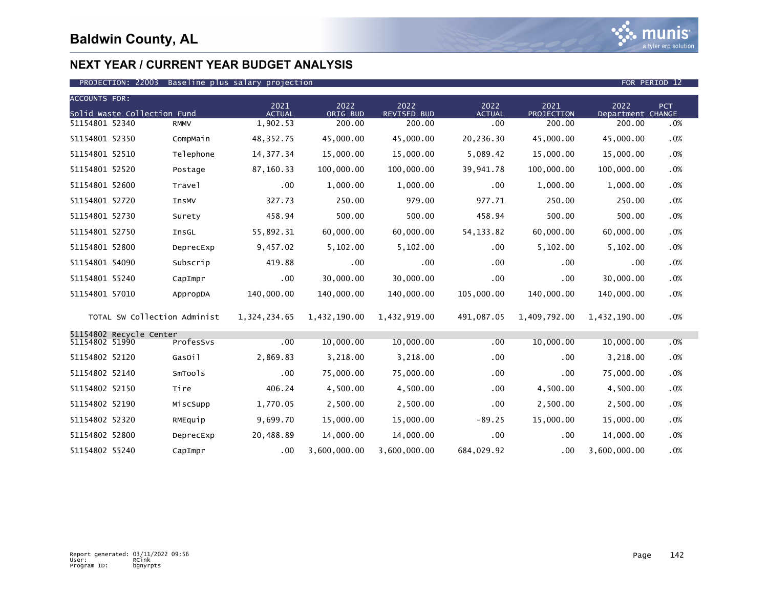

| <b>ACCOUNTS FOR:</b> |                              |             |                       |                  |                            |                       |                    |                           |            |
|----------------------|------------------------------|-------------|-----------------------|------------------|----------------------------|-----------------------|--------------------|---------------------------|------------|
|                      | Solid Waste Collection Fund  |             | 2021<br><b>ACTUAL</b> | 2022<br>ORIG BUD | 2022<br><b>REVISED BUD</b> | 2022<br><b>ACTUAL</b> | 2021<br>PROJECTION | 2022<br>Department CHANGE | <b>PCT</b> |
| 51154801 52340       |                              | <b>RMMV</b> | 1,902.53              | 200.00           | 200.00                     | .00                   | 200.00             | 200.00                    | .0%        |
| 51154801 52350       |                              | CompMain    | 48, 352. 75           | 45,000.00        | 45,000.00                  | 20,236.30             | 45,000.00          | 45,000.00                 | .0%        |
| 51154801 52510       |                              | Telephone   | 14, 377. 34           | 15,000.00        | 15,000.00                  | 5,089.42              | 15,000.00          | 15,000.00                 | .0%        |
| 51154801 52520       |                              | Postage     | 87,160.33             | 100,000.00       | 100,000.00                 | 39,941.78             | 100,000.00         | 100,000.00                | .0%        |
| 51154801 52600       |                              | Travel      | $.00 \,$              | 1,000.00         | 1,000.00                   | .00                   | 1,000.00           | 1,000.00                  | .0%        |
| 51154801 52720       |                              | InsMV       | 327.73                | 250.00           | 979.00                     | 977.71                | 250.00             | 250.00                    | .0%        |
| 51154801 52730       |                              | Surety      | 458.94                | 500.00           | 500.00                     | 458.94                | 500.00             | 500.00                    | .0%        |
| 51154801 52750       |                              | InsGL       | 55,892.31             | 60,000.00        | 60,000.00                  | 54, 133.82            | 60,000.00          | 60,000.00                 | .0%        |
| 51154801 52800       |                              | DeprecExp   | 9,457.02              | 5,102.00         | 5,102.00                   | $.00 \,$              | 5,102.00           | 5,102.00                  | .0%        |
| 51154801 54090       |                              | Subscrip    | 419.88                | .00              | .00                        | .00.                  | .00                | .00                       | .0%        |
| 51154801 55240       |                              | CapImpr     | $.00 \,$              | 30,000.00        | 30,000.00                  | .00                   | .00                | 30,000.00                 | .0%        |
| 51154801 57010       |                              | AppropDA    | 140,000.00            | 140,000.00       | 140,000.00                 | 105,000.00            | 140,000.00         | 140,000.00                | .0%        |
|                      | TOTAL SW Collection Administ |             | 1,324,234.65          | 1,432,190.00     | 1,432,919.00               | 491,087.05            | 1,409,792.00       | 1,432,190.00              | .0%        |
| 51154802 51990       | 51154802 Recycle Center      | ProfesSvs   | .00                   | 10,000.00        | 10,000.00                  | .00                   | 10,000.00          | 10,000.00                 | .0%        |
| 51154802 52120       |                              | GasOil      | 2,869.83              | 3,218.00         | 3,218.00                   | .00                   | .00                | 3,218.00                  | .0%        |
| 51154802 52140       |                              | SmTools     | $.00 \,$              | 75,000.00        | 75,000.00                  | $.00 \,$              | .00                | 75,000.00                 | .0%        |
| 51154802 52150       |                              | Tire        | 406.24                | 4,500.00         | 4,500.00                   | .00                   | 4,500.00           | 4,500.00                  | .0%        |
| 51154802 52190       |                              | MiscSupp    | 1,770.05              | 2,500.00         | 2,500.00                   | .00                   | 2,500.00           | 2,500.00                  | .0%        |
| 51154802 52320       |                              | RMEquip     | 9,699.70              | 15,000.00        | 15,000.00                  | $-89.25$              | 15,000.00          | 15,000.00                 | .0%        |
| 51154802 52800       |                              | DeprecExp   | 20,488.89             | 14,000.00        | 14,000.00                  | $.00 \,$              | .00                | 14,000.00                 | .0%        |
| 51154802 55240       |                              | CapImpr     | $.00 \,$              | 3,600,000.00     | 3,600,000.00               | 684,029.92            | .00                | 3,600,000.00              | .0%        |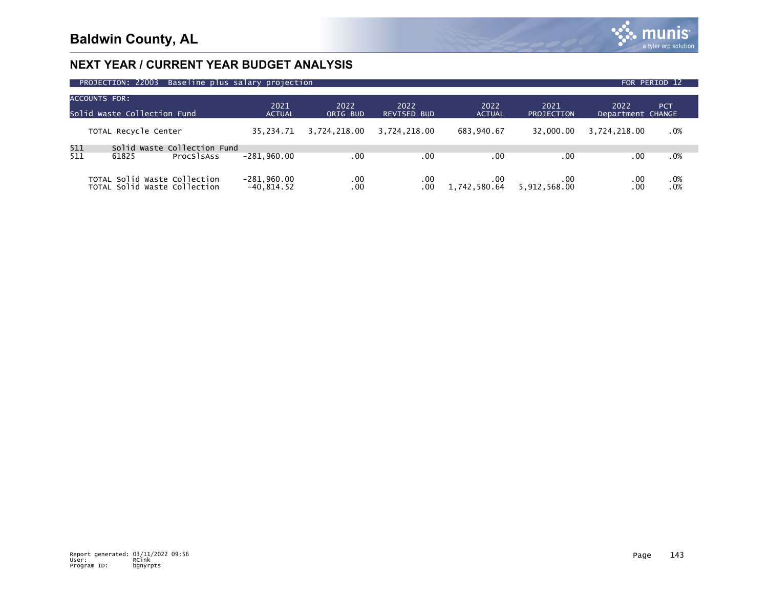

| PROJECTION: 22003<br>Baseline plus salary projection |                                                              |                                           |                               |                  |                            |                          |                     |                           | FOR PERIOD 12 |  |
|------------------------------------------------------|--------------------------------------------------------------|-------------------------------------------|-------------------------------|------------------|----------------------------|--------------------------|---------------------|---------------------------|---------------|--|
| ACCOUNTS FOR:<br>Solid Waste Collection Fund         |                                                              |                                           | 2021<br><b>ACTUAL</b>         | 2022<br>ORIG BUD | 2022<br><b>REVISED BUD</b> | 2022<br><b>ACTUAL</b>    | 2021<br>PROJECTION  | 2022<br>Department CHANGE | <b>PCT</b>    |  |
|                                                      | TOTAL Recycle Center                                         |                                           | 35.234.71                     | 3,724,218.00     | 3.724.218.00               | 683,940.67               | 32,000,00           | 3,724,218.00              | .0%           |  |
| 511<br>511                                           | 61825                                                        | Solid Waste Collection Fund<br>ProcSlsAss | $-281.960.00$                 | .00              | .00                        | .00                      | .00                 | .00                       | .0%           |  |
|                                                      | TOTAL Solid Waste Collection<br>TOTAL Solid Waste Collection |                                           | $-281,960.00$<br>$-40.814.52$ | .00<br>.00       | .00<br>.00                 | $.00 \,$<br>1,742,580.64 | .00<br>5,912,568.00 | .00<br>.00                | .0%<br>.0%    |  |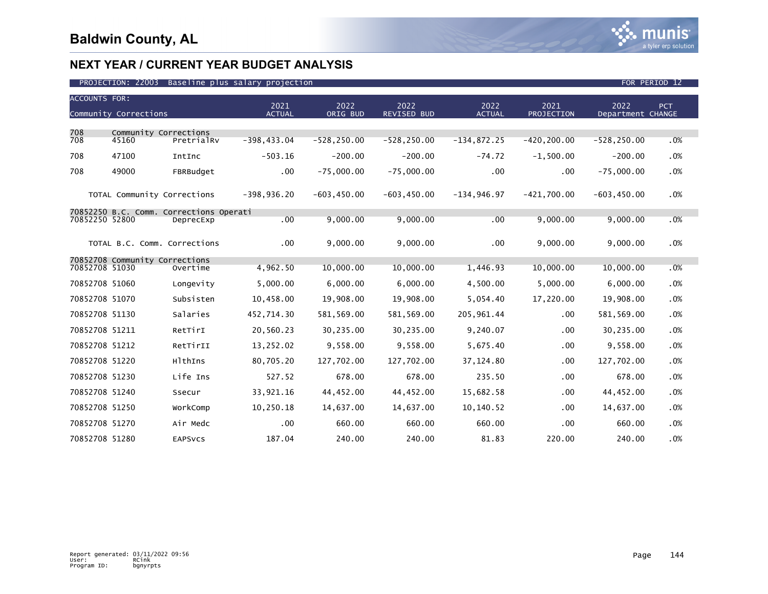

| <b>ACCOUNTS FOR:</b> |                                         |                | 2021           | 2022           | 2022           | 2022          | 2021           | 2022              | PCT    |
|----------------------|-----------------------------------------|----------------|----------------|----------------|----------------|---------------|----------------|-------------------|--------|
|                      | Community Corrections                   |                | <b>ACTUAL</b>  | ORIG BUD       | REVISED BUD    | <b>ACTUAL</b> | PROJECTION     | Department CHANGE |        |
| 708                  | Community Corrections                   |                |                |                |                |               |                |                   |        |
| 708                  | 45160                                   | PretrialRv     | $-398, 433.04$ | $-528, 250.00$ | $-528, 250.00$ | $-134,872.25$ | $-420, 200.00$ | $-528, 250.00$    | .0%    |
| 708                  | 47100                                   | IntInc         | $-503.16$      | $-200.00$      | $-200.00$      | $-74.72$      | $-1,500.00$    | $-200.00$         | .0%    |
| 708                  | 49000                                   | FBRBudget      | .00            | $-75,000.00$   | $-75,000.00$   | .00           | .00            | $-75,000.00$      | .0%    |
|                      | TOTAL Community Corrections             |                | $-398,936.20$  | $-603, 450.00$ | $-603, 450.00$ | $-134,946.97$ | $-421.700.00$  | $-603, 450.00$    | .0%    |
| 70852250 52800       | 70852250 B.C. Comm. Corrections Operati | DeprecExp      | .00            | 9,000.00       | 9,000.00       | .00           | 9,000.00       | 9,000.00          | .0%    |
|                      |                                         |                |                |                |                |               |                |                   |        |
|                      | TOTAL B.C. Comm. Corrections            |                | .00            | 9,000.00       | 9,000.00       | $.00 \,$      | 9,000.00       | 9,000.00          | $.0\%$ |
|                      | 70852708 Community Corrections          |                |                |                |                |               |                |                   |        |
| 70852708 51030       |                                         | Overtime       | 4.962.50       | 10,000.00      | 10.000.00      | 1,446.93      | 10,000.00      | 10,000.00         | .0%    |
| 70852708 51060       |                                         | Longevity      | 5.000.00       | 6.000.00       | 6.000.00       | 4,500.00      | 5.000.00       | 6.000.00          | .0%    |
| 70852708 51070       |                                         | Subsisten      | 10,458.00      | 19,908.00      | 19,908.00      | 5,054.40      | 17,220.00      | 19,908.00         | .0%    |
| 70852708 51130       |                                         | Salaries       | 452,714.30     | 581,569.00     | 581,569.00     | 205, 961.44   | .00            | 581,569.00        | .0%    |
| 70852708 51211       |                                         | RetTirI        | 20,560.23      | 30,235.00      | 30,235.00      | 9,240.07      | .00.           | 30,235.00         | .0%    |
| 70852708 51212       |                                         | RetTirII       | 13,252.02      | 9,558.00       | 9,558.00       | 5,675.40      | .00            | 9,558.00          | .0%    |
| 70852708 51220       |                                         | HlthIns        | 80,705.20      | 127,702.00     | 127,702.00     | 37, 124.80    | .00.           | 127,702.00        | .0%    |
| 70852708 51230       |                                         | Life Ins       | 527.52         | 678.00         | 678.00         | 235.50        | .00.           | 678.00            | .0%    |
| 70852708 51240       |                                         | Ssecur         | 33,921.16      | 44,452.00      | 44,452.00      | 15,682.58     | .00.           | 44,452.00         | .0%    |
| 70852708 51250       |                                         | WorkComp       | 10,250.18      | 14,637.00      | 14,637.00      | 10,140.52     | .00            | 14,637.00         | .0%    |
| 70852708 51270       |                                         | Air Medc       | .00            | 660.00         | 660.00         | 660.00        | .00            | 660.00            | .0%    |
| 70852708 51280       |                                         | <b>EAPSVCS</b> | 187.04         | 240.00         | 240.00         | 81.83         | 220.00         | 240.00            | .0%    |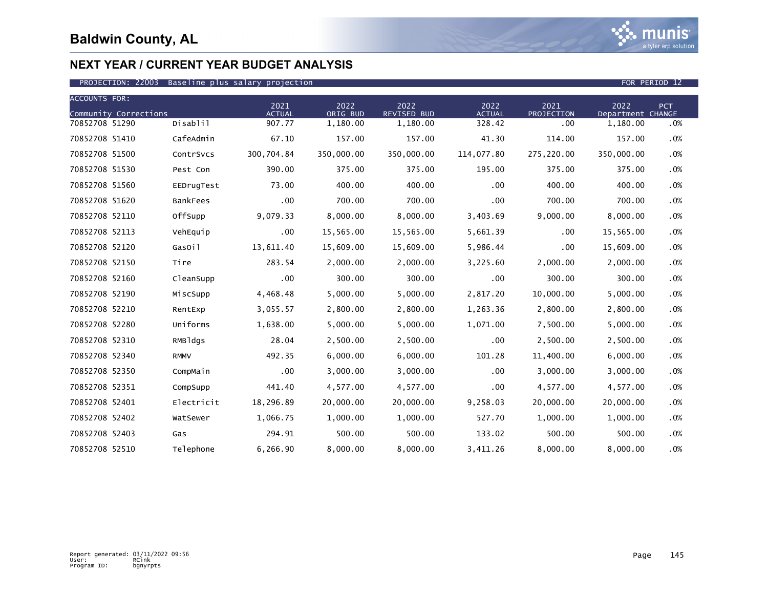

#### PROJECTION: 22003 Baseline plus salary projection FOR PERIOD 12 Annual Communication FOR PERIOD 12

| <b>ACCOUNTS FOR:</b>                    |                 | 2021                    | 2022                 | 2022                           | 2022                    | 2021              | 2022                          | PCT    |
|-----------------------------------------|-----------------|-------------------------|----------------------|--------------------------------|-------------------------|-------------------|-------------------------------|--------|
| Community Corrections<br>70852708 51290 | Disablil        | <b>ACTUAL</b><br>907.77 | ORIG BUD<br>1,180.00 | <b>REVISED BUD</b><br>1,180.00 | <b>ACTUAL</b><br>328.42 | PROJECTION<br>.00 | Department CHANGE<br>1,180.00 | .0%    |
| 70852708 51410                          | CafeAdmin       | 67.10                   | 157.00               | 157.00                         | 41.30                   | 114.00            | 157.00                        | $.0\%$ |
| 70852708 51500                          | ContrSvcs       | 300,704.84              | 350,000.00           | 350,000.00                     | 114,077.80              | 275,220.00        | 350,000.00                    | .0%    |
| 70852708 51530                          | Pest Con        | 390.00                  | 375.00               | 375.00                         | 195.00                  | 375.00            | 375.00                        | $.0\%$ |
| 70852708 51560                          | EEDrugTest      | 73.00                   | 400.00               | 400.00                         | .00                     | 400.00            | 400.00                        | $.0\%$ |
| 70852708 51620                          | <b>BankFees</b> | $.00 \,$                | 700.00               | 700.00                         | .00 <sub>1</sub>        | 700.00            | 700.00                        | .0%    |
| 70852708 52110                          | OffSupp         | 9,079.33                | 8,000.00             | 8,000.00                       | 3,403.69                | 9,000.00          | 8,000.00                      | $.0\%$ |
| 70852708 52113                          | VehEquip        | .00                     | 15,565.00            | 15,565.00                      | 5,661.39                | .00               | 15,565.00                     | .0%    |
| 70852708 52120                          | GasOil          | 13,611.40               | 15,609.00            | 15,609.00                      | 5,986.44                | .00               | 15,609.00                     | $.0\%$ |
| 70852708 52150                          | Tire            | 283.54                  | 2,000.00             | 2,000.00                       | 3,225.60                | 2,000.00          | 2,000.00                      | $.0\%$ |
| 70852708 52160                          | CleanSupp       | .00                     | 300.00               | 300.00                         | .00                     | 300.00            | 300.00                        | $.0\%$ |
| 70852708 52190                          | MiscSupp        | 4,468.48                | 5,000.00             | 5,000.00                       | 2,817.20                | 10,000.00         | 5,000.00                      | .0%    |
| 70852708 52210                          | RentExp         | 3,055.57                | 2,800.00             | 2,800.00                       | 1,263.36                | 2,800.00          | 2,800.00                      | $.0\%$ |
| 70852708 52280                          | Uniforms        | 1,638.00                | 5,000.00             | 5,000.00                       | 1,071.00                | 7,500.00          | 5,000.00                      | .0%    |
| 70852708 52310                          | RMBldgs         | 28.04                   | 2,500.00             | 2,500.00                       | $.00 \,$                | 2,500.00          | 2,500.00                      | $.0\%$ |
| 70852708 52340                          | <b>RMMV</b>     | 492.35                  | 6,000.00             | 6,000.00                       | 101.28                  | 11,400.00         | 6,000.00                      | $.0\%$ |
| 70852708 52350                          | CompMain        | .00                     | 3,000.00             | 3,000.00                       | .00                     | 3,000.00          | 3,000.00                      | .0%    |
| 70852708 52351                          | CompSupp        | 441.40                  | 4,577.00             | 4,577.00                       | .00                     | 4,577.00          | 4,577.00                      | $.0\%$ |
| 70852708 52401                          | Electricit      | 18,296.89               | 20,000.00            | 20,000.00                      | 9,258.03                | 20,000.00         | 20,000.00                     | .0%    |
| 70852708 52402                          | WatSewer        | 1,066.75                | 1,000.00             | 1,000.00                       | 527.70                  | 1,000.00          | 1,000.00                      | $.0\%$ |
| 70852708 52403                          | Gas             | 294.91                  | 500.00               | 500.00                         | 133.02                  | 500.00            | 500.00                        | .0%    |
| 70852708 52510                          | Telephone       | 6,266.90                | 8,000.00             | 8,000.00                       | 3,411.26                | 8,000.00          | 8,000.00                      | .0%    |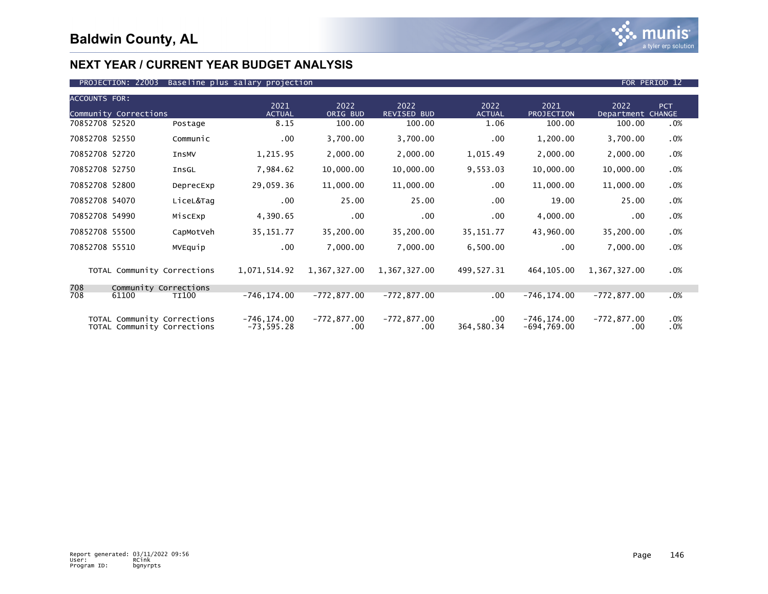

#### PROJECTION: 22003 Baseline plus salary projection FOR PERIOD 12 Annual Prosection FOR PERIOD 12

| <b>ACCOUNTS FOR:</b> | Community Corrections                                      |              | 2021<br><b>ACTUAL</b>          | 2022<br>ORIG BUD          | 2022<br><b>REVISED BUD</b> | 2022<br><b>ACTUAL</b>  | 2021<br>PROJECTION              | 2022<br>Department CHANGE | PCT.       |
|----------------------|------------------------------------------------------------|--------------|--------------------------------|---------------------------|----------------------------|------------------------|---------------------------------|---------------------------|------------|
| 70852708 52520       |                                                            | Postage      | 8.15                           | 100.00                    | 100.00                     | 1.06                   | 100.00                          | 100.00                    | .0%        |
| 70852708 52550       |                                                            | Communic     | $.00 \,$                       | 3,700.00                  | 3,700.00                   | .00                    | 1,200.00                        | 3,700.00                  | .0%        |
| 70852708 52720       |                                                            | InsMV        | 1,215.95                       | 2,000.00                  | 2,000.00                   | 1,015.49               | 2,000.00                        | 2,000.00                  | .0%        |
| 70852708 52750       |                                                            | InsGL        | 7,984.62                       | 10,000.00                 | 10,000.00                  | 9,553.03               | 10,000.00                       | 10,000.00                 | .0%        |
| 70852708 52800       |                                                            | DeprecExp    | 29,059.36                      | 11,000.00                 | 11,000.00                  | .00                    | 11,000.00                       | 11,000.00                 | .0%        |
| 70852708 54070       |                                                            | LiceL&Tag    | .00                            | 25.00                     | 25.00                      | .00                    | 19.00                           | 25.00                     | .0%        |
| 70852708 54990       |                                                            | MiscExp      | 4,390.65                       | $.00 \,$                  | $.00 \,$                   | .00                    | 4,000.00                        | .00                       | .0%        |
| 70852708 55500       |                                                            | CapMotVeh    | 35, 151.77                     | 35,200.00                 | 35,200.00                  | 35, 151.77             | 43,960.00                       | 35,200.00                 | .0%        |
| 70852708 55510       |                                                            | MVEquip      | $.00 \,$                       | 7,000.00                  | 7,000.00                   | 6,500.00               | .00                             | 7,000.00                  | .0%        |
|                      | TOTAL Community Corrections                                |              | 1,071,514.92                   | 1,367,327.00              | 1,367,327.00               | 499, 527.31            | 464,105.00                      | 1,367,327.00              | .0%        |
| 708                  | Community Corrections                                      |              |                                |                           |                            |                        |                                 |                           |            |
| 708                  | 61100                                                      | <b>TI100</b> | $-746, 174.00$                 | $-772,877.00$             | $-772, 877.00$             | $.00 \,$               | $-746, 174.00$                  | $-772,877.00$             | .0%        |
|                      | TOTAL Community Corrections<br>TOTAL Community Corrections |              | $-746, 174.00$<br>$-73,595.28$ | $-772,877.00$<br>$.00 \,$ | $-772, 877.00$<br>$.00 \,$ | $.00 \,$<br>364,580.34 | $-746, 174.00$<br>$-694,769.00$ | -772,877.00<br>.00        | .0%<br>.0% |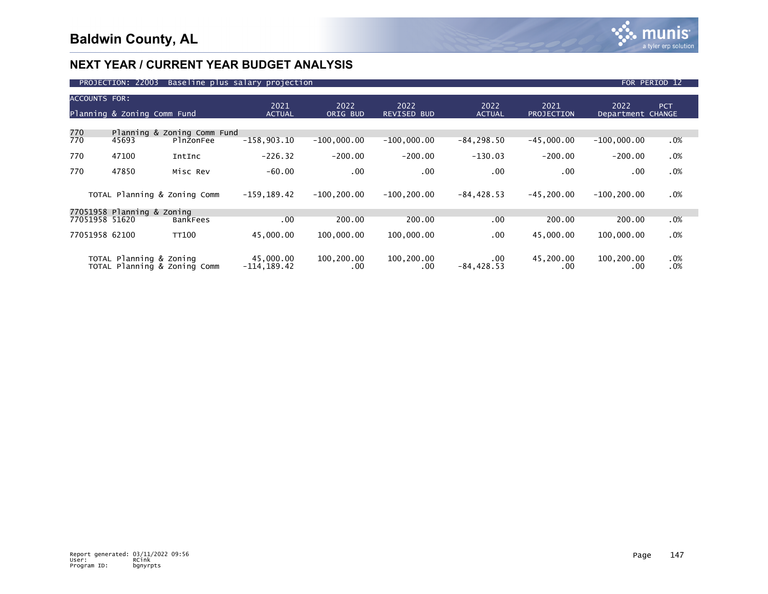

|                      | PROJECTION: 22003           |                                          | Baseline plus salary projection |                   |                            |                       |                           | FOR PERIOD 12             |               |
|----------------------|-----------------------------|------------------------------------------|---------------------------------|-------------------|----------------------------|-----------------------|---------------------------|---------------------------|---------------|
| <b>ACCOUNTS FOR:</b> | Planning & Zoning Comm Fund |                                          | 2021<br><b>ACTUAL</b>           | 2022<br>ORIG BUD  | 2022<br><b>REVISED BUD</b> | 2022<br><b>ACTUAL</b> | 2021<br><b>PROJECTION</b> | 2022<br>Department CHANGE | <b>PCT</b>    |
| 770<br>770           | 45693                       | Planning & Zoning Comm Fund<br>PlnZonFee | $-158,903.10$                   | $-100,000.00$     | $-100,000.00$              | $-84, 298.50$         | $-45,000.00$              | $-100,000.00$             | $.0\%$        |
| 770                  | 47100                       | IntInc                                   | $-226.32$                       | $-200.00$         | $-200.00$                  | $-130.03$             | $-200.00$                 | $-200.00$                 | $.0\%$        |
| 770                  | 47850                       | Misc Rev                                 | $-60.00$                        | .00               | .00                        | $.00 \,$              | .00                       | .00                       | $.0\%$        |
|                      |                             | TOTAL Planning & Zoning Comm             | $-159, 189.42$                  | $-100, 200.00$    | $-100, 200.00$             | $-84, 428.53$         | $-45, 200.00$             | $-100, 200.00$            | $.0\%$        |
|                      | 77051958 Planning & Zoning  |                                          |                                 |                   |                            |                       |                           |                           |               |
|                      | 77051958 51620              | <b>BankFees</b>                          | $.00 \,$                        | 200.00            | 200.00                     | .00                   | 200.00                    | 200.00                    | $.0\%$        |
|                      | 77051958 62100              | <b>TT100</b>                             | 45,000.00                       | 100,000.00        | 100,000.00                 | .00                   | 45,000.00                 | 100,000.00                | .0%           |
|                      | TOTAL Planning & Zoning     | TOTAL Planning & Zoning Comm             | 45.000.00<br>$-114, 189.42$     | 100,200.00<br>.00 | 100,200.00<br>.00          | .00.<br>$-84, 428.53$ | 45,200.00<br>.00          | 100,200.00<br>.00         | $.0\%$<br>.0% |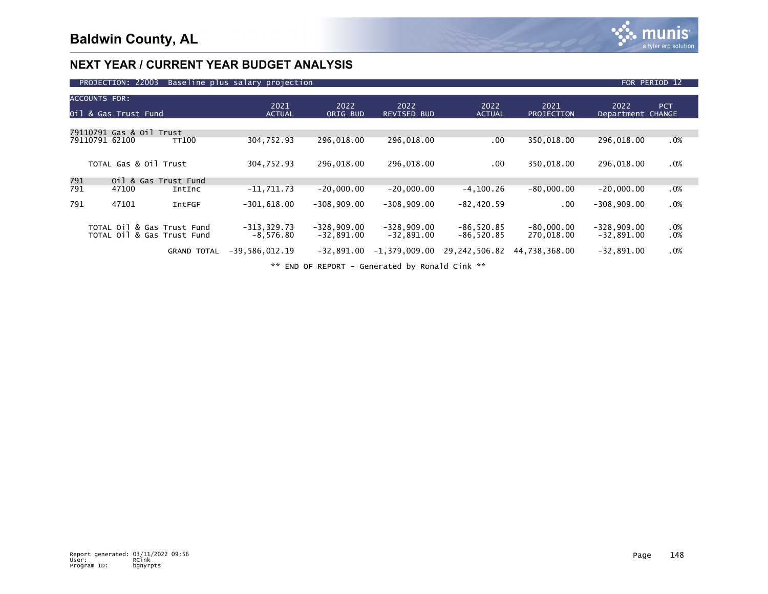

|     | PROJECTION: 22003                                        |                    | Baseline plus salary projection |                               |                               |                              |                            |                               | FOR PERIOD 12 |  |
|-----|----------------------------------------------------------|--------------------|---------------------------------|-------------------------------|-------------------------------|------------------------------|----------------------------|-------------------------------|---------------|--|
|     | <b>ACCOUNTS FOR:</b><br>Oil & Gas Trust Fund             |                    | 2021<br><b>ACTUAL</b>           | 2022<br>ORIG BUD              | 2022<br><b>REVISED BUD</b>    | 2022<br><b>ACTUAL</b>        | 2021<br>PROJECTION         | 2022<br>Department CHANGE     | PCT.          |  |
|     | 79110791 Gas & Oil Trust<br>79110791 62100               | <b>TT100</b>       | 304,752.93                      | 296,018.00                    | 296,018.00                    | .00                          | 350,018.00                 | 296,018.00                    | .0%           |  |
|     | TOTAL Gas & Oil Trust                                    |                    | 304,752.93                      | 296,018.00                    | 296,018.00                    | $.00 \,$                     | 350,018.00                 | 296,018.00                    | .0%           |  |
| 791 | Oil & Gas Trust Fund                                     |                    |                                 |                               |                               |                              |                            |                               |               |  |
| 791 | 47100                                                    | IntInc             | $-11,711.73$                    | $-20,000.00$                  | $-20,000.00$                  | $-4, 100.26$                 | $-80,000.00$               | $-20,000.00$                  | $.0\%$        |  |
| 791 | 47101                                                    | IntFGF             | $-301,618.00$                   | $-308,909.00$                 | $-308,909.00$                 | $-82,420.59$                 | $.00 \,$                   | $-308,909.00$                 | .0%           |  |
|     | TOTAL Oil & Gas Trust Fund<br>TOTAL Oil & Gas Trust Fund |                    | $-313, 329.73$<br>$-8.576.80$   | $-328,909.00$<br>$-32,891.00$ | $-328,909.00$<br>$-32.891.00$ | $-86,520.85$<br>$-86,520.85$ | $-80,000.00$<br>270,018.00 | $-328,909.00$<br>$-32,891.00$ | .0%<br>.0%    |  |
|     |                                                          | <b>GRAND TOTAL</b> | $-39,586,012.19$                | $-32,891.00$                  | $-1,379,009.00$               | 29,242,506.82                | 44,738,368.00              | $-32,891.00$                  | .0%           |  |
|     | ** END OF REPORT - Generated by Ronald Cink **           |                    |                                 |                               |                               |                              |                            |                               |               |  |